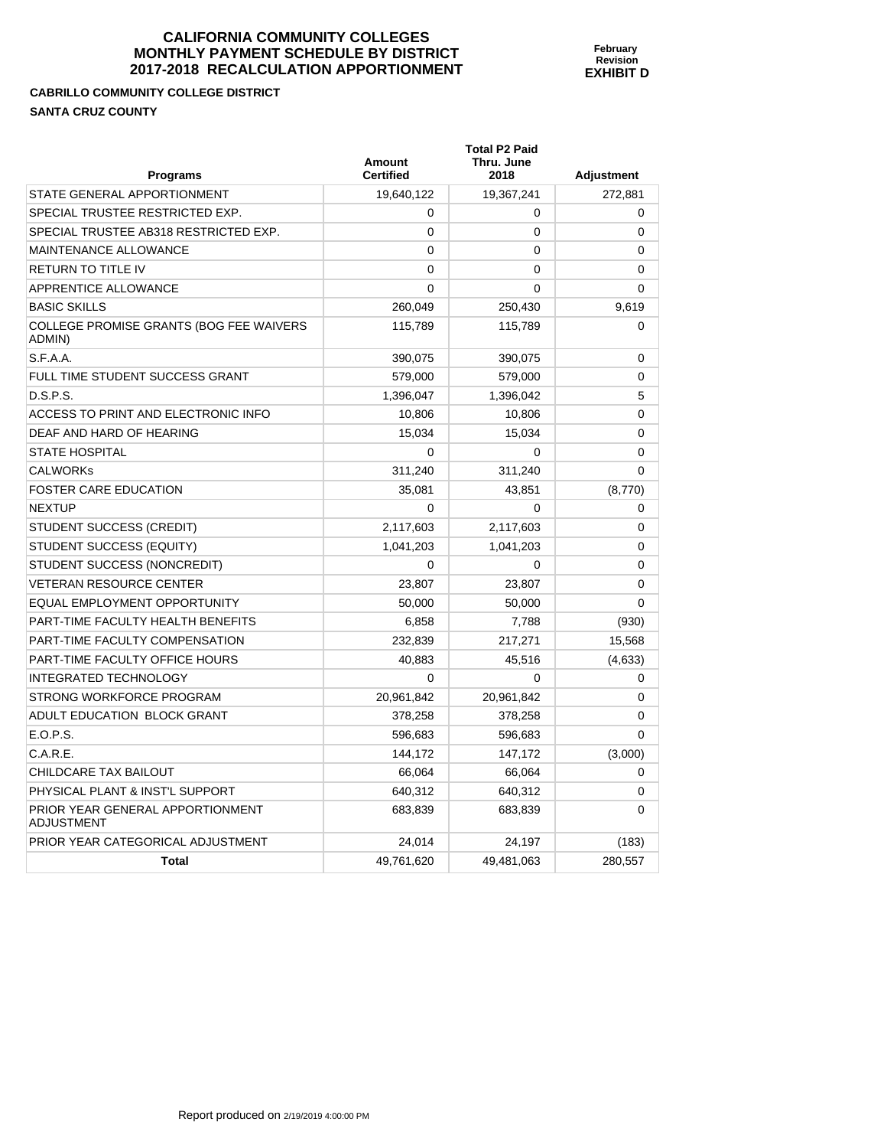**February Revision EXHIBIT D** 

**CABRILLO COMMUNITY COLLEGE DISTRICT SANTA CRUZ COUNTY** 

| <b>Programs</b>                                   | Amount<br><b>Certified</b> | <b>Total P2 Paid</b><br>Thru. June<br>2018 | <b>Adjustment</b> |
|---------------------------------------------------|----------------------------|--------------------------------------------|-------------------|
| STATE GENERAL APPORTIONMENT                       | 19,640,122                 | 19,367,241                                 | 272,881           |
| SPECIAL TRUSTEE RESTRICTED EXP.                   | 0                          | 0                                          | $\mathbf 0$       |
| SPECIAL TRUSTEE AB318 RESTRICTED EXP.             | 0                          | 0                                          | $\mathbf 0$       |
| MAINTENANCE ALLOWANCE                             | 0                          | 0                                          | $\mathbf 0$       |
| RETURN TO TITLE IV                                | $\mathbf{0}$               | 0                                          | $\Omega$          |
| APPRENTICE ALLOWANCE                              | 0                          | $\Omega$                                   | 0                 |
| <b>BASIC SKILLS</b>                               | 260.049                    | 250,430                                    | 9,619             |
| COLLEGE PROMISE GRANTS (BOG FEE WAIVERS<br>ADMIN) | 115,789                    | 115,789                                    | 0                 |
| S.F.A.A.                                          | 390,075                    | 390,075                                    | 0                 |
| FULL TIME STUDENT SUCCESS GRANT                   | 579,000                    | 579,000                                    | $\mathbf 0$       |
| D.S.P.S.                                          | 1,396,047                  | 1,396,042                                  | 5                 |
| ACCESS TO PRINT AND ELECTRONIC INFO               | 10,806                     | 10,806                                     | 0                 |
| DEAF AND HARD OF HEARING                          | 15,034                     | 15,034                                     | 0                 |
| STATE HOSPITAL                                    | 0                          | 0                                          | $\Omega$          |
| <b>CALWORKs</b>                                   | 311,240                    | 311,240                                    | 0                 |
| <b>FOSTER CARE EDUCATION</b>                      | 35,081                     | 43,851                                     | (8,770)           |
| NEXTUP                                            | 0                          | 0                                          | 0                 |
| STUDENT SUCCESS (CREDIT)                          | 2,117,603                  | 2,117,603                                  | 0                 |
| STUDENT SUCCESS (EQUITY)                          | 1,041,203                  | 1,041,203                                  | 0                 |
| STUDENT SUCCESS (NONCREDIT)                       | 0                          | 0                                          | 0                 |
| <b>VETERAN RESOURCE CENTER</b>                    | 23,807                     | 23,807                                     | $\mathbf 0$       |
| EQUAL EMPLOYMENT OPPORTUNITY                      | 50,000                     | 50,000                                     | $\mathbf 0$       |
| PART-TIME FACULTY HEALTH BENEFITS                 | 6,858                      | 7,788                                      | (930)             |
| PART-TIME FACULTY COMPENSATION                    | 232,839                    | 217,271                                    | 15,568            |
| PART-TIME FACULTY OFFICE HOURS                    | 40,883                     | 45,516                                     | (4,633)           |
| INTEGRATED TECHNOLOGY                             | 0                          | $\Omega$                                   | 0                 |
| STRONG WORKFORCE PROGRAM                          | 20,961,842                 | 20,961,842                                 | $\Omega$          |
| ADULT EDUCATION BLOCK GRANT                       | 378,258                    | 378,258                                    | 0                 |
| E.O.P.S.                                          | 596,683                    | 596,683                                    | 0                 |
| C.A.R.E.                                          | 144,172                    | 147,172                                    | (3,000)           |
| CHILDCARE TAX BAILOUT                             | 66,064                     | 66,064                                     | $\mathbf 0$       |
| PHYSICAL PLANT & INST'L SUPPORT                   | 640,312                    | 640,312                                    | 0                 |
| PRIOR YEAR GENERAL APPORTIONMENT<br>ADJUSTMENT    | 683,839                    | 683,839                                    | 0                 |
| PRIOR YEAR CATEGORICAL ADJUSTMENT                 | 24.014                     | 24.197                                     | (183)             |
| <b>Total</b>                                      | 49,761,620                 | 49,481,063                                 | 280,557           |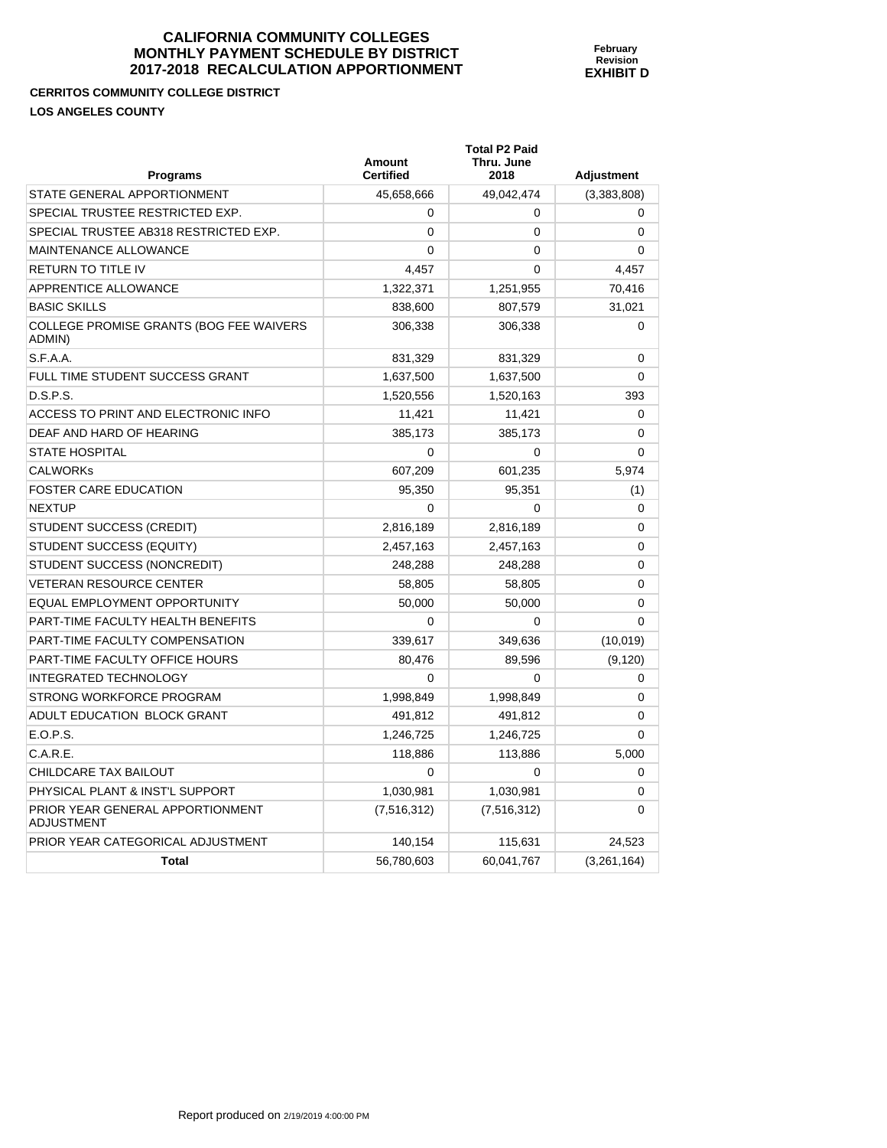#### **CERRITOS COMMUNITY COLLEGE DISTRICT LOS ANGELES COUNTY**

| <b>Programs</b>                                       | <b>Amount</b><br><b>Certified</b> | <b>Total P2 Paid</b><br>Thru. June<br>2018 | <b>Adjustment</b> |
|-------------------------------------------------------|-----------------------------------|--------------------------------------------|-------------------|
| STATE GENERAL APPORTIONMENT                           | 45.658.666                        | 49.042.474                                 | (3,383,808)       |
| SPECIAL TRUSTEE RESTRICTED EXP.                       | $\Omega$                          | 0                                          | $\mathbf 0$       |
| SPECIAL TRUSTEE AB318 RESTRICTED EXP.                 | $\mathbf{0}$                      | 0                                          | $\Omega$          |
| <b>MAINTENANCE ALLOWANCE</b>                          | 0                                 | 0                                          | $\Omega$          |
| <b>RETURN TO TITLE IV</b>                             | 4.457                             | 0                                          | 4.457             |
| APPRENTICE ALLOWANCE                                  | 1,322,371                         | 1,251,955                                  | 70,416            |
| <b>BASIC SKILLS</b>                                   | 838,600                           | 807,579                                    | 31,021            |
| COLLEGE PROMISE GRANTS (BOG FEE WAIVERS<br>ADMIN)     | 306,338                           | 306,338                                    | $\Omega$          |
| S.F.A.A.                                              | 831,329                           | 831,329                                    | 0                 |
| FULL TIME STUDENT SUCCESS GRANT                       | 1,637,500                         | 1,637,500                                  | $\Omega$          |
| D.S.P.S.                                              | 1,520,556                         | 1,520,163                                  | 393               |
| ACCESS TO PRINT AND ELECTRONIC INFO                   | 11,421                            | 11,421                                     | $\mathbf 0$       |
| DEAF AND HARD OF HEARING                              | 385.173                           | 385,173                                    | $\Omega$          |
| <b>STATE HOSPITAL</b>                                 | $\Omega$                          | $\Omega$                                   | $\Omega$          |
| <b>CALWORKs</b>                                       | 607,209                           | 601,235                                    | 5,974             |
| <b>FOSTER CARE EDUCATION</b>                          | 95.350                            | 95,351                                     | (1)               |
| <b>NEXTUP</b>                                         | $\Omega$                          | $\mathbf{0}$                               | $\Omega$          |
| STUDENT SUCCESS (CREDIT)                              | 2,816,189                         | 2,816,189                                  | $\Omega$          |
| STUDENT SUCCESS (EQUITY)                              | 2,457,163                         | 2,457,163                                  | $\Omega$          |
| STUDENT SUCCESS (NONCREDIT)                           | 248,288                           | 248.288                                    | $\Omega$          |
| <b>VETERAN RESOURCE CENTER</b>                        | 58,805                            | 58,805                                     | $\Omega$          |
| EQUAL EMPLOYMENT OPPORTUNITY                          | 50,000                            | 50,000                                     | $\Omega$          |
| PART-TIME FACULTY HEALTH BENEFITS                     | $\Omega$                          | 0                                          | $\Omega$          |
| PART-TIME FACULTY COMPENSATION                        | 339,617                           | 349,636                                    | (10, 019)         |
| <b>PART-TIME FACULTY OFFICE HOURS</b>                 | 80.476                            | 89.596                                     | (9, 120)          |
| <b>INTEGRATED TECHNOLOGY</b>                          | $\Omega$                          | $\Omega$                                   | $\Omega$          |
| STRONG WORKFORCE PROGRAM                              | 1,998,849                         | 1,998,849                                  | $\Omega$          |
| ADULT EDUCATION BLOCK GRANT                           | 491,812                           | 491,812                                    | $\Omega$          |
| E.O.P.S.                                              | 1,246,725                         | 1,246,725                                  | $\Omega$          |
| C.A.R.E.                                              | 118,886                           | 113,886                                    | 5,000             |
| CHILDCARE TAX BAILOUT                                 | 0                                 | 0                                          | $\Omega$          |
| PHYSICAL PLANT & INST'L SUPPORT                       | 1,030,981                         | 1,030,981                                  | $\Omega$          |
| PRIOR YEAR GENERAL APPORTIONMENT<br><b>ADJUSTMENT</b> | (7, 516, 312)                     | (7, 516, 312)                              | $\Omega$          |
| PRIOR YEAR CATEGORICAL ADJUSTMENT                     | 140,154                           | 115,631                                    | 24,523            |
| <b>Total</b>                                          | 56,780,603                        | 60,041,767                                 | (3,261,164)       |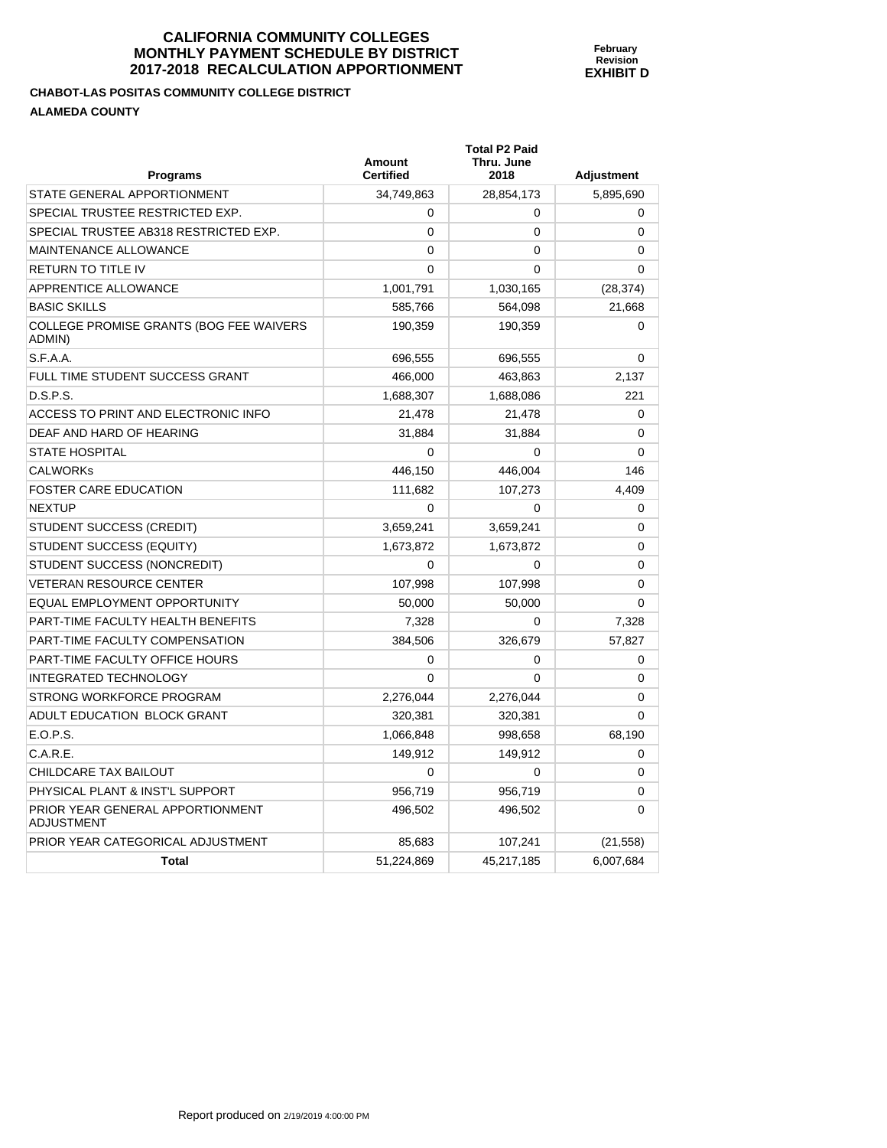| Programs                                              | Amount<br><b>Certified</b> | <b>Total P2 Paid</b><br>Thru. June<br>2018 | <b>Adjustment</b> |
|-------------------------------------------------------|----------------------------|--------------------------------------------|-------------------|
| STATE GENERAL APPORTIONMENT                           | 34,749,863                 | 28,854,173                                 | 5,895,690         |
| SPECIAL TRUSTEE RESTRICTED EXP.                       | 0                          | 0                                          | $\Omega$          |
| SPECIAL TRUSTEE AB318 RESTRICTED EXP.                 | $\mathbf{0}$               | $\mathbf 0$                                | 0                 |
| MAINTENANCE ALLOWANCE                                 | 0                          | 0                                          | 0                 |
| RETURN TO TITLE IV                                    | $\Omega$                   | $\Omega$                                   | 0                 |
| <b>APPRENTICE ALLOWANCE</b>                           | 1,001,791                  | 1,030,165                                  | (28, 374)         |
| <b>BASIC SKILLS</b>                                   | 585,766                    | 564,098                                    | 21,668            |
| COLLEGE PROMISE GRANTS (BOG FEE WAIVERS<br>ADMIN)     | 190,359                    | 190,359                                    | $\Omega$          |
| S.F.A.A.                                              | 696,555                    | 696,555                                    | 0                 |
| FULL TIME STUDENT SUCCESS GRANT                       | 466,000                    | 463,863                                    | 2,137             |
| D.S.P.S.                                              | 1,688,307                  | 1,688,086                                  | 221               |
| ACCESS TO PRINT AND ELECTRONIC INFO                   | 21,478                     | 21,478                                     | 0                 |
| DEAF AND HARD OF HEARING                              | 31,884                     | 31,884                                     | 0                 |
| <b>STATE HOSPITAL</b>                                 | 0                          | 0                                          | 0                 |
| <b>CALWORKS</b>                                       | 446,150                    | 446,004                                    | 146               |
| FOSTER CARE EDUCATION                                 | 111,682                    | 107,273                                    | 4,409             |
| <b>NEXTUP</b>                                         | $\Omega$                   | 0                                          | 0                 |
| STUDENT SUCCESS (CREDIT)                              | 3,659,241                  | 3,659,241                                  | 0                 |
| STUDENT SUCCESS (EQUITY)                              | 1,673,872                  | 1,673,872                                  | 0                 |
| STUDENT SUCCESS (NONCREDIT)                           | $\Omega$                   | $\mathbf 0$                                | 0                 |
| <b>VETERAN RESOURCE CENTER</b>                        | 107,998                    | 107,998                                    | 0                 |
| EQUAL EMPLOYMENT OPPORTUNITY                          | 50,000                     | 50,000                                     | $\Omega$          |
| PART-TIME FACULTY HEALTH BENEFITS                     | 7,328                      | $\Omega$                                   | 7,328             |
| PART-TIME FACULTY COMPENSATION                        | 384,506                    | 326,679                                    | 57,827            |
| PART-TIME FACULTY OFFICE HOURS                        | 0                          | $\Omega$                                   | $\Omega$          |
| <b>INTEGRATED TECHNOLOGY</b>                          | 0                          | 0                                          | 0                 |
| STRONG WORKFORCE PROGRAM                              | 2,276,044                  | 2,276,044                                  | 0                 |
| ADULT EDUCATION BLOCK GRANT                           | 320,381                    | 320,381                                    | $\Omega$          |
| E.O.P.S.                                              | 1,066,848                  | 998,658                                    | 68,190            |
| C.A.R.E.                                              | 149,912                    | 149,912                                    | 0                 |
| CHILDCARE TAX BAILOUT                                 | 0                          | 0                                          | 0                 |
| PHYSICAL PLANT & INST'L SUPPORT                       | 956,719                    | 956,719                                    | 0                 |
| PRIOR YEAR GENERAL APPORTIONMENT<br><b>ADJUSTMENT</b> | 496,502                    | 496,502                                    | 0                 |
| PRIOR YEAR CATEGORICAL ADJUSTMENT                     | 85,683                     | 107,241                                    | (21, 558)         |
| <b>Total</b>                                          | 51,224,869                 | 45,217,185                                 | 6,007,684         |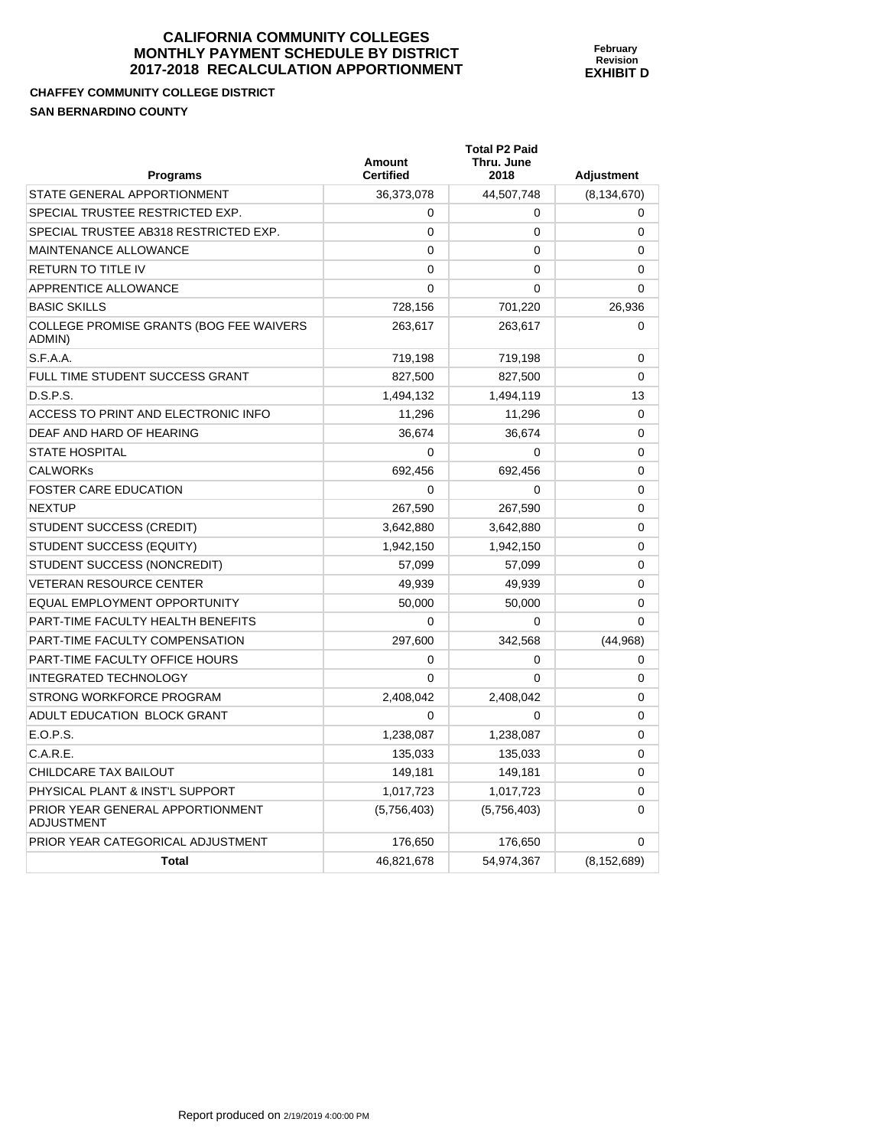**February Revision EXHIBIT D** 

**CHAFFEY COMMUNITY COLLEGE DISTRICT SAN BERNARDINO COUNTY** 

| <b>Programs</b>                                   | Amount<br><b>Certified</b> | <b>Total P2 Paid</b><br>Thru. June<br>2018 | <b>Adjustment</b> |
|---------------------------------------------------|----------------------------|--------------------------------------------|-------------------|
| STATE GENERAL APPORTIONMENT                       | 36,373,078                 | 44,507,748                                 | (8, 134, 670)     |
| SPECIAL TRUSTEE RESTRICTED EXP.                   | 0                          | 0                                          | $\mathbf 0$       |
| SPECIAL TRUSTEE AB318 RESTRICTED EXP.             | 0                          | 0                                          | 0                 |
| MAINTENANCE ALLOWANCE                             | $\mathbf{0}$               | 0                                          | $\Omega$          |
| RETURN TO TITLE IV                                | $\mathbf{0}$               | 0                                          | 0                 |
| <b>APPRENTICE ALLOWANCE</b>                       | $\mathbf{0}$               | 0                                          | $\Omega$          |
| <b>BASIC SKILLS</b>                               | 728,156                    | 701,220                                    | 26,936            |
| COLLEGE PROMISE GRANTS (BOG FEE WAIVERS<br>ADMIN) | 263,617                    | 263,617                                    | $\Omega$          |
| S.F.A.A.                                          | 719,198                    | 719,198                                    | $\mathbf 0$       |
| FULL TIME STUDENT SUCCESS GRANT                   | 827,500                    | 827,500                                    | 0                 |
| D.S.P.S.                                          | 1,494,132                  | 1,494,119                                  | 13                |
| ACCESS TO PRINT AND ELECTRONIC INFO               | 11,296                     | 11,296                                     | 0                 |
| DEAF AND HARD OF HEARING                          | 36.674                     | 36,674                                     | 0                 |
| <b>STATE HOSPITAL</b>                             | 0                          | 0                                          | 0                 |
| <b>CALWORKs</b>                                   | 692,456                    | 692,456                                    | $\mathbf 0$       |
| <b>FOSTER CARE EDUCATION</b>                      | $\Omega$                   | 0                                          | 0                 |
| <b>NEXTUP</b>                                     | 267,590                    | 267,590                                    | 0                 |
| STUDENT SUCCESS (CREDIT)                          | 3,642,880                  | 3,642,880                                  | 0                 |
| STUDENT SUCCESS (EQUITY)                          | 1,942,150                  | 1,942,150                                  | 0                 |
| STUDENT SUCCESS (NONCREDIT)                       | 57,099                     | 57,099                                     | 0                 |
| <b>VETERAN RESOURCE CENTER</b>                    | 49.939                     | 49.939                                     | $\Omega$          |
| EQUAL EMPLOYMENT OPPORTUNITY                      | 50,000                     | 50,000                                     | 0                 |
| PART-TIME FACULTY HEALTH BENEFITS                 | 0                          | $\Omega$                                   | $\Omega$          |
| PART-TIME FACULTY COMPENSATION                    | 297,600                    | 342,568                                    | (44, 968)         |
| PART-TIME FACULTY OFFICE HOURS                    | 0                          | 0                                          | $\mathbf 0$       |
| <b>INTEGRATED TECHNOLOGY</b>                      | $\mathbf{0}$               | 0                                          | 0                 |
| STRONG WORKFORCE PROGRAM                          | 2,408,042                  | 2,408,042                                  | 0                 |
| ADULT EDUCATION BLOCK GRANT                       | $\Omega$                   | 0                                          | 0                 |
| E.O.P.S.                                          | 1,238,087                  | 1,238,087                                  | 0                 |
| C.A.R.E.                                          | 135,033                    | 135,033                                    | $\Omega$          |
| CHILDCARE TAX BAILOUT                             | 149.181                    | 149.181                                    | 0                 |
| PHYSICAL PLANT & INST'L SUPPORT                   | 1,017,723                  | 1,017,723                                  | 0                 |
| PRIOR YEAR GENERAL APPORTIONMENT<br>ADJUSTMENT    | (5,756,403)                | (5,756,403)                                | 0                 |
| PRIOR YEAR CATEGORICAL ADJUSTMENT                 | 176,650                    | 176,650                                    | $\Omega$          |
| <b>Total</b>                                      | 46,821,678                 | 54,974,367                                 | (8, 152, 689)     |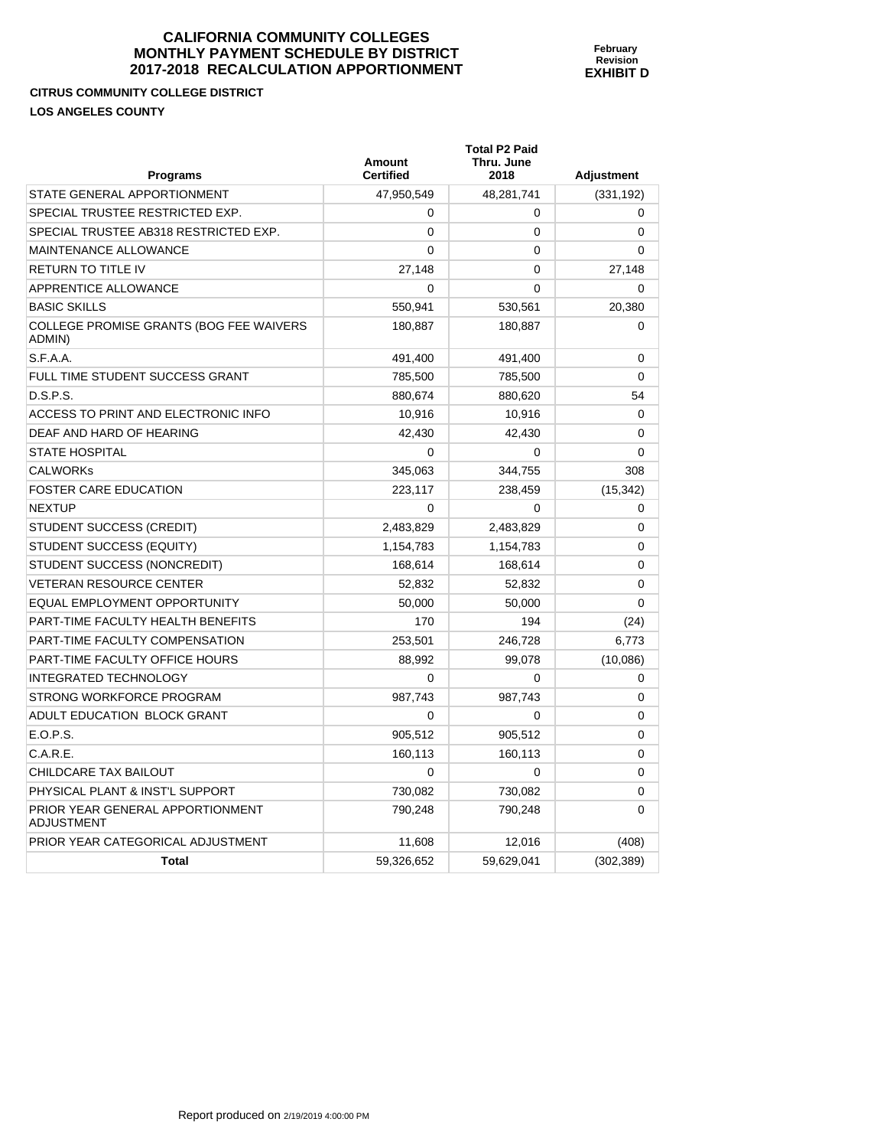#### **CITRUS COMMUNITY COLLEGE DISTRICT LOS ANGELES COUNTY**

| Programs                                          | Amount<br><b>Certified</b> | <b>Total P2 Paid</b><br>Thru. June<br>2018 | <b>Adjustment</b> |
|---------------------------------------------------|----------------------------|--------------------------------------------|-------------------|
| STATE GENERAL APPORTIONMENT                       | 47,950,549                 | 48,281,741                                 | (331, 192)        |
| SPECIAL TRUSTEE RESTRICTED EXP.                   | 0                          | $\Omega$                                   | $\Omega$          |
| SPECIAL TRUSTEE AB318 RESTRICTED EXP.             | 0                          | $\mathbf{0}$                               | $\Omega$          |
| MAINTENANCE ALLOWANCE                             | 0                          | 0                                          | 0                 |
| RETURN TO TITLE IV                                | 27,148                     | $\Omega$                                   | 27,148            |
| APPRENTICE ALLOWANCE                              | 0                          | 0                                          | 0                 |
| <b>BASIC SKILLS</b>                               | 550,941                    | 530,561                                    | 20,380            |
| COLLEGE PROMISE GRANTS (BOG FEE WAIVERS<br>ADMIN) | 180,887                    | 180,887                                    | 0                 |
| S.F.A.A.                                          | 491,400                    | 491,400                                    | $\Omega$          |
| FULL TIME STUDENT SUCCESS GRANT                   | 785,500                    | 785,500                                    | 0                 |
| D.S.P.S.                                          | 880,674                    | 880,620                                    | 54                |
| ACCESS TO PRINT AND ELECTRONIC INFO               | 10,916                     | 10,916                                     | 0                 |
| DEAF AND HARD OF HEARING                          | 42,430                     | 42,430                                     | 0                 |
| STATE HOSPITAL                                    | 0                          | $\Omega$                                   | 0                 |
| <b>CALWORKs</b>                                   | 345,063                    | 344,755                                    | 308               |
| <b>FOSTER CARE EDUCATION</b>                      | 223,117                    | 238,459                                    | (15, 342)         |
| <b>NEXTUP</b>                                     | 0                          | 0                                          | 0                 |
| STUDENT SUCCESS (CREDIT)                          | 2,483,829                  | 2,483,829                                  | 0                 |
| STUDENT SUCCESS (EQUITY)                          | 1,154,783                  | 1,154,783                                  | 0                 |
| STUDENT SUCCESS (NONCREDIT)                       | 168,614                    | 168,614                                    | 0                 |
| VETERAN RESOURCE CENTER                           | 52,832                     | 52,832                                     | 0                 |
| EQUAL EMPLOYMENT OPPORTUNITY                      | 50,000                     | 50,000                                     | 0                 |
| PART-TIME FACULTY HEALTH BENEFITS                 | 170                        | 194                                        | (24)              |
| PART-TIME FACULTY COMPENSATION                    | 253,501                    | 246,728                                    | 6,773             |
| PART-TIME FACULTY OFFICE HOURS                    | 88,992                     | 99,078                                     | (10,086)          |
| INTEGRATED TECHNOLOGY                             | 0                          | $\mathbf 0$                                | 0                 |
| STRONG WORKFORCE PROGRAM                          | 987,743                    | 987,743                                    | 0                 |
| ADULT EDUCATION BLOCK GRANT                       | 0                          | 0                                          | 0                 |
| E.O.P.S.                                          | 905,512                    | 905,512                                    | 0                 |
| C.A.R.E.                                          | 160,113                    | 160,113                                    | 0                 |
| CHILDCARE TAX BAILOUT                             | 0                          | 0                                          | 0                 |
| PHYSICAL PLANT & INST'L SUPPORT                   | 730,082                    | 730,082                                    | 0                 |
| PRIOR YEAR GENERAL APPORTIONMENT<br>ADJUSTMENT    | 790,248                    | 790,248                                    | 0                 |
| PRIOR YEAR CATEGORICAL ADJUSTMENT                 | 11,608                     | 12,016                                     | (408)             |
| Total                                             | 59,326,652                 | 59,629,041                                 | (302, 389)        |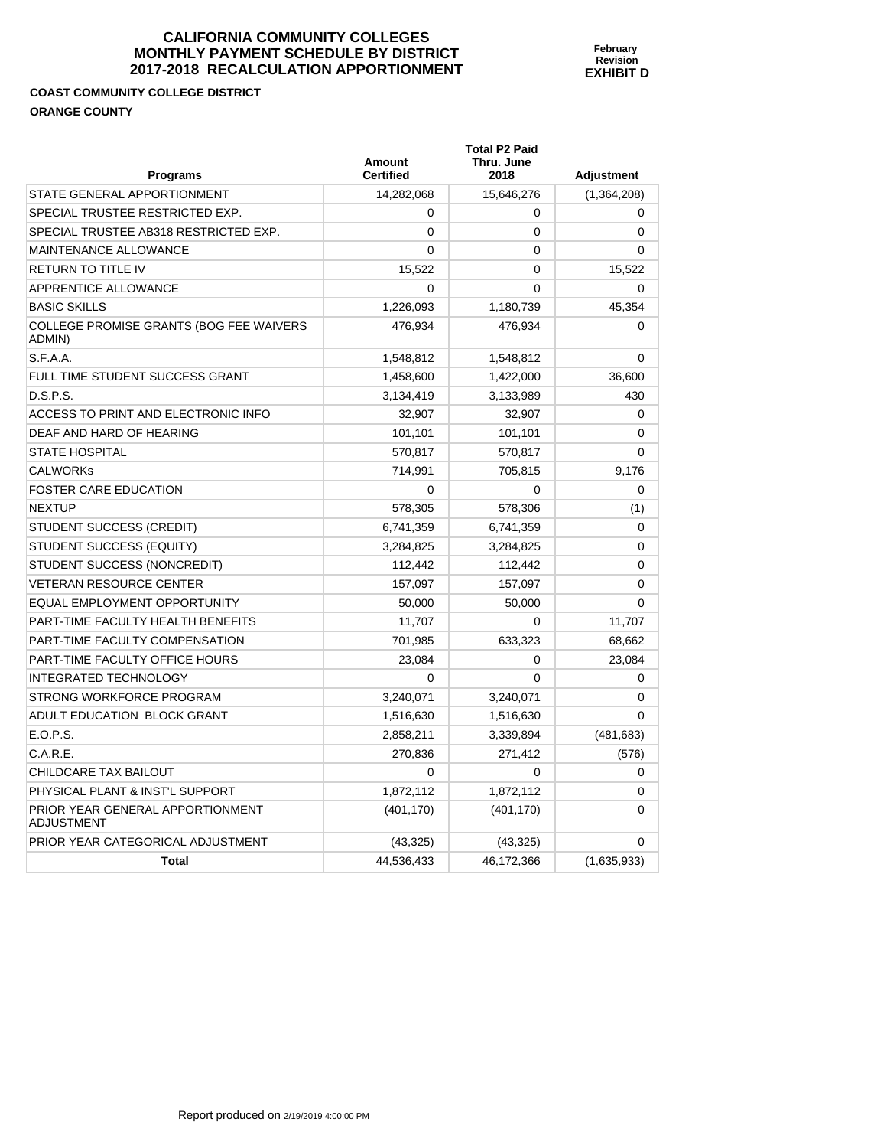# **COAST COMMUNITY COLLEGE DISTRICT ORANGE COUNTY**

| <b>Programs</b>                                       | <b>Amount</b><br><b>Certified</b> | <b>Total P2 Paid</b><br>Thru. June<br>2018 | Adjustment  |
|-------------------------------------------------------|-----------------------------------|--------------------------------------------|-------------|
| STATE GENERAL APPORTIONMENT                           | 14.282.068                        | 15,646,276                                 | (1,364,208) |
| SPECIAL TRUSTEE RESTRICTED EXP.                       | 0                                 | 0                                          | 0           |
| SPECIAL TRUSTEE AB318 RESTRICTED EXP.                 | $\mathbf{0}$                      | 0                                          | 0           |
| MAINTENANCE ALLOWANCE                                 | 0                                 | 0                                          | 0           |
| <b>RETURN TO TITLE IV</b>                             | 15,522                            | 0                                          | 15,522      |
| APPRENTICE ALLOWANCE                                  | 0                                 | 0                                          | 0           |
| <b>BASIC SKILLS</b>                                   | 1,226,093                         | 1,180,739                                  | 45,354      |
| COLLEGE PROMISE GRANTS (BOG FEE WAIVERS<br>ADMIN)     | 476,934                           | 476,934                                    | 0           |
| S.F.A.A.                                              | 1,548,812                         | 1,548,812                                  | $\mathbf 0$ |
| FULL TIME STUDENT SUCCESS GRANT                       | 1,458,600                         | 1,422,000                                  | 36,600      |
| D.S.P.S.                                              | 3,134,419                         | 3,133,989                                  | 430         |
| ACCESS TO PRINT AND ELECTRONIC INFO                   | 32,907                            | 32,907                                     | 0           |
| DEAF AND HARD OF HEARING                              | 101,101                           | 101,101                                    | 0           |
| <b>STATE HOSPITAL</b>                                 | 570,817                           | 570,817                                    | 0           |
| <b>CALWORKs</b>                                       | 714.991                           | 705,815                                    | 9,176       |
| <b>FOSTER CARE EDUCATION</b>                          | 0                                 | 0                                          | 0           |
| <b>NEXTUP</b>                                         | 578,305                           | 578,306                                    | (1)         |
| <b>STUDENT SUCCESS (CREDIT)</b>                       | 6,741,359                         | 6,741,359                                  | 0           |
| STUDENT SUCCESS (EQUITY)                              | 3,284,825                         | 3,284,825                                  | 0           |
| STUDENT SUCCESS (NONCREDIT)                           | 112.442                           | 112,442                                    | 0           |
| <b>VETERAN RESOURCE CENTER</b>                        | 157,097                           | 157,097                                    | 0           |
| EQUAL EMPLOYMENT OPPORTUNITY                          | 50,000                            | 50,000                                     | 0           |
| PART-TIME FACULTY HEALTH BENEFITS                     | 11,707                            | 0                                          | 11,707      |
| PART-TIME FACULTY COMPENSATION                        | 701,985                           | 633,323                                    | 68,662      |
| <b>PART-TIME FACULTY OFFICE HOURS</b>                 | 23.084                            | 0                                          | 23,084      |
| <b>INTEGRATED TECHNOLOGY</b>                          | $\Omega$                          | $\Omega$                                   | 0           |
| STRONG WORKFORCE PROGRAM                              | 3,240,071                         | 3,240,071                                  | $\mathbf 0$ |
| ADULT EDUCATION BLOCK GRANT                           | 1,516,630                         | 1,516,630                                  | 0           |
| E.O.P.S.                                              | 2,858,211                         | 3,339,894                                  | (481, 683)  |
| C.A.R.E.                                              | 270,836                           | 271,412                                    | (576)       |
| CHILDCARE TAX BAILOUT                                 | $\Omega$                          | 0                                          | $\Omega$    |
| PHYSICAL PLANT & INST'L SUPPORT                       | 1,872,112                         | 1,872,112                                  | 0           |
| PRIOR YEAR GENERAL APPORTIONMENT<br><b>ADJUSTMENT</b> | (401, 170)                        | (401, 170)                                 | 0           |
| PRIOR YEAR CATEGORICAL ADJUSTMENT                     | (43, 325)                         | (43, 325)                                  | 0           |
| <b>Total</b>                                          | 44,536,433                        | 46,172,366                                 | (1,635,933) |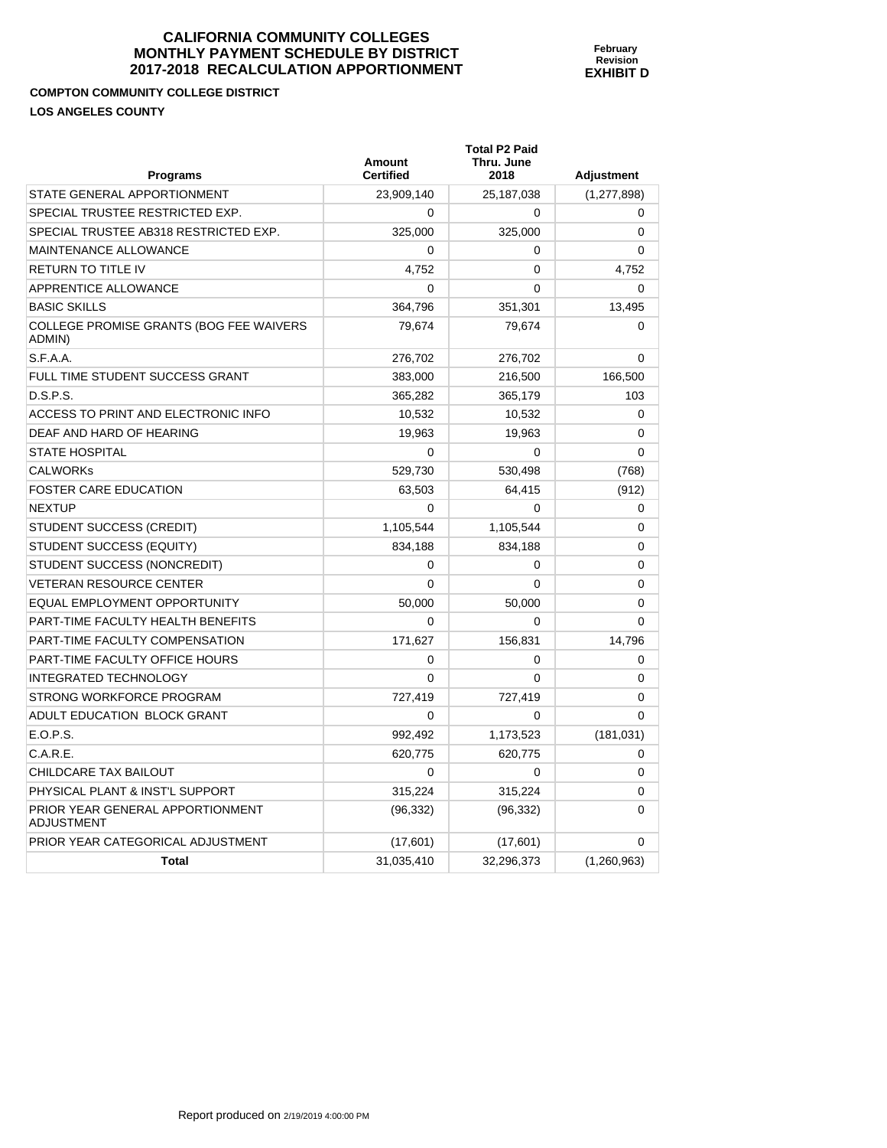**COMPTON COMMUNITY COLLEGE DISTRICT LOS ANGELES COUNTY** 

**Programs Amount Certified Total P2 Paid Thru. June 2018 Adjustment**  STATE GENERAL APPORTIONMENT 23,909,140 25,187,038 (1,277,898) SPECIAL TRUSTEE RESTRICTED EXP.  $\begin{array}{ccc} & & & 0 & \cdots & 0 \\ \end{array}$  (  $\begin{array}{ccc} & 0 & \cdots & 0 \\ \end{array}$  ) SPECIAL TRUSTEE AB318 RESTRICTED EXP. 325,000 325,000 0 MAINTENANCE ALLOWANCE **and the contract of the contract of the contract of the contract of the contract of the contract of the contract of the contract of the contract of the contract of the contract of the contract of the** RETURN TO TITLE IV **A**  $\begin{array}{|c|c|c|c|c|}\n\hline\n\text{RETURN TO TITLE IV} & & & & \text{4,752}\n\hline\n\end{array}$ APPRENTICE ALLOWANCE  $\begin{array}{ccc} & & & & 0 & \cdots & 0 \\ & & & & & 0 & \cdots & 0 \end{array}$ BASIC SKILLS 364,796 351,301 13,495 COLLEGE PROMISE GRANTS (BOG FEE WAIVERS ADMIN) 79,674 79,674 0 S.F.A.A. 276,702 276,702 276,702 276,702 276,702 0 FULL TIME STUDENT SUCCESS GRANT 383,000 216,500 216,500 166,500 D.S.P.S. 365,282 365,179 103 ACCESS TO PRINT AND ELECTRONIC INFO 10.532 10.532 10.532 0 DEAF AND HARD OF HEARING 19,963 19,963 19,963 19,963 19,963 19,963 19,963 19,963 19,963 19,963 19,963 19,963 19,963 19,963 19,963 19,963 19,963 19,963 19,963 19,963 19,963 19,963 19,963 19,963 19,963 19,963 19,963 19,963 1 STATE HOSPITAL 0 0 0 CALWORKs 529,730 530,498 (768) FOSTER CARE EDUCATION **63,503** 64,415 (912) NEXTUP  $\begin{array}{ccccccc} 0 & 0 & 0 & 0 \end{array}$ STUDENT SUCCESS (CREDIT)  $1,105,544$   $1,105,544$   $0$ STUDENT SUCCESS (EQUITY) 834,188 834,188 834,188 834,188 0 STUDENT SUCCESS (NONCREDIT)  $\begin{array}{ccc} & & & 0 & \cdots & 0 \\ & & & & 0 & \cdots & 0 \end{array}$ VETERAN RESOURCE CENTER  $\begin{array}{ccc} 0 & 0 & 0 \end{array}$ EQUAL EMPLOYMENT OPPORTUNITY 50,000 50,000 0 PART-TIME FACULTY HEALTH BENEFITS  $\begin{array}{ccc} 0 & 0 & 0 \end{array}$ PART-TIME FACULTY COMPENSATION 171,627 156,831 14,796 PART-TIME FACULTY OFFICE HOURS  $\begin{array}{ccc} 0 & 0 & 0 \\ 0 & 0 & 0 \end{array}$ INTEGRATED TECHNOLOGY 0 0 0 STRONG WORKFORCE PROGRAM 727,419 727,419 0 ADULT EDUCATION BLOCK GRANT  $\begin{array}{ccc} & & & 0 & \cdots & 0 \\ \end{array}$ E.O.P.S. 992,492 1,173,523 (181,031)  $C.A.R.E.$  620,775 620,775 620,775 620,775 620,775 620,775 620,775 620,775 620,775 620,775 620,775 620,775 620,775 620, CHILDCARE TAX BAILOUT 0 0 0 PHYSICAL PLANT & INST'L SUPPORT  $315,224$  315,224 315,224 0 PRIOR YEAR GENERAL APPORTIONMENT ADJUSTMENT (96,332) (96,332) 0 PRIOR YEAR CATEGORICAL ADJUSTMENT  $(17,601)$   $(17,601)$   $(17,601)$  0 **Total** 31,035,410 32,296,373 (1,260,963)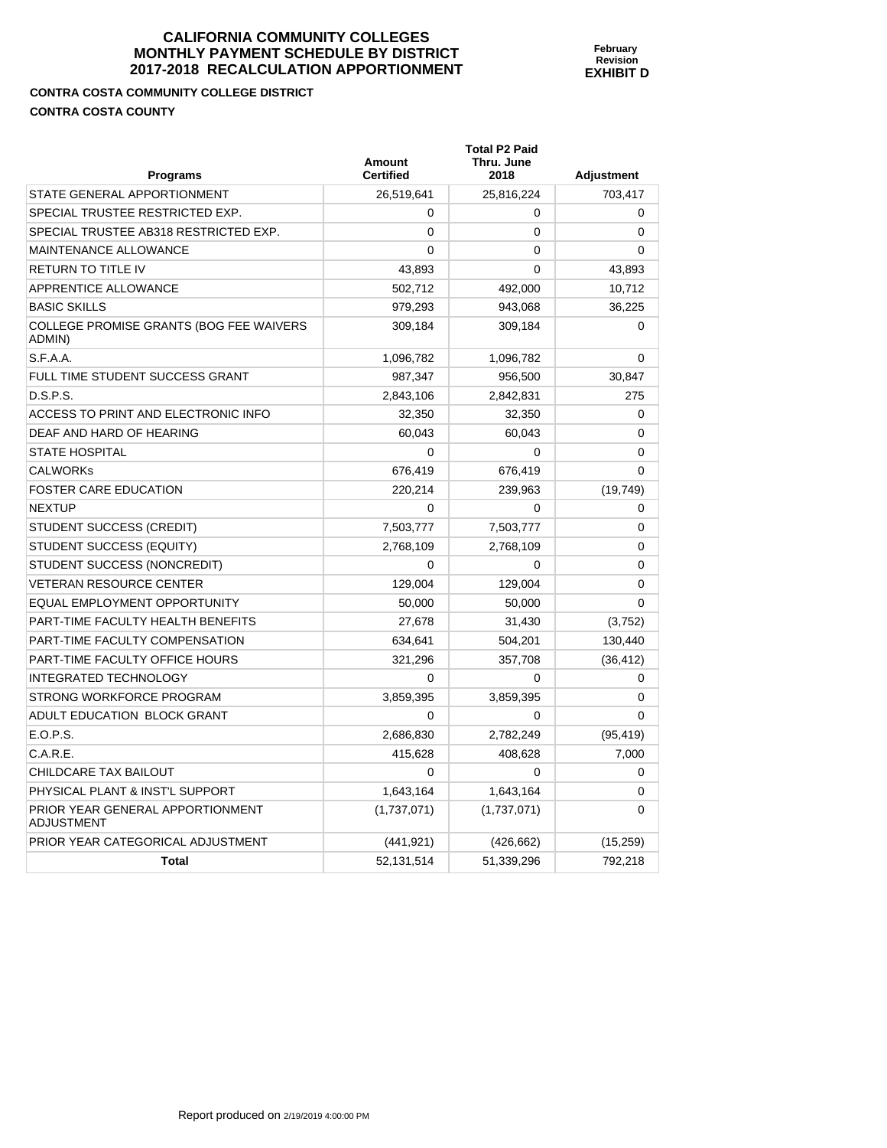**February Revision EXHIBIT D** 

**CONTRA COSTA COMMUNITY COLLEGE DISTRICT CONTRA COSTA COUNTY** 

| Programs                                          | Amount<br><b>Certified</b> | <b>Total P2 Paid</b><br>Thru. June<br>2018 | <b>Adjustment</b> |
|---------------------------------------------------|----------------------------|--------------------------------------------|-------------------|
| STATE GENERAL APPORTIONMENT                       | 26,519,641                 | 25,816,224                                 | 703,417           |
| SPECIAL TRUSTEE RESTRICTED EXP.                   | $\Omega$                   | 0                                          | 0                 |
| SPECIAL TRUSTEE AB318 RESTRICTED EXP.             | $\Omega$                   | 0                                          | $\Omega$          |
| <b>MAINTENANCE ALLOWANCE</b>                      | $\Omega$                   | $\Omega$                                   | $\Omega$          |
| RETURN TO TITLE IV                                | 43,893                     | 0                                          | 43,893            |
| APPRENTICE ALLOWANCE                              | 502,712                    | 492,000                                    | 10,712            |
| <b>BASIC SKILLS</b>                               | 979,293                    | 943,068                                    | 36,225            |
| COLLEGE PROMISE GRANTS (BOG FEE WAIVERS<br>ADMIN) | 309,184                    | 309,184                                    | 0                 |
| S.F.A.A.                                          | 1,096,782                  | 1,096,782                                  | 0                 |
| FULL TIME STUDENT SUCCESS GRANT                   | 987,347                    | 956,500                                    | 30,847            |
| D.S.P.S.                                          | 2,843,106                  | 2,842,831                                  | 275               |
| ACCESS TO PRINT AND ELECTRONIC INFO               | 32,350                     | 32,350                                     | 0                 |
| DEAF AND HARD OF HEARING                          | 60,043                     | 60,043                                     | 0                 |
| <b>STATE HOSPITAL</b>                             | $\Omega$                   | 0                                          | $\Omega$          |
| CALWORKs                                          | 676,419                    | 676,419                                    | $\Omega$          |
| FOSTER CARE EDUCATION                             | 220,214                    | 239,963                                    | (19, 749)         |
| <b>NEXTUP</b>                                     | $\Omega$                   | $\Omega$                                   | 0                 |
| STUDENT SUCCESS (CREDIT)                          | 7,503,777                  | 7,503,777                                  | 0                 |
| STUDENT SUCCESS (EQUITY)                          | 2,768,109                  | 2,768,109                                  | $\Omega$          |
| STUDENT SUCCESS (NONCREDIT)                       | $\Omega$                   | 0                                          | $\Omega$          |
| <b>VETERAN RESOURCE CENTER</b>                    | 129,004                    | 129.004                                    | $\mathbf{0}$      |
| EQUAL EMPLOYMENT OPPORTUNITY                      | 50,000                     | 50,000                                     | 0                 |
| PART-TIME FACULTY HEALTH BENEFITS                 | 27,678                     | 31,430                                     | (3,752)           |
| PART-TIME FACULTY COMPENSATION                    | 634,641                    | 504,201                                    | 130,440           |
| PART-TIME FACULTY OFFICE HOURS                    | 321,296                    | 357,708                                    | (36, 412)         |
| <b>INTEGRATED TECHNOLOGY</b>                      | $\Omega$                   | 0                                          | 0                 |
| STRONG WORKFORCE PROGRAM                          | 3,859,395                  | 3,859,395                                  | 0                 |
| ADULT EDUCATION BLOCK GRANT                       | $\Omega$                   | 0                                          | $\Omega$          |
| E.O.P.S.                                          | 2,686,830                  | 2,782,249                                  | (95, 419)         |
| C.A.R.E.                                          | 415,628                    | 408,628                                    | 7,000             |
| CHILDCARE TAX BAILOUT                             | $\Omega$                   | $\Omega$                                   | 0                 |
| PHYSICAL PLANT & INST'L SUPPORT                   | 1,643,164                  | 1,643,164                                  | 0                 |
| PRIOR YEAR GENERAL APPORTIONMENT<br>ADJUSTMENT    | (1,737,071)                | (1,737,071)                                | 0                 |
| PRIOR YEAR CATEGORICAL ADJUSTMENT                 | (441, 921)                 | (426, 662)                                 | (15, 259)         |
| <b>Total</b>                                      | 52,131,514                 | 51,339,296                                 | 792,218           |

Report produced on 2/19/2019 4:00:00 PM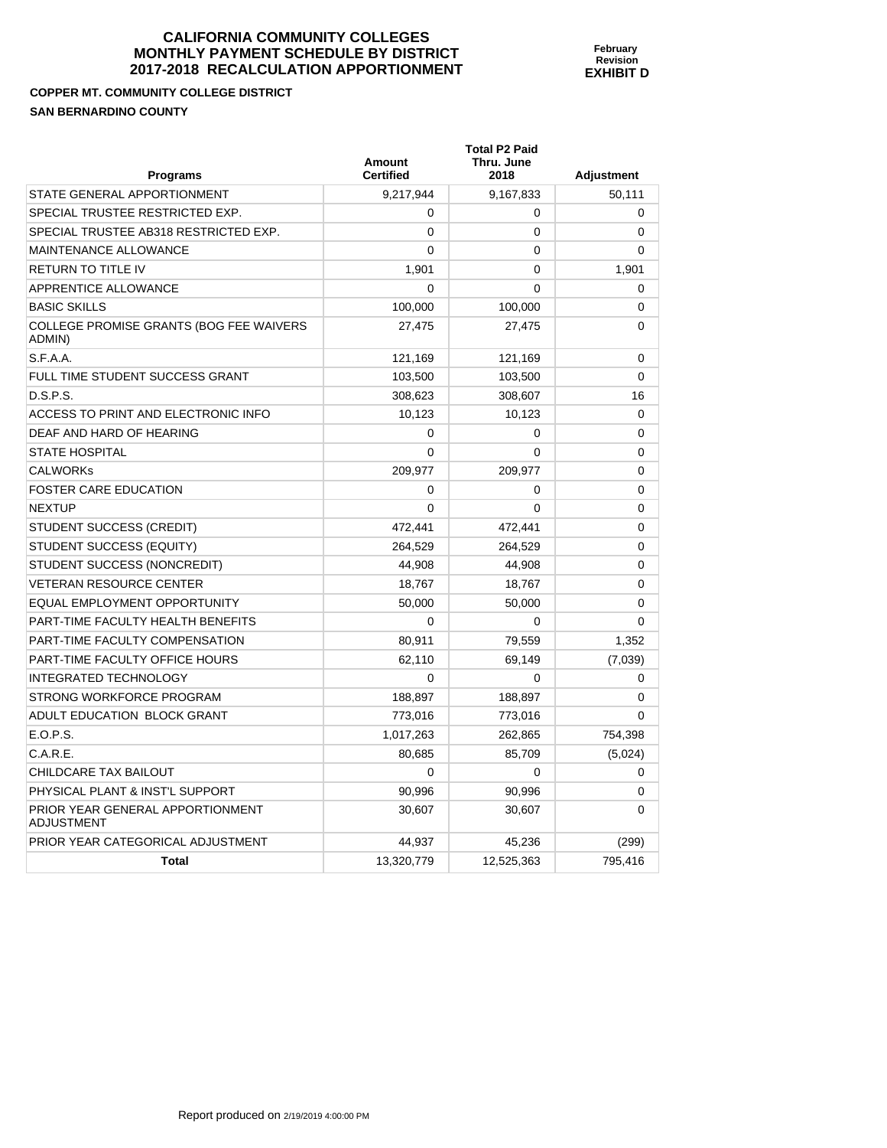**COPPER MT. COMMUNITY COLLEGE DISTRICT SAN BERNARDINO COUNTY** 

| <b>SAN BERNARDINO COUNTY</b>                      |                            |                                            |                   |  |
|---------------------------------------------------|----------------------------|--------------------------------------------|-------------------|--|
| <b>Programs</b>                                   | Amount<br><b>Certified</b> | <b>Total P2 Paid</b><br>Thru. June<br>2018 | <b>Adjustment</b> |  |
| STATE GENERAL APPORTIONMENT                       | 9,217,944                  | 9,167,833                                  | 50,111            |  |
| SPECIAL TRUSTEE RESTRICTED EXP.                   | 0                          | 0                                          | 0                 |  |
| SPECIAL TRUSTEE AB318 RESTRICTED EXP.             | 0                          | 0                                          | $\Omega$          |  |
| <b>MAINTENANCE ALLOWANCE</b>                      | 0                          | 0                                          | $\Omega$          |  |
| <b>RETURN TO TITLE IV</b>                         | 1,901                      | 0                                          | 1,901             |  |
| APPRENTICE ALLOWANCE                              | 0                          | 0                                          | $\Omega$          |  |
| <b>BASIC SKILLS</b>                               | 100,000                    | 100,000                                    | 0                 |  |
| COLLEGE PROMISE GRANTS (BOG FEE WAIVERS<br>ADMIN) | 27,475                     | 27,475                                     | $\Omega$          |  |

**February Revision EXHIBIT D** 

| MAINTENANCE ALLOWANCE                                 | $\Omega$   | 0          | 0        |
|-------------------------------------------------------|------------|------------|----------|
| <b>RETURN TO TITLE IV</b>                             | 1,901      | $\Omega$   | 1,901    |
| APPRENTICE ALLOWANCE                                  | $\Omega$   | $\Omega$   | 0        |
| <b>BASIC SKILLS</b>                                   | 100,000    | 100,000    | 0        |
| COLLEGE PROMISE GRANTS (BOG FEE WAIVERS<br>ADMIN)     | 27,475     | 27,475     | 0        |
| S.F.A.A.                                              | 121,169    | 121,169    | 0        |
| FULL TIME STUDENT SUCCESS GRANT                       | 103,500    | 103,500    | $\Omega$ |
| D.S.P.S.                                              | 308,623    | 308,607    | 16       |
| ACCESS TO PRINT AND ELECTRONIC INFO                   | 10,123     | 10,123     | 0        |
| DEAF AND HARD OF HEARING                              | 0          | 0          | 0        |
| <b>STATE HOSPITAL</b>                                 | 0          | 0          | 0        |
| <b>CALWORKs</b>                                       | 209,977    | 209,977    | 0        |
| <b>FOSTER CARE EDUCATION</b>                          | 0          | 0          | 0        |
| <b>NEXTUP</b>                                         | $\Omega$   | $\Omega$   | 0        |
| STUDENT SUCCESS (CREDIT)                              | 472,441    | 472,441    | 0        |
| STUDENT SUCCESS (EQUITY)                              | 264,529    | 264,529    | 0        |
| STUDENT SUCCESS (NONCREDIT)                           | 44,908     | 44,908     | 0        |
| <b>VETERAN RESOURCE CENTER</b>                        | 18,767     | 18,767     | $\Omega$ |
| EQUAL EMPLOYMENT OPPORTUNITY                          | 50,000     | 50,000     | 0        |
| PART-TIME FACULTY HEALTH BENEFITS                     | 0          | 0          | 0        |
| PART-TIME FACULTY COMPENSATION                        | 80,911     | 79,559     | 1,352    |
| <b>PART-TIME FACULTY OFFICE HOURS</b>                 | 62,110     | 69,149     | (7,039)  |
| <b>INTEGRATED TECHNOLOGY</b>                          | $\Omega$   | $\Omega$   | 0        |
| STRONG WORKFORCE PROGRAM                              | 188,897    | 188,897    | 0        |
| ADULT EDUCATION BLOCK GRANT                           | 773,016    | 773,016    | $\Omega$ |
| E.O.P.S.                                              | 1,017,263  | 262,865    | 754,398  |
| C.A.R.E.                                              | 80,685     | 85,709     | (5,024)  |
| CHILDCARE TAX BAILOUT                                 | $\Omega$   | $\Omega$   | 0        |
| PHYSICAL PLANT & INST'L SUPPORT                       | 90,996     | 90,996     | 0        |
| PRIOR YEAR GENERAL APPORTIONMENT<br><b>ADJUSTMENT</b> | 30,607     | 30.607     | 0        |
| PRIOR YEAR CATEGORICAL ADJUSTMENT                     | 44,937     | 45,236     | (299)    |
| <b>Total</b>                                          | 13,320,779 | 12,525,363 | 795,416  |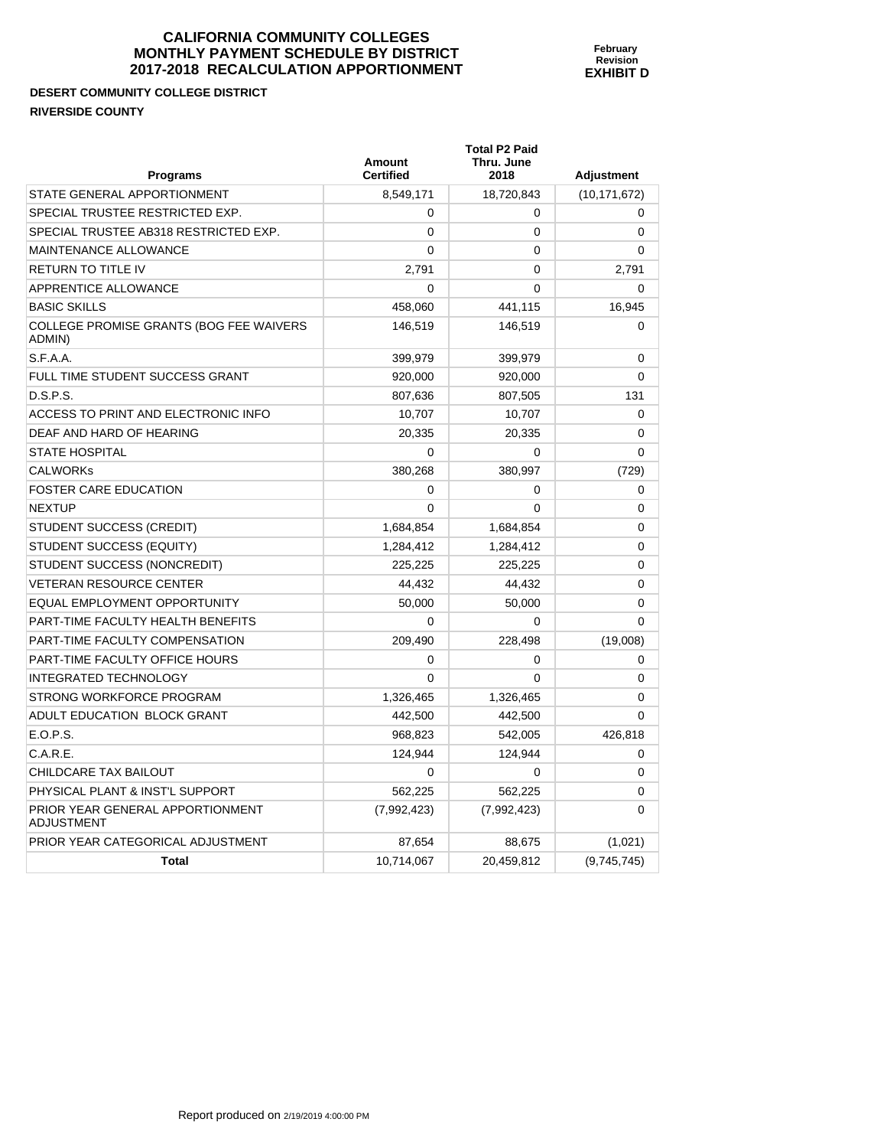# **DESERT COMMUNITY COLLEGE DISTRICT RIVERSIDE COUNTY**

| <b>Programs</b>                                       | <b>Amount</b><br><b>Certified</b> | <b>Total P2 Paid</b><br>Thru. June<br>2018 | Adjustment     |
|-------------------------------------------------------|-----------------------------------|--------------------------------------------|----------------|
| STATE GENERAL APPORTIONMENT                           | 8,549,171                         | 18,720,843                                 | (10, 171, 672) |
| SPECIAL TRUSTEE RESTRICTED EXP.                       | 0                                 | 0                                          | 0              |
| SPECIAL TRUSTEE AB318 RESTRICTED EXP.                 | $\mathbf{0}$                      | 0                                          | 0              |
| MAINTENANCE ALLOWANCE                                 | 0                                 | 0                                          | 0              |
| <b>RETURN TO TITLE IV</b>                             | 2,791                             | 0                                          | 2,791          |
| APPRENTICE ALLOWANCE                                  | 0                                 | 0                                          | 0              |
| <b>BASIC SKILLS</b>                                   | 458,060                           | 441,115                                    | 16,945         |
| COLLEGE PROMISE GRANTS (BOG FEE WAIVERS<br>ADMIN)     | 146,519                           | 146,519                                    | 0              |
| S.F.A.A.                                              | 399,979                           | 399,979                                    | $\mathbf 0$    |
| FULL TIME STUDENT SUCCESS GRANT                       | 920,000                           | 920,000                                    | 0              |
| D.S.P.S.                                              | 807,636                           | 807,505                                    | 131            |
| ACCESS TO PRINT AND ELECTRONIC INFO                   | 10,707                            | 10,707                                     | 0              |
| DEAF AND HARD OF HEARING                              | 20,335                            | 20,335                                     | 0              |
| <b>STATE HOSPITAL</b>                                 | $\mathbf{0}$                      | 0                                          | 0              |
| <b>CALWORKs</b>                                       | 380,268                           | 380,997                                    | (729)          |
| <b>FOSTER CARE EDUCATION</b>                          | 0                                 | 0                                          | 0              |
| <b>NEXTUP</b>                                         | $\mathbf{0}$                      | $\mathbf{0}$                               | 0              |
| <b>STUDENT SUCCESS (CREDIT)</b>                       | 1,684,854                         | 1,684,854                                  | 0              |
| STUDENT SUCCESS (EQUITY)                              | 1,284,412                         | 1,284,412                                  | 0              |
| STUDENT SUCCESS (NONCREDIT)                           | 225.225                           | 225,225                                    | 0              |
| <b>VETERAN RESOURCE CENTER</b>                        | 44.432                            | 44,432                                     | 0              |
| EQUAL EMPLOYMENT OPPORTUNITY                          | 50,000                            | 50,000                                     | 0              |
| PART-TIME FACULTY HEALTH BENEFITS                     | $\Omega$                          | 0                                          | $\mathbf{0}$   |
| PART-TIME FACULTY COMPENSATION                        | 209.490                           | 228,498                                    | (19,008)       |
| <b>PART-TIME FACULTY OFFICE HOURS</b>                 | 0                                 | 0                                          | 0              |
| <b>INTEGRATED TECHNOLOGY</b>                          | $\Omega$                          | $\Omega$                                   | $\Omega$       |
| STRONG WORKFORCE PROGRAM                              | 1,326,465                         | 1,326,465                                  | 0              |
| ADULT EDUCATION BLOCK GRANT                           | 442,500                           | 442,500                                    | $\Omega$       |
| E.O.P.S.                                              | 968.823                           | 542,005                                    | 426,818        |
| C.A.R.E.                                              | 124,944                           | 124,944                                    | 0              |
| CHILDCARE TAX BAILOUT                                 | $\Omega$                          | 0                                          | $\Omega$       |
| PHYSICAL PLANT & INST'L SUPPORT                       | 562.225                           | 562.225                                    | 0              |
| PRIOR YEAR GENERAL APPORTIONMENT<br><b>ADJUSTMENT</b> | (7,992,423)                       | (7,992,423)                                | 0              |
| PRIOR YEAR CATEGORICAL ADJUSTMENT                     | 87,654                            | 88,675                                     | (1,021)        |
| <b>Total</b>                                          | 10,714,067                        | 20,459,812                                 | (9,745,745)    |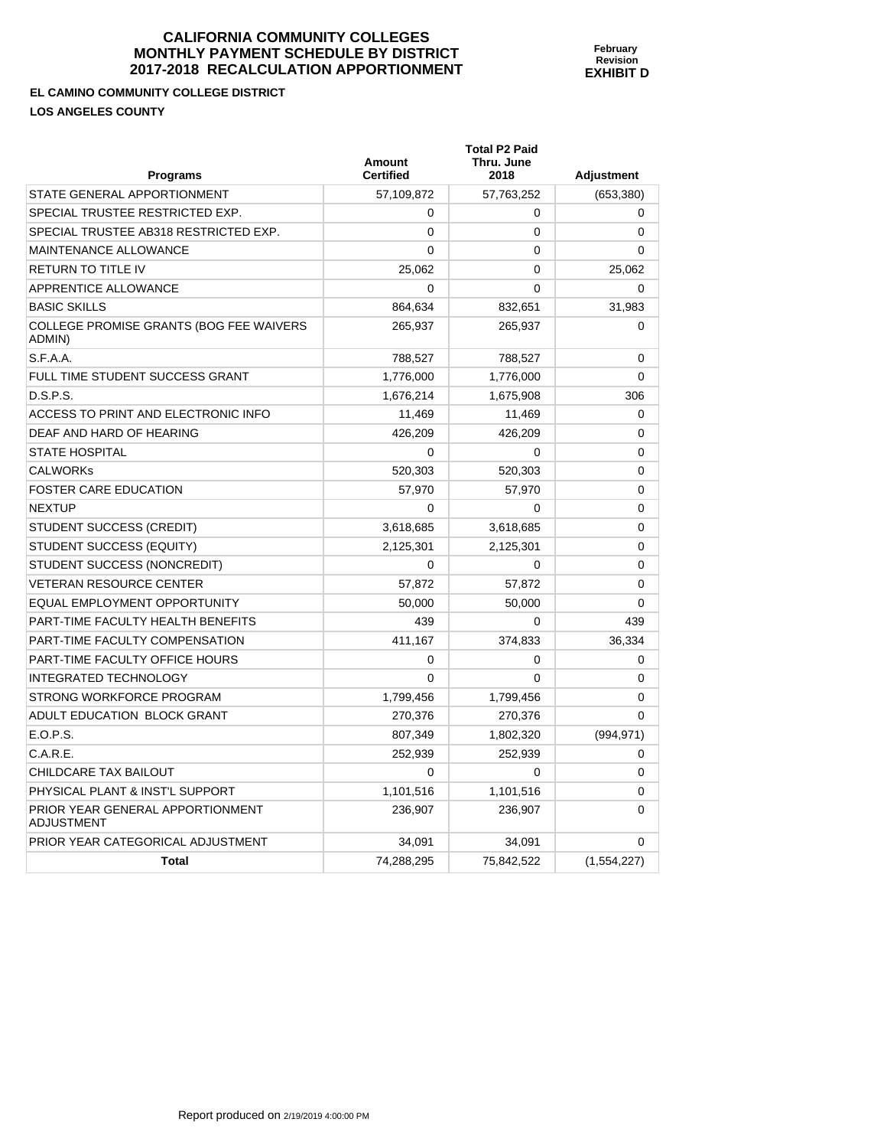**February Revision EXHIBIT D** 

**EL CAMINO COMMUNITY COLLEGE DISTRICT** 

**LOS ANGELES COUNTY** 

| <b>Programs</b>                                       | <b>Amount</b><br><b>Certified</b> | <b>Total P2 Paid</b><br>Thru. June<br>2018 | <b>Adjustment</b> |
|-------------------------------------------------------|-----------------------------------|--------------------------------------------|-------------------|
| STATE GENERAL APPORTIONMENT                           | 57,109,872                        | 57,763,252                                 | (653, 380)        |
| SPECIAL TRUSTEE RESTRICTED EXP.                       | $\Omega$                          | 0                                          | 0                 |
| SPECIAL TRUSTEE AB318 RESTRICTED EXP.                 | $\Omega$                          | 0                                          | 0                 |
| <b>MAINTENANCE ALLOWANCE</b>                          | 0                                 | 0                                          | 0                 |
| <b>RETURN TO TITLE IV</b>                             | 25,062                            | 0                                          | 25,062            |
| APPRENTICE ALLOWANCE                                  | 0                                 | 0                                          | 0                 |
| <b>BASIC SKILLS</b>                                   | 864,634                           | 832,651                                    | 31,983            |
| COLLEGE PROMISE GRANTS (BOG FEE WAIVERS<br>ADMIN)     | 265,937                           | 265,937                                    | 0                 |
| S.F.A.A.                                              | 788,527                           | 788,527                                    | 0                 |
| FULL TIME STUDENT SUCCESS GRANT                       | 1,776,000                         | 1,776,000                                  | 0                 |
| D.S.P.S.                                              | 1,676,214                         | 1,675,908                                  | 306               |
| ACCESS TO PRINT AND ELECTRONIC INFO                   | 11,469                            | 11,469                                     | 0                 |
| DEAF AND HARD OF HEARING                              | 426,209                           | 426,209                                    | 0                 |
| <b>STATE HOSPITAL</b>                                 | $\Omega$                          | 0                                          | 0                 |
| <b>CALWORKS</b>                                       | 520,303                           | 520,303                                    | 0                 |
| <b>FOSTER CARE EDUCATION</b>                          | 57.970                            | 57.970                                     | 0                 |
| <b>NEXTUP</b>                                         | 0                                 | 0                                          | 0                 |
| STUDENT SUCCESS (CREDIT)                              | 3,618,685                         | 3,618,685                                  | 0                 |
| STUDENT SUCCESS (EQUITY)                              | 2,125,301                         | 2,125,301                                  | 0                 |
| STUDENT SUCCESS (NONCREDIT)                           | 0                                 | 0                                          | 0                 |
| <b>VETERAN RESOURCE CENTER</b>                        | 57,872                            | 57,872                                     | 0                 |
| EQUAL EMPLOYMENT OPPORTUNITY                          | 50,000                            | 50,000                                     | 0                 |
| PART-TIME FACULTY HEALTH BENEFITS                     | 439                               | 0                                          | 439               |
| PART-TIME FACULTY COMPENSATION                        | 411,167                           | 374,833                                    | 36,334            |
| PART-TIME FACULTY OFFICE HOURS                        | $\mathbf 0$                       | 0                                          | 0                 |
| <b>INTEGRATED TECHNOLOGY</b>                          | $\mathbf{0}$                      | 0                                          | 0                 |
| STRONG WORKFORCE PROGRAM                              | 1,799,456                         | 1,799,456                                  | 0                 |
| ADULT EDUCATION BLOCK GRANT                           | 270,376                           | 270,376                                    | 0                 |
| E.O.P.S.                                              | 807,349                           | 1,802,320                                  | (994, 971)        |
| C.A.R.E.                                              | 252,939                           | 252,939                                    | 0                 |
| <b>CHILDCARE TAX BAILOUT</b>                          | $\mathbf{0}$                      | 0                                          | 0                 |
| PHYSICAL PLANT & INST'L SUPPORT                       | 1,101,516                         | 1,101,516                                  | 0                 |
| PRIOR YEAR GENERAL APPORTIONMENT<br><b>ADJUSTMENT</b> | 236,907                           | 236,907                                    | 0                 |
| PRIOR YEAR CATEGORICAL ADJUSTMENT                     | 34,091                            | 34,091                                     | 0                 |
| <b>Total</b>                                          | 74,288,295                        | 75,842,522                                 | (1,554,227)       |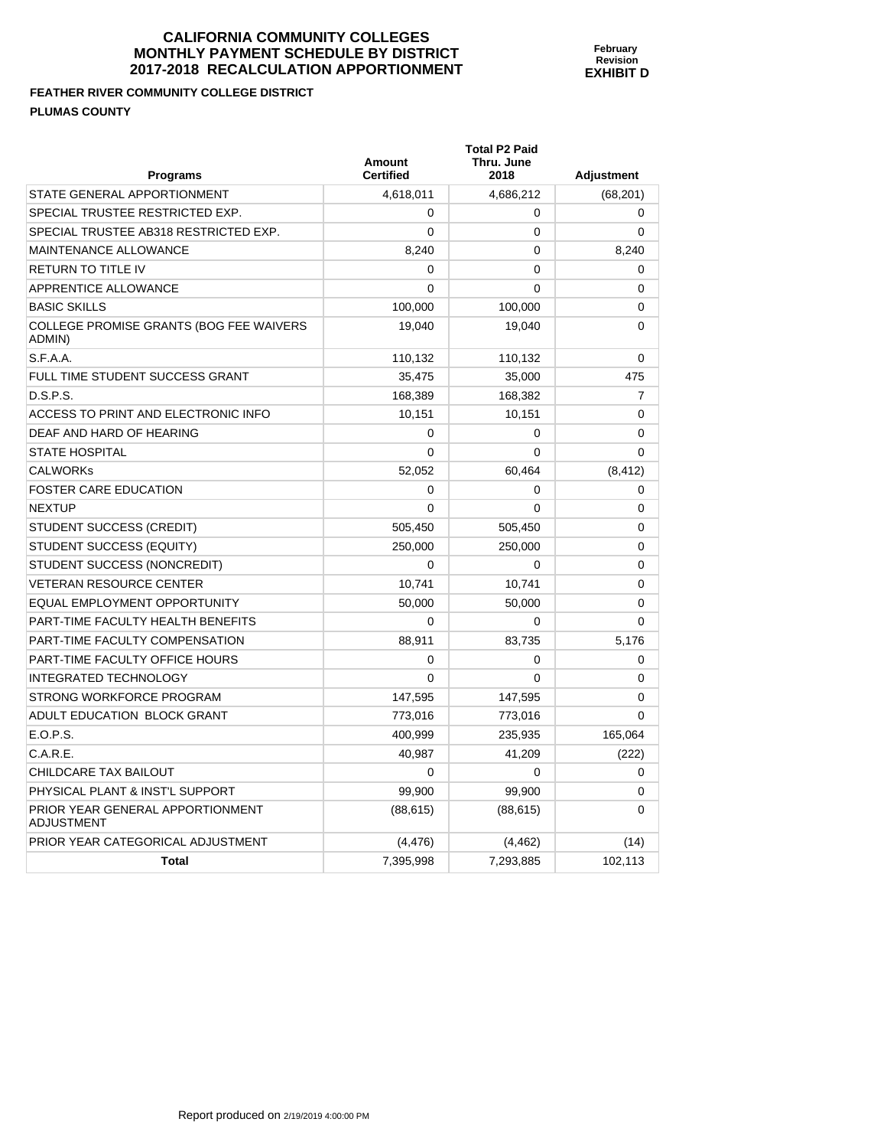**FEATHER RIVER COMMUNITY COLLEGE DISTRICT PLUMAS COUNTY** 

| <b>Programs</b>                                   | <b>Amount</b><br><b>Certified</b> | Thru. June<br>2018 | <b>Adjustment</b> |
|---------------------------------------------------|-----------------------------------|--------------------|-------------------|
| STATE GENERAL APPORTIONMENT                       | 4,618,011                         | 4,686,212          | (68, 201)         |
| SPECIAL TRUSTEE RESTRICTED EXP.                   | $\Omega$                          | 0                  | 0                 |
| SPECIAL TRUSTEE AB318 RESTRICTED EXP.             | $\Omega$                          | $\Omega$           | $\Omega$          |
| MAINTENANCE ALLOWANCE                             | 8,240                             | 0                  | 8,240             |
| RETURN TO TITLE IV                                | $\Omega$                          | 0                  | 0                 |
| <b>APPRENTICE ALLOWANCE</b>                       | $\Omega$                          | $\Omega$           | 0                 |
| <b>BASIC SKILLS</b>                               | 100,000                           | 100,000            | 0                 |
| COLLEGE PROMISE GRANTS (BOG FEE WAIVERS<br>ADMIN) | 19,040                            | 19,040             | 0                 |
| S.F.A.A.                                          | 110,132                           | 110,132            | 0                 |
| FULL TIME STUDENT SUCCESS GRANT                   | 35,475                            | 35,000             | 475               |
| D.S.P.S.                                          | 168,389                           | 168,382            | 7                 |
| ACCESS TO PRINT AND ELECTRONIC INFO               | 10,151                            | 10,151             | 0                 |
| DEAF AND HARD OF HEARING                          | $\mathbf 0$                       | $\mathbf 0$        | 0                 |
| <b>STATE HOSPITAL</b>                             | $\Omega$                          | $\Omega$           | 0                 |
| CALWORKs                                          | 52,052                            | 60,464             | (8, 412)          |
| <b>FOSTER CARE EDUCATION</b>                      | $\Omega$                          | 0                  | $\Omega$          |
| <b>NEXTUP</b>                                     | $\mathbf 0$                       | $\Omega$           | 0                 |
| STUDENT SUCCESS (CREDIT)                          | 505,450                           | 505,450            | 0                 |
| STUDENT SUCCESS (EQUITY)                          | 250,000                           | 250,000            | 0                 |
| STUDENT SUCCESS (NONCREDIT)                       | $\mathbf 0$                       | 0                  | 0                 |
| <b>VETERAN RESOURCE CENTER</b>                    | 10,741                            | 10,741             | 0                 |
| EQUAL EMPLOYMENT OPPORTUNITY                      | 50,000                            | 50,000             | 0                 |
| PART-TIME FACULTY HEALTH BENEFITS                 | $\Omega$                          | $\Omega$           | $\Omega$          |
| PART-TIME FACULTY COMPENSATION                    | 88,911                            | 83,735             | 5,176             |
| PART-TIME FACULTY OFFICE HOURS                    | $\Omega$                          | 0                  | $\Omega$          |
| <b>INTEGRATED TECHNOLOGY</b>                      | $\Omega$                          | 0                  | $\Omega$          |
| STRONG WORKFORCE PROGRAM                          | 147,595                           | 147,595            | 0                 |
| ADULT EDUCATION BLOCK GRANT                       | 773,016                           | 773,016            | $\mathbf{0}$      |
| E.O.P.S.                                          | 400,999                           | 235,935            | 165,064           |
| C.A.R.E.                                          | 40,987                            | 41,209             | (222)             |
| CHILDCARE TAX BAILOUT                             | $\mathbf 0$                       | $\mathbf 0$        | 0                 |
| PHYSICAL PLANT & INST'L SUPPORT                   | 99,900                            | 99,900             | 0                 |
| PRIOR YEAR GENERAL APPORTIONMENT<br>ADJUSTMENT    | (88, 615)                         | (88, 615)          | $\Omega$          |
| PRIOR YEAR CATEGORICAL ADJUSTMENT                 | (4, 476)                          | (4, 462)           | (14)              |
| <b>Total</b>                                      | 7,395,998                         | 7,293,885          | 102,113           |

**Total P2 Paid**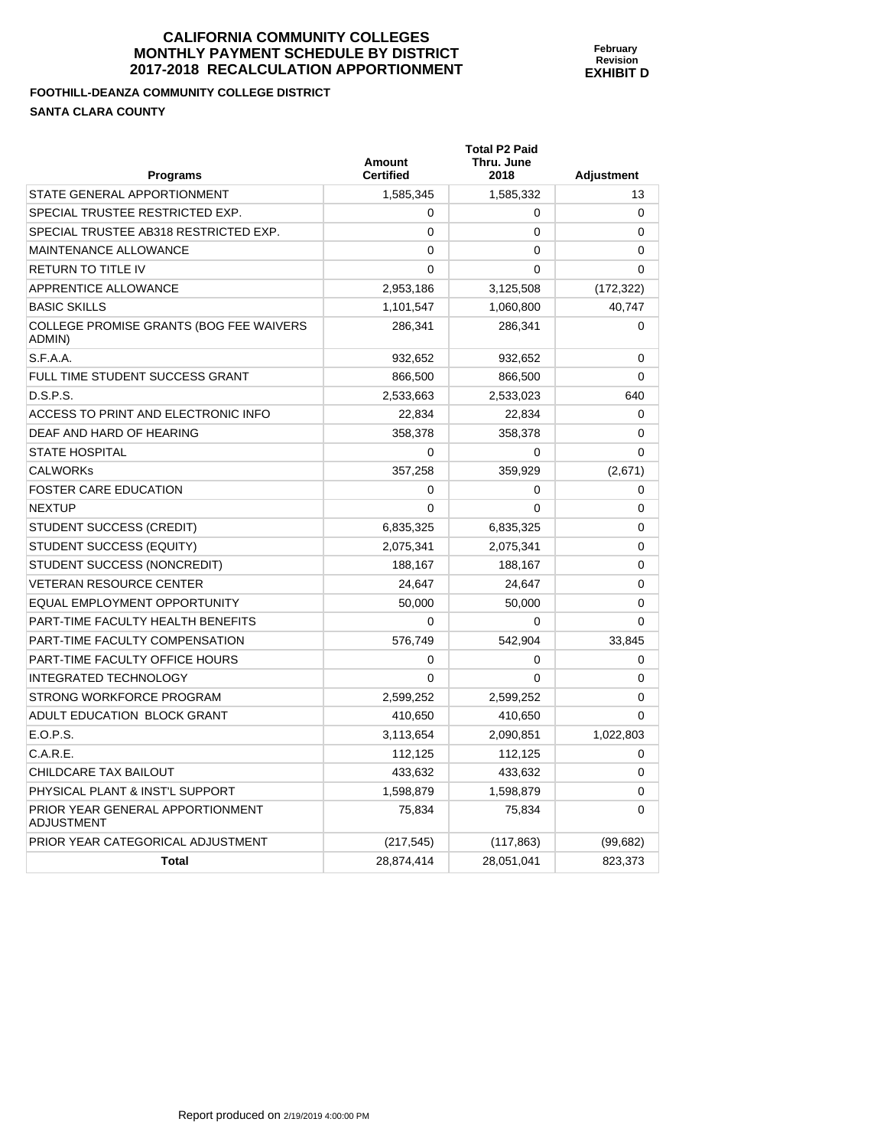**February Revision EXHIBIT D** 

**FOOTHILL-DEANZA COMMUNITY COLLEGE DISTRICT SANTA CLARA COUNTY** 

| <b>Programs</b>                                   | <b>Amount</b><br><b>Certified</b> | <b>Total P2 Paid</b><br>Thru. June<br>2018 | <b>Adjustment</b> |
|---------------------------------------------------|-----------------------------------|--------------------------------------------|-------------------|
| STATE GENERAL APPORTIONMENT                       | 1,585,345                         | 1,585,332                                  | 13                |
| SPECIAL TRUSTEE RESTRICTED EXP.                   | $\Omega$                          | 0                                          | $\Omega$          |
| SPECIAL TRUSTEE AB318 RESTRICTED EXP.             | $\mathbf{0}$                      | 0                                          | $\Omega$          |
| <b>MAINTENANCE ALLOWANCE</b>                      | 0                                 | $\Omega$                                   | $\Omega$          |
| RETURN TO TITLE IV                                | $\mathbf{0}$                      | 0                                          | 0                 |
| APPRENTICE ALLOWANCE                              | 2,953,186                         | 3,125,508                                  | (172, 322)        |
| <b>BASIC SKILLS</b>                               | 1,101,547                         | 1,060,800                                  | 40,747            |
| COLLEGE PROMISE GRANTS (BOG FEE WAIVERS<br>ADMIN) | 286,341                           | 286,341                                    | $\Omega$          |
| S.F.A.A.                                          | 932,652                           | 932,652                                    | $\mathbf 0$       |
| FULL TIME STUDENT SUCCESS GRANT                   | 866,500                           | 866,500                                    | $\Omega$          |
| D.S.P.S.                                          | 2,533,663                         | 2,533,023                                  | 640               |
| ACCESS TO PRINT AND ELECTRONIC INFO               | 22,834                            | 22,834                                     | $\mathbf 0$       |
| DEAF AND HARD OF HEARING                          | 358,378                           | 358,378                                    | 0                 |
| <b>STATE HOSPITAL</b>                             | $\Omega$                          | $\Omega$                                   | $\Omega$          |
| <b>CALWORKs</b>                                   | 357,258                           | 359,929                                    | (2,671)           |
| <b>FOSTER CARE EDUCATION</b>                      | 0                                 | 0                                          | 0                 |
| <b>NEXTUP</b>                                     | $\mathbf{0}$                      | $\Omega$                                   | $\mathbf 0$       |
| STUDENT SUCCESS (CREDIT)                          | 6,835,325                         | 6,835,325                                  | $\mathbf 0$       |
| STUDENT SUCCESS (EQUITY)                          | 2,075,341                         | 2,075,341                                  | 0                 |
| STUDENT SUCCESS (NONCREDIT)                       | 188,167                           | 188.167                                    | 0                 |
| <b>VETERAN RESOURCE CENTER</b>                    | 24,647                            | 24,647                                     | 0                 |
| EQUAL EMPLOYMENT OPPORTUNITY                      | 50,000                            | 50,000                                     | 0                 |
| PART-TIME FACULTY HEALTH BENEFITS                 | $\Omega$                          | 0                                          | $\mathbf{0}$      |
| PART-TIME FACULTY COMPENSATION                    | 576,749                           | 542,904                                    | 33,845            |
| PART-TIME FACULTY OFFICE HOURS                    | 0                                 | 0                                          | 0                 |
| <b>INTEGRATED TECHNOLOGY</b>                      | $\Omega$                          | $\Omega$                                   | $\Omega$          |
| STRONG WORKFORCE PROGRAM                          | 2,599,252                         | 2,599,252                                  | $\Omega$          |
| ADULT EDUCATION BLOCK GRANT                       | 410,650                           | 410,650                                    | $\Omega$          |
| E.O.P.S.                                          | 3,113,654                         | 2,090,851                                  | 1,022,803         |
| C.A.R.E.                                          | 112,125                           | 112,125                                    | 0                 |
| CHILDCARE TAX BAILOUT                             | 433,632                           | 433,632                                    | 0                 |
| PHYSICAL PLANT & INST'L SUPPORT                   | 1,598,879                         | 1,598,879                                  | $\mathbf 0$       |
| PRIOR YEAR GENERAL APPORTIONMENT<br>ADJUSTMENT    | 75,834                            | 75,834                                     | $\Omega$          |
| PRIOR YEAR CATEGORICAL ADJUSTMENT                 | (217, 545)                        | (117, 863)                                 | (99, 682)         |
| <b>Total</b>                                      | 28,874,414                        | 28,051,041                                 | 823,373           |
|                                                   |                                   |                                            |                   |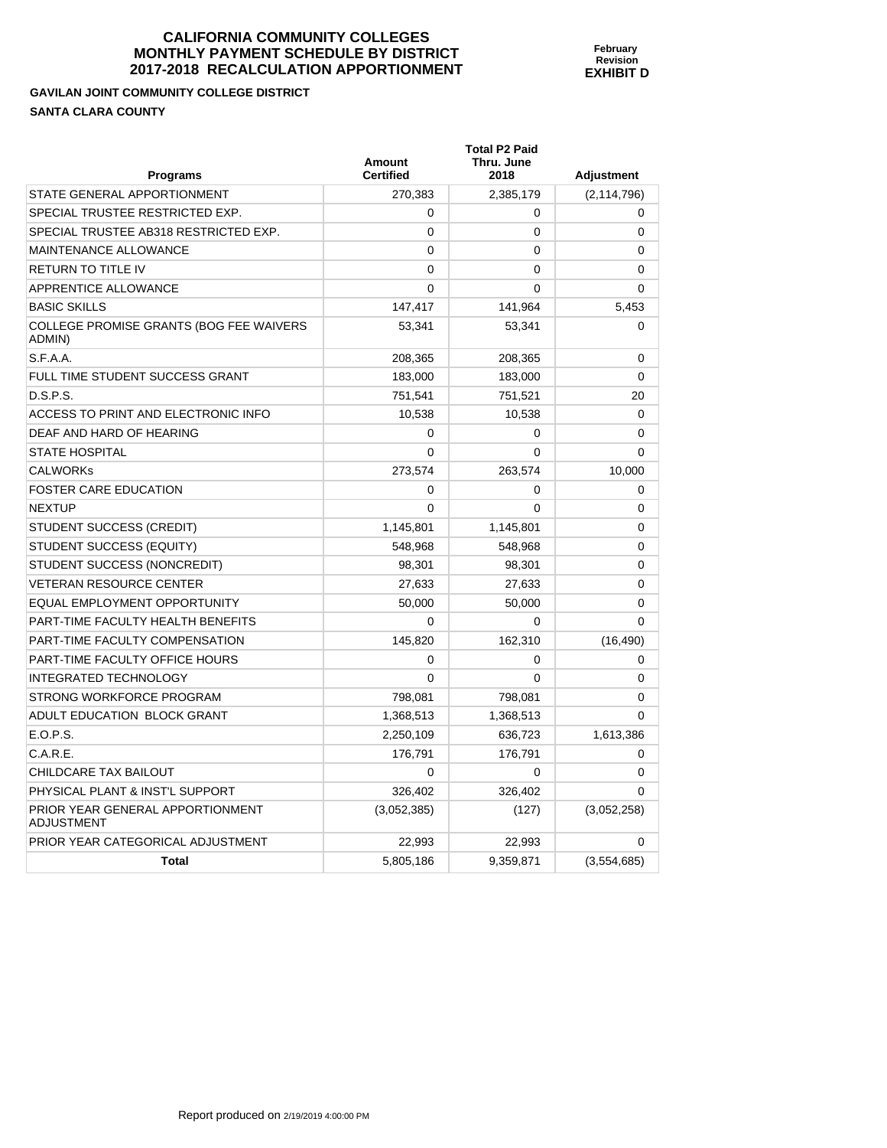**February Revision EXHIBIT D** 

**Total P2 Paid** 

**GAVILAN JOINT COMMUNITY COLLEGE DISTRICT SANTA CLARA COUNTY** 

| <b>Programs</b>                                   | <b>Amount</b><br><b>Certified</b> | Thru. June<br>2018 | <b>Adjustment</b> |
|---------------------------------------------------|-----------------------------------|--------------------|-------------------|
| STATE GENERAL APPORTIONMENT                       | 270,383                           | 2,385,179          | (2, 114, 796)     |
| SPECIAL TRUSTEE RESTRICTED EXP.                   | 0                                 | 0                  | 0                 |
| SPECIAL TRUSTEE AB318 RESTRICTED EXP.             | 0                                 | 0                  | 0                 |
| MAINTENANCE ALLOWANCE                             | 0                                 | 0                  | 0                 |
| RETURN TO TITLE IV                                | $\mathbf{0}$                      | $\mathbf{0}$       | 0                 |
| APPRENTICE ALLOWANCE                              | $\mathbf{0}$                      | 0                  | $\Omega$          |
| <b>BASIC SKILLS</b>                               | 147,417                           | 141,964            | 5,453             |
| COLLEGE PROMISE GRANTS (BOG FEE WAIVERS<br>ADMIN) | 53,341                            | 53,341             | $\mathbf 0$       |
| S.F.A.A.                                          | 208,365                           | 208,365            | $\mathbf 0$       |
| FULL TIME STUDENT SUCCESS GRANT                   | 183,000                           | 183,000            | $\mathbf 0$       |
| D.S.P.S.                                          | 751,541                           | 751,521            | 20                |
| ACCESS TO PRINT AND ELECTRONIC INFO               | 10,538                            | 10,538             | $\Omega$          |
| DEAF AND HARD OF HEARING                          | 0                                 | $\mathbf 0$        | $\mathbf 0$       |
| STATE HOSPITAL                                    | 0                                 | 0                  | $\Omega$          |
| CALWORKs                                          | 273,574                           | 263,574            | 10,000            |
| <b>FOSTER CARE EDUCATION</b>                      | 0                                 | 0                  | $\mathbf 0$       |
| NEXTUP                                            | 0                                 | 0                  | 0                 |
| STUDENT SUCCESS (CREDIT)                          | 1,145,801                         | 1,145,801          | 0                 |
| STUDENT SUCCESS (EQUITY)                          | 548,968                           | 548,968            | 0                 |
| STUDENT SUCCESS (NONCREDIT)                       | 98,301                            | 98,301             | 0                 |
| <b>VETERAN RESOURCE CENTER</b>                    | 27,633                            | 27,633             | $\Omega$          |
| EQUAL EMPLOYMENT OPPORTUNITY                      | 50,000                            | 50,000             | $\mathbf 0$       |
| PART-TIME FACULTY HEALTH BENEFITS                 | 0                                 | 0                  | $\Omega$          |
| PART-TIME FACULTY COMPENSATION                    | 145,820                           | 162,310            | (16, 490)         |
| PART-TIME FACULTY OFFICE HOURS                    | 0                                 | 0                  | $\mathbf 0$       |
| <b>INTEGRATED TECHNOLOGY</b>                      | $\mathbf{0}$                      | $\mathbf{0}$       | 0                 |
| STRONG WORKFORCE PROGRAM                          | 798,081                           | 798,081            | $\Omega$          |
| ADULT EDUCATION BLOCK GRANT                       | 1,368,513                         | 1,368,513          | $\mathbf 0$       |
| E.O.P.S.                                          | 2,250,109                         | 636,723            | 1,613,386         |
| C.A.R.E.                                          | 176,791                           | 176,791            | 0                 |
| CHILDCARE TAX BAILOUT                             | 0                                 | $\Omega$           | $\mathbf 0$       |
| PHYSICAL PLANT & INST'L SUPPORT                   | 326,402                           | 326,402            | $\Omega$          |
| PRIOR YEAR GENERAL APPORTIONMENT<br>ADJUSTMENT    | (3,052,385)                       | (127)              | (3,052,258)       |
| PRIOR YEAR CATEGORICAL ADJUSTMENT                 | 22,993                            | 22,993             | $\mathbf 0$       |
| <b>Total</b>                                      | 5,805,186                         | 9,359,871          | (3,554,685)       |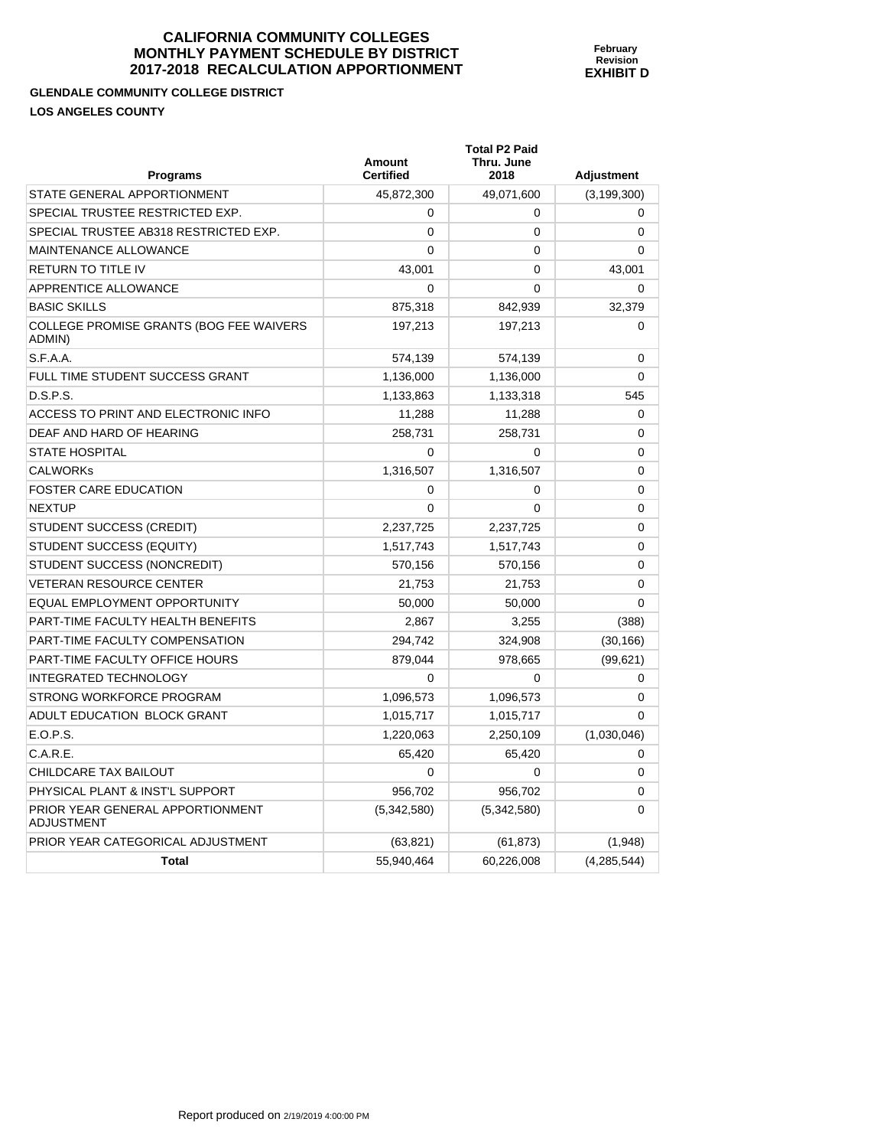**February Revision EXHIBIT D** 

**GLENDALE COMMUNITY COLLEGE DISTRICT LOS ANGELES COUNTY** 

PRIOR YEAR GENERAL APPORTIONMENT

ADJUSTMENT

| <b>Programs</b>                                   | Amount<br><b>Certified</b> | <b>Total P2 Paid</b><br>Thru. June<br>2018 | Adjustment    |
|---------------------------------------------------|----------------------------|--------------------------------------------|---------------|
| STATE GENERAL APPORTIONMENT                       | 45,872,300                 | 49,071,600                                 | (3, 199, 300) |
| SPECIAL TRUSTEE RESTRICTED EXP.                   | $\Omega$                   | 0                                          | 0             |
| SPECIAL TRUSTEE AB318 RESTRICTED EXP.             | $\Omega$                   | 0                                          | 0             |
| MAINTENANCE ALLOWANCE                             | $\Omega$                   | 0                                          | $\Omega$      |
| <b>RETURN TO TITLE IV</b>                         | 43,001                     | 0                                          | 43,001        |
| APPRENTICE ALLOWANCE                              | $\Omega$                   | 0                                          | $\Omega$      |
| <b>BASIC SKILLS</b>                               | 875,318                    | 842,939                                    | 32,379        |
| COLLEGE PROMISE GRANTS (BOG FEE WAIVERS<br>ADMIN) | 197,213                    | 197,213                                    | 0             |
| S.F.A.A.                                          | 574,139                    | 574,139                                    | 0             |
| FULL TIME STUDENT SUCCESS GRANT                   | 1,136,000                  | 1,136,000                                  | 0             |
| D.S.P.S.                                          | 1,133,863                  | 1,133,318                                  | 545           |
| ACCESS TO PRINT AND ELECTRONIC INFO               | 11,288                     | 11,288                                     | 0             |
| DEAF AND HARD OF HEARING                          | 258,731                    | 258,731                                    | 0             |
| <b>STATE HOSPITAL</b>                             | $\Omega$                   | 0                                          | 0             |
| <b>CALWORKs</b>                                   | 1,316,507                  | 1,316,507                                  | 0             |
| <b>FOSTER CARE EDUCATION</b>                      | $\Omega$                   | 0                                          | 0             |
| <b>NEXTUP</b>                                     | $\Omega$                   | 0                                          | 0             |
| STUDENT SUCCESS (CREDIT)                          | 2,237,725                  | 2,237,725                                  | 0             |
| STUDENT SUCCESS (EQUITY)                          | 1,517,743                  | 1,517,743                                  | 0             |
| STUDENT SUCCESS (NONCREDIT)                       | 570,156                    | 570,156                                    | 0             |
| <b>VETERAN RESOURCE CENTER</b>                    | 21,753                     | 21,753                                     | 0             |
| EQUAL EMPLOYMENT OPPORTUNITY                      | 50,000                     | 50,000                                     | 0             |
| PART-TIME FACULTY HEALTH BENEFITS                 | 2,867                      | 3,255                                      | (388)         |
| PART-TIME FACULTY COMPENSATION                    | 294,742                    | 324,908                                    | (30, 166)     |
| PART-TIME FACULTY OFFICE HOURS                    | 879,044                    | 978,665                                    | (99, 621)     |
| INTEGRATED TECHNOLOGY                             | $\Omega$                   | 0                                          | 0             |
| STRONG WORKFORCE PROGRAM                          | 1,096,573                  | 1,096,573                                  | 0             |
| ADULT EDUCATION BLOCK GRANT                       | 1,015,717                  | 1,015,717                                  | $\Omega$      |
| E.O.P.S.                                          | 1,220,063                  | 2,250,109                                  | (1,030,046)   |
| C.A.R.E.                                          | 65,420                     | 65,420                                     | 0             |
| CHILDCARE TAX BAILOUT                             | $\mathbf 0$                | 0                                          | 0             |

PHYSICAL PLANT & INST'L SUPPORT  $956,702$  956,702 0

PRIOR YEAR CATEGORICAL ADJUSTMENT (63,821) (61,873) (61,873) (1,948)

**Total** 55,940,464 60,226,008 (4,285,544)

(5,342,580) (5,342,580) 0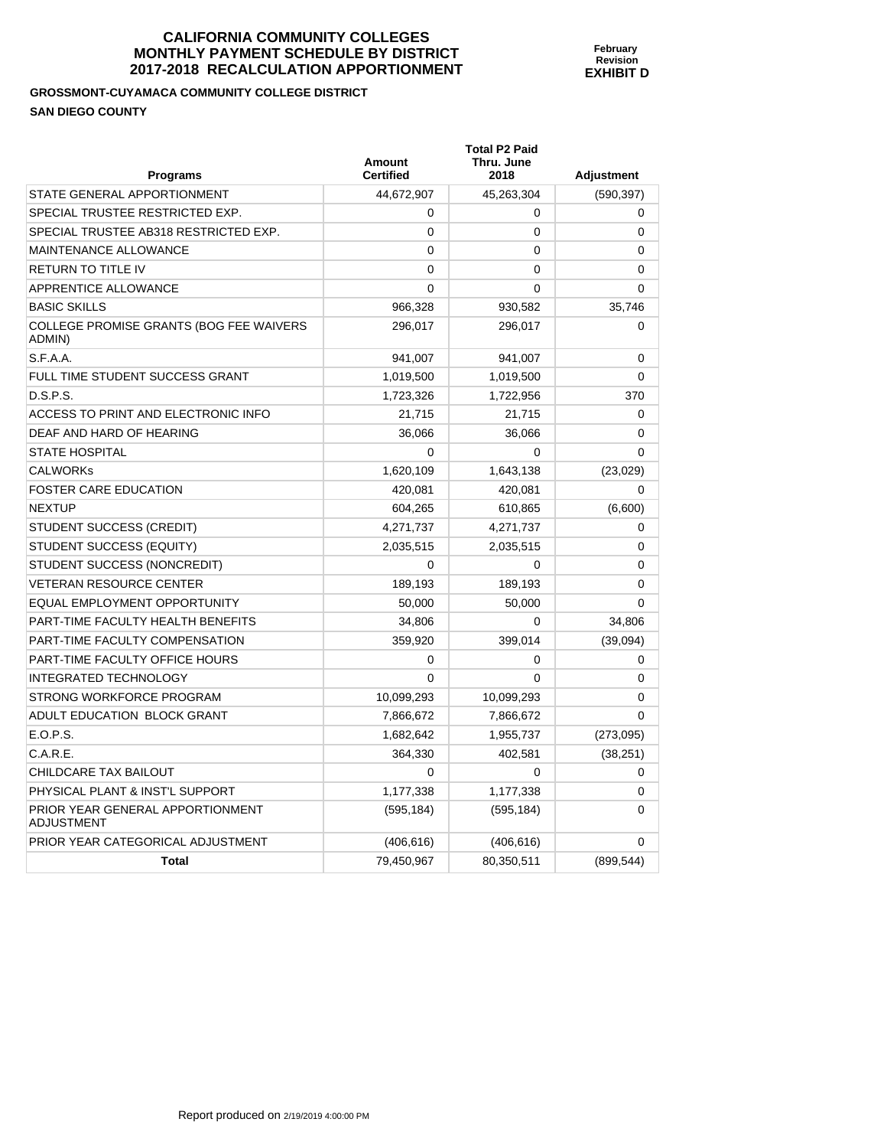## **GROSSMONT-CUYAMACA COMMUNITY COLLEGE DISTRICT SAN DIEGO COUNTY**

| <b>Programs</b>                                       | Amount<br><b>Certified</b> | <b>Total P2 Paid</b><br>Thru. June<br>2018 | <b>Adjustment</b> |
|-------------------------------------------------------|----------------------------|--------------------------------------------|-------------------|
| STATE GENERAL APPORTIONMENT                           | 44,672,907                 | 45,263,304                                 | (590, 397)        |
| SPECIAL TRUSTEE RESTRICTED EXP.                       | $\Omega$                   | $\mathbf 0$                                | $\mathbf 0$       |
| SPECIAL TRUSTEE AB318 RESTRICTED EXP.                 | $\Omega$                   | $\mathbf 0$                                | 0                 |
| <b>MAINTENANCE ALLOWANCE</b>                          | $\Omega$                   | $\Omega$                                   | $\Omega$          |
| <b>RETURN TO TITLE IV</b>                             | $\Omega$                   | 0                                          | 0                 |
| APPRENTICE ALLOWANCE                                  | $\Omega$                   | 0                                          | 0                 |
| <b>BASIC SKILLS</b>                                   | 966,328                    | 930,582                                    | 35,746            |
| COLLEGE PROMISE GRANTS (BOG FEE WAIVERS<br>ADMIN)     | 296,017                    | 296,017                                    | 0                 |
| S.F.A.A.                                              | 941,007                    | 941,007                                    | 0                 |
| FULL TIME STUDENT SUCCESS GRANT                       | 1,019,500                  | 1,019,500                                  | 0                 |
| D.S.P.S.                                              | 1,723,326                  | 1,722,956                                  | 370               |
| ACCESS TO PRINT AND ELECTRONIC INFO                   | 21,715                     | 21,715                                     | 0                 |
| DEAF AND HARD OF HEARING                              | 36,066                     | 36,066                                     | 0                 |
| <b>STATE HOSPITAL</b>                                 | $\Omega$                   | $\Omega$                                   | $\Omega$          |
| <b>CALWORKS</b>                                       | 1,620,109                  | 1,643,138                                  | (23,029)          |
| <b>FOSTER CARE EDUCATION</b>                          | 420,081                    | 420,081                                    | 0                 |
| <b>NEXTUP</b>                                         | 604,265                    | 610,865                                    | (6,600)           |
| STUDENT SUCCESS (CREDIT)                              | 4,271,737                  | 4,271,737                                  | 0                 |
| STUDENT SUCCESS (EQUITY)                              | 2,035,515                  | 2,035,515                                  | 0                 |
| STUDENT SUCCESS (NONCREDIT)                           | $\Omega$                   | $\Omega$                                   | $\Omega$          |
| <b>VETERAN RESOURCE CENTER</b>                        | 189,193                    | 189,193                                    | 0                 |
| <b>EQUAL EMPLOYMENT OPPORTUNITY</b>                   | 50,000                     | 50,000                                     | 0                 |
| PART-TIME FACULTY HEALTH BENEFITS                     | 34,806                     | $\Omega$                                   | 34,806            |
| PART-TIME FACULTY COMPENSATION                        | 359,920                    | 399,014                                    | (39,094)          |
| PART-TIME FACULTY OFFICE HOURS                        | 0                          | 0                                          | 0                 |
| <b>INTEGRATED TECHNOLOGY</b>                          | $\Omega$                   | $\Omega$                                   | 0                 |
| STRONG WORKFORCE PROGRAM                              | 10,099,293                 | 10,099,293                                 | 0                 |
| ADULT EDUCATION BLOCK GRANT                           | 7,866,672                  | 7,866,672                                  | $\Omega$          |
| E.O.P.S.                                              | 1,682,642                  | 1,955,737                                  | (273,095)         |
| C.A.R.E.                                              | 364,330                    | 402,581                                    | (38, 251)         |
| <b>CHILDCARE TAX BAILOUT</b>                          | $\Omega$                   | $\mathbf{0}$                               | $\mathbf 0$       |
| PHYSICAL PLANT & INST'L SUPPORT                       | 1,177,338                  | 1,177,338                                  | 0                 |
| PRIOR YEAR GENERAL APPORTIONMENT<br><b>ADJUSTMENT</b> | (595, 184)                 | (595, 184)                                 | 0                 |
| PRIOR YEAR CATEGORICAL ADJUSTMENT                     | (406, 616)                 | (406, 616)                                 | 0                 |
| <b>Total</b>                                          | 79,450,967                 | 80,350,511                                 | (899, 544)        |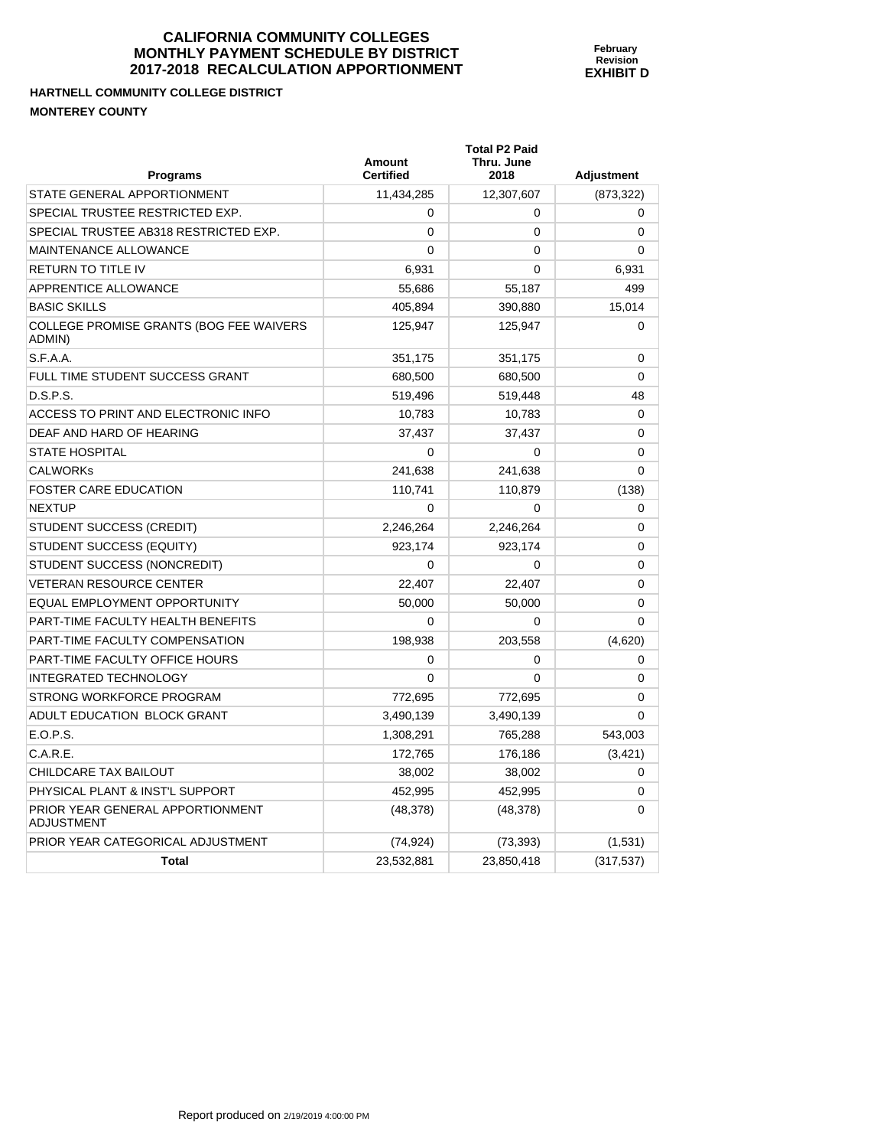# **HARTNELL COMMUNITY COLLEGE DISTRICT MONTEREY COUNTY**

| <b>Programs</b>                                       | Amount<br><b>Certified</b> | <b>Total P2 Paid</b><br>Thru. June<br>2018 | <b>Adjustment</b> |
|-------------------------------------------------------|----------------------------|--------------------------------------------|-------------------|
| STATE GENERAL APPORTIONMENT                           | 11,434,285                 | 12,307,607                                 | (873, 322)        |
| SPECIAL TRUSTEE RESTRICTED EXP.                       | 0                          | 0                                          | 0                 |
| SPECIAL TRUSTEE AB318 RESTRICTED EXP.                 | $\Omega$                   | 0                                          | $\Omega$          |
| <b>MAINTENANCE ALLOWANCE</b>                          | 0                          | $\mathbf{0}$                               | $\Omega$          |
| <b>RETURN TO TITLE IV</b>                             | 6,931                      | $\Omega$                                   | 6,931             |
| APPRENTICE ALLOWANCE                                  | 55,686                     | 55,187                                     | 499               |
| <b>BASIC SKILLS</b>                                   | 405,894                    | 390,880                                    | 15,014            |
| COLLEGE PROMISE GRANTS (BOG FEE WAIVERS<br>ADMIN)     | 125,947                    | 125,947                                    | $\Omega$          |
| S.F.A.A.                                              | 351,175                    | 351,175                                    | 0                 |
| FULL TIME STUDENT SUCCESS GRANT                       | 680,500                    | 680,500                                    | 0                 |
| D.S.P.S.                                              | 519,496                    | 519,448                                    | 48                |
| ACCESS TO PRINT AND ELECTRONIC INFO                   | 10,783                     | 10,783                                     | 0                 |
| DEAF AND HARD OF HEARING                              | 37,437                     | 37,437                                     | 0                 |
| <b>STATE HOSPITAL</b>                                 | 0                          | 0                                          | $\Omega$          |
| <b>CALWORKS</b>                                       | 241,638                    | 241,638                                    | $\Omega$          |
| <b>FOSTER CARE EDUCATION</b>                          | 110,741                    | 110,879                                    | (138)             |
| <b>NEXTUP</b>                                         | 0                          | 0                                          | 0                 |
| STUDENT SUCCESS (CREDIT)                              | 2,246,264                  | 2,246,264                                  | $\Omega$          |
| STUDENT SUCCESS (EQUITY)                              | 923,174                    | 923,174                                    | 0                 |
| STUDENT SUCCESS (NONCREDIT)                           | 0                          | 0                                          | $\Omega$          |
| <b>VETERAN RESOURCE CENTER</b>                        | 22.407                     | 22.407                                     | $\mathbf{0}$      |
| <b>EQUAL EMPLOYMENT OPPORTUNITY</b>                   | 50,000                     | 50,000                                     | 0                 |
| PART-TIME FACULTY HEALTH BENEFITS                     | 0                          | 0                                          | $\Omega$          |
| PART-TIME FACULTY COMPENSATION                        | 198,938                    | 203,558                                    | (4,620)           |
| PART-TIME FACULTY OFFICE HOURS                        | 0                          | 0                                          | 0                 |
| <b>INTEGRATED TECHNOLOGY</b>                          | 0                          | $\Omega$                                   | 0                 |
| STRONG WORKFORCE PROGRAM                              | 772.695                    | 772,695                                    | 0                 |
| ADULT EDUCATION BLOCK GRANT                           | 3,490,139                  | 3,490,139                                  | 0                 |
| E.O.P.S.                                              | 1,308,291                  | 765,288                                    | 543,003           |
| C.A.R.E.                                              | 172,765                    | 176,186                                    | (3, 421)          |
| CHILDCARE TAX BAILOUT                                 | 38,002                     | 38,002                                     | 0                 |
| PHYSICAL PLANT & INST'L SUPPORT                       | 452,995                    | 452,995                                    | 0                 |
| PRIOR YEAR GENERAL APPORTIONMENT<br><b>ADJUSTMENT</b> | (48, 378)                  | (48, 378)                                  | 0                 |
| PRIOR YEAR CATEGORICAL ADJUSTMENT                     | (74, 924)                  | (73, 393)                                  | (1, 531)          |
| <b>Total</b>                                          | 23,532,881                 | 23,850,418                                 | (317, 537)        |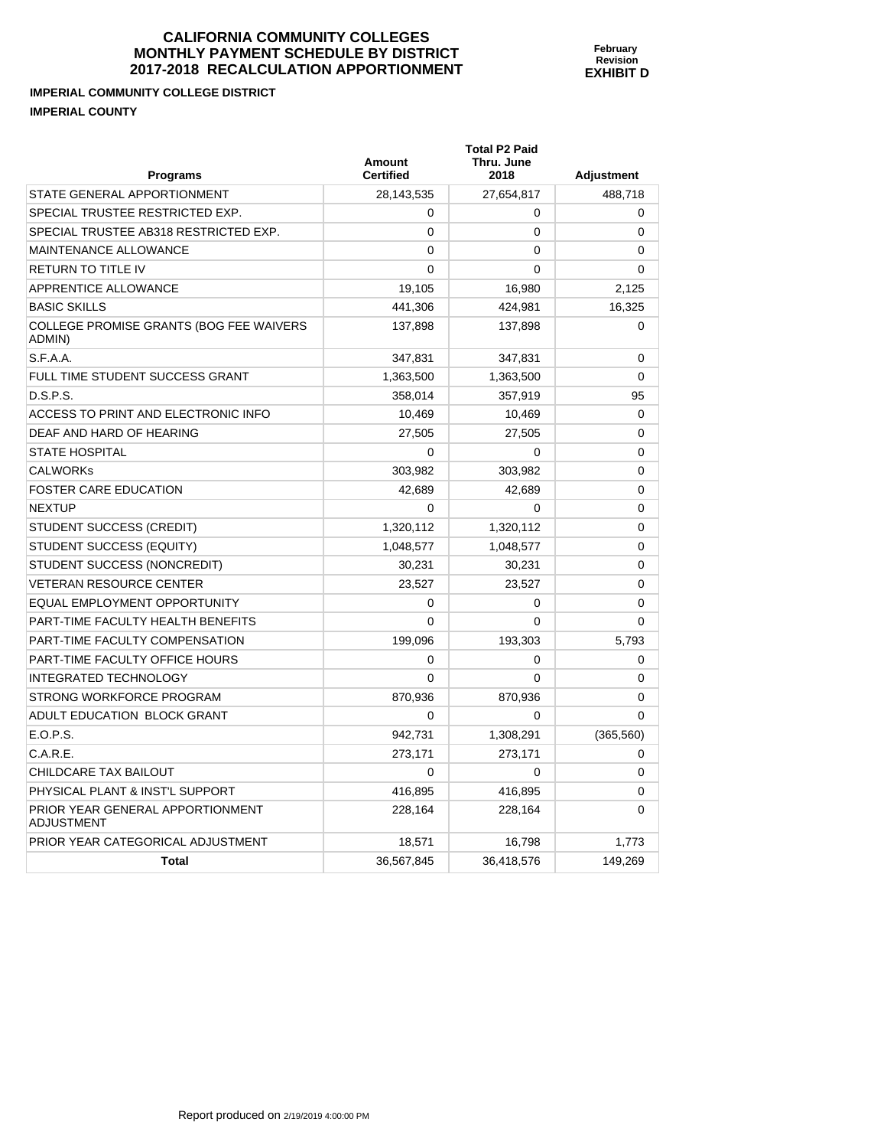**Total P2 Paid** 

**IMPERIAL COMMUNITY COLLEGE DISTRICT IMPERIAL COUNTY** 

| <b>Programs</b>                                       | <b>Amount</b><br><b>Certified</b> | Thru. June<br>2018 | <b>Adjustment</b> |
|-------------------------------------------------------|-----------------------------------|--------------------|-------------------|
| STATE GENERAL APPORTIONMENT                           | 28,143,535                        | 27,654,817         | 488,718           |
| SPECIAL TRUSTEE RESTRICTED EXP.                       | 0                                 | 0                  | 0                 |
| SPECIAL TRUSTEE AB318 RESTRICTED EXP.                 | 0                                 | 0                  | 0                 |
| <b>MAINTENANCE ALLOWANCE</b>                          | $\Omega$                          | 0                  | 0                 |
| <b>RETURN TO TITLE IV</b>                             | $\mathbf 0$                       | 0                  | 0                 |
| APPRENTICE ALLOWANCE                                  | 19,105                            | 16,980             | 2,125             |
| <b>BASIC SKILLS</b>                                   | 441,306                           | 424,981            | 16,325            |
| COLLEGE PROMISE GRANTS (BOG FEE WAIVERS<br>ADMIN)     | 137,898                           | 137,898            | 0                 |
| S.F.A.A.                                              | 347,831                           | 347,831            | 0                 |
| FULL TIME STUDENT SUCCESS GRANT                       | 1,363,500                         | 1,363,500          | 0                 |
| D.S.P.S.                                              | 358,014                           | 357,919            | 95                |
| ACCESS TO PRINT AND ELECTRONIC INFO                   | 10,469                            | 10,469             | 0                 |
| DEAF AND HARD OF HEARING                              | 27,505                            | 27,505             | 0                 |
| <b>STATE HOSPITAL</b>                                 | 0                                 | 0                  | 0                 |
| <b>CALWORKs</b>                                       | 303,982                           | 303,982            | 0                 |
| <b>FOSTER CARE EDUCATION</b>                          | 42,689                            | 42,689             | 0                 |
| <b>NEXTUP</b>                                         | $\Omega$                          | 0                  | $\Omega$          |
| STUDENT SUCCESS (CREDIT)                              | 1,320,112                         | 1,320,112          | 0                 |
| <b>STUDENT SUCCESS (EQUITY)</b>                       | 1,048,577                         | 1,048,577          | 0                 |
| STUDENT SUCCESS (NONCREDIT)                           | 30,231                            | 30,231             | 0                 |
| <b>VETERAN RESOURCE CENTER</b>                        | 23,527                            | 23,527             | 0                 |
| EQUAL EMPLOYMENT OPPORTUNITY                          | 0                                 | 0                  | 0                 |
| PART-TIME FACULTY HEALTH BENEFITS                     | $\Omega$                          | $\Omega$           | 0                 |
| PART-TIME FACULTY COMPENSATION                        | 199,096                           | 193,303            | 5,793             |
| PART-TIME FACULTY OFFICE HOURS                        | $\mathbf 0$                       | 0                  | 0                 |
| <b>INTEGRATED TECHNOLOGY</b>                          | $\Omega$                          | 0                  | 0                 |
| STRONG WORKFORCE PROGRAM                              | 870,936                           | 870,936            | 0                 |
| ADULT EDUCATION BLOCK GRANT                           | $\Omega$                          | 0                  | 0                 |
| E.O.P.S.                                              | 942,731                           | 1,308,291          | (365, 560)        |
| C.A.R.E.                                              | 273,171                           | 273,171            | 0                 |
| CHILDCARE TAX BAILOUT                                 | $\Omega$                          | 0                  | 0                 |
| PHYSICAL PLANT & INST'L SUPPORT                       | 416,895                           | 416,895            | 0                 |
| PRIOR YEAR GENERAL APPORTIONMENT<br><b>ADJUSTMENT</b> | 228,164                           | 228,164            | 0                 |
| PRIOR YEAR CATEGORICAL ADJUSTMENT                     | 18,571                            | 16,798             | 1,773             |
| <b>Total</b>                                          | 36,567,845                        | 36,418,576         | 149,269           |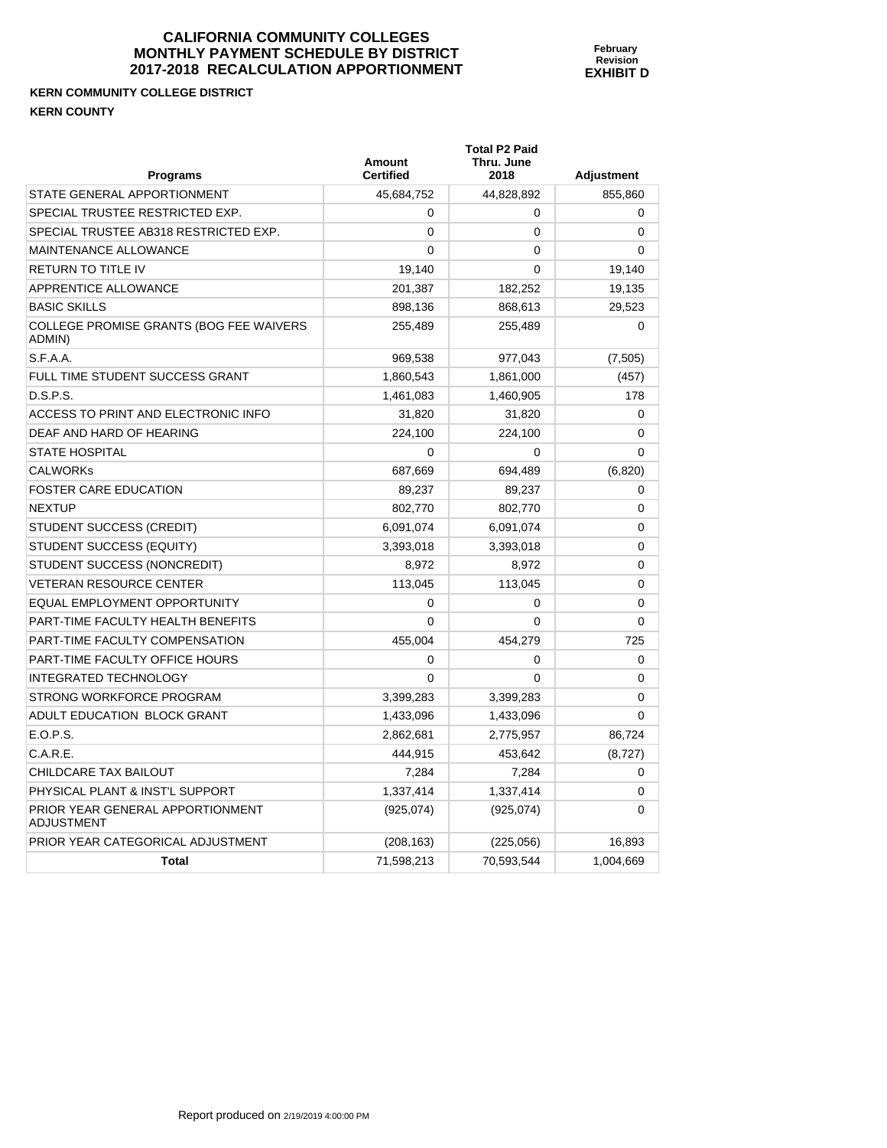**Total P2 Paid** 

#### **KERN COMMUNITY COLLEGE DISTRICT KERN COUNTY**

| <b>Programs</b>                                       | <b>Amount</b><br><b>Certified</b> | Thru. June<br>2018 | <b>Adjustment</b> |
|-------------------------------------------------------|-----------------------------------|--------------------|-------------------|
| STATE GENERAL APPORTIONMENT                           | 45,684,752                        | 44,828,892         | 855,860           |
| SPECIAL TRUSTEE RESTRICTED EXP.                       | 0                                 | 0                  | 0                 |
| SPECIAL TRUSTEE AB318 RESTRICTED EXP.                 | $\mathbf{0}$                      | 0                  | 0                 |
| MAINTENANCE ALLOWANCE                                 | 0                                 | 0                  | 0                 |
| <b>RETURN TO TITLE IV</b>                             | 19,140                            | 0                  | 19,140            |
| APPRENTICE ALLOWANCE                                  | 201,387                           | 182,252            | 19,135            |
| <b>BASIC SKILLS</b>                                   | 898,136                           | 868,613            | 29,523            |
| COLLEGE PROMISE GRANTS (BOG FEE WAIVERS<br>ADMIN)     | 255,489                           | 255,489            | 0                 |
| S.F.A.A.                                              | 969,538                           | 977,043            | (7,505)           |
| FULL TIME STUDENT SUCCESS GRANT                       | 1,860,543                         | 1,861,000          | (457)             |
| D.S.P.S.                                              | 1,461,083                         | 1,460,905          | 178               |
| ACCESS TO PRINT AND ELECTRONIC INFO                   | 31,820                            | 31,820             | 0                 |
| DEAF AND HARD OF HEARING                              | 224,100                           | 224,100            | 0                 |
| <b>STATE HOSPITAL</b>                                 | 0                                 | $\Omega$           | 0                 |
| <b>CALWORKs</b>                                       | 687,669                           | 694,489            | (6,820)           |
| <b>FOSTER CARE EDUCATION</b>                          | 89,237                            | 89,237             | 0                 |
| <b>NEXTUP</b>                                         | 802,770                           | 802,770            | 0                 |
| STUDENT SUCCESS (CREDIT)                              | 6,091,074                         | 6,091,074          | $\Omega$          |
| STUDENT SUCCESS (EQUITY)                              | 3,393,018                         | 3,393,018          | 0                 |
| STUDENT SUCCESS (NONCREDIT)                           | 8,972                             | 8,972              | 0                 |
| <b>VETERAN RESOURCE CENTER</b>                        | 113,045                           | 113,045            | 0                 |
| EQUAL EMPLOYMENT OPPORTUNITY                          | 0                                 | 0                  | 0                 |
| PART-TIME FACULTY HEALTH BENEFITS                     | $\mathbf{0}$                      | $\mathbf 0$        | 0                 |
| PART-TIME FACULTY COMPENSATION                        | 455,004                           | 454,279            | 725               |
| PART-TIME FACULTY OFFICE HOURS                        | 0                                 | 0                  | 0                 |
| <b>INTEGRATED TECHNOLOGY</b>                          | $\mathbf{0}$                      | 0                  | 0                 |
| STRONG WORKFORCE PROGRAM                              | 3,399,283                         | 3,399,283          | 0                 |
| ADULT EDUCATION BLOCK GRANT                           | 1,433,096                         | 1,433,096          | 0                 |
| E.O.P.S.                                              | 2,862,681                         | 2,775,957          | 86,724            |
| C.A.R.E.                                              | 444,915                           | 453,642            | (8, 727)          |
| CHILDCARE TAX BAILOUT                                 | 7,284                             | 7,284              | 0                 |
| PHYSICAL PLANT & INST'L SUPPORT                       | 1,337,414                         | 1,337,414          | 0                 |
| PRIOR YEAR GENERAL APPORTIONMENT<br><b>ADJUSTMENT</b> | (925,074)                         | (925,074)          | 0                 |
| PRIOR YEAR CATEGORICAL ADJUSTMENT                     | (208, 163)                        | (225,056)          | 16,893            |
| Total                                                 | 71,598,213                        | 70,593,544         | 1,004,669         |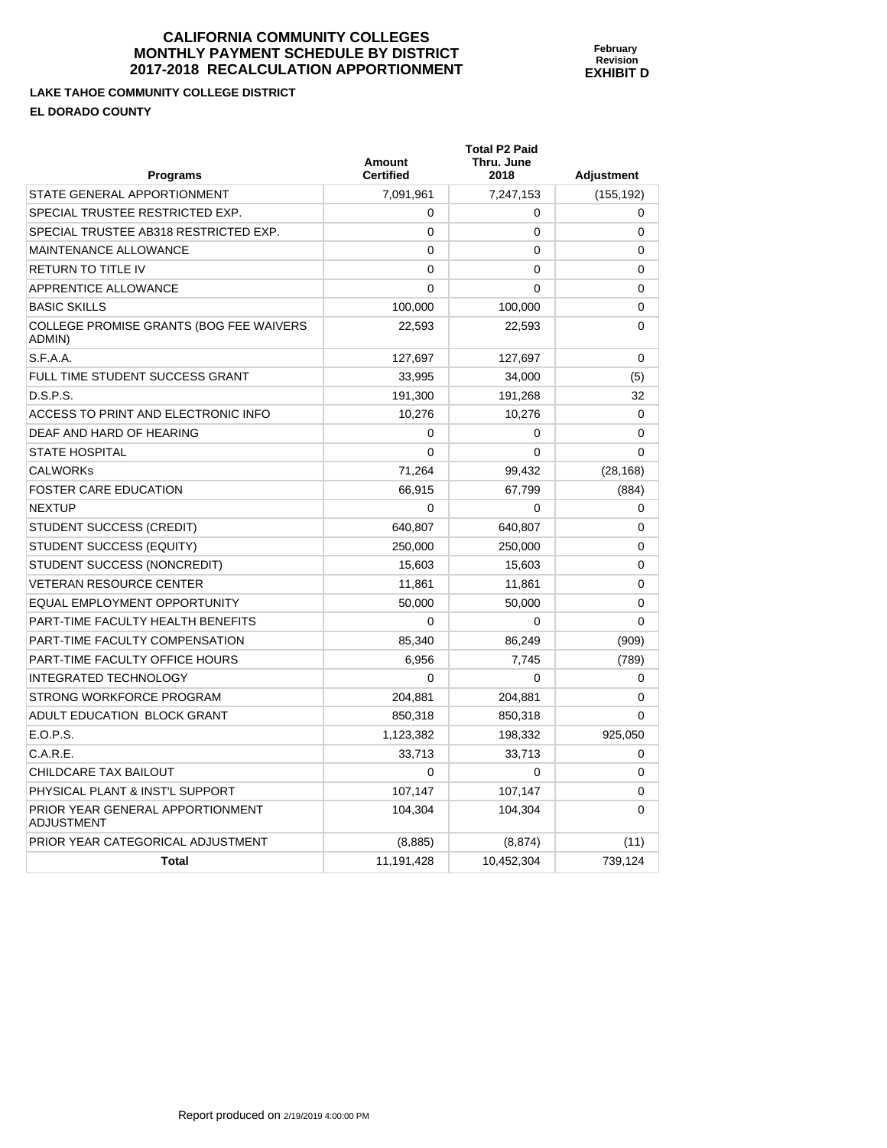**LAKE TAHOE COMMUNITY EL DORADO COUNTY** 

| LAKE TAHOE COMMUNITY COLLEGE DISTRICT<br><b>EL DORADO COUNTY</b> |                            |                                            |                   |
|------------------------------------------------------------------|----------------------------|--------------------------------------------|-------------------|
| <b>Programs</b>                                                  | Amount<br><b>Certified</b> | <b>Total P2 Paid</b><br>Thru. June<br>2018 | <b>Adjustment</b> |
| <b>STATE GENERAL APPORTIONMENT</b>                               | 7,091,961                  | 7,247,153                                  | (155,192)         |
| <b>SPECIAL TRUSTEE RESTRICTED EXP.</b>                           | 0                          | 0                                          | $\Omega$          |
| SPECIAL TRUSTEE AB318 RESTRICTED EXP.                            |                            | 0                                          | 0                 |

**February Revision EXHIBIT D** 

| SPECIAL TRUSTEE AB318 RESTRICTED EXP.                 | 0          | 0          | 0           |
|-------------------------------------------------------|------------|------------|-------------|
| <b>MAINTENANCE ALLOWANCE</b>                          | $\Omega$   | 0          | 0           |
| RETURN TO TITLE IV                                    | 0          | 0          | 0           |
| APPRENTICE ALLOWANCE                                  | 0          | 0          | 0           |
| <b>BASIC SKILLS</b>                                   | 100,000    | 100,000    | 0           |
| COLLEGE PROMISE GRANTS (BOG FEE WAIVERS<br>ADMIN)     | 22,593     | 22,593     | 0           |
| S.F.A.A.                                              | 127,697    | 127,697    | 0           |
| FULL TIME STUDENT SUCCESS GRANT                       | 33,995     | 34,000     | (5)         |
| D.S.P.S.                                              | 191,300    | 191,268    | 32          |
| ACCESS TO PRINT AND ELECTRONIC INFO                   | 10,276     | 10,276     | $\mathbf 0$ |
| DEAF AND HARD OF HEARING                              | 0          | 0          | 0           |
| <b>STATE HOSPITAL</b>                                 | 0          | 0          | 0           |
| <b>CALWORKs</b>                                       | 71,264     | 99,432     | (28, 168)   |
| <b>FOSTER CARE EDUCATION</b>                          | 66,915     | 67,799     | (884)       |
| <b>NEXTUP</b>                                         | $\Omega$   | $\Omega$   | 0           |
| STUDENT SUCCESS (CREDIT)                              | 640,807    | 640,807    | 0           |
| STUDENT SUCCESS (EQUITY)                              | 250,000    | 250,000    | 0           |
| STUDENT SUCCESS (NONCREDIT)                           | 15,603     | 15,603     | 0           |
| <b>VETERAN RESOURCE CENTER</b>                        | 11,861     | 11,861     | 0           |
| <b>EQUAL EMPLOYMENT OPPORTUNITY</b>                   | 50,000     | 50,000     | 0           |
| PART-TIME FACULTY HEALTH BENEFITS                     | $\Omega$   | $\Omega$   | 0           |
| PART-TIME FACULTY COMPENSATION                        | 85,340     | 86,249     | (909)       |
| PART-TIME FACULTY OFFICE HOURS                        | 6,956      | 7,745      | (789)       |
| <b>INTEGRATED TECHNOLOGY</b>                          | $\Omega$   | $\Omega$   | 0           |
| STRONG WORKFORCE PROGRAM                              | 204,881    | 204,881    | 0           |
| ADULT EDUCATION BLOCK GRANT                           | 850,318    | 850,318    | $\Omega$    |
| E.O.P.S.                                              | 1,123,382  | 198,332    | 925,050     |
| C.A.R.E.                                              | 33,713     | 33,713     | 0           |
| CHILDCARE TAX BAILOUT                                 | $\Omega$   | $\Omega$   | $\Omega$    |
| PHYSICAL PLANT & INST'L SUPPORT                       | 107,147    | 107,147    | 0           |
| PRIOR YEAR GENERAL APPORTIONMENT<br><b>ADJUSTMENT</b> | 104,304    | 104,304    | 0           |
| PRIOR YEAR CATEGORICAL ADJUSTMENT                     | (8,885)    | (8, 874)   | (11)        |
| <b>Total</b>                                          | 11,191,428 | 10,452,304 | 739,124     |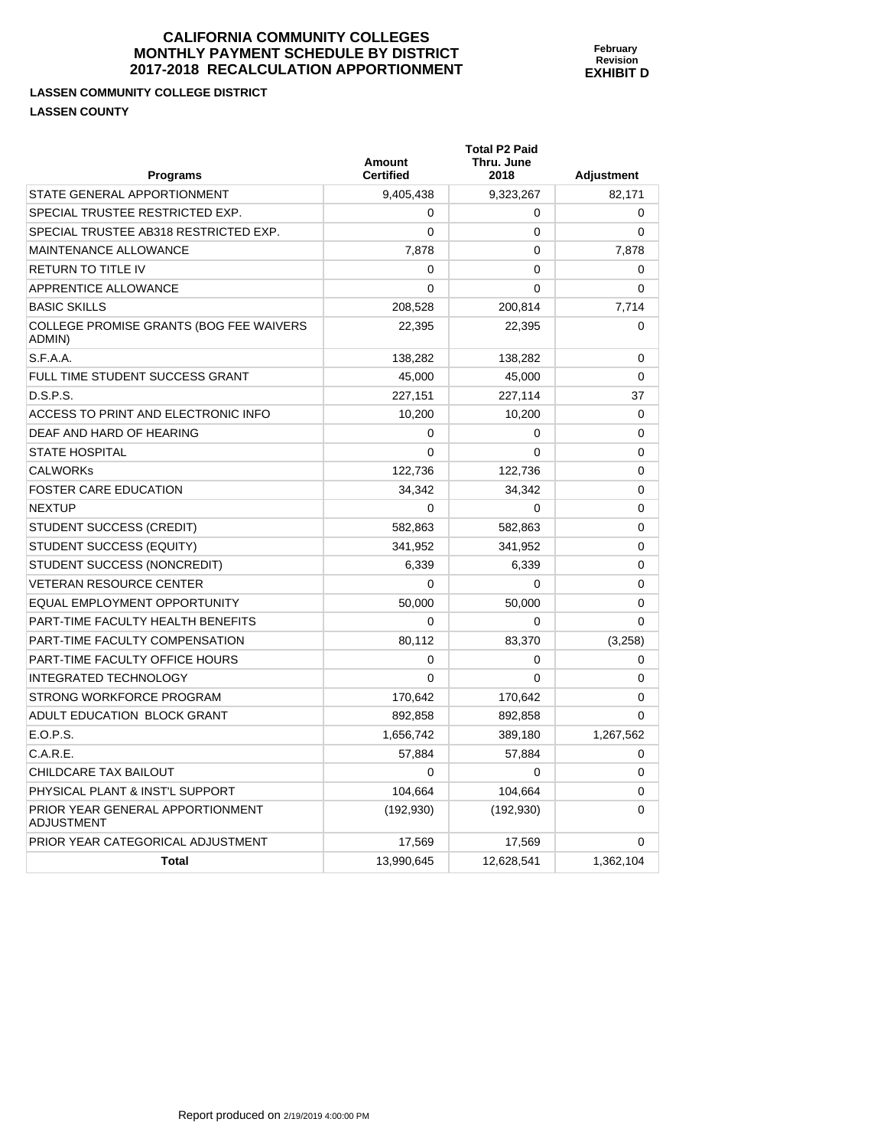## **LASSEN COMMUNITY COLLEGE DISTRICT LASSEN COUNTY**

| <b>Programs</b>                                       | <b>Amount</b><br><b>Certified</b> | Total P2 Paid<br>Thru. June<br>2018 | <b>Adjustment</b> |
|-------------------------------------------------------|-----------------------------------|-------------------------------------|-------------------|
| STATE GENERAL APPORTIONMENT                           | 9,405,438                         | 9,323,267                           | 82,171            |
| SPECIAL TRUSTEE RESTRICTED EXP.                       | 0                                 | 0                                   | 0                 |
| SPECIAL TRUSTEE AB318 RESTRICTED EXP.                 | $\mathbf{0}$                      | $\mathbf{0}$                        | $\Omega$          |
| <b>MAINTENANCE ALLOWANCE</b>                          | 7,878                             | 0                                   | 7,878             |
| <b>RETURN TO TITLE IV</b>                             | 0                                 | $\mathbf{0}$                        | $\Omega$          |
| <b>APPRENTICE ALLOWANCE</b>                           | 0                                 | 0                                   | $\Omega$          |
| <b>BASIC SKILLS</b>                                   | 208,528                           | 200,814                             | 7,714             |
| COLLEGE PROMISE GRANTS (BOG FEE WAIVERS<br>ADMIN)     | 22,395                            | 22,395                              | 0                 |
| S.F.A.A.                                              | 138,282                           | 138,282                             | 0                 |
| FULL TIME STUDENT SUCCESS GRANT                       | 45,000                            | 45,000                              | 0                 |
| D.S.P.S.                                              | 227,151                           | 227,114                             | 37                |
| ACCESS TO PRINT AND ELECTRONIC INFO                   | 10,200                            | 10,200                              | $\mathbf 0$       |
| DEAF AND HARD OF HEARING                              | 0                                 | 0                                   | 0                 |
| <b>STATE HOSPITAL</b>                                 | 0                                 | $\Omega$                            | $\Omega$          |
| <b>CALWORKS</b>                                       | 122,736                           | 122,736                             | $\Omega$          |
| <b>FOSTER CARE EDUCATION</b>                          | 34,342                            | 34,342                              | $\mathbf 0$       |
| <b>NEXTUP</b>                                         | 0                                 | 0                                   | $\Omega$          |
| STUDENT SUCCESS (CREDIT)                              | 582,863                           | 582,863                             | $\Omega$          |
| STUDENT SUCCESS (EQUITY)                              | 341,952                           | 341,952                             | $\Omega$          |
| STUDENT SUCCESS (NONCREDIT)                           | 6,339                             | 6,339                               | $\mathbf 0$       |
| <b>VETERAN RESOURCE CENTER</b>                        | 0                                 | 0                                   | $\mathbf 0$       |
| EQUAL EMPLOYMENT OPPORTUNITY                          | 50,000                            | 50,000                              | $\Omega$          |
| PART-TIME FACULTY HEALTH BENEFITS                     | 0                                 | $\mathbf{0}$                        | $\Omega$          |
| PART-TIME FACULTY COMPENSATION                        | 80,112                            | 83,370                              | (3,258)           |
| PART-TIME FACULTY OFFICE HOURS                        | 0                                 | 0                                   | 0                 |
| <b>INTEGRATED TECHNOLOGY</b>                          | 0                                 | $\mathbf{0}$                        | 0                 |
| STRONG WORKFORCE PROGRAM                              | 170,642                           | 170,642                             | 0                 |
| ADULT EDUCATION BLOCK GRANT                           | 892,858                           | 892,858                             | $\Omega$          |
| E.O.P.S.                                              | 1,656,742                         | 389,180                             | 1,267,562         |
| C.A.R.E.                                              | 57,884                            | 57,884                              | 0                 |
| CHILDCARE TAX BAILOUT                                 | 0                                 | 0                                   | 0                 |
| PHYSICAL PLANT & INST'L SUPPORT                       | 104,664                           | 104,664                             | $\Omega$          |
| PRIOR YEAR GENERAL APPORTIONMENT<br><b>ADJUSTMENT</b> | (192, 930)                        | (192, 930)                          | $\Omega$          |
| PRIOR YEAR CATEGORICAL ADJUSTMENT                     | 17,569                            | 17,569                              | 0                 |
| Total                                                 | 13,990,645                        | 12,628,541                          | 1,362,104         |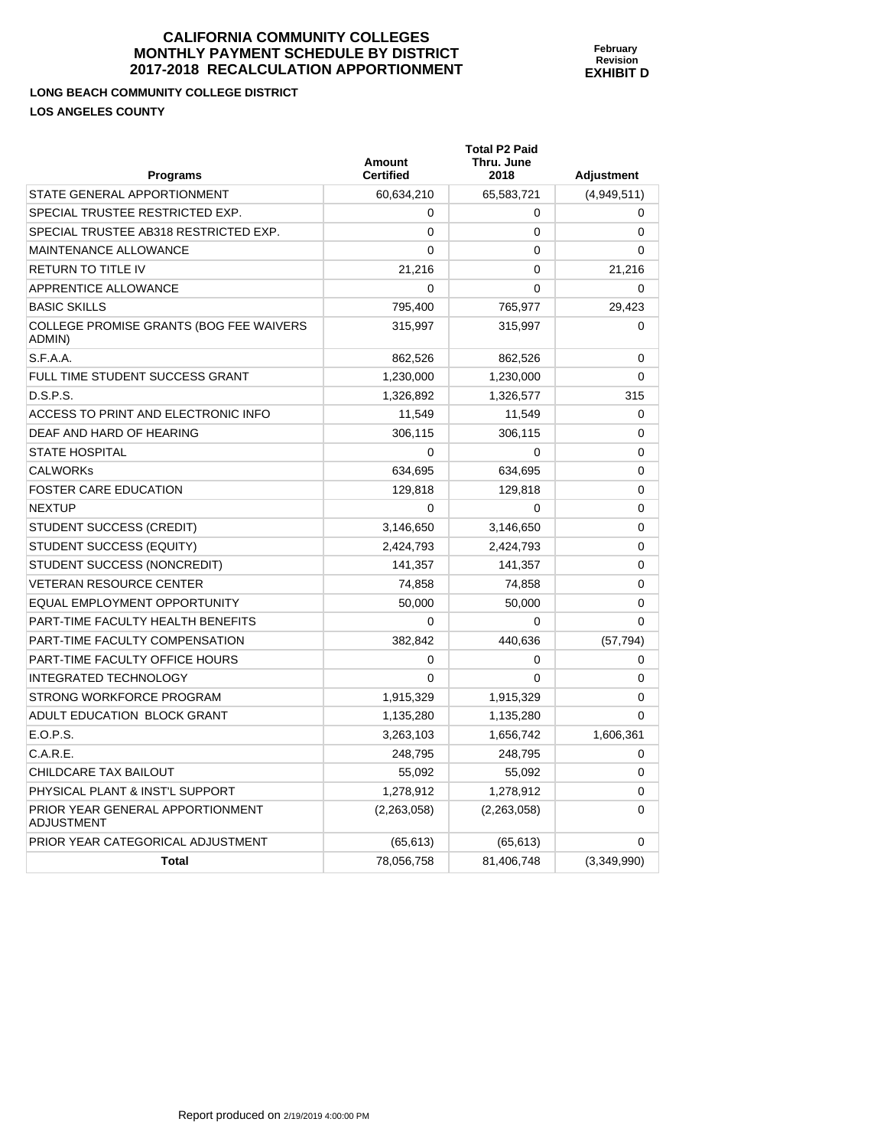**LONG BEACH COMMUNITY COLLEGE DISTRICT LOS ANGELES COUNTY** 

| <b>Programs</b>                                   | <b>Amount</b><br><b>Certified</b> | <b>Total P2 Paid</b><br>Thru. June<br>2018 | <b>Adjustment</b> |
|---------------------------------------------------|-----------------------------------|--------------------------------------------|-------------------|
| STATE GENERAL APPORTIONMENT                       | 60,634,210                        | 65,583,721                                 | (4,949,511)       |
| SPECIAL TRUSTEE RESTRICTED EXP.                   | 0                                 | 0                                          | 0                 |
| SPECIAL TRUSTEE AB318 RESTRICTED EXP.             | $\Omega$                          | 0                                          | 0                 |
| <b>MAINTENANCE ALLOWANCE</b>                      | $\Omega$                          | $\Omega$                                   | 0                 |
| <b>RETURN TO TITLE IV</b>                         | 21,216                            | 0                                          | 21,216            |
| APPRENTICE ALLOWANCE                              | $\Omega$                          | 0                                          | 0                 |
| <b>BASIC SKILLS</b>                               | 795,400                           | 765,977                                    | 29,423            |
| COLLEGE PROMISE GRANTS (BOG FEE WAIVERS<br>ADMIN) | 315,997                           | 315,997                                    | $\Omega$          |
| S.F.A.A.                                          | 862,526                           | 862,526                                    | 0                 |
| FULL TIME STUDENT SUCCESS GRANT                   | 1,230,000                         | 1,230,000                                  | $\Omega$          |
| D.S.P.S.                                          | 1,326,892                         | 1,326,577                                  | 315               |
| ACCESS TO PRINT AND ELECTRONIC INFO               | 11,549                            | 11,549                                     | 0                 |
| DEAF AND HARD OF HEARING                          | 306,115                           | 306,115                                    | 0                 |
| <b>STATE HOSPITAL</b>                             | $\Omega$                          | $\mathbf{0}$                               | 0                 |
| <b>CALWORKs</b>                                   | 634,695                           | 634,695                                    | 0                 |
| <b>FOSTER CARE EDUCATION</b>                      | 129,818                           | 129,818                                    | 0                 |
| <b>NEXTUP</b>                                     | 0                                 | $\Omega$                                   | 0                 |
| <b>STUDENT SUCCESS (CREDIT)</b>                   | 3,146,650                         | 3,146,650                                  | 0                 |
| STUDENT SUCCESS (EQUITY)                          | 2,424,793                         | 2,424,793                                  | 0                 |
| STUDENT SUCCESS (NONCREDIT)                       | 141,357                           | 141,357                                    | 0                 |
| <b>VETERAN RESOURCE CENTER</b>                    | 74,858                            | 74,858                                     | $\Omega$          |
| <b>EQUAL EMPLOYMENT OPPORTUNITY</b>               | 50,000                            | 50,000                                     | 0                 |
| PART-TIME FACULTY HEALTH BENEFITS                 | 0                                 | $\Omega$                                   | $\Omega$          |
| PART-TIME FACULTY COMPENSATION                    | 382,842                           | 440,636                                    | (57, 794)         |
| PART-TIME FACULTY OFFICE HOURS                    | 0                                 | $\Omega$                                   | 0                 |
| <b>INTEGRATED TECHNOLOGY</b>                      | 0                                 | 0                                          | 0                 |
| STRONG WORKFORCE PROGRAM                          | 1,915,329                         | 1,915,329                                  | 0                 |
| ADULT EDUCATION BLOCK GRANT                       | 1,135,280                         | 1,135,280                                  | $\Omega$          |
| E.O.P.S.                                          | 3,263,103                         | 1,656,742                                  | 1,606,361         |
| C.A.R.E.                                          | 248,795                           | 248.795                                    | 0                 |
| CHILDCARE TAX BAILOUT                             | 55,092                            | 55,092                                     | 0                 |
| PHYSICAL PLANT & INST'L SUPPORT                   | 1,278,912                         | 1,278,912                                  | 0                 |
| PRIOR YEAR GENERAL APPORTIONMENT<br>ADJUSTMENT    | (2,263,058)                       | (2,263,058)                                | $\Omega$          |
| PRIOR YEAR CATEGORICAL ADJUSTMENT                 | (65, 613)                         | (65, 613)                                  | 0                 |
| Total                                             | 78,056,758                        | 81,406,748                                 | (3,349,990)       |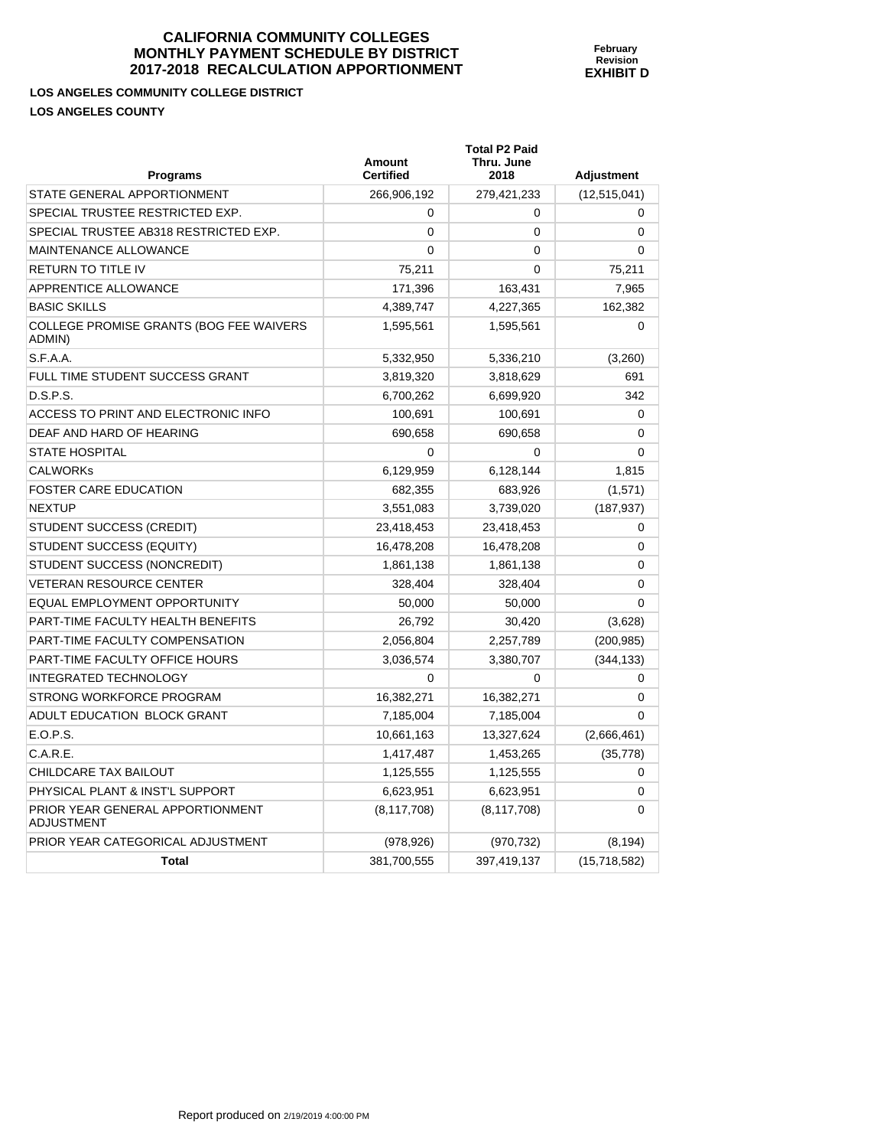**February Revision EXHIBIT D** 

**LOS ANGELES COMMUNITY COLLEGE DISTRICT LOS ANGELES COUNTY** 

PRIOR YEAR GENERAL APPORTIONMENT

ADJUSTMENT

| <b>Programs</b>                                          | <b>Amount</b><br><b>Certified</b> | <b>Total P2 Paid</b><br>Thru. June<br>2018 | Adjustment     |
|----------------------------------------------------------|-----------------------------------|--------------------------------------------|----------------|
| STATE GENERAL APPORTIONMENT                              | 266,906,192                       | 279,421,233                                | (12, 515, 041) |
| SPECIAL TRUSTEE RESTRICTED EXP.                          | 0                                 | 0                                          | 0              |
| SPECIAL TRUSTEE AB318 RESTRICTED EXP.                    | 0                                 | $\mathbf 0$                                | 0              |
| MAINTENANCE ALLOWANCE                                    | 0                                 | $\mathbf 0$                                | $\Omega$       |
| <b>RETURN TO TITLE IV</b>                                | 75,211                            | $\Omega$                                   | 75,211         |
| APPRENTICE ALLOWANCE                                     | 171,396                           | 163,431                                    | 7,965          |
| <b>BASIC SKILLS</b>                                      | 4,389,747                         | 4,227,365                                  | 162,382        |
| <b>COLLEGE PROMISE GRANTS (BOG FEE WAIVERS</b><br>ADMIN) | 1,595,561                         | 1,595,561                                  | 0              |
| S.F.A.A.                                                 | 5,332,950                         | 5,336,210                                  | (3,260)        |
| FULL TIME STUDENT SUCCESS GRANT                          | 3,819,320                         | 3,818,629                                  | 691            |
| D.S.P.S.                                                 | 6,700,262                         | 6,699,920                                  | 342            |
| ACCESS TO PRINT AND ELECTRONIC INFO                      | 100,691                           | 100,691                                    | 0              |
| DEAF AND HARD OF HEARING                                 | 690,658                           | 690,658                                    | 0              |
| <b>STATE HOSPITAL</b>                                    | 0                                 | 0                                          | $\Omega$       |
| <b>CALWORKS</b>                                          | 6,129,959                         | 6,128,144                                  | 1,815          |
| <b>FOSTER CARE EDUCATION</b>                             | 682,355                           | 683,926                                    | (1,571)        |
| <b>NEXTUP</b>                                            | 3,551,083                         | 3,739,020                                  | (187, 937)     |
| STUDENT SUCCESS (CREDIT)                                 | 23,418,453                        | 23,418,453                                 | 0              |
| STUDENT SUCCESS (EQUITY)                                 | 16,478,208                        | 16,478,208                                 | 0              |
| STUDENT SUCCESS (NONCREDIT)                              | 1,861,138                         | 1,861,138                                  | $\Omega$       |
| <b>VETERAN RESOURCE CENTER</b>                           | 328,404                           | 328,404                                    | $\Omega$       |
| EQUAL EMPLOYMENT OPPORTUNITY                             | 50,000                            | 50.000                                     | 0              |
| PART-TIME FACULTY HEALTH BENEFITS                        | 26,792                            | 30,420                                     | (3,628)        |
| PART-TIME FACULTY COMPENSATION                           | 2,056,804                         | 2,257,789                                  | (200, 985)     |
| <b>PART-TIME FACULTY OFFICE HOURS</b>                    | 3,036,574                         | 3,380,707                                  | (344, 133)     |
| <b>INTEGRATED TECHNOLOGY</b>                             | 0                                 | $\Omega$                                   | 0              |
| STRONG WORKFORCE PROGRAM                                 | 16,382,271                        | 16,382,271                                 | 0              |
| ADULT EDUCATION BLOCK GRANT                              | 7,185,004                         | 7,185,004                                  | $\Omega$       |
| E.O.P.S.                                                 | 10,661,163                        | 13,327,624                                 | (2,666,461)    |
| C.A.R.E.                                                 | 1,417,487                         | 1,453,265                                  | (35, 778)      |
| CHILDCARE TAX BAILOUT                                    | 1,125,555                         | 1,125,555                                  | 0              |

PHYSICAL PLANT & INST'L SUPPORT  $6,623,951$  6,623,951 0

PRIOR YEAR CATEGORICAL ADJUSTMENT (978,926) (970,732) (8,194)

**Total 381,700,555** 397,419,137 (15,718,582)

(8,117,708) (8,117,708) 0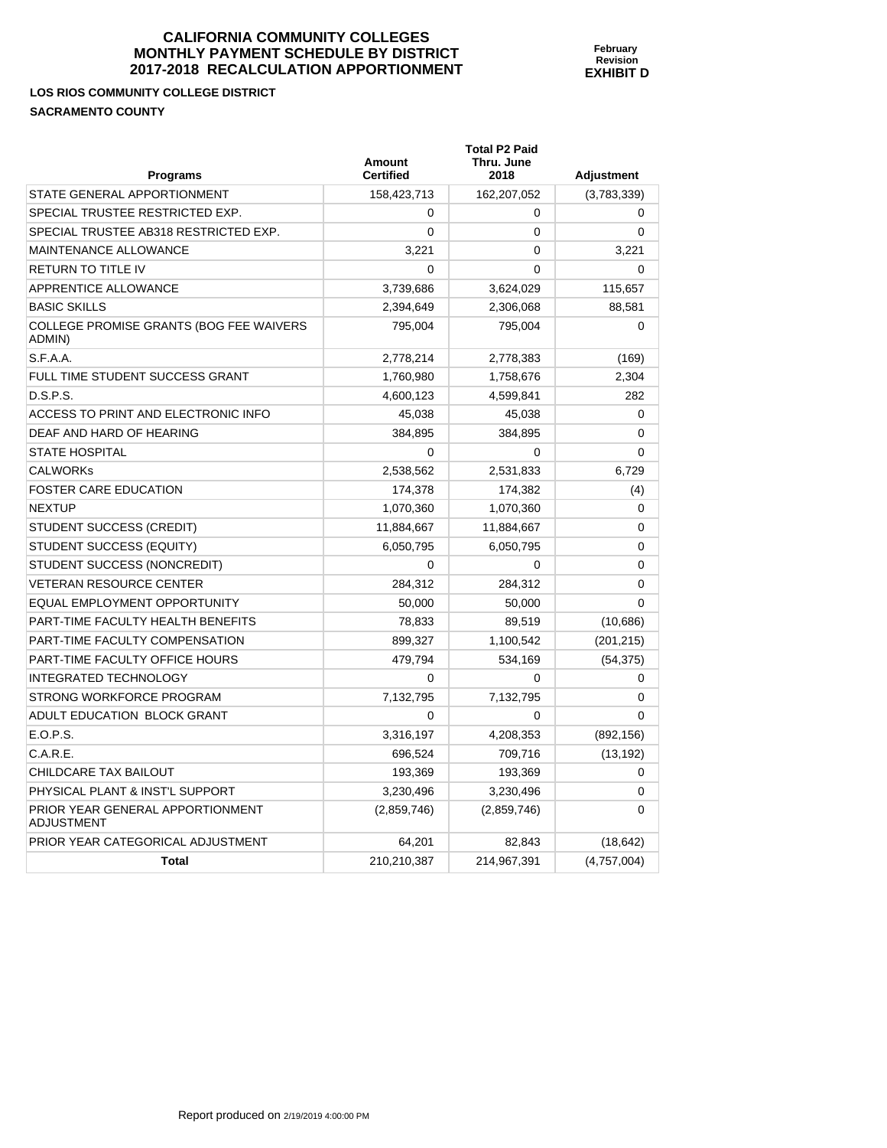**February Revision EXHIBIT D** 

**LOS RIOS COMMUNITY COLLEGE DISTRICT SACRAMENTO COUNTY** 

| <b>Programs</b>                                   | <b>Amount</b><br><b>Certified</b> | <b>Total P2 Paid</b><br>Thru. June<br>2018 | <b>Adjustment</b> |
|---------------------------------------------------|-----------------------------------|--------------------------------------------|-------------------|
| STATE GENERAL APPORTIONMENT                       | 158,423,713                       | 162,207,052                                | (3,783,339)       |
| SPECIAL TRUSTEE RESTRICTED EXP.                   | 0                                 | 0                                          | $\mathbf 0$       |
| SPECIAL TRUSTEE AB318 RESTRICTED EXP.             | 0                                 | 0                                          | $\mathbf 0$       |
| MAINTENANCE ALLOWANCE                             | 3,221                             | 0                                          | 3,221             |
| RETURN TO TITLE IV                                | $\Omega$                          | 0                                          | $\Omega$          |
| APPRENTICE ALLOWANCE                              | 3,739,686                         | 3,624,029                                  | 115,657           |
| <b>BASIC SKILLS</b>                               | 2,394,649                         | 2,306,068                                  | 88,581            |
| COLLEGE PROMISE GRANTS (BOG FEE WAIVERS<br>ADMIN) | 795,004                           | 795,004                                    | $\mathbf 0$       |
| S.F.A.A.                                          | 2,778,214                         | 2,778,383                                  | (169)             |
| FULL TIME STUDENT SUCCESS GRANT                   | 1,760,980                         | 1,758,676                                  | 2,304             |
| D.S.P.S.                                          | 4,600,123                         | 4,599,841                                  | 282               |
| ACCESS TO PRINT AND ELECTRONIC INFO               | 45,038                            | 45,038                                     | 0                 |
| DEAF AND HARD OF HEARING                          | 384,895                           | 384,895                                    | 0                 |
| STATE HOSPITAL                                    | 0                                 | 0                                          | $\Omega$          |
| <b>CALWORKs</b>                                   | 2,538,562                         | 2,531,833                                  | 6,729             |
| <b>FOSTER CARE EDUCATION</b>                      | 174,378                           | 174,382                                    | (4)               |
| NEXTUP                                            | 1,070,360                         | 1,070,360                                  | 0                 |
| STUDENT SUCCESS (CREDIT)                          | 11,884,667                        | 11,884,667                                 | 0                 |
| STUDENT SUCCESS (EQUITY)                          | 6,050,795                         | 6,050,795                                  | 0                 |
| STUDENT SUCCESS (NONCREDIT)                       | 0                                 | 0                                          | 0                 |
| <b>VETERAN RESOURCE CENTER</b>                    | 284,312                           | 284,312                                    | $\mathbf 0$       |
| EQUAL EMPLOYMENT OPPORTUNITY                      | 50,000                            | 50,000                                     | $\mathbf 0$       |
| PART-TIME FACULTY HEALTH BENEFITS                 | 78,833                            | 89,519                                     | (10, 686)         |
| PART-TIME FACULTY COMPENSATION                    | 899,327                           | 1,100,542                                  | (201, 215)        |
| PART-TIME FACULTY OFFICE HOURS                    | 479,794                           | 534,169                                    | (54, 375)         |
| INTEGRATED TECHNOLOGY                             | 0                                 | 0                                          | 0                 |
| STRONG WORKFORCE PROGRAM                          | 7,132,795                         | 7,132,795                                  | 0                 |
| ADULT EDUCATION BLOCK GRANT                       | 0                                 | 0                                          | 0                 |
| E.O.P.S.                                          | 3,316,197                         | 4,208,353                                  | (892, 156)        |
| C.A.R.E.                                          | 696,524                           | 709,716                                    | (13, 192)         |
| CHILDCARE TAX BAILOUT                             | 193,369                           | 193,369                                    | 0                 |
| PHYSICAL PLANT & INST'L SUPPORT                   | 3,230,496                         | 3,230,496                                  | 0                 |
| PRIOR YEAR GENERAL APPORTIONMENT<br>ADJUSTMENT    | (2,859,746)                       | (2,859,746)                                | 0                 |
| PRIOR YEAR CATEGORICAL ADJUSTMENT                 | 64,201                            | 82,843                                     | (18, 642)         |
| <b>Total</b>                                      | 210,210,387                       | 214,967,391                                | (4,757,004)       |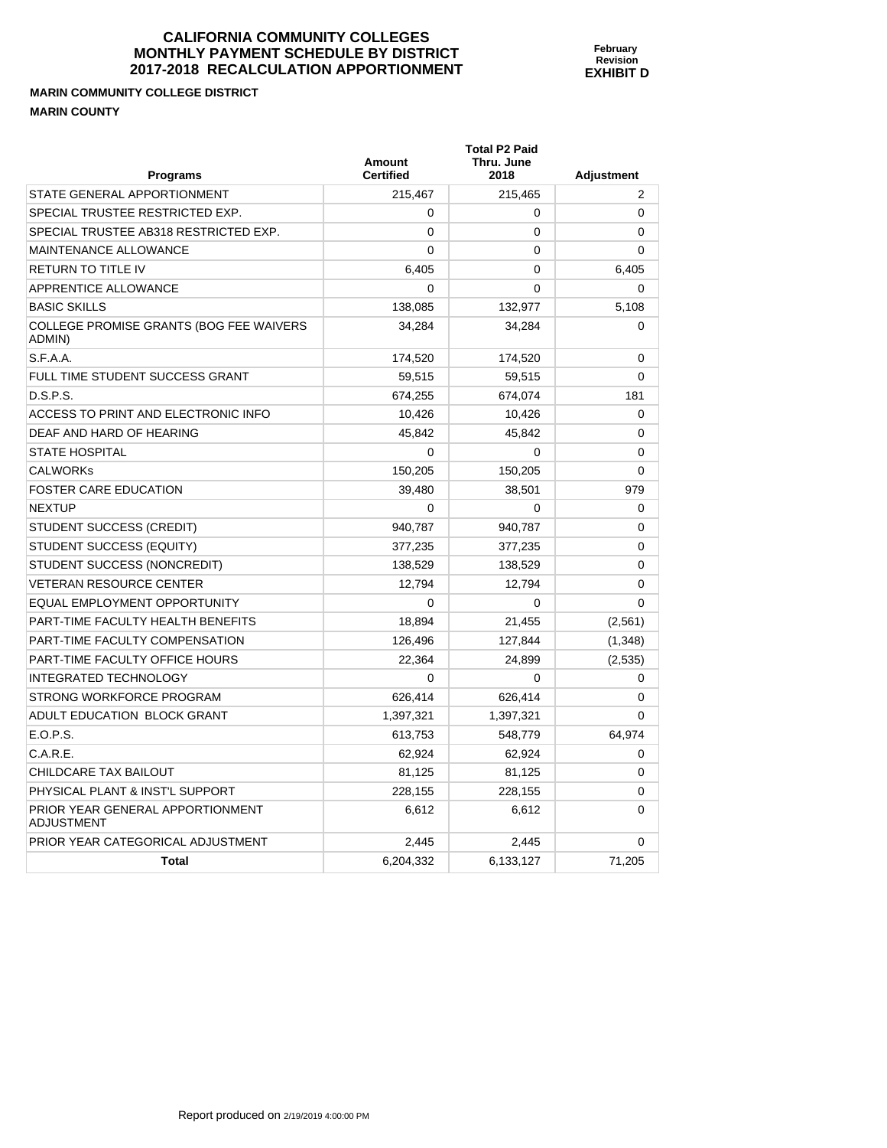#### **MARIN COMMUNITY COLLEGE DISTRICT MARIN COUNTY**

| Programs                                              | <b>Amount</b><br><b>Certified</b> | <b>Total P2 Paid</b><br>Thru. June<br>2018 | <b>Adjustment</b> |
|-------------------------------------------------------|-----------------------------------|--------------------------------------------|-------------------|
| STATE GENERAL APPORTIONMENT                           | 215,467                           | 215,465                                    | 2                 |
| SPECIAL TRUSTEE RESTRICTED EXP.                       | $\Omega$                          | 0                                          | 0                 |
| SPECIAL TRUSTEE AB318 RESTRICTED EXP.                 | $\Omega$                          | $\mathbf{0}$                               | 0                 |
| <b>MAINTENANCE ALLOWANCE</b>                          | $\Omega$                          | 0                                          | $\Omega$          |
| <b>RETURN TO TITLE IV</b>                             | 6,405                             | $\mathbf{0}$                               | 6,405             |
| APPRENTICE ALLOWANCE                                  | 0                                 | 0                                          | 0                 |
| <b>BASIC SKILLS</b>                                   | 138,085                           | 132,977                                    | 5,108             |
| COLLEGE PROMISE GRANTS (BOG FEE WAIVERS<br>ADMIN)     | 34.284                            | 34.284                                     | $\Omega$          |
| S.F.A.A.                                              | 174,520                           | 174,520                                    | 0                 |
| FULL TIME STUDENT SUCCESS GRANT                       | 59,515                            | 59,515                                     | $\Omega$          |
| D.S.P.S.                                              | 674,255                           | 674,074                                    | 181               |
| ACCESS TO PRINT AND ELECTRONIC INFO                   | 10,426                            | 10,426                                     | 0                 |
| DEAF AND HARD OF HEARING                              | 45.842                            | 45.842                                     | 0                 |
| <b>STATE HOSPITAL</b>                                 | $\Omega$                          | $\mathbf{0}$                               | $\mathbf{0}$      |
| <b>CALWORKs</b>                                       | 150,205                           | 150,205                                    | $\Omega$          |
| <b>FOSTER CARE EDUCATION</b>                          | 39.480                            | 38,501                                     | 979               |
| <b>NEXTUP</b>                                         | $\Omega$                          | 0                                          | $\Omega$          |
| STUDENT SUCCESS (CREDIT)                              | 940,787                           | 940,787                                    | $\Omega$          |
| STUDENT SUCCESS (EQUITY)                              | 377,235                           | 377,235                                    | $\Omega$          |
| STUDENT SUCCESS (NONCREDIT)                           | 138,529                           | 138,529                                    | $\Omega$          |
| <b>VETERAN RESOURCE CENTER</b>                        | 12.794                            | 12,794                                     | 0                 |
| EQUAL EMPLOYMENT OPPORTUNITY                          | 0                                 | 0                                          | 0                 |
| PART-TIME FACULTY HEALTH BENEFITS                     | 18.894                            | 21,455                                     | (2, 561)          |
| PART-TIME FACULTY COMPENSATION                        | 126,496                           | 127,844                                    | (1, 348)          |
| <b>PART-TIME FACULTY OFFICE HOURS</b>                 | 22.364                            | 24.899                                     | (2,535)           |
| <b>INTEGRATED TECHNOLOGY</b>                          | $\Omega$                          | 0                                          | $\Omega$          |
| STRONG WORKFORCE PROGRAM                              | 626,414                           | 626,414                                    | $\Omega$          |
| ADULT EDUCATION BLOCK GRANT                           | 1,397,321                         | 1,397,321                                  | $\Omega$          |
| E.O.P.S.                                              | 613,753                           | 548,779                                    | 64.974            |
| C.A.R.E.                                              | 62,924                            | 62,924                                     | 0                 |
| CHILDCARE TAX BAILOUT                                 | 81,125                            | 81,125                                     | $\Omega$          |
| PHYSICAL PLANT & INST'L SUPPORT                       | 228.155                           | 228.155                                    | $\Omega$          |
| PRIOR YEAR GENERAL APPORTIONMENT<br><b>ADJUSTMENT</b> | 6,612                             | 6,612                                      | $\Omega$          |
| PRIOR YEAR CATEGORICAL ADJUSTMENT                     | 2,445                             | 2,445                                      | 0                 |
| <b>Total</b>                                          | 6,204,332                         | 6,133,127                                  | 71,205            |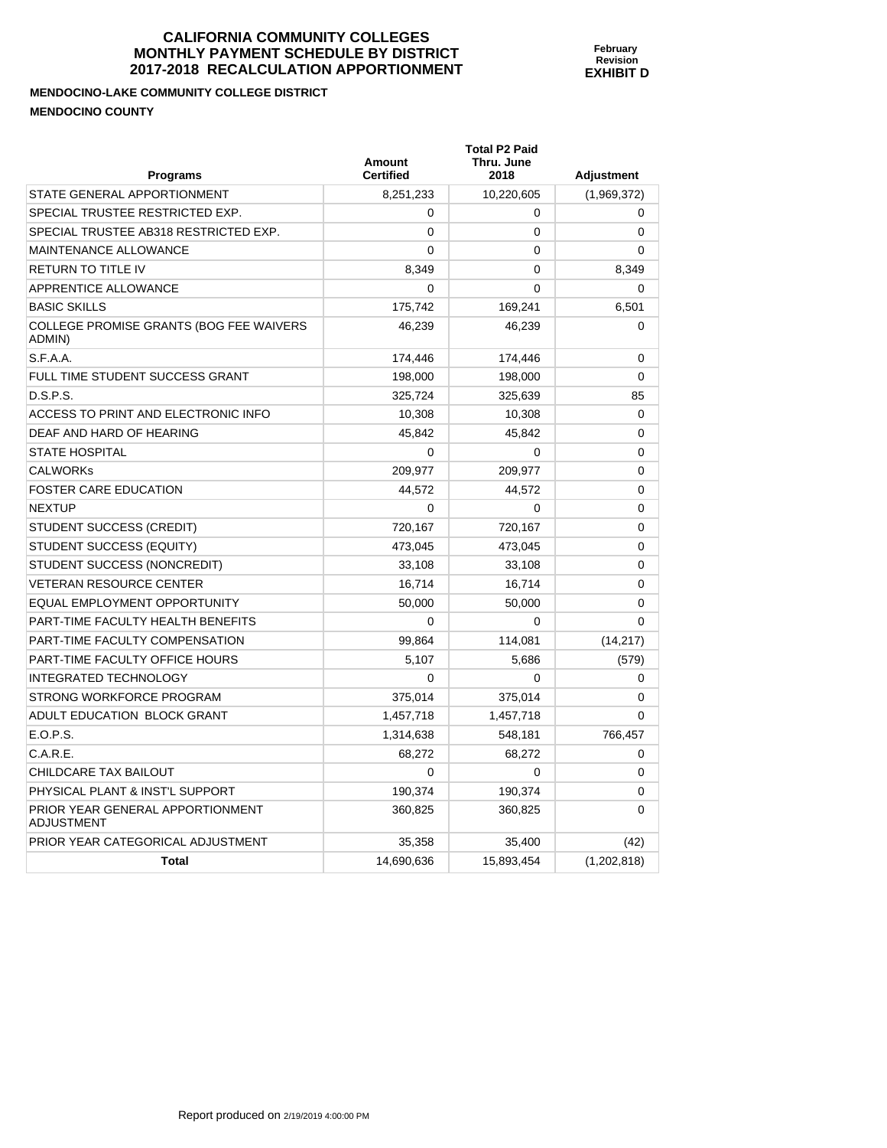**February Revision EXHIBIT D** 

**MENDOCINO-LAKE COMMUNITY COLLEGE DISTRICT MENDOCINO COUNTY** 

| <b>Programs</b>                                       | <b>Amount</b><br><b>Certified</b> | <b>Total P2 Paid</b><br>Thru. June<br>2018 | <b>Adjustment</b> |
|-------------------------------------------------------|-----------------------------------|--------------------------------------------|-------------------|
| STATE GENERAL APPORTIONMENT                           | 8,251,233                         | 10,220,605                                 | (1,969,372)       |
| SPECIAL TRUSTEE RESTRICTED EXP.                       | $\Omega$                          | 0                                          | 0                 |
| SPECIAL TRUSTEE AB318 RESTRICTED EXP.                 | $\mathbf{0}$                      | 0                                          | 0                 |
| <b>MAINTENANCE ALLOWANCE</b>                          | 0                                 | 0                                          | 0                 |
| <b>RETURN TO TITLE IV</b>                             | 8,349                             | $\Omega$                                   | 8,349             |
| APPRENTICE ALLOWANCE                                  | 0                                 | 0                                          | 0                 |
| <b>BASIC SKILLS</b>                                   | 175,742                           | 169,241                                    | 6,501             |
| COLLEGE PROMISE GRANTS (BOG FEE WAIVERS<br>ADMIN)     | 46,239                            | 46.239                                     | $\Omega$          |
| S.F.A.A.                                              | 174,446                           | 174,446                                    | 0                 |
| FULL TIME STUDENT SUCCESS GRANT                       | 198,000                           | 198,000                                    | $\Omega$          |
| D.S.P.S.                                              | 325,724                           | 325,639                                    | 85                |
| ACCESS TO PRINT AND ELECTRONIC INFO                   | 10,308                            | 10,308                                     | $\mathbf{0}$      |
| DEAF AND HARD OF HEARING                              | 45.842                            | 45,842                                     | 0                 |
| <b>STATE HOSPITAL</b>                                 | $\Omega$                          | 0                                          | $\mathbf{0}$      |
| <b>CALWORKs</b>                                       | 209,977                           | 209,977                                    | $\mathbf{0}$      |
| <b>FOSTER CARE EDUCATION</b>                          | 44,572                            | 44.572                                     | 0                 |
| <b>NEXTUP</b>                                         | $\mathbf{0}$                      | 0                                          | 0                 |
| <b>STUDENT SUCCESS (CREDIT)</b>                       | 720,167                           | 720,167                                    | 0                 |
| STUDENT SUCCESS (EQUITY)                              | 473,045                           | 473,045                                    | 0                 |
| STUDENT SUCCESS (NONCREDIT)                           | 33,108                            | 33.108                                     | 0                 |
| <b>VETERAN RESOURCE CENTER</b>                        | 16,714                            | 16,714                                     | 0                 |
| EQUAL EMPLOYMENT OPPORTUNITY                          | 50,000                            | 50,000                                     | 0                 |
| PART-TIME FACULTY HEALTH BENEFITS                     | 0                                 | 0                                          | 0                 |
| PART-TIME FACULTY COMPENSATION                        | 99,864                            | 114,081                                    | (14, 217)         |
| PART-TIME FACULTY OFFICE HOURS                        | 5.107                             | 5.686                                      | (579)             |
| <b>INTEGRATED TECHNOLOGY</b>                          | $\Omega$                          | 0                                          | 0                 |
| STRONG WORKFORCE PROGRAM                              | 375,014                           | 375,014                                    | $\Omega$          |
| ADULT EDUCATION BLOCK GRANT                           | 1,457,718                         | 1,457,718                                  | 0                 |
| E.O.P.S.                                              | 1,314,638                         | 548.181                                    | 766,457           |
| C.A.R.E.                                              | 68,272                            | 68,272                                     | 0                 |
| CHILDCARE TAX BAILOUT                                 | 0                                 | 0                                          | 0                 |
| PHYSICAL PLANT & INST'L SUPPORT                       | 190.374                           | 190.374                                    | 0                 |
| PRIOR YEAR GENERAL APPORTIONMENT<br><b>ADJUSTMENT</b> | 360,825                           | 360,825                                    | 0                 |
| PRIOR YEAR CATEGORICAL ADJUSTMENT                     | 35,358                            | 35,400                                     | (42)              |
| <b>Total</b>                                          | 14,690,636                        | 15,893,454                                 | (1,202,818)       |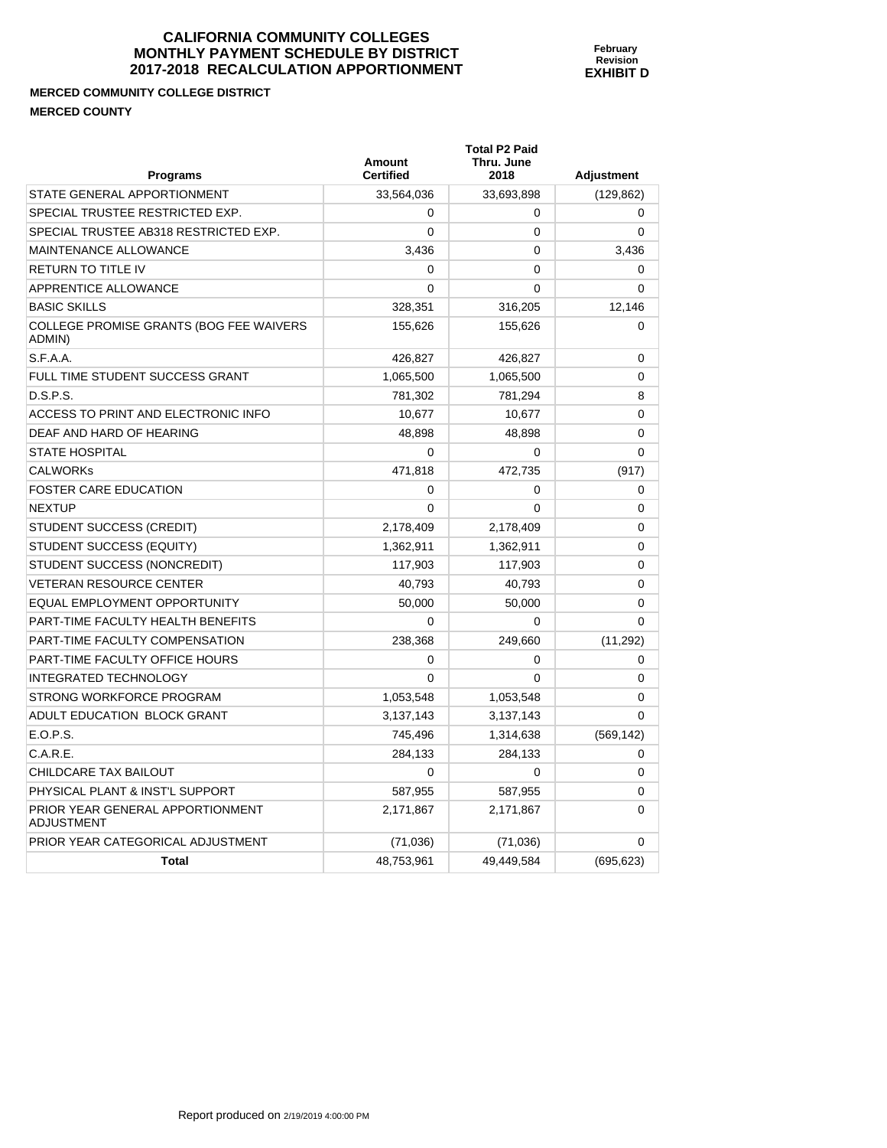# **MERCED COMMUNITY COLLEGE DISTRICT MERCED COUNTY**

| <b>Programs</b>                                       | Amount<br><b>Certified</b> | <b>Total P2 Paid</b><br>Thru. June<br>2018 | <b>Adjustment</b> |
|-------------------------------------------------------|----------------------------|--------------------------------------------|-------------------|
| STATE GENERAL APPORTIONMENT                           | 33,564,036                 | 33,693,898                                 | (129, 862)        |
| SPECIAL TRUSTEE RESTRICTED EXP.                       | $\Omega$                   | 0                                          | 0                 |
| SPECIAL TRUSTEE AB318 RESTRICTED EXP.                 | $\Omega$                   | $\Omega$                                   | $\Omega$          |
| <b>MAINTENANCE ALLOWANCE</b>                          | 3,436                      | $\Omega$                                   | 3,436             |
| <b>RETURN TO TITLE IV</b>                             | 0                          | $\Omega$                                   | $\Omega$          |
| APPRENTICE ALLOWANCE                                  | 0                          | $\Omega$                                   | 0                 |
| <b>BASIC SKILLS</b>                                   | 328,351                    | 316,205                                    | 12,146            |
| COLLEGE PROMISE GRANTS (BOG FEE WAIVERS<br>ADMIN)     | 155,626                    | 155,626                                    | $\Omega$          |
| S.F.A.A.                                              | 426,827                    | 426,827                                    | 0                 |
| FULL TIME STUDENT SUCCESS GRANT                       | 1,065,500                  | 1,065,500                                  | 0                 |
| D.S.P.S.                                              | 781,302                    | 781,294                                    | 8                 |
| ACCESS TO PRINT AND ELECTRONIC INFO                   | 10,677                     | 10,677                                     | 0                 |
| DEAF AND HARD OF HEARING                              | 48,898                     | 48,898                                     | 0                 |
| <b>STATE HOSPITAL</b>                                 | $\Omega$                   | $\Omega$                                   | $\Omega$          |
| <b>CALWORKS</b>                                       | 471,818                    | 472,735                                    | (917)             |
| <b>FOSTER CARE EDUCATION</b>                          | $\Omega$                   | $\Omega$                                   | 0                 |
| <b>NEXTUP</b>                                         | $\Omega$                   | $\Omega$                                   | $\Omega$          |
| STUDENT SUCCESS (CREDIT)                              | 2,178,409                  | 2,178,409                                  | $\Omega$          |
| STUDENT SUCCESS (EQUITY)                              | 1,362,911                  | 1,362,911                                  | 0                 |
| STUDENT SUCCESS (NONCREDIT)                           | 117,903                    | 117,903                                    | $\Omega$          |
| <b>VETERAN RESOURCE CENTER</b>                        | 40.793                     | 40,793                                     | 0                 |
| EQUAL EMPLOYMENT OPPORTUNITY                          | 50,000                     | 50,000                                     | 0                 |
| PART-TIME FACULTY HEALTH BENEFITS                     | $\Omega$                   | $\Omega$                                   | $\Omega$          |
| PART-TIME FACULTY COMPENSATION                        | 238,368                    | 249,660                                    | (11, 292)         |
| PART-TIME FACULTY OFFICE HOURS                        | 0                          | 0                                          | 0                 |
| <b>INTEGRATED TECHNOLOGY</b>                          | $\mathbf{0}$               | $\Omega$                                   | 0                 |
| STRONG WORKFORCE PROGRAM                              | 1,053,548                  | 1,053,548                                  | 0                 |
| ADULT EDUCATION BLOCK GRANT                           | 3,137,143                  | 3,137,143                                  | $\mathbf{0}$      |
| E.O.P.S.                                              | 745,496                    | 1,314,638                                  | (569, 142)        |
| C.A.R.E.                                              | 284,133                    | 284,133                                    | 0                 |
| CHILDCARE TAX BAILOUT                                 | $\Omega$                   | $\Omega$                                   | 0                 |
| PHYSICAL PLANT & INST'L SUPPORT                       | 587,955                    | 587,955                                    | 0                 |
| PRIOR YEAR GENERAL APPORTIONMENT<br><b>ADJUSTMENT</b> | 2,171,867                  | 2,171,867                                  | 0                 |
| PRIOR YEAR CATEGORICAL ADJUSTMENT                     | (71, 036)                  | (71, 036)                                  | 0                 |
| <b>Total</b>                                          | 48,753,961                 | 49,449,584                                 | (695, 623)        |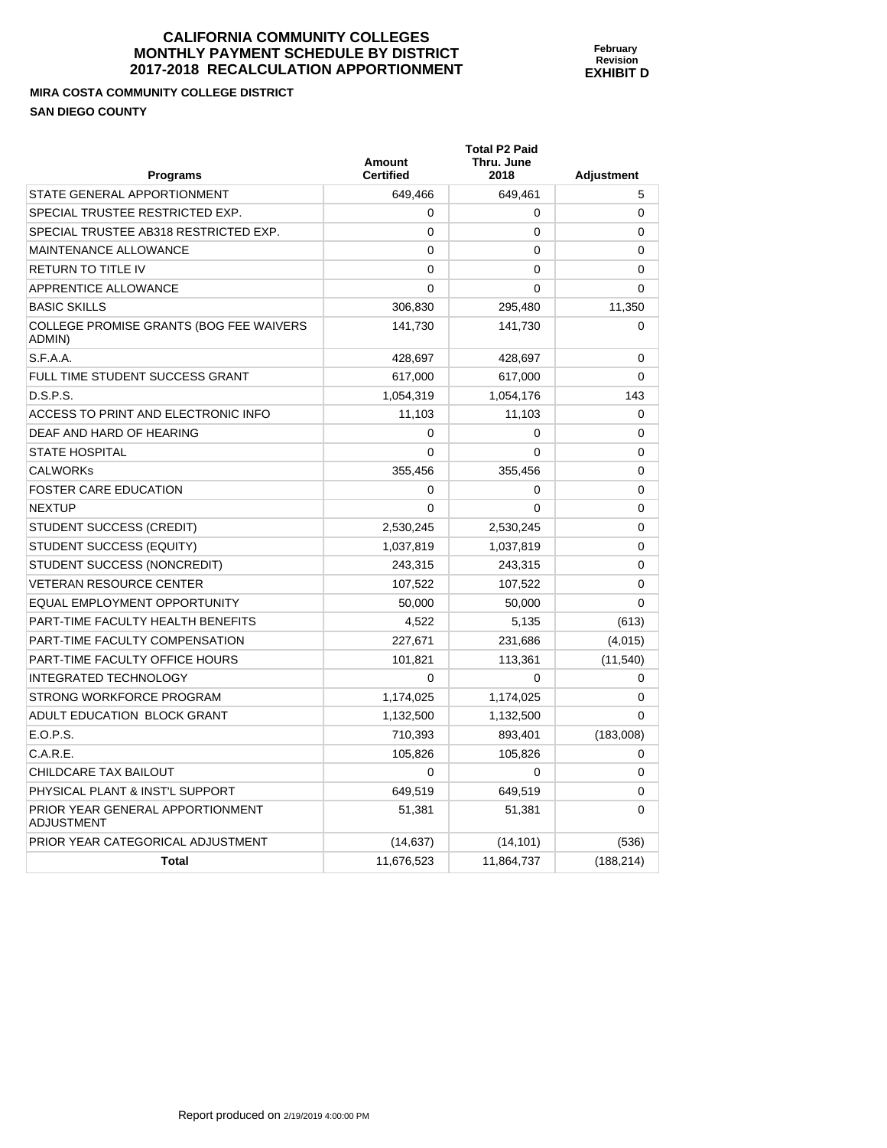**February Revision EXHIBIT D** 

**MIRA COSTA COMMUNITY COLLEGE DISTRICT SAN DIEGO COUNTY** 

PRIOR YEAR GENERAL APPORTIONMENT

ADJUSTMENT

| Programs                                          | Amount<br><b>Certified</b> | <b>Total P2 Paid</b><br>Thru. June<br>2018 | <b>Adjustment</b> |
|---------------------------------------------------|----------------------------|--------------------------------------------|-------------------|
| STATE GENERAL APPORTIONMENT                       | 649,466                    | 649,461                                    | 5                 |
| SPECIAL TRUSTEE RESTRICTED EXP.                   | $\Omega$                   | 0                                          | 0                 |
| SPECIAL TRUSTEE AB318 RESTRICTED EXP.             | $\Omega$                   | $\Omega$                                   | 0                 |
| MAINTENANCE ALLOWANCE                             | $\Omega$                   | 0                                          | $\Omega$          |
| <b>RETURN TO TITLE IV</b>                         | $\Omega$                   | 0                                          | $\Omega$          |
| APPRENTICE ALLOWANCE                              | $\Omega$                   | 0                                          | $\Omega$          |
| <b>BASIC SKILLS</b>                               | 306,830                    | 295,480                                    | 11,350            |
| COLLEGE PROMISE GRANTS (BOG FEE WAIVERS<br>ADMIN) | 141,730                    | 141,730                                    | 0                 |
| S.F.A.A.                                          | 428,697                    | 428,697                                    | $\Omega$          |
| FULL TIME STUDENT SUCCESS GRANT                   | 617,000                    | 617,000                                    | $\Omega$          |
| D.S.P.S.                                          | 1,054,319                  | 1,054,176                                  | 143               |
| ACCESS TO PRINT AND ELECTRONIC INFO               | 11,103                     | 11,103                                     | $\Omega$          |
| DEAF AND HARD OF HEARING                          | $\Omega$                   | 0                                          | $\Omega$          |
| <b>STATE HOSPITAL</b>                             | $\Omega$                   | 0                                          | $\mathbf 0$       |
| <b>CALWORKS</b>                                   | 355,456                    | 355,456                                    | $\Omega$          |
| <b>FOSTER CARE EDUCATION</b>                      | $\Omega$                   | 0                                          | $\Omega$          |
| <b>NEXTUP</b>                                     | $\Omega$                   | 0                                          | $\Omega$          |
| STUDENT SUCCESS (CREDIT)                          | 2,530,245                  | 2,530,245                                  | $\Omega$          |
| STUDENT SUCCESS (EQUITY)                          | 1,037,819                  | 1,037,819                                  | 0                 |
| STUDENT SUCCESS (NONCREDIT)                       | 243,315                    | 243,315                                    | $\Omega$          |
| <b>VETERAN RESOURCE CENTER</b>                    | 107,522                    | 107,522                                    | $\Omega$          |
| EQUAL EMPLOYMENT OPPORTUNITY                      | 50,000                     | 50,000                                     | $\Omega$          |
| PART-TIME FACULTY HEALTH BENEFITS                 | 4,522                      | 5,135                                      | (613)             |
| PART-TIME FACULTY COMPENSATION                    | 227,671                    | 231,686                                    | (4,015)           |
| PART-TIME FACULTY OFFICE HOURS                    | 101.821                    | 113,361                                    | (11.540)          |

INTEGRATED TECHNOLOGY 0 0 0 STRONG WORKFORCE PROGRAM  $1,174,025$   $1,174,025$   $1,174,025$  0 ADULT EDUCATION BLOCK GRANT  $1,132,500$   $1,132,500$   $1,132,500$  0 E.O.P.S. 710,393 893,401 (183,008) C.A.R.E. 105,826 105,826 0 CHILDCARE TAX BAILOUT 0 0 0 PHYSICAL PLANT & INST'L SUPPORT  $649,519$  649,519 649,519 0

PRIOR YEAR CATEGORICAL ADJUSTMENT  $(14,637)$  (14,101) (536)

**Total 11,676,523** 11,864,737 (188,214)

51,381 51,381 0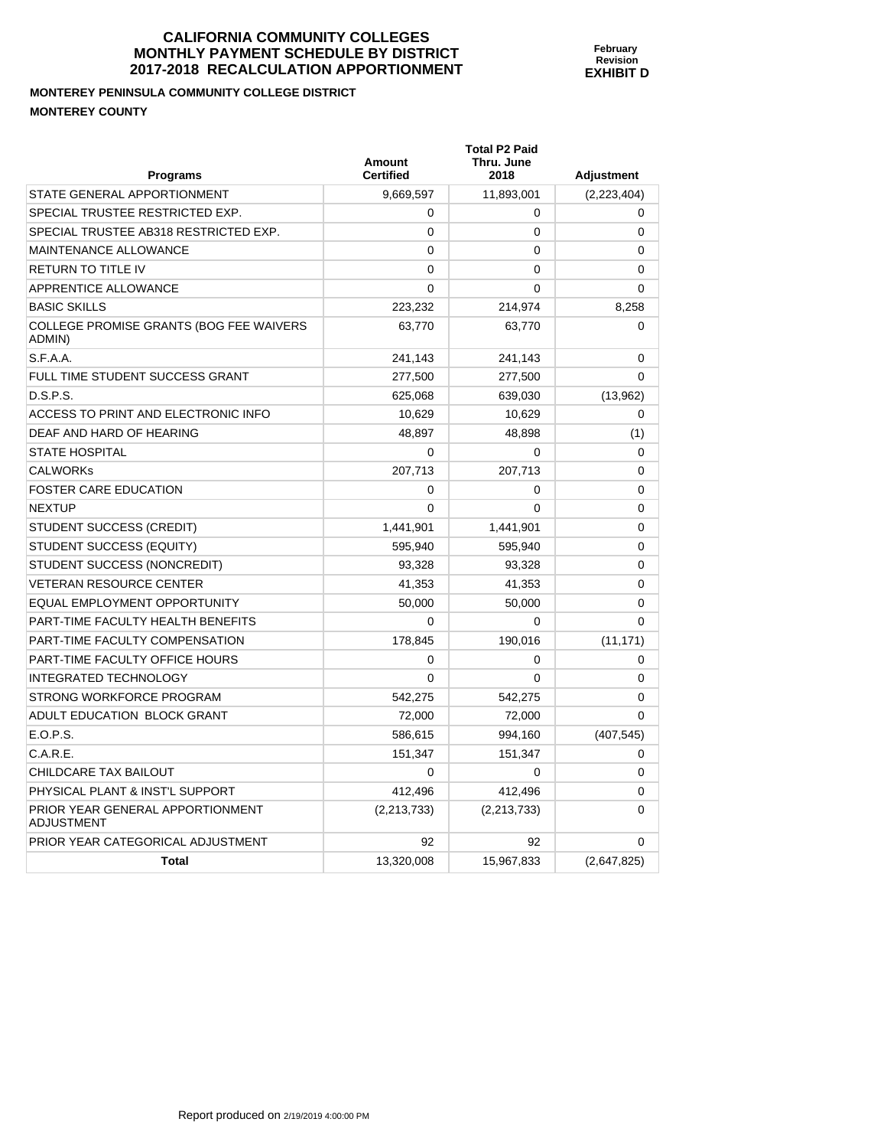#### **MONTEREY PENINSULA COMMUNITY COLLEGE DISTRICT MONTEREY COUNTY**

| <b>Programs</b>                                       | <b>Amount</b><br><b>Certified</b> | <b>Total P2 Paid</b><br>Thru. June<br>2018 | <b>Adjustment</b> |
|-------------------------------------------------------|-----------------------------------|--------------------------------------------|-------------------|
| STATE GENERAL APPORTIONMENT                           | 9.669.597                         | 11,893,001                                 | (2,223,404)       |
| SPECIAL TRUSTEE RESTRICTED EXP.                       | 0                                 | 0                                          | 0                 |
| SPECIAL TRUSTEE AB318 RESTRICTED EXP.                 | $\mathbf{0}$                      | 0                                          | 0                 |
| MAINTENANCE ALLOWANCE                                 | 0                                 | 0                                          | 0                 |
| <b>RETURN TO TITLE IV</b>                             | $\Omega$                          | 0                                          | 0                 |
| APPRENTICE ALLOWANCE                                  | 0                                 | 0                                          | 0                 |
| <b>BASIC SKILLS</b>                                   | 223,232                           | 214,974                                    | 8,258             |
| COLLEGE PROMISE GRANTS (BOG FEE WAIVERS<br>ADMIN)     | 63.770                            | 63,770                                     | 0                 |
| S.F.A.A.                                              | 241,143                           | 241,143                                    | $\mathbf 0$       |
| FULL TIME STUDENT SUCCESS GRANT                       | 277,500                           | 277,500                                    | $\Omega$          |
| D.S.P.S.                                              | 625,068                           | 639,030                                    | (13,962)          |
| ACCESS TO PRINT AND ELECTRONIC INFO                   | 10,629                            | 10,629                                     | $\mathbf 0$       |
| DEAF AND HARD OF HEARING                              | 48.897                            | 48,898                                     | (1)               |
| <b>STATE HOSPITAL</b>                                 | 0                                 | $\mathbf 0$                                | $\Omega$          |
| <b>CALWORKS</b>                                       | 207,713                           | 207,713                                    | 0                 |
| <b>FOSTER CARE EDUCATION</b>                          | 0                                 | 0                                          | 0                 |
| <b>NEXTUP</b>                                         | $\mathbf{0}$                      | $\Omega$                                   | 0                 |
| <b>STUDENT SUCCESS (CREDIT)</b>                       | 1,441,901                         | 1,441,901                                  | 0                 |
| STUDENT SUCCESS (EQUITY)                              | 595,940                           | 595,940                                    | 0                 |
| STUDENT SUCCESS (NONCREDIT)                           | 93.328                            | 93,328                                     | 0                 |
| <b>VETERAN RESOURCE CENTER</b>                        | 41,353                            | 41,353                                     | 0                 |
| EQUAL EMPLOYMENT OPPORTUNITY                          | 50,000                            | 50,000                                     | 0                 |
| PART-TIME FACULTY HEALTH BENEFITS                     | $\Omega$                          | 0                                          | 0                 |
| PART-TIME FACULTY COMPENSATION                        | 178,845                           | 190,016                                    | (11, 171)         |
| <b>PART-TIME FACULTY OFFICE HOURS</b>                 | 0                                 | 0                                          | 0                 |
| <b>INTEGRATED TECHNOLOGY</b>                          | $\Omega$                          | $\Omega$                                   | $\Omega$          |
| STRONG WORKFORCE PROGRAM                              | 542.275                           | 542,275                                    | 0                 |
| ADULT EDUCATION BLOCK GRANT                           | 72,000                            | 72,000                                     | 0                 |
| E.O.P.S.                                              | 586.615                           | 994,160                                    | (407, 545)        |
| C.A.R.E.                                              | 151,347                           | 151,347                                    | 0                 |
| CHILDCARE TAX BAILOUT                                 | $\Omega$                          | 0                                          | 0                 |
| PHYSICAL PLANT & INST'L SUPPORT                       | 412.496                           | 412.496                                    | $\Omega$          |
| PRIOR YEAR GENERAL APPORTIONMENT<br><b>ADJUSTMENT</b> | (2,213,733)                       | (2,213,733)                                | 0                 |
| PRIOR YEAR CATEGORICAL ADJUSTMENT                     | 92                                | 92                                         | 0                 |
| <b>Total</b>                                          | 13,320,008                        | 15,967,833                                 | (2,647,825)       |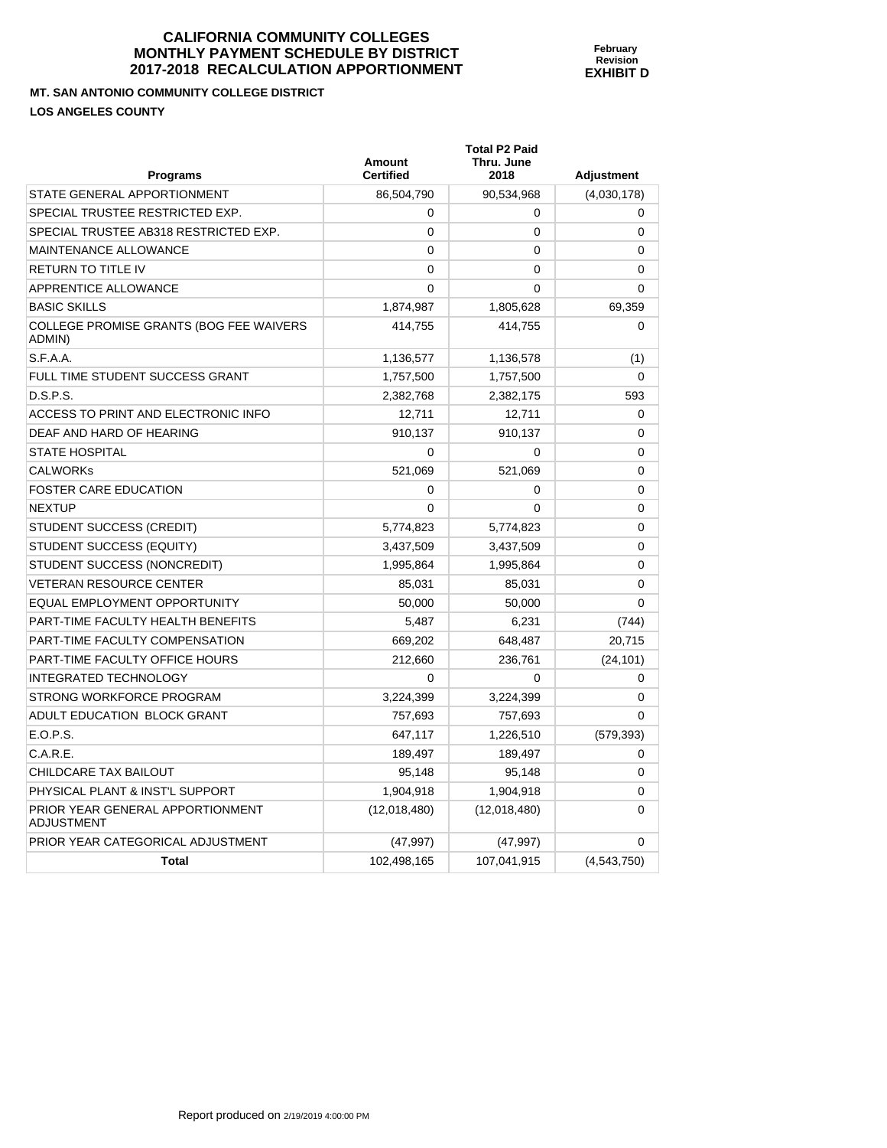**MT. SAN ANTONIO COMMUNITY COLLEGE DISTRICT** 

**LOS ANGELES COUNTY** 

| <b>Programs</b>                                       | <b>Amount</b><br><b>Certified</b> | <b>Total P2 Paid</b><br>Thru. June<br>2018 | <b>Adjustment</b> |
|-------------------------------------------------------|-----------------------------------|--------------------------------------------|-------------------|
| STATE GENERAL APPORTIONMENT                           | 86,504,790                        | 90,534,968                                 | (4,030,178)       |
| SPECIAL TRUSTEE RESTRICTED EXP.                       | 0                                 | 0                                          | 0                 |
| SPECIAL TRUSTEE AB318 RESTRICTED EXP.                 | $\mathbf{0}$                      | $\Omega$                                   | 0                 |
| <b>MAINTENANCE ALLOWANCE</b>                          | 0                                 | 0                                          | 0                 |
| <b>RETURN TO TITLE IV</b>                             | $\Omega$                          | 0                                          | $\mathbf 0$       |
| APPRENTICE ALLOWANCE                                  | $\Omega$                          | $\Omega$                                   | $\Omega$          |
| <b>BASIC SKILLS</b>                                   | 1,874,987                         | 1,805,628                                  | 69,359            |
| COLLEGE PROMISE GRANTS (BOG FEE WAIVERS<br>ADMIN)     | 414,755                           | 414,755                                    | $\Omega$          |
| S.F.A.A.                                              | 1,136,577                         | 1,136,578                                  | (1)               |
| FULL TIME STUDENT SUCCESS GRANT                       | 1,757,500                         | 1,757,500                                  | $\Omega$          |
| D.S.P.S.                                              | 2,382,768                         | 2,382,175                                  | 593               |
| ACCESS TO PRINT AND ELECTRONIC INFO                   | 12,711                            | 12,711                                     | $\Omega$          |
| DEAF AND HARD OF HEARING                              | 910,137                           | 910,137                                    | $\Omega$          |
| <b>STATE HOSPITAL</b>                                 | $\Omega$                          | 0                                          | 0                 |
| <b>CALWORKs</b>                                       | 521,069                           | 521,069                                    | 0                 |
| <b>FOSTER CARE EDUCATION</b>                          | 0                                 | 0                                          | $\Omega$          |
| <b>NEXTUP</b>                                         | $\mathbf{0}$                      | 0                                          | $\mathbf{0}$      |
| STUDENT SUCCESS (CREDIT)                              | 5,774,823                         | 5,774,823                                  | 0                 |
| STUDENT SUCCESS (EQUITY)                              | 3,437,509                         | 3,437,509                                  | 0                 |
| STUDENT SUCCESS (NONCREDIT)                           | 1,995,864                         | 1,995,864                                  | 0                 |
| <b>VETERAN RESOURCE CENTER</b>                        | 85,031                            | 85,031                                     | 0                 |
| EQUAL EMPLOYMENT OPPORTUNITY                          | 50,000                            | 50,000                                     | $\Omega$          |
| PART-TIME FACULTY HEALTH BENEFITS                     | 5,487                             | 6,231                                      | (744)             |
| PART-TIME FACULTY COMPENSATION                        | 669,202                           | 648,487                                    | 20,715            |
| PART-TIME FACULTY OFFICE HOURS                        | 212,660                           | 236,761                                    | (24, 101)         |
| <b>INTEGRATED TECHNOLOGY</b>                          | $\Omega$                          | 0                                          | 0                 |
| STRONG WORKFORCE PROGRAM                              | 3,224,399                         | 3,224,399                                  | 0                 |
| ADULT EDUCATION BLOCK GRANT                           | 757,693                           | 757,693                                    | 0                 |
| E.O.P.S.                                              | 647,117                           | 1,226,510                                  | (579, 393)        |
| C.A.R.E.                                              | 189,497                           | 189,497                                    | 0                 |
| <b>CHILDCARE TAX BAILOUT</b>                          | 95,148                            | 95,148                                     | 0                 |
| PHYSICAL PLANT & INST'L SUPPORT                       | 1,904,918                         | 1,904,918                                  | $\Omega$          |
| PRIOR YEAR GENERAL APPORTIONMENT<br><b>ADJUSTMENT</b> | (12,018,480)                      | (12,018,480)                               | $\mathbf 0$       |
| PRIOR YEAR CATEGORICAL ADJUSTMENT                     | (47, 997)                         | (47, 997)                                  | 0                 |
| Total                                                 | 102,498,165                       | 107,041,915                                | (4,543,750)       |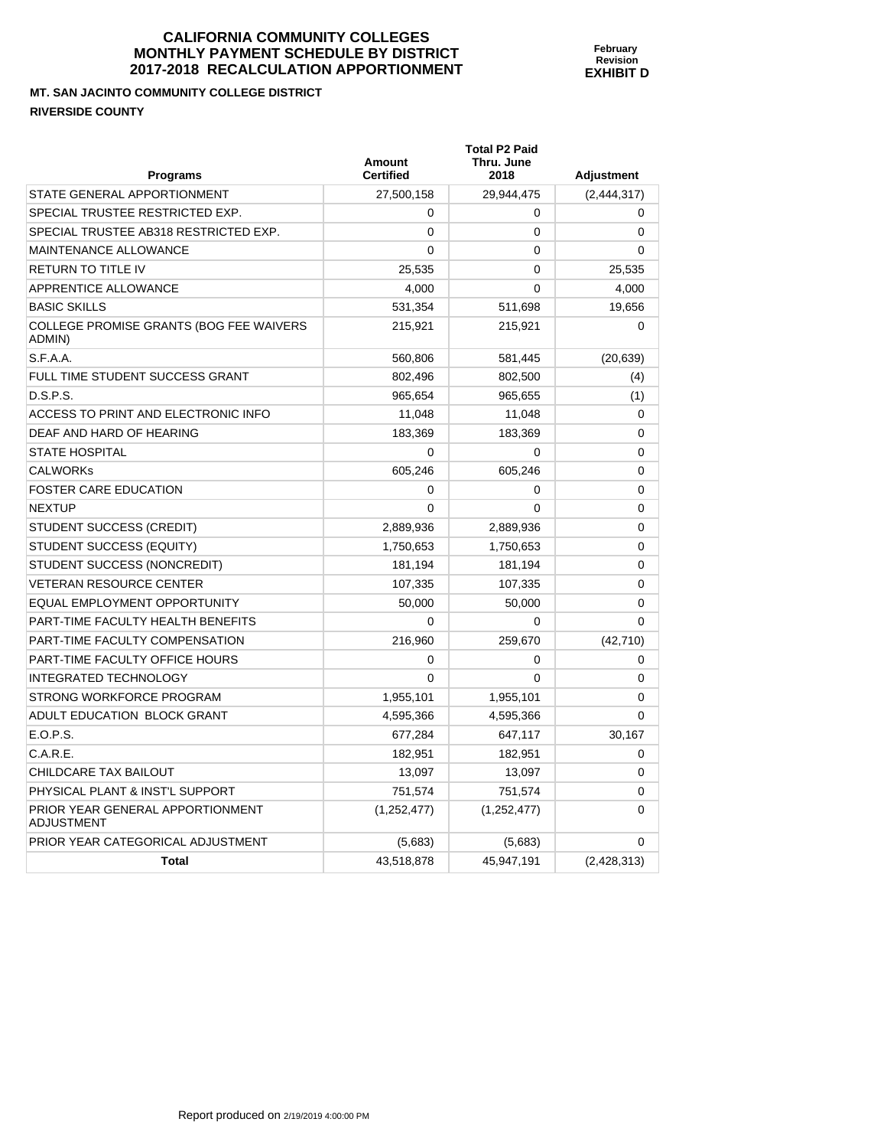**February Revision EXHIBIT D** 

**MT. SAN JACINTO COMMUNITY COLLEGE DISTRICT RIVERSIDE COUNTY** 

| <b>Programs</b>                                   | <b>Amount</b><br><b>Certified</b> | <b>Total P2 Paid</b><br>Thru. June<br>2018 | <b>Adjustment</b> |
|---------------------------------------------------|-----------------------------------|--------------------------------------------|-------------------|
| STATE GENERAL APPORTIONMENT                       | 27,500,158                        | 29,944,475                                 | (2, 444, 317)     |
| SPECIAL TRUSTEE RESTRICTED EXP.                   | 0                                 | 0                                          | 0                 |
| SPECIAL TRUSTEE AB318 RESTRICTED EXP.             | $\Omega$                          | $\Omega$                                   | $\Omega$          |
| <b>MAINTENANCE ALLOWANCE</b>                      | $\mathbf{0}$                      | $\Omega$                                   | $\Omega$          |
| RETURN TO TITLE IV                                | 25,535                            | $\Omega$                                   | 25,535            |
| APPRENTICE ALLOWANCE                              | 4,000                             | $\Omega$                                   | 4,000             |
| <b>BASIC SKILLS</b>                               | 531,354                           | 511,698                                    | 19,656            |
| COLLEGE PROMISE GRANTS (BOG FEE WAIVERS<br>ADMIN) | 215,921                           | 215,921                                    | $\Omega$          |
| S.F.A.A.                                          | 560,806                           | 581,445                                    | (20, 639)         |
| FULL TIME STUDENT SUCCESS GRANT                   | 802,496                           | 802,500                                    | (4)               |
| D.S.P.S.                                          | 965,654                           | 965,655                                    | (1)               |
| ACCESS TO PRINT AND ELECTRONIC INFO               | 11,048                            | 11,048                                     | 0                 |
| DEAF AND HARD OF HEARING                          | 183,369                           | 183,369                                    | 0                 |
| <b>STATE HOSPITAL</b>                             | $\mathbf 0$                       | 0                                          | 0                 |
| <b>CALWORKs</b>                                   | 605,246                           | 605,246                                    | $\mathbf 0$       |
| <b>FOSTER CARE EDUCATION</b>                      | 0                                 | $\Omega$                                   | 0                 |
| NEXTUP                                            | $\Omega$                          | $\Omega$                                   | $\mathbf 0$       |
| STUDENT SUCCESS (CREDIT)                          | 2,889,936                         | 2,889,936                                  | $\Omega$          |
| STUDENT SUCCESS (EQUITY)                          | 1,750,653                         | 1,750,653                                  | 0                 |
| STUDENT SUCCESS (NONCREDIT)                       | 181,194                           | 181,194                                    | $\mathbf 0$       |
| <b>VETERAN RESOURCE CENTER</b>                    | 107,335                           | 107,335                                    | 0                 |
| EQUAL EMPLOYMENT OPPORTUNITY                      | 50,000                            | 50,000                                     | $\mathbf 0$       |
| PART-TIME FACULTY HEALTH BENEFITS                 | $\Omega$                          | $\Omega$                                   | 0                 |
| PART-TIME FACULTY COMPENSATION                    | 216,960                           | 259,670                                    | (42, 710)         |
| PART-TIME FACULTY OFFICE HOURS                    | 0                                 | 0                                          | 0                 |
| <b>INTEGRATED TECHNOLOGY</b>                      | $\mathbf{0}$                      | 0                                          | 0                 |
| STRONG WORKFORCE PROGRAM                          | 1,955,101                         | 1,955,101                                  | 0                 |
| ADULT EDUCATION BLOCK GRANT                       | 4,595,366                         | 4,595,366                                  | $\mathbf{0}$      |
| E.O.P.S.                                          | 677,284                           | 647,117                                    | 30,167            |
| C.A.R.E.                                          | 182,951                           | 182,951                                    | $\Omega$          |
| CHILDCARE TAX BAILOUT                             | 13,097                            | 13,097                                     | $\mathbf 0$       |
| PHYSICAL PLANT & INST'L SUPPORT                   | 751,574                           | 751,574                                    | $\mathbf 0$       |
| PRIOR YEAR GENERAL APPORTIONMENT<br>ADJUSTMENT    | (1,252,477)                       | (1,252,477)                                | 0                 |
| PRIOR YEAR CATEGORICAL ADJUSTMENT                 | (5,683)                           | (5,683)                                    | 0                 |
| Total                                             | 43,518,878                        | 45,947,191                                 | (2,428,313)       |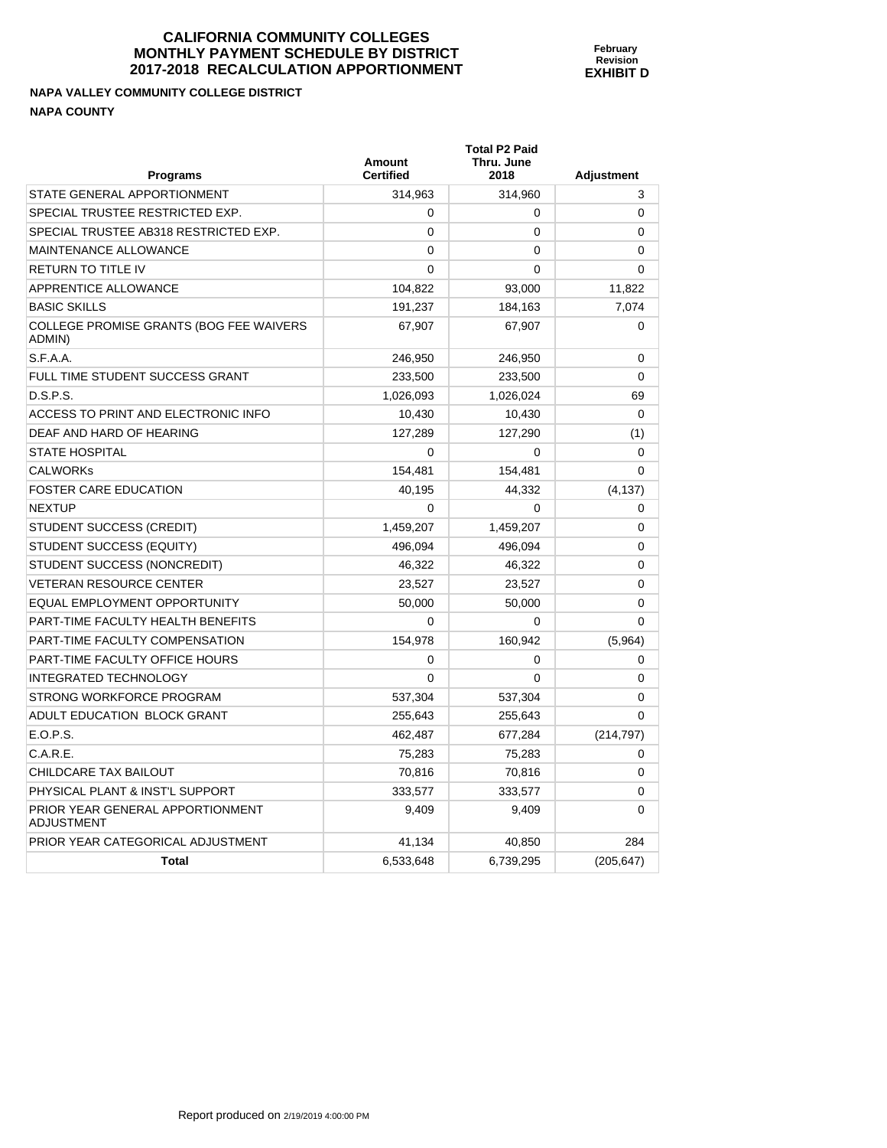**NAPA VALLEY COMMUNITY COLLEGE DISTRICT NAPA COUNTY** 

PRIOR YEAR GENERAL APPORTIONMENT

ADJUSTMENT

| <b>NAPA COUNTY</b>                                |                            |                                            |                   |
|---------------------------------------------------|----------------------------|--------------------------------------------|-------------------|
| <b>Programs</b>                                   | Amount<br><b>Certified</b> | <b>Total P2 Paid</b><br>Thru. June<br>2018 | <b>Adjustment</b> |
| STATE GENERAL APPORTIONMENT                       | 314,963                    | 314,960                                    | 3                 |
| SPECIAL TRUSTEE RESTRICTED EXP.                   | 0                          | 0                                          | $\Omega$          |
| SPECIAL TRUSTEE AB318 RESTRICTED EXP.             | 0                          | 0                                          | $\Omega$          |
| <b>MAINTENANCE ALLOWANCE</b>                      | 0                          | 0                                          | $\Omega$          |
| <b>RETURN TO TITLE IV</b>                         | 0                          | 0                                          | $\Omega$          |
| APPRENTICE ALLOWANCE                              | 104,822                    | 93,000                                     | 11,822            |
| <b>BASIC SKILLS</b>                               | 191,237                    | 184,163                                    | 7,074             |
| COLLEGE PROMISE GRANTS (BOG FEE WAIVERS<br>ADMIN) | 67,907                     | 67,907                                     | $\Omega$          |
| S.F.A.A.                                          | 246,950                    | 246,950                                    | 0                 |
| FULL TIME STUDENT SUCCESS GRANT                   | 233,500                    | 233,500                                    | $\Omega$          |
| D.S.P.S.                                          | 1,026,093                  | 1,026,024                                  | 69                |
| ACCESS TO PRINT AND ELECTRONIC INFO               | 10,430                     | 10,430                                     | $\Omega$          |
| DEAF AND HARD OF HEARING                          | 127,289                    | 127,290                                    | (1)               |
| <b>STATE HOSPITAL</b>                             | 0                          | 0                                          | $\Omega$          |
| <b>CALWORKS</b>                                   | 154,481                    | 154,481                                    | 0                 |

FOSTER CARE EDUCATION **10.195** 40,195 444,332 444,332 NEXTUP  $\begin{array}{ccccccc} 0 & 0 & 0 & 0 \end{array}$ STUDENT SUCCESS (CREDIT)  $1,459,207$   $1,459,207$   $1,459,207$  0 STUDENT SUCCESS (EQUITY)  $496,094$   $496,094$   $496,094$  0 STUDENT SUCCESS (NONCREDIT)  $46,322$   $46,322$   $46,322$  0 VETERAN RESOURCE CENTER  $23,527$   $23,527$   $23,527$  0 EQUAL EMPLOYMENT OPPORTUNITY  $\begin{array}{ccc} 50,000 & 50,000 \end{array}$  50,000 0 PART-TIME FACULTY HEALTH BENEFITS 0 0 0 PART-TIME FACULTY COMPENSATION 154,978 160,942 (5,964) PART-TIME FACULTY OFFICE HOURS  $\begin{array}{ccc} 0 & 0 & 0 \end{array}$ INTEGRATED TECHNOLOGY 0 0 0 STRONG WORKFORCE PROGRAM 637.304 537.304 537.304 0 ADULT EDUCATION BLOCK GRANT  $255,643$   $255,643$   $255,643$  0 E.O.P.S. 462,487 677,284 (214,797) C.A.R.E. 75,283 75,283 0 CHILDCARE TAX BAILOUT CHILDCARE TAX BAILOUT CHILDCARE TAX BAILOUT PHYSICAL PLANT & INST'L SUPPORT 333,577 333,577 0

PRIOR YEAR CATEGORICAL ADJUSTMENT  $41,134$   $40,850$   $284$ 

**Total 1205,647** 6,533,648 6,533,648 6,739,295 6,647)

**February Revision EXHIBIT D** 

9,409 9,409 0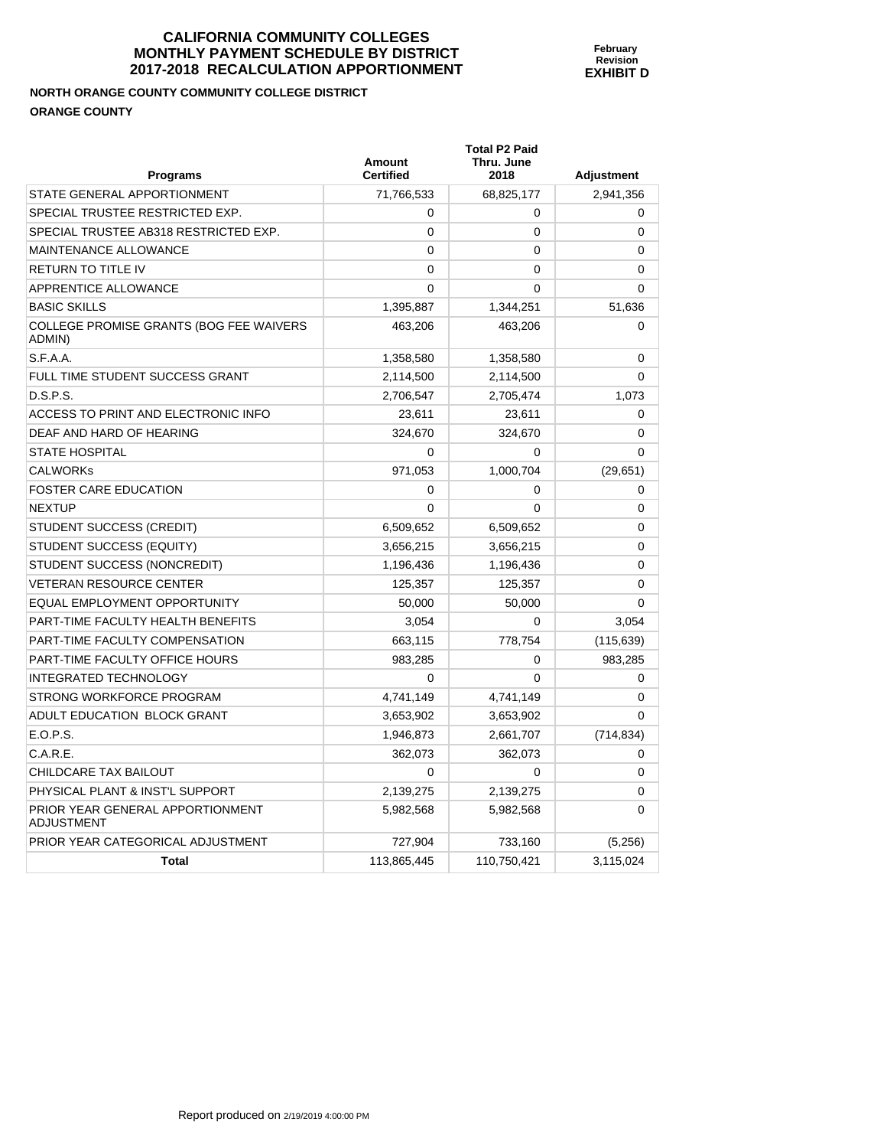# **NORTH ORANGE COUNTY COMMUNITY COLLEGE DISTRICT ORANGE COUNTY**

| <b>Programs</b>                                       | Amount<br><b>Certified</b> | <b>Total P2 Paid</b><br>Thru. June<br>2018 | <b>Adjustment</b> |
|-------------------------------------------------------|----------------------------|--------------------------------------------|-------------------|
| STATE GENERAL APPORTIONMENT                           | 71,766,533                 | 68,825,177                                 | 2,941,356         |
| SPECIAL TRUSTEE RESTRICTED EXP.                       | 0                          | 0                                          | 0                 |
| SPECIAL TRUSTEE AB318 RESTRICTED EXP.                 | $\Omega$                   | 0                                          | 0                 |
| <b>MAINTENANCE ALLOWANCE</b>                          | $\mathbf{0}$               | $\mathbf{0}$                               | $\Omega$          |
| <b>RETURN TO TITLE IV</b>                             | 0                          | 0                                          | 0                 |
| APPRENTICE ALLOWANCE                                  | 0                          | 0                                          | 0                 |
| <b>BASIC SKILLS</b>                                   | 1,395,887                  | 1,344,251                                  | 51,636            |
| COLLEGE PROMISE GRANTS (BOG FEE WAIVERS<br>ADMIN)     | 463,206                    | 463,206                                    | $\Omega$          |
| S.F.A.A.                                              | 1,358,580                  | 1,358,580                                  | 0                 |
| FULL TIME STUDENT SUCCESS GRANT                       | 2,114,500                  | 2,114,500                                  | 0                 |
| D.S.P.S.                                              | 2,706,547                  | 2,705,474                                  | 1,073             |
| ACCESS TO PRINT AND ELECTRONIC INFO                   | 23,611                     | 23,611                                     | 0                 |
| DEAF AND HARD OF HEARING                              | 324,670                    | 324,670                                    | 0                 |
| <b>STATE HOSPITAL</b>                                 | 0                          | 0                                          | $\Omega$          |
| <b>CALWORKS</b>                                       | 971,053                    | 1,000,704                                  | (29, 651)         |
| <b>FOSTER CARE EDUCATION</b>                          | $\Omega$                   | 0                                          | 0                 |
| <b>NEXTUP</b>                                         | $\Omega$                   | $\Omega$                                   | $\Omega$          |
| STUDENT SUCCESS (CREDIT)                              | 6,509,652                  | 6,509,652                                  | $\Omega$          |
| STUDENT SUCCESS (EQUITY)                              | 3,656,215                  | 3,656,215                                  | 0                 |
| STUDENT SUCCESS (NONCREDIT)                           | 1,196,436                  | 1,196,436                                  | $\Omega$          |
| <b>VETERAN RESOURCE CENTER</b>                        | 125.357                    | 125,357                                    | $\mathbf{0}$      |
| <b>EQUAL EMPLOYMENT OPPORTUNITY</b>                   | 50,000                     | 50,000                                     | 0                 |
| PART-TIME FACULTY HEALTH BENEFITS                     | 3,054                      | 0                                          | 3,054             |
| PART-TIME FACULTY COMPENSATION                        | 663,115                    | 778,754                                    | (115, 639)        |
| PART-TIME FACULTY OFFICE HOURS                        | 983,285                    | 0                                          | 983,285           |
| <b>INTEGRATED TECHNOLOGY</b>                          | 0                          | $\Omega$                                   | 0                 |
| STRONG WORKFORCE PROGRAM                              | 4,741,149                  | 4,741,149                                  | 0                 |
| ADULT EDUCATION BLOCK GRANT                           | 3,653,902                  | 3,653,902                                  | $\mathbf{0}$      |
| E.O.P.S.                                              | 1,946,873                  | 2,661,707                                  | (714, 834)        |
| C.A.R.E.                                              | 362,073                    | 362,073                                    | 0                 |
| CHILDCARE TAX BAILOUT                                 | $\Omega$                   | $\Omega$                                   | 0                 |
| PHYSICAL PLANT & INST'L SUPPORT                       | 2,139,275                  | 2,139,275                                  | 0                 |
| PRIOR YEAR GENERAL APPORTIONMENT<br><b>ADJUSTMENT</b> | 5,982,568                  | 5,982,568                                  | 0                 |
| PRIOR YEAR CATEGORICAL ADJUSTMENT                     | 727,904                    | 733,160                                    | (5,256)           |
| <b>Total</b>                                          | 113,865,445                | 110,750,421                                | 3,115,024         |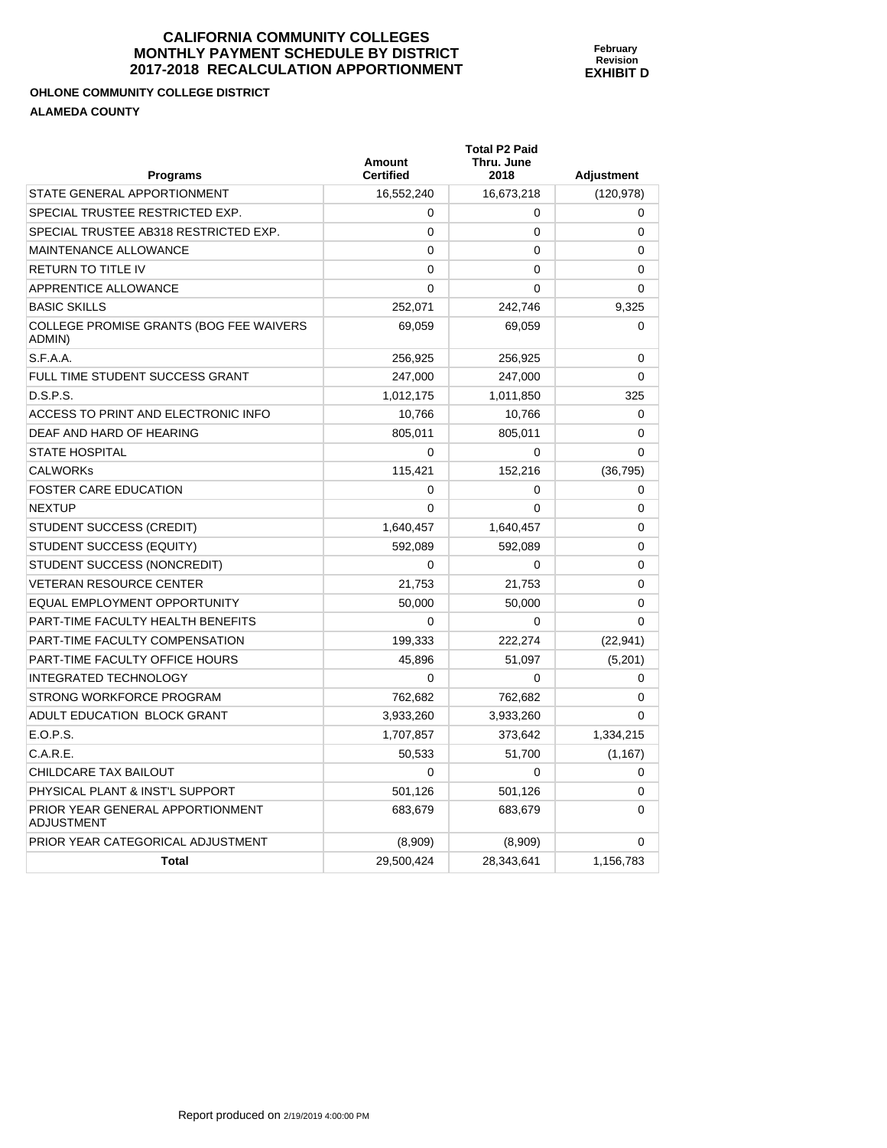## **OHLONE COMMUNITY COLLEGE DISTRICT ALAMEDA COUNTY**

| <b>Programs</b>                                       | Amount<br><b>Certified</b> | <b>Total P2 Paid</b><br>Thru. June<br>2018 | <b>Adjustment</b> |
|-------------------------------------------------------|----------------------------|--------------------------------------------|-------------------|
| STATE GENERAL APPORTIONMENT                           | 16,552,240                 | 16,673,218                                 | (120, 978)        |
| SPECIAL TRUSTEE RESTRICTED EXP.                       | 0                          | 0                                          | 0                 |
| SPECIAL TRUSTEE AB318 RESTRICTED EXP.                 | 0                          | 0                                          | 0                 |
| MAINTENANCE ALLOWANCE                                 | $\mathbf{0}$               | 0                                          | 0                 |
| <b>RETURN TO TITLE IV</b>                             | 0                          | 0                                          | 0                 |
| APPRENTICE ALLOWANCE                                  | 0                          | 0                                          | 0                 |
| <b>BASIC SKILLS</b>                                   | 252.071                    | 242.746                                    | 9.325             |
| COLLEGE PROMISE GRANTS (BOG FEE WAIVERS<br>ADMIN)     | 69,059                     | 69,059                                     | $\Omega$          |
| S.F.A.A.                                              | 256,925                    | 256,925                                    | 0                 |
| FULL TIME STUDENT SUCCESS GRANT                       | 247,000                    | 247,000                                    | 0                 |
| D.S.P.S.                                              | 1,012,175                  | 1,011,850                                  | 325               |
| ACCESS TO PRINT AND ELECTRONIC INFO                   | 10,766                     | 10,766                                     | 0                 |
| DEAF AND HARD OF HEARING                              | 805,011                    | 805,011                                    | 0                 |
| <b>STATE HOSPITAL</b>                                 | 0                          | 0                                          | $\Omega$          |
| <b>CALWORKs</b>                                       | 115,421                    | 152,216                                    | (36, 795)         |
| <b>FOSTER CARE EDUCATION</b>                          | 0                          | 0                                          | 0                 |
| <b>NEXTUP</b>                                         | 0                          | $\Omega$                                   | 0                 |
| STUDENT SUCCESS (CREDIT)                              | 1,640,457                  | 1,640,457                                  | 0                 |
| STUDENT SUCCESS (EQUITY)                              | 592,089                    | 592,089                                    | 0                 |
| STUDENT SUCCESS (NONCREDIT)                           | 0                          | 0                                          | 0                 |
| <b>VETERAN RESOURCE CENTER</b>                        | 21,753                     | 21,753                                     | 0                 |
| EQUAL EMPLOYMENT OPPORTUNITY                          | 50,000                     | 50,000                                     | 0                 |
| PART-TIME FACULTY HEALTH BENEFITS                     | 0                          | 0                                          | 0                 |
| PART-TIME FACULTY COMPENSATION                        | 199,333                    | 222,274                                    | (22, 941)         |
| PART-TIME FACULTY OFFICE HOURS                        | 45,896                     | 51,097                                     | (5,201)           |
| <b>INTEGRATED TECHNOLOGY</b>                          | 0                          | 0                                          | 0                 |
| STRONG WORKFORCE PROGRAM                              | 762,682                    | 762,682                                    | 0                 |
| ADULT EDUCATION BLOCK GRANT                           | 3,933,260                  | 3,933,260                                  | 0                 |
| E.O.P.S.                                              | 1,707,857                  | 373,642                                    | 1,334,215         |
| C.A.R.E.                                              | 50,533                     | 51,700                                     | (1, 167)          |
| CHILDCARE TAX BAILOUT                                 | 0                          | 0                                          | 0                 |
| PHYSICAL PLANT & INST'L SUPPORT                       | 501,126                    | 501,126                                    | 0                 |
| PRIOR YEAR GENERAL APPORTIONMENT<br><b>ADJUSTMENT</b> | 683,679                    | 683,679                                    | 0                 |
| PRIOR YEAR CATEGORICAL ADJUSTMENT                     | (8,909)                    | (8,909)                                    | 0                 |
| Total                                                 | 29,500,424                 | 28,343,641                                 | 1,156,783         |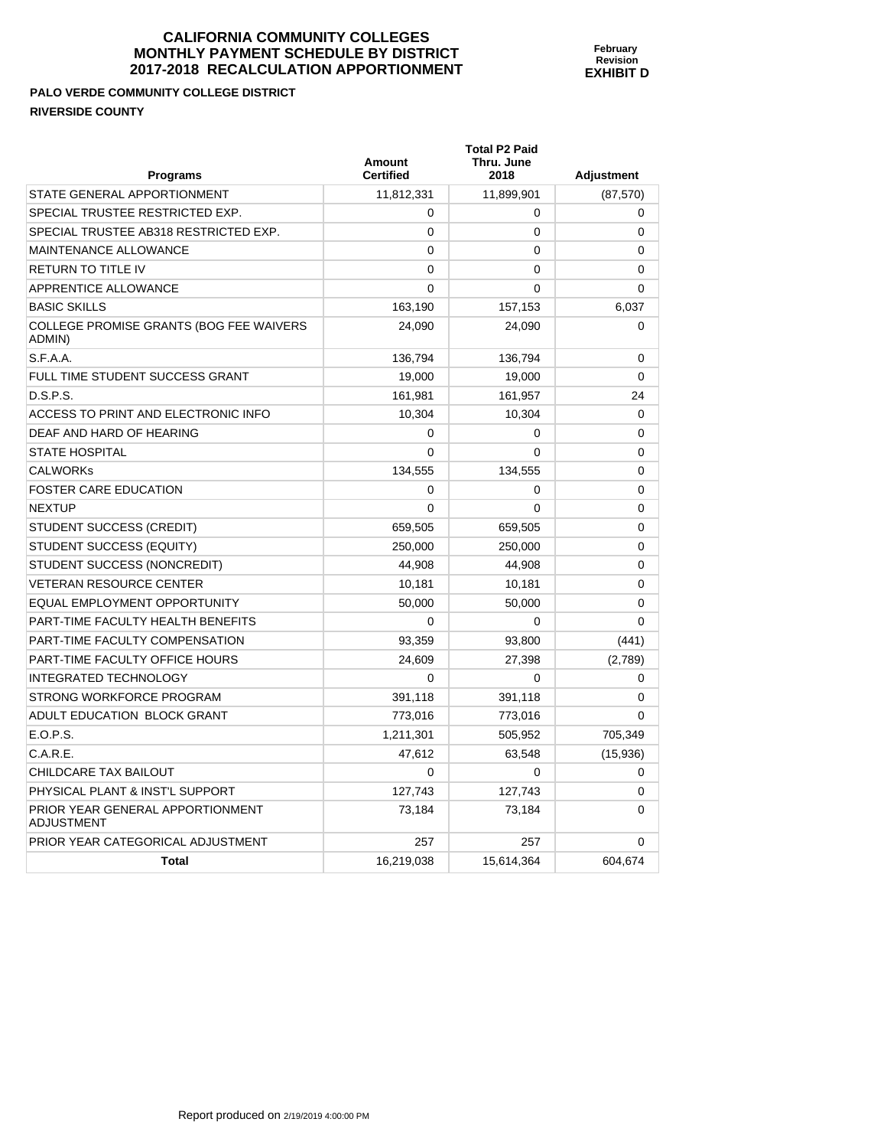**February Revision EXHIBIT D** 

**PALO VERDE COMMUNITY COLLEGE DISTRICT RIVERSIDE COUNTY** 

| <b>Programs</b>                                       | <b>Amount</b><br><b>Certified</b> | <b>Total P2 Paid</b><br>Thru. June<br>2018 | <b>Adjustment</b> |
|-------------------------------------------------------|-----------------------------------|--------------------------------------------|-------------------|
| STATE GENERAL APPORTIONMENT                           | 11,812,331                        | 11,899,901                                 | (87, 570)         |
| SPECIAL TRUSTEE RESTRICTED EXP.                       | 0                                 | 0                                          | 0                 |
| SPECIAL TRUSTEE AB318 RESTRICTED EXP.                 | 0                                 | $\Omega$                                   | 0                 |
| <b>MAINTENANCE ALLOWANCE</b>                          | $\Omega$                          | 0                                          | 0                 |
| RETURN TO TITLE IV                                    | $\Omega$                          | $\Omega$                                   | 0                 |
| APPRENTICE ALLOWANCE                                  | $\Omega$                          | $\Omega$                                   | 0                 |
| <b>BASIC SKILLS</b>                                   | 163,190                           | 157,153                                    | 6,037             |
| COLLEGE PROMISE GRANTS (BOG FEE WAIVERS<br>ADMIN)     | 24,090                            | 24,090                                     | 0                 |
| S.F.A.A.                                              | 136,794                           | 136,794                                    | 0                 |
| FULL TIME STUDENT SUCCESS GRANT                       | 19,000                            | 19,000                                     | $\Omega$          |
| D.S.P.S.                                              | 161,981                           | 161,957                                    | 24                |
| ACCESS TO PRINT AND ELECTRONIC INFO                   | 10,304                            | 10,304                                     | 0                 |
| DEAF AND HARD OF HEARING                              | 0                                 | 0                                          | 0                 |
| <b>STATE HOSPITAL</b>                                 | 0                                 | 0                                          | 0                 |
| <b>CALWORKS</b>                                       | 134,555                           | 134,555                                    | 0                 |
| <b>FOSTER CARE EDUCATION</b>                          | 0                                 | $\mathbf 0$                                | 0                 |
| <b>NEXTUP</b>                                         | $\Omega$                          | $\Omega$                                   | 0                 |
| STUDENT SUCCESS (CREDIT)                              | 659,505                           | 659,505                                    | 0                 |
| <b>STUDENT SUCCESS (EQUITY)</b>                       | 250,000                           | 250,000                                    | 0                 |
| STUDENT SUCCESS (NONCREDIT)                           | 44,908                            | 44,908                                     | 0                 |
| <b>VETERAN RESOURCE CENTER</b>                        | 10,181                            | 10,181                                     | $\mathbf{0}$      |
| EQUAL EMPLOYMENT OPPORTUNITY                          | 50,000                            | 50,000                                     | 0                 |
| PART-TIME FACULTY HEALTH BENEFITS                     | 0                                 | $\Omega$                                   | $\Omega$          |
| PART-TIME FACULTY COMPENSATION                        | 93,359                            | 93,800                                     | (441)             |
| PART-TIME FACULTY OFFICE HOURS                        | 24,609                            | 27,398                                     | (2,789)           |
| <b>INTEGRATED TECHNOLOGY</b>                          | 0                                 | $\mathbf 0$                                | 0                 |
| STRONG WORKFORCE PROGRAM                              | 391,118                           | 391,118                                    | 0                 |
| ADULT EDUCATION BLOCK GRANT                           | 773,016                           | 773,016                                    | 0                 |
| E.O.P.S.                                              | 1,211,301                         | 505,952                                    | 705,349           |
| C.A.R.E.                                              | 47,612                            | 63,548                                     | (15, 936)         |
| CHILDCARE TAX BAILOUT                                 | $\Omega$                          | $\Omega$                                   | 0                 |
| PHYSICAL PLANT & INST'L SUPPORT                       | 127,743                           | 127,743                                    | 0                 |
| PRIOR YEAR GENERAL APPORTIONMENT<br><b>ADJUSTMENT</b> | 73,184                            | 73,184                                     | 0                 |

PRIOR YEAR CATEGORICAL ADJUSTMENT  $257$  257 257 0

**Total** 16,219,038 15,614,364 604,674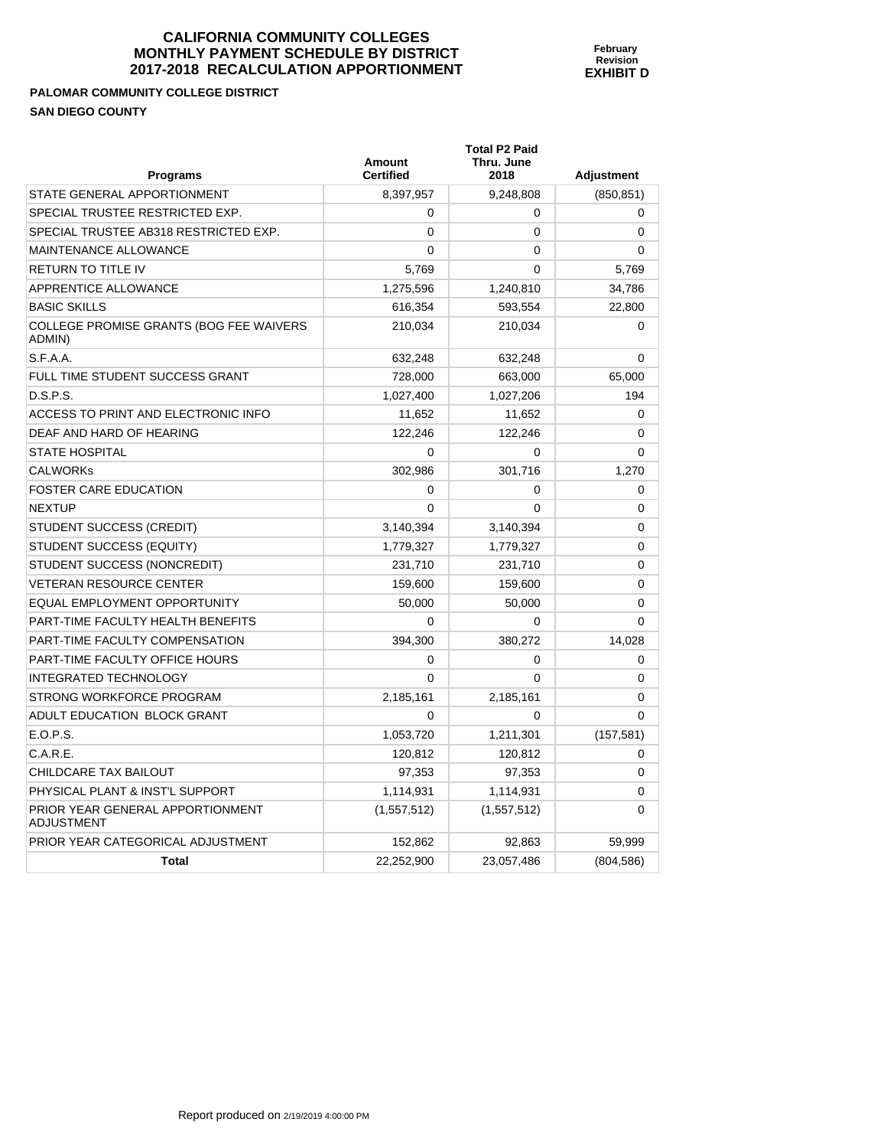#### **PALOMAR COMMUNITY COLLEGE DISTRICT SAN DIEGO COUNTY**

| Programs                                              | Amount<br><b>Certified</b> | <b>Total P2 Paid</b><br>Thru. June<br>2018 | <b>Adjustment</b> |
|-------------------------------------------------------|----------------------------|--------------------------------------------|-------------------|
| STATE GENERAL APPORTIONMENT                           | 8,397,957                  | 9,248,808                                  | (850, 851)        |
| SPECIAL TRUSTEE RESTRICTED EXP.                       | 0                          | 0                                          | 0                 |
| SPECIAL TRUSTEE AB318 RESTRICTED EXP.                 | $\Omega$                   | $\Omega$                                   | 0                 |
| <b>MAINTENANCE ALLOWANCE</b>                          | $\Omega$                   | $\Omega$                                   | $\Omega$          |
| <b>RETURN TO TITLE IV</b>                             | 5,769                      | $\mathbf{0}$                               | 5,769             |
| APPRENTICE ALLOWANCE                                  | 1,275,596                  | 1,240,810                                  | 34,786            |
| <b>BASIC SKILLS</b>                                   | 616,354                    | 593,554                                    | 22,800            |
| COLLEGE PROMISE GRANTS (BOG FEE WAIVERS<br>ADMIN)     | 210,034                    | 210,034                                    | 0                 |
| S.F.A.A.                                              | 632,248                    | 632,248                                    | 0                 |
| FULL TIME STUDENT SUCCESS GRANT                       | 728,000                    | 663,000                                    | 65,000            |
| D.S.P.S.                                              | 1,027,400                  | 1,027,206                                  | 194               |
| ACCESS TO PRINT AND ELECTRONIC INFO                   | 11,652                     | 11,652                                     | 0                 |
| DEAF AND HARD OF HEARING                              | 122,246                    | 122,246                                    | 0                 |
| <b>STATE HOSPITAL</b>                                 | 0                          | 0                                          | $\Omega$          |
| <b>CALWORKS</b>                                       | 302,986                    | 301,716                                    | 1,270             |
| <b>FOSTER CARE EDUCATION</b>                          | $\mathbf 0$                | 0                                          | 0                 |
| <b>NEXTUP</b>                                         | 0                          | $\Omega$                                   | 0                 |
| STUDENT SUCCESS (CREDIT)                              | 3,140,394                  | 3,140,394                                  | 0                 |
| STUDENT SUCCESS (EQUITY)                              | 1,779,327                  | 1,779,327                                  | 0                 |
| STUDENT SUCCESS (NONCREDIT)                           | 231,710                    | 231,710                                    | 0                 |
| <b>VETERAN RESOURCE CENTER</b>                        | 159,600                    | 159,600                                    | 0                 |
| EQUAL EMPLOYMENT OPPORTUNITY                          | 50,000                     | 50,000                                     | 0                 |
| PART-TIME FACULTY HEALTH BENEFITS                     | 0                          | 0                                          | $\Omega$          |
| PART-TIME FACULTY COMPENSATION                        | 394,300                    | 380,272                                    | 14,028            |
| PART-TIME FACULTY OFFICE HOURS                        | 0                          | 0                                          | 0                 |
| <b>INTEGRATED TECHNOLOGY</b>                          | 0                          | $\Omega$                                   | 0                 |
| STRONG WORKFORCE PROGRAM                              | 2,185,161                  | 2,185,161                                  | 0                 |
| ADULT EDUCATION BLOCK GRANT                           | $\Omega$                   | 0                                          | $\Omega$          |
| E.O.P.S.                                              | 1,053,720                  | 1,211,301                                  | (157, 581)        |
| C.A.R.E.                                              | 120,812                    | 120,812                                    | 0                 |
| CHILDCARE TAX BAILOUT                                 | 97,353                     | 97,353                                     | 0                 |
| PHYSICAL PLANT & INST'L SUPPORT                       | 1,114,931                  | 1,114,931                                  | 0                 |
| PRIOR YEAR GENERAL APPORTIONMENT<br><b>ADJUSTMENT</b> | (1,557,512)                | (1, 557, 512)                              | 0                 |

PRIOR YEAR CATEGORICAL ADJUSTMENT 152,862 92,863 59,999 59,999

**Total** 22,252,900 23,057,486 (804,586)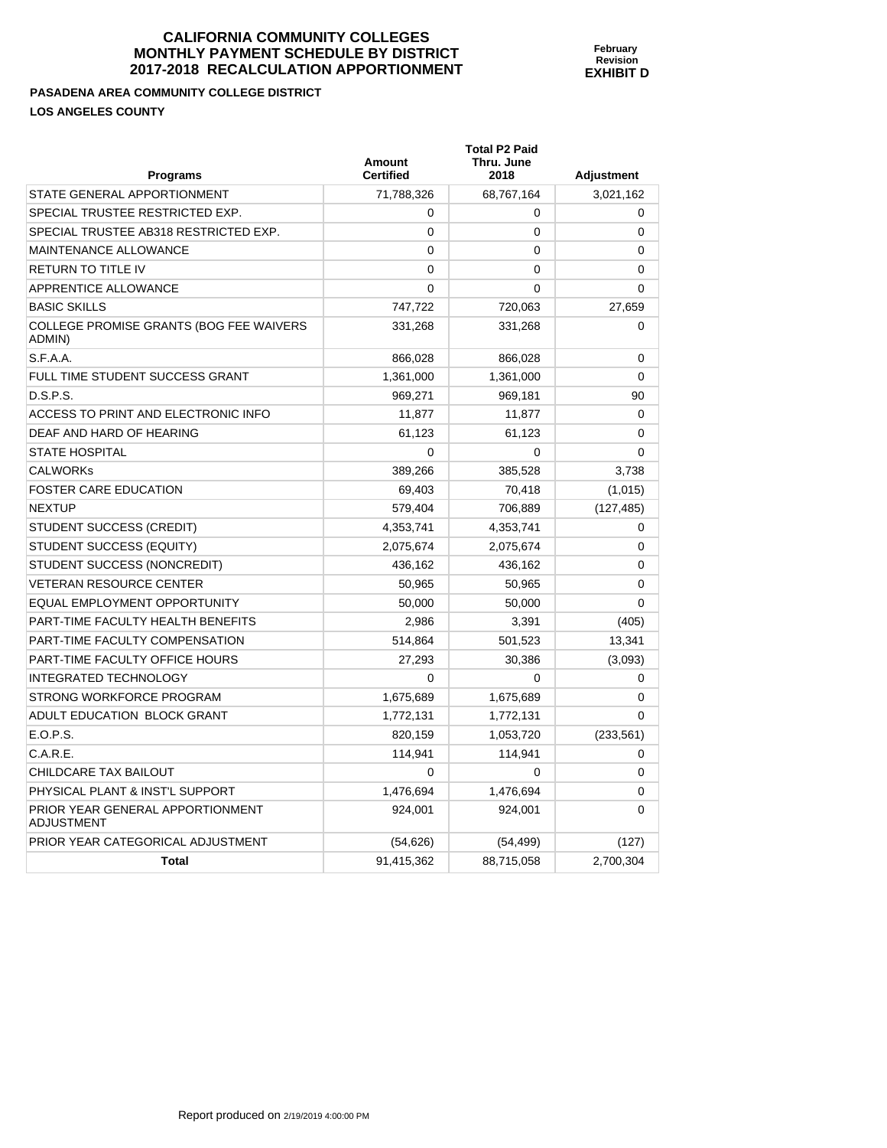**PASADENA AREA COMMUNITY COLLEGE DISTRICT LOS ANGELES COUNTY** 

| <b>Programs</b>                                       | Amount<br><b>Certified</b> | <b>Total P2 Paid</b><br>Thru. June<br>2018 | <b>Adjustment</b> |
|-------------------------------------------------------|----------------------------|--------------------------------------------|-------------------|
| STATE GENERAL APPORTIONMENT                           | 71,788,326                 | 68,767,164                                 | 3,021,162         |
| SPECIAL TRUSTEE RESTRICTED EXP.                       | $\mathbf 0$                | 0                                          | 0                 |
| SPECIAL TRUSTEE AB318 RESTRICTED EXP.                 | $\mathbf 0$                | 0                                          | 0                 |
| <b>MAINTENANCE ALLOWANCE</b>                          | 0                          | 0                                          | 0                 |
| RETURN TO TITLE IV                                    | $\Omega$                   | 0                                          | $\Omega$          |
| APPRENTICE ALLOWANCE                                  | $\Omega$                   | $\mathbf{0}$                               | 0                 |
| <b>BASIC SKILLS</b>                                   | 747,722                    | 720,063                                    | 27,659            |
| COLLEGE PROMISE GRANTS (BOG FEE WAIVERS<br>ADMIN)     | 331,268                    | 331,268                                    | 0                 |
| S.F.A.A.                                              | 866,028                    | 866,028                                    | 0                 |
| FULL TIME STUDENT SUCCESS GRANT                       | 1,361,000                  | 1,361,000                                  | $\Omega$          |
| D.S.P.S.                                              | 969,271                    | 969,181                                    | 90                |
| ACCESS TO PRINT AND ELECTRONIC INFO                   | 11,877                     | 11,877                                     | $\Omega$          |
| DEAF AND HARD OF HEARING                              | 61,123                     | 61,123                                     | 0                 |
| <b>STATE HOSPITAL</b>                                 | $\mathbf 0$                | 0                                          | $\Omega$          |
| <b>CALWORKs</b>                                       | 389,266                    | 385,528                                    | 3,738             |
| <b>FOSTER CARE EDUCATION</b>                          | 69,403                     | 70,418                                     | (1,015)           |
| NEXTUP                                                | 579,404                    | 706,889                                    | (127, 485)        |
| STUDENT SUCCESS (CREDIT)                              | 4,353,741                  | 4,353,741                                  | 0                 |
| STUDENT SUCCESS (EQUITY)                              | 2,075,674                  | 2,075,674                                  | 0                 |
| STUDENT SUCCESS (NONCREDIT)                           | 436,162                    | 436,162                                    | 0                 |
| <b>VETERAN RESOURCE CENTER</b>                        | 50,965                     | 50,965                                     | $\Omega$          |
| EQUAL EMPLOYMENT OPPORTUNITY                          | 50,000                     | 50,000                                     | $\Omega$          |
| PART-TIME FACULTY HEALTH BENEFITS                     | 2,986                      | 3,391                                      | (405)             |
| PART-TIME FACULTY COMPENSATION                        | 514,864                    | 501,523                                    | 13,341            |
| PART-TIME FACULTY OFFICE HOURS                        | 27,293                     | 30,386                                     | (3,093)           |
| INTEGRATED TECHNOLOGY                                 | $\Omega$                   | 0                                          | 0                 |
| STRONG WORKFORCE PROGRAM                              | 1,675,689                  | 1,675,689                                  | 0                 |
| ADULT EDUCATION BLOCK GRANT                           | 1,772,131                  | 1,772,131                                  | 0                 |
| E.O.P.S.                                              | 820,159                    | 1,053,720                                  | (233, 561)        |
| C.A.R.E.                                              | 114,941                    | 114,941                                    | 0                 |
| CHILDCARE TAX BAILOUT                                 | $\mathbf 0$                | 0                                          | 0                 |
| PHYSICAL PLANT & INST'L SUPPORT                       | 1,476,694                  | 1,476,694                                  | 0                 |
| PRIOR YEAR GENERAL APPORTIONMENT<br><b>ADJUSTMENT</b> | 924,001                    | 924,001                                    | 0                 |
| PRIOR YEAR CATEGORICAL ADJUSTMENT                     | (54, 626)                  | (54, 499)                                  | (127)             |
| <b>Total</b>                                          | 91,415,362                 | 88,715,058                                 | 2,700,304         |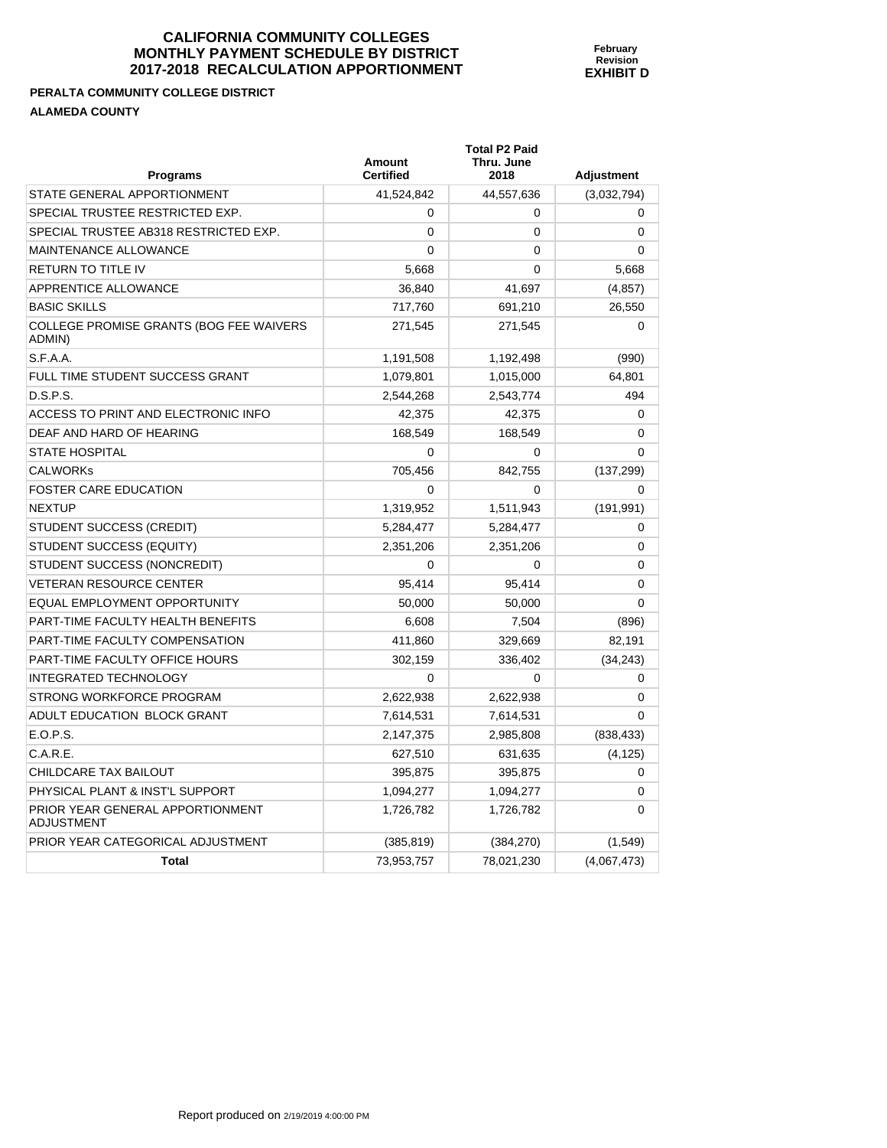**PERALTA COMMUNITY COLLEGE DISTRICT ALAMEDA COUNTY** 

PRIOR YEAR GENERAL APPORTIONMENT

ADJUSTMENT

| <b>ALAMEDA COUNTY</b>                             |                            |                                            |             |
|---------------------------------------------------|----------------------------|--------------------------------------------|-------------|
| <b>Programs</b>                                   | Amount<br><b>Certified</b> | <b>Total P2 Paid</b><br>Thru. June<br>2018 | Adjustment  |
| STATE GENERAL APPORTIONMENT                       | 41,524,842                 | 44,557,636                                 | (3,032,794) |
| SPECIAL TRUSTEE RESTRICTED EXP.                   | 0                          | 0                                          | 0           |
| SPECIAL TRUSTEE AB318 RESTRICTED EXP.             | 0                          | $\Omega$                                   | $\Omega$    |
| MAINTENANCE ALLOWANCE                             | 0                          | $\Omega$                                   | $\Omega$    |
| <b>RETURN TO TITLE IV</b>                         | 5,668                      | 0                                          | 5,668       |
| APPRENTICE ALLOWANCE                              | 36,840                     | 41,697                                     | (4, 857)    |
| <b>BASIC SKILLS</b>                               | 717,760                    | 691,210                                    | 26,550      |
| COLLEGE PROMISE GRANTS (BOG FEE WAIVERS<br>ADMIN) | 271,545                    | 271.545                                    | $\Omega$    |
| S.F.A.A.                                          | 1,191,508                  | 1,192,498                                  | (990)       |
| FULL TIME STUDENT SUCCESS GRANT                   | 1,079,801                  | 1,015,000                                  | 64,801      |
| D.S.P.S.                                          | 2,544,268                  | 2,543,774                                  | 494         |
| ACCESS TO PRINT AND ELECTRONIC INFO               | 42,375                     | 42.375                                     | 0           |
| DEAF AND HARD OF HEARING                          | 168,549                    | 168,549                                    | $\Omega$    |
| <b>STATE HOSPITAL</b>                             | 0                          | $\Omega$                                   | $\Omega$    |
| <b>CALWORKS</b>                                   | 705,456                    | 842,755                                    | (137, 299)  |
| <b>FOSTER CARE EDUCATION</b>                      | 0                          | $\Omega$                                   | 0           |
| <b>NEXTUP</b>                                     | 1,319,952                  | 1,511,943                                  | (191, 991)  |
| <b>STUDENT SUCCESS (CREDIT)</b>                   | 5.284.477                  | 5.284.477                                  | 0           |

STUDENT SUCCESS (EQUITY)  $2,351,206$   $2,351,206$   $0$ STUDENT SUCCESS (NONCREDIT) 0 0 0 VETERAN RESOURCE CENTER  $95,414$  95,414 95,414 0 EQUAL EMPLOYMENT OPPORTUNITY  $\begin{array}{ccc} 1 & 50,000 & 50,000 \end{array}$  50,000 PART-TIME FACULTY HEALTH BENEFITS  $6,608$  7,504 (896) PART-TIME FACULTY COMPENSATION  $411,860$  329,669 82,191 PART-TIME FACULTY OFFICE HOURS  $302,159$  336,402 (34,243) INTEGRATED TECHNOLOGY 0 0 0 STRONG WORKFORCE PROGRAM 2.622.938 2.622.938 2.622.938 ADULT EDUCATION BLOCK GRANT  $7.614,531$  7.614,531 0 E.O.P.S. 2,147,375 2,985,808 (838,433) C.A.R.E. 627,510 631,635 (4,125) CHILDCARE TAX BAILOUT CHILDCARE TAX BAILOUT CHILDCARE TAX BAILOUT PHYSICAL PLANT & INST'L SUPPORT 1,094,277 1,094,277 1,094,277 1,094,277 1,094,277 1,094,277 1,000 1,0

PRIOR YEAR CATEGORICAL ADJUSTMENT (385,819) (384,270) (1,549)

**Total 73,953,757** 78,021,230 (4,067,473)

1,726,782 1,726,782 0

**February Revision EXHIBIT D**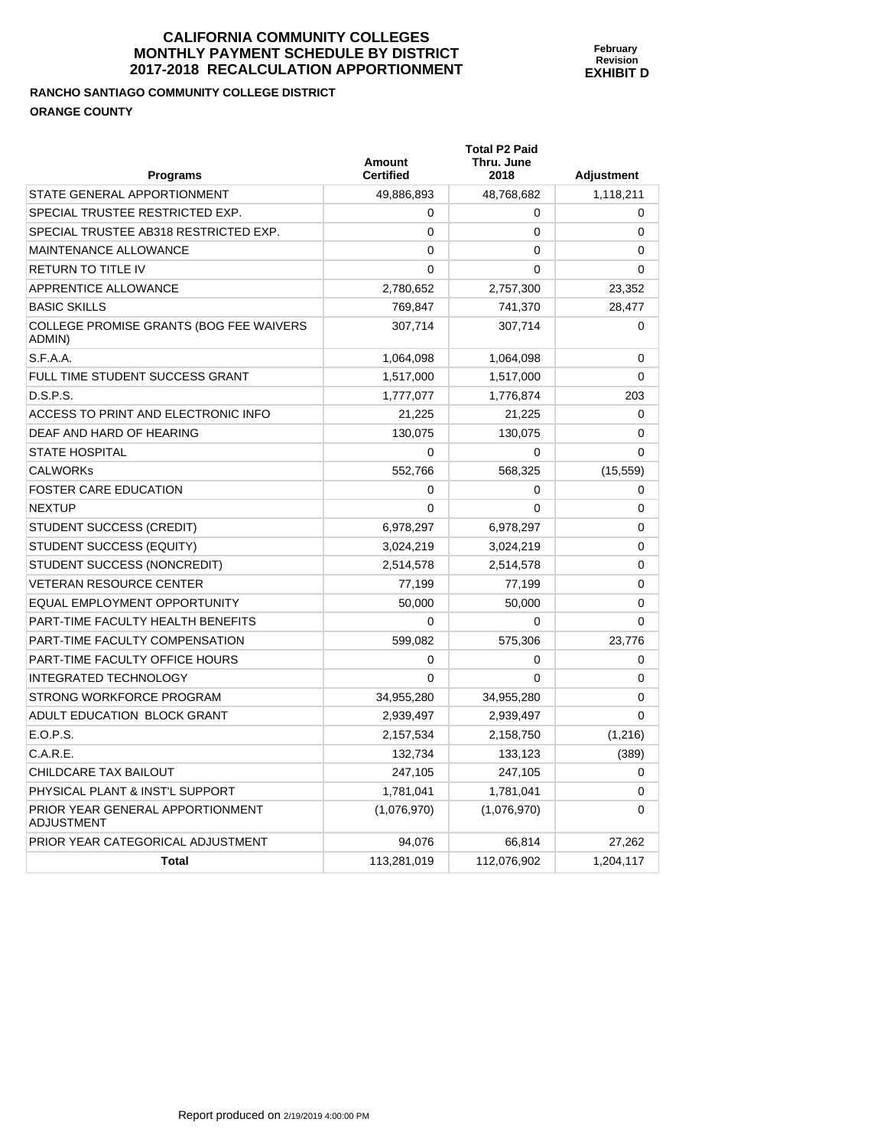**Total P2 Paid** 

# **RANCHO SANTIAGO COMMUNITY COLLEGE DISTRICT ORANGE COUNTY**

| Programs                                                 | Amount<br><b>Certified</b> | Thru. June<br>2018 | <b>Adjustment</b> |
|----------------------------------------------------------|----------------------------|--------------------|-------------------|
| STATE GENERAL APPORTIONMENT                              | 49,886,893                 | 48,768,682         | 1,118,211         |
| SPECIAL TRUSTEE RESTRICTED EXP.                          | $\Omega$                   | 0                  | 0                 |
| SPECIAL TRUSTEE AB318 RESTRICTED EXP.                    | 0                          | 0                  | 0                 |
| <b>MAINTENANCE ALLOWANCE</b>                             | 0                          | 0                  | 0                 |
| RETURN TO TITLE IV                                       | 0                          | 0                  | 0                 |
| APPRENTICE ALLOWANCE                                     | 2,780,652                  | 2,757,300          | 23,352            |
| <b>BASIC SKILLS</b>                                      | 769,847                    | 741,370            | 28,477            |
| <b>COLLEGE PROMISE GRANTS (BOG FEE WAIVERS</b><br>ADMIN) | 307,714                    | 307,714            | 0                 |
| S.F.A.A.                                                 | 1,064,098                  | 1,064,098          | 0                 |
| FULL TIME STUDENT SUCCESS GRANT                          | 1,517,000                  | 1,517,000          | $\Omega$          |
| D.S.P.S.                                                 | 1,777,077                  | 1,776,874          | 203               |
| ACCESS TO PRINT AND ELECTRONIC INFO                      | 21,225                     | 21,225             | 0                 |
| DEAF AND HARD OF HEARING                                 | 130,075                    | 130,075            | 0                 |
| <b>STATE HOSPITAL</b>                                    | 0                          | 0                  | 0                 |
| <b>CALWORKS</b>                                          | 552,766                    | 568,325            | (15, 559)         |
| <b>FOSTER CARE EDUCATION</b>                             | 0                          | 0                  | 0                 |
| <b>NEXTUP</b>                                            | $\mathbf{0}$               | 0                  | 0                 |
| STUDENT SUCCESS (CREDIT)                                 | 6,978,297                  | 6,978,297          | 0                 |
| STUDENT SUCCESS (EQUITY)                                 | 3,024,219                  | 3,024,219          | 0                 |
| STUDENT SUCCESS (NONCREDIT)                              | 2,514,578                  | 2,514,578          | 0                 |
| <b>VETERAN RESOURCE CENTER</b>                           | 77,199                     | 77,199             | 0                 |
| EQUAL EMPLOYMENT OPPORTUNITY                             | 50,000                     | 50,000             | 0                 |
| PART-TIME FACULTY HEALTH BENEFITS                        | $\Omega$                   | 0                  | $\Omega$          |
| PART-TIME FACULTY COMPENSATION                           | 599,082                    | 575,306            | 23,776            |
| PART-TIME FACULTY OFFICE HOURS                           | $\Omega$                   | 0                  | 0                 |
| <b>INTEGRATED TECHNOLOGY</b>                             | $\mathbf{0}$               | $\Omega$           | 0                 |
| STRONG WORKFORCE PROGRAM                                 | 34,955,280                 | 34,955,280         | 0                 |
| ADULT EDUCATION BLOCK GRANT                              | 2,939,497                  | 2,939,497          | 0                 |
| E.O.P.S.                                                 | 2,157,534                  | 2,158,750          | (1,216)           |
| C.A.R.E.                                                 | 132,734                    | 133,123            | (389)             |
| CHILDCARE TAX BAILOUT                                    | 247,105                    | 247,105            | 0                 |
| PHYSICAL PLANT & INST'L SUPPORT                          | 1,781,041                  | 1,781,041          | 0                 |
| PRIOR YEAR GENERAL APPORTIONMENT<br><b>ADJUSTMENT</b>    | (1,076,970)                | (1,076,970)        | 0                 |
| PRIOR YEAR CATEGORICAL ADJUSTMENT                        | 94,076                     | 66,814             | 27,262            |
| <b>Total</b>                                             | 113,281,019                | 112,076,902        | 1,204,117         |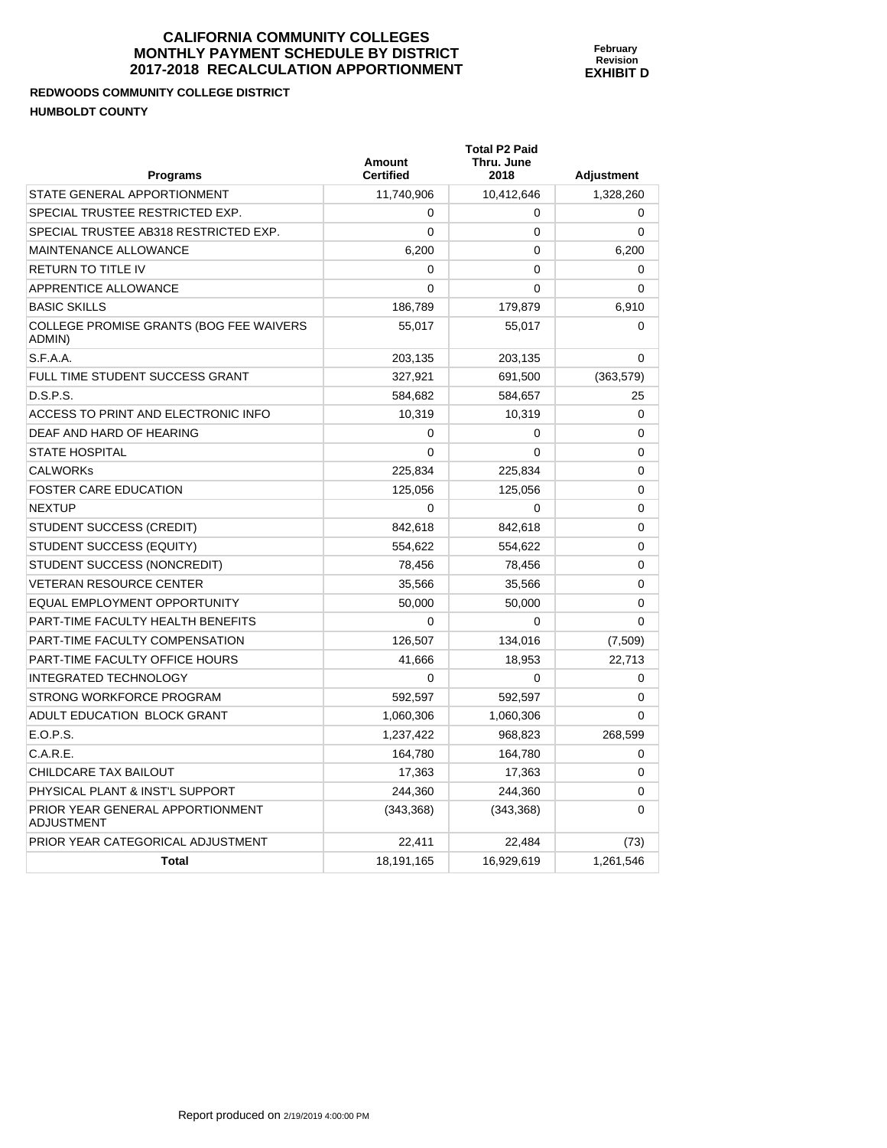**REDWOODS COMMUNITY COLLEGE DISTRICT HUMBOLDT COI** 

| <b>HUMBOLDT COUNTY</b>                                   |                            |                                            |            |
|----------------------------------------------------------|----------------------------|--------------------------------------------|------------|
| <b>Programs</b>                                          | Amount<br><b>Certified</b> | <b>Total P2 Paid</b><br>Thru. June<br>2018 | Adjustment |
| STATE GENERAL APPORTIONMENT                              | 11,740,906                 | 10,412,646                                 | 1,328,260  |
| SPECIAL TRUSTEE RESTRICTED EXP.                          | $\Omega$                   | $\Omega$                                   | 0          |
| SPECIAL TRUSTEE AB318 RESTRICTED EXP.                    | 0                          | 0                                          | 0          |
| <b>MAINTENANCE ALLOWANCE</b>                             | 6,200                      | $\Omega$                                   | 6,200      |
| <b>RETURN TO TITLE IV</b>                                | $\Omega$                   | 0                                          | 0          |
| APPRENTICE ALLOWANCE                                     | $\Omega$                   | 0                                          | 0          |
| <b>BASIC SKILLS</b>                                      | 186,789                    | 179,879                                    | 6,910      |
| <b>COLLEGE PROMISE GRANTS (BOG FEE WAIVERS</b><br>ADMIN) | 55,017                     | 55,017                                     | $\Omega$   |
| S.F.A.A.                                                 | 203,135                    | 203,135                                    | 0          |
| FULL TIME STUDENT SUCCESS GRANT                          | 327,921                    | 691,500                                    | (363, 579) |
| D.S.P.S.                                                 | 584,682                    | 584,657                                    | 25         |
| $ACCFCC. TO DIRIT AND. TLCTDDONLO INICA$                 | 10.210                     | 10.210                                     | $\sim$     |

**February Revision EXHIBIT D** 

| .ה.ה. ו.ט                                             | 200,100    | 200, 100   | $\mathbf{u}$ |
|-------------------------------------------------------|------------|------------|--------------|
| FULL TIME STUDENT SUCCESS GRANT                       | 327,921    | 691,500    | (363, 579)   |
| D.S.P.S.                                              | 584,682    | 584,657    | 25           |
| ACCESS TO PRINT AND ELECTRONIC INFO                   | 10,319     | 10,319     | $\Omega$     |
| DEAF AND HARD OF HEARING                              | $\Omega$   | $\Omega$   | 0            |
| <b>STATE HOSPITAL</b>                                 | 0          | $\Omega$   | 0            |
| <b>CALWORKS</b>                                       | 225,834    | 225,834    | $\mathbf 0$  |
| <b>FOSTER CARE EDUCATION</b>                          | 125,056    | 125,056    | $\mathbf 0$  |
| <b>NEXTUP</b>                                         | $\Omega$   | $\Omega$   | $\mathbf 0$  |
| STUDENT SUCCESS (CREDIT)                              | 842,618    | 842,618    | $\mathbf 0$  |
| STUDENT SUCCESS (EQUITY)                              | 554,622    | 554,622    | 0            |
| STUDENT SUCCESS (NONCREDIT)                           | 78,456     | 78,456     | $\mathbf 0$  |
| <b>VETERAN RESOURCE CENTER</b>                        | 35,566     | 35,566     | $\mathbf 0$  |
| EQUAL EMPLOYMENT OPPORTUNITY                          | 50,000     | 50,000     | $\mathbf 0$  |
| PART-TIME FACULTY HEALTH BENEFITS                     | 0          | 0          | $\Omega$     |
| PART-TIME FACULTY COMPENSATION                        | 126,507    | 134,016    | (7,509)      |
| PART-TIME FACULTY OFFICE HOURS                        | 41,666     | 18,953     | 22,713       |
| <b>INTEGRATED TECHNOLOGY</b>                          | $\Omega$   | $\Omega$   | 0            |
| STRONG WORKFORCE PROGRAM                              | 592,597    | 592,597    | 0            |
| ADULT EDUCATION BLOCK GRANT                           | 1,060,306  | 1,060,306  | $\mathbf 0$  |
| E.O.P.S.                                              | 1,237,422  | 968,823    | 268,599      |
| C.A.R.E.                                              | 164,780    | 164,780    | 0            |
| CHILDCARE TAX BAILOUT                                 | 17,363     | 17,363     | $\Omega$     |
| PHYSICAL PLANT & INST'L SUPPORT                       | 244,360    | 244,360    | $\mathbf 0$  |
| PRIOR YEAR GENERAL APPORTIONMENT<br><b>ADJUSTMENT</b> | (343, 368) | (343, 368) | $\Omega$     |
| PRIOR YEAR CATEGORICAL ADJUSTMENT                     | 22,411     | 22,484     | (73)         |
| <b>Total</b>                                          | 18,191,165 | 16,929,619 | 1,261,546    |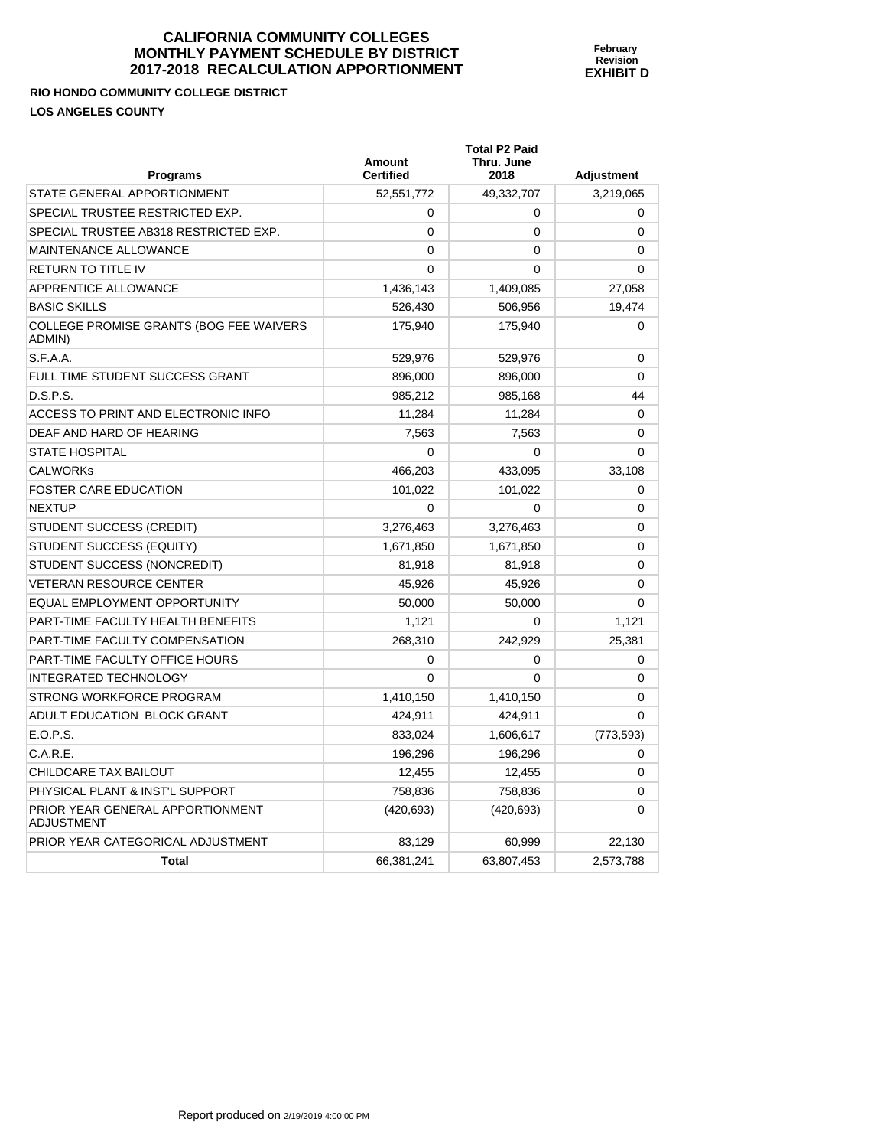**RIO HONDO COMMUNITY COLLEGE DISTRICT LOS ANGELES COUNTY** 

| <b>Programs</b>                                   | Amount<br><b>Certified</b> | <b>Total P2 Paid</b><br>Thru. June<br>2018 | <b>Adjustment</b> |
|---------------------------------------------------|----------------------------|--------------------------------------------|-------------------|
| STATE GENERAL APPORTIONMENT                       | 52,551,772                 | 49,332,707                                 | 3,219,065         |
| SPECIAL TRUSTEE RESTRICTED EXP.                   | 0                          | 0                                          | 0                 |
| SPECIAL TRUSTEE AB318 RESTRICTED EXP.             | $\mathbf 0$                | 0                                          | 0                 |
| <b>MAINTENANCE ALLOWANCE</b>                      | 0                          | 0                                          | 0                 |
| RETURN TO TITLE IV                                | $\Omega$                   | 0                                          | 0                 |
| APPRENTICE ALLOWANCE                              | 1,436,143                  | 1,409,085                                  | 27,058            |
| <b>BASIC SKILLS</b>                               | 526,430                    | 506,956                                    | 19,474            |
| COLLEGE PROMISE GRANTS (BOG FEE WAIVERS<br>ADMIN) | 175,940                    | 175,940                                    | 0                 |
| S.F.A.A.                                          | 529,976                    | 529,976                                    | 0                 |
| FULL TIME STUDENT SUCCESS GRANT                   | 896,000                    | 896,000                                    | $\Omega$          |
| D.S.P.S.                                          | 985,212                    | 985,168                                    | 44                |
| ACCESS TO PRINT AND ELECTRONIC INFO               | 11,284                     | 11,284                                     | $\Omega$          |
| DEAF AND HARD OF HEARING                          | 7,563                      | 7,563                                      | 0                 |
| <b>STATE HOSPITAL</b>                             | $\mathbf 0$                | 0                                          | $\Omega$          |
| <b>CALWORKs</b>                                   | 466,203                    | 433,095                                    | 33,108            |
| <b>FOSTER CARE EDUCATION</b>                      | 101,022                    | 101,022                                    | 0                 |
| NEXTUP                                            | 0                          | 0                                          | 0                 |
| STUDENT SUCCESS (CREDIT)                          | 3,276,463                  | 3,276,463                                  | 0                 |
| STUDENT SUCCESS (EQUITY)                          | 1,671,850                  | 1,671,850                                  | $\Omega$          |
| STUDENT SUCCESS (NONCREDIT)                       | 81,918                     | 81,918                                     | 0                 |
| <b>VETERAN RESOURCE CENTER</b>                    | 45,926                     | 45,926                                     | 0                 |
| EQUAL EMPLOYMENT OPPORTUNITY                      | 50,000                     | 50,000                                     | 0                 |
| PART-TIME FACULTY HEALTH BENEFITS                 | 1,121                      | 0                                          | 1,121             |
| PART-TIME FACULTY COMPENSATION                    | 268,310                    | 242,929                                    | 25,381            |
| PART-TIME FACULTY OFFICE HOURS                    | $\mathbf 0$                | 0                                          | 0                 |
| INTEGRATED TECHNOLOGY                             | $\Omega$                   | 0                                          | 0                 |
| STRONG WORKFORCE PROGRAM                          | 1,410,150                  | 1,410,150                                  | 0                 |
| ADULT EDUCATION BLOCK GRANT                       | 424,911                    | 424,911                                    | 0                 |
| E.O.P.S.                                          | 833,024                    | 1,606,617                                  | (773, 593)        |
| C.A.R.E.                                          | 196,296                    | 196,296                                    | 0                 |
| CHILDCARE TAX BAILOUT                             | 12,455                     | 12,455                                     | 0                 |
| PHYSICAL PLANT & INST'L SUPPORT                   | 758,836                    | 758,836                                    | 0                 |
| PRIOR YEAR GENERAL APPORTIONMENT<br>ADJUSTMENT    | (420, 693)                 | (420, 693)                                 | 0                 |
| PRIOR YEAR CATEGORICAL ADJUSTMENT                 | 83,129                     | 60,999                                     | 22,130            |
| <b>Total</b>                                      | 66,381,241                 | 63,807,453                                 | 2,573,788         |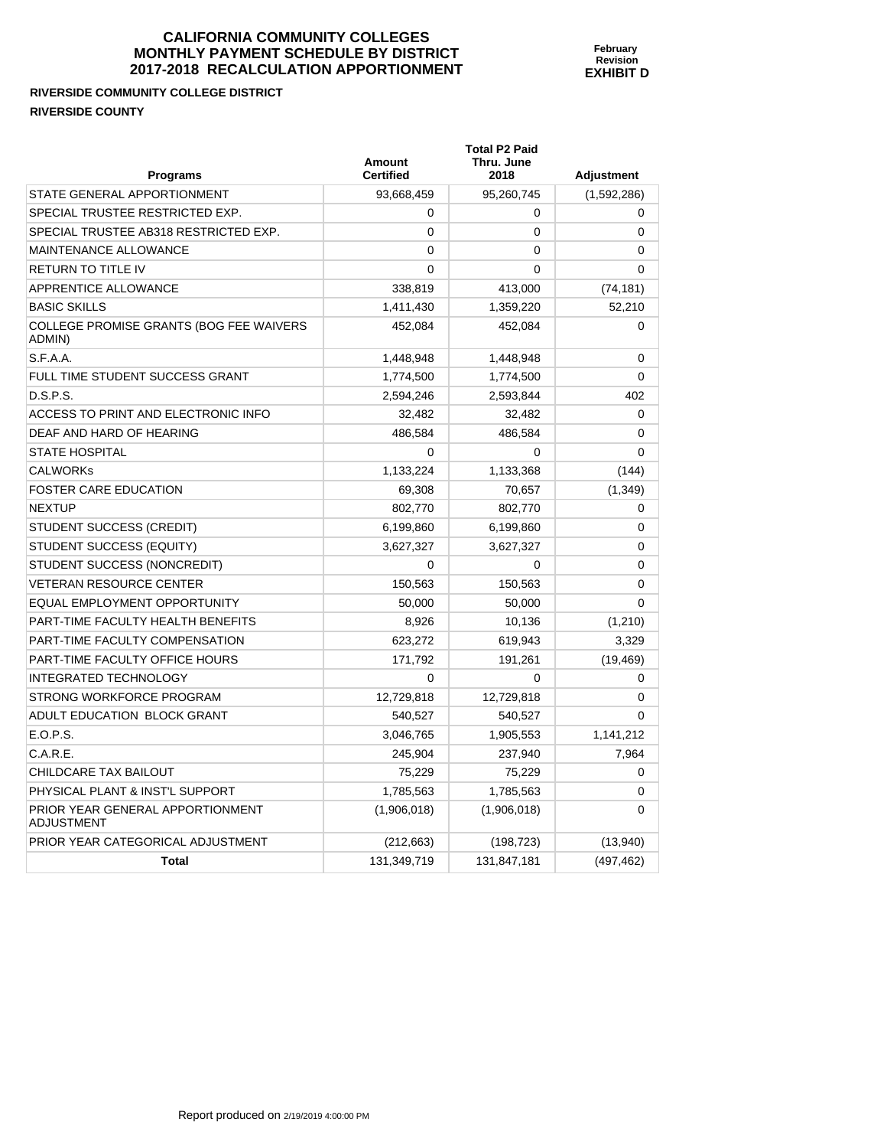**RIVERSIDE COMMUNITY COLLEGE DISTRICT RIVERSIDE COUNTY** 

PRIOR YEAR GENERAL APPORTIONMENT

ADJUSTMENT

| <b>Programs</b>                                          | Amount<br><b>Certified</b> | <b>Total P2 Paid</b><br>Thru. June<br>2018 | <b>Adjustment</b> |
|----------------------------------------------------------|----------------------------|--------------------------------------------|-------------------|
| STATE GENERAL APPORTIONMENT                              | 93,668,459                 | 95,260,745                                 | (1,592,286)       |
| SPECIAL TRUSTEE RESTRICTED EXP.                          | 0                          | 0                                          | 0                 |
| SPECIAL TRUSTEE AB318 RESTRICTED EXP.                    | 0                          | $\Omega$                                   | 0                 |
| MAINTENANCE ALLOWANCE                                    | 0                          | $\Omega$                                   | 0                 |
| RETURN TO TITLE IV                                       | 0                          | $\Omega$                                   | 0                 |
| <b>APPRENTICE ALLOWANCE</b>                              | 338,819                    | 413,000                                    | (74, 181)         |
| <b>BASIC SKILLS</b>                                      | 1,411,430                  | 1,359,220                                  | 52,210            |
| <b>COLLEGE PROMISE GRANTS (BOG FEE WAIVERS</b><br>ADMIN) | 452,084                    | 452,084                                    | 0                 |
| S.F.A.A.                                                 | 1,448,948                  | 1,448,948                                  | 0                 |
| FULL TIME STUDENT SUCCESS GRANT                          | 1,774,500                  | 1,774,500                                  | 0                 |
| D.S.P.S.                                                 | 2,594,246                  | 2,593,844                                  | 402               |
| ACCESS TO PRINT AND ELECTRONIC INFO                      | 32,482                     | 32,482                                     | 0                 |
| DEAF AND HARD OF HEARING                                 | 486,584                    | 486,584                                    | 0                 |
| <b>STATE HOSPITAL</b>                                    | 0                          | 0                                          | 0                 |
| <b>CALWORKS</b>                                          | 1,133,224                  | 1,133,368                                  | (144)             |
| <b>FOSTER CARE EDUCATION</b>                             | 69,308                     | 70,657                                     | (1,349)           |
| <b>NEXTUP</b>                                            | 802,770                    | 802,770                                    | 0                 |
| STUDENT SUCCESS (CREDIT)                                 | 6,199,860                  | 6,199,860                                  | 0                 |
| STUDENT SUCCESS (EQUITY)                                 | 3,627,327                  | 3,627,327                                  | 0                 |
| STUDENT SUCCESS (NONCREDIT)                              | 0                          | 0                                          | 0                 |
| <b>VETERAN RESOURCE CENTER</b>                           | 150,563                    | 150,563                                    | 0                 |
| EQUAL EMPLOYMENT OPPORTUNITY                             | 50,000                     | 50,000                                     | 0                 |
| PART-TIME FACULTY HEALTH BENEFITS                        | 8,926                      | 10,136                                     | (1,210)           |
| <b>PART-TIME FACULTY COMPENSATION</b>                    | 623,272                    | 619,943                                    | 3,329             |
| PART-TIME FACULTY OFFICE HOURS                           | 171,792                    | 191,261                                    | (19, 469)         |
| <b>INTEGRATED TECHNOLOGY</b>                             | 0                          | 0                                          | 0                 |
| STRONG WORKFORCE PROGRAM                                 | 12,729,818                 | 12,729,818                                 | 0                 |
| ADULT EDUCATION BLOCK GRANT                              | 540,527                    | 540,527                                    | 0                 |
| E.O.P.S.                                                 | 3,046,765                  | 1,905,553                                  | 1,141,212         |
| C.A.R.E.                                                 | 245,904                    | 237,940                                    | 7,964             |

CHILDCARE TAX BAILOUT **75,229** 75,229 75,229 0 PHYSICAL PLANT & INST'L SUPPORT  $1,785,563$  1,785,563 0

PRIOR YEAR CATEGORICAL ADJUSTMENT (212,663) (198,723) (13,940)

**Total** 131,349,719 131,847,181 (497,462)

 $(1,906,018)$   $(1,906,018)$  0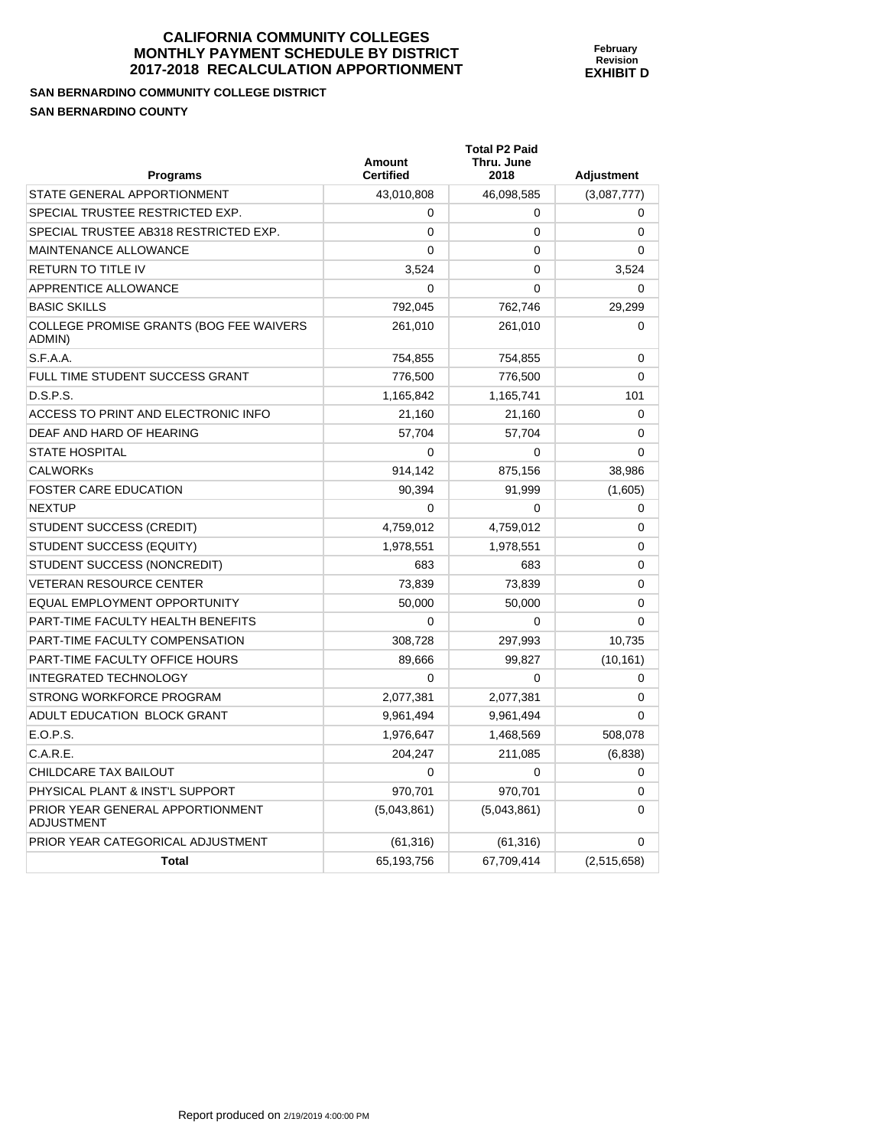**February Revision EXHIBIT D** 

**SAN BERNARDINO COMMUNITY COLLEGE DISTRICT SAN BERNARDINO COUNTY** 

| Programs                                          | <b>Amount</b><br><b>Certified</b> | <b>Total P2 Paid</b><br>Thru. June<br>2018 | <b>Adjustment</b> |
|---------------------------------------------------|-----------------------------------|--------------------------------------------|-------------------|
| STATE GENERAL APPORTIONMENT                       | 43,010,808                        | 46,098,585                                 | (3,087,777)       |
| SPECIAL TRUSTEE RESTRICTED EXP.                   | $\Omega$                          | 0                                          | 0                 |
| SPECIAL TRUSTEE AB318 RESTRICTED EXP.             | $\mathbf 0$                       | 0                                          | 0                 |
| MAINTENANCE ALLOWANCE                             | 0                                 | 0                                          | 0                 |
| RETURN TO TITLE IV                                | 3,524                             | $\mathbf{0}$                               | 3,524             |
| <b>APPRENTICE ALLOWANCE</b>                       | $\Omega$                          | $\mathbf{0}$                               | 0                 |
| <b>BASIC SKILLS</b>                               | 792,045                           | 762,746                                    | 29,299            |
| COLLEGE PROMISE GRANTS (BOG FEE WAIVERS<br>ADMIN) | 261,010                           | 261,010                                    | 0                 |
| S.F.A.A.                                          | 754,855                           | 754,855                                    | 0                 |
| FULL TIME STUDENT SUCCESS GRANT                   | 776,500                           | 776,500                                    | 0                 |
| D.S.P.S.                                          | 1,165,842                         | 1,165,741                                  | 101               |
| ACCESS TO PRINT AND ELECTRONIC INFO               | 21,160                            | 21,160                                     | 0                 |
| DEAF AND HARD OF HEARING                          | 57,704                            | 57,704                                     | 0                 |
| <b>STATE HOSPITAL</b>                             | $\Omega$                          | 0                                          | $\mathbf{0}$      |
| <b>CALWORKs</b>                                   | 914,142                           | 875,156                                    | 38,986            |
| <b>FOSTER CARE EDUCATION</b>                      | 90,394                            | 91,999                                     | (1,605)           |
| NEXTUP                                            | $\Omega$                          | $\Omega$                                   | 0                 |
| STUDENT SUCCESS (CREDIT)                          | 4,759,012                         | 4,759,012                                  | 0                 |
| STUDENT SUCCESS (EQUITY)                          | 1,978,551                         | 1,978,551                                  | 0                 |
| STUDENT SUCCESS (NONCREDIT)                       | 683                               | 683                                        | 0                 |
| VETERAN RESOURCE CENTER                           | 73,839                            | 73,839                                     | 0                 |
| EQUAL EMPLOYMENT OPPORTUNITY                      | 50,000                            | 50,000                                     | 0                 |
| PART-TIME FACULTY HEALTH BENEFITS                 | $\mathbf 0$                       | 0                                          | 0                 |
| PART-TIME FACULTY COMPENSATION                    | 308,728                           | 297,993                                    | 10,735            |
| PART-TIME FACULTY OFFICE HOURS                    | 89,666                            | 99,827                                     | (10, 161)         |
| <b>INTEGRATED TECHNOLOGY</b>                      | $\Omega$                          | 0                                          | 0                 |
| STRONG WORKFORCE PROGRAM                          | 2,077,381                         | 2,077,381                                  | 0                 |
| ADULT EDUCATION BLOCK GRANT                       | 9,961,494                         | 9,961,494                                  | 0                 |
| E.O.P.S.                                          | 1,976,647                         | 1,468,569                                  | 508,078           |
| C.A.R.E.                                          | 204,247                           | 211,085                                    | (6,838)           |
| CHILDCARE TAX BAILOUT                             | $\Omega$                          | 0                                          | 0                 |
| PHYSICAL PLANT & INST'L SUPPORT                   | 970,701                           | 970,701                                    | 0                 |
| PRIOR YEAR GENERAL APPORTIONMENT<br>ADJUSTMENT    | (5,043,861)                       | (5,043,861)                                | 0                 |
| PRIOR YEAR CATEGORICAL ADJUSTMENT                 | (61, 316)                         | (61, 316)                                  | 0                 |
| <b>Total</b>                                      | 65,193,756                        | 67,709,414                                 | (2,515,658)       |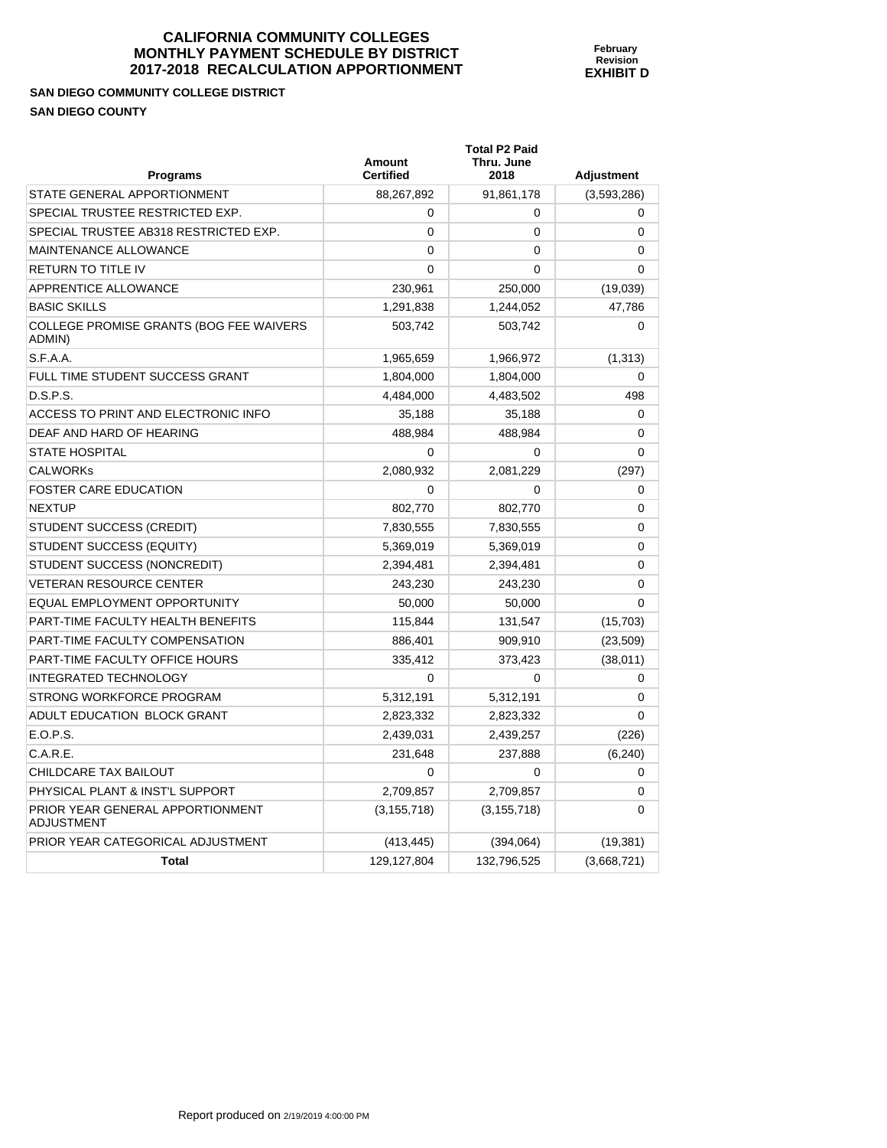**February Revision EXHIBIT D** 

**SAN DIEGO COMMUNITY COLLEGE DISTRICT SAN DIEGO COUNTY** 

ADJUSTMENT

| <b>Programs</b>                                   | <b>Amount</b><br><b>Certified</b> | <b>Total P2 Paid</b><br>Thru. June<br>2018 | Adjustment  |
|---------------------------------------------------|-----------------------------------|--------------------------------------------|-------------|
| STATE GENERAL APPORTIONMENT                       | 88,267,892                        | 91,861,178                                 | (3,593,286) |
| SPECIAL TRUSTEE RESTRICTED EXP.                   | 0                                 | 0                                          | 0           |
| SPECIAL TRUSTEE AB318 RESTRICTED EXP.             | $\Omega$                          | 0                                          | 0           |
| MAINTENANCE ALLOWANCE                             | 0                                 | 0                                          | 0           |
| <b>RETURN TO TITLE IV</b>                         | $\Omega$                          | 0                                          | 0           |
| APPRENTICE ALLOWANCE                              | 230,961                           | 250,000                                    | (19,039)    |
| <b>BASIC SKILLS</b>                               | 1,291,838                         | 1,244,052                                  | 47,786      |
| COLLEGE PROMISE GRANTS (BOG FEE WAIVERS<br>ADMIN) | 503,742                           | 503,742                                    | 0           |
| S.F.A.A.                                          | 1,965,659                         | 1,966,972                                  | (1, 313)    |
| FULL TIME STUDENT SUCCESS GRANT                   | 1,804,000                         | 1,804,000                                  | 0           |
| D.S.P.S.                                          | 4,484,000                         | 4,483,502                                  | 498         |
| ACCESS TO PRINT AND ELECTRONIC INFO               | 35,188                            | 35,188                                     | 0           |
| DEAF AND HARD OF HEARING                          | 488,984                           | 488,984                                    | 0           |
| <b>STATE HOSPITAL</b>                             | $\Omega$                          | 0                                          | 0           |
| <b>CALWORKS</b>                                   | 2,080,932                         | 2,081,229                                  | (297)       |
| <b>FOSTER CARE EDUCATION</b>                      | $\mathbf 0$                       | 0                                          | 0           |
| <b>NEXTUP</b>                                     | 802,770                           | 802,770                                    | 0           |
| STUDENT SUCCESS (CREDIT)                          | 7,830,555                         | 7,830,555                                  | $\Omega$    |
| STUDENT SUCCESS (EQUITY)                          | 5,369,019                         | 5,369,019                                  | 0           |
| STUDENT SUCCESS (NONCREDIT)                       | 2,394,481                         | 2,394,481                                  | 0           |
| <b>VETERAN RESOURCE CENTER</b>                    | 243,230                           | 243,230                                    | 0           |
| EQUAL EMPLOYMENT OPPORTUNITY                      | 50,000                            | 50,000                                     | 0           |
| PART-TIME FACULTY HEALTH BENEFITS                 | 115,844                           | 131,547                                    | (15, 703)   |
| <b>PART-TIME FACULTY COMPENSATION</b>             | 886,401                           | 909,910                                    | (23, 509)   |
| PART-TIME FACULTY OFFICE HOURS                    | 335,412                           | 373,423                                    | (38, 011)   |
| <b>INTEGRATED TECHNOLOGY</b>                      | $\Omega$                          | $\Omega$                                   | 0           |
| STRONG WORKFORCE PROGRAM                          | 5,312,191                         | 5,312,191                                  | 0           |
| ADULT EDUCATION BLOCK GRANT                       | 2,823,332                         | 2,823,332                                  | 0           |
| E.O.P.S.                                          | 2,439,031                         | 2,439,257                                  | (226)       |
| C.A.R.E.                                          | 231,648                           | 237,888                                    | (6, 240)    |
| CHILDCARE TAX BAILOUT                             | 0                                 | 0                                          | 0           |
| PHYSICAL PLANT & INST'L SUPPORT                   | 2,709,857                         | 2,709,857                                  | 0           |
| PRIOR YEAR GENERAL APPORTIONMENT                  | (3, 155, 718)                     | (3, 155, 718)                              | $\Omega$    |

PRIOR YEAR CATEGORICAL ADJUSTMENT (413,445) (394,064) (19,381)

**Total 129,127,804** 132,796,525 (3,668,721)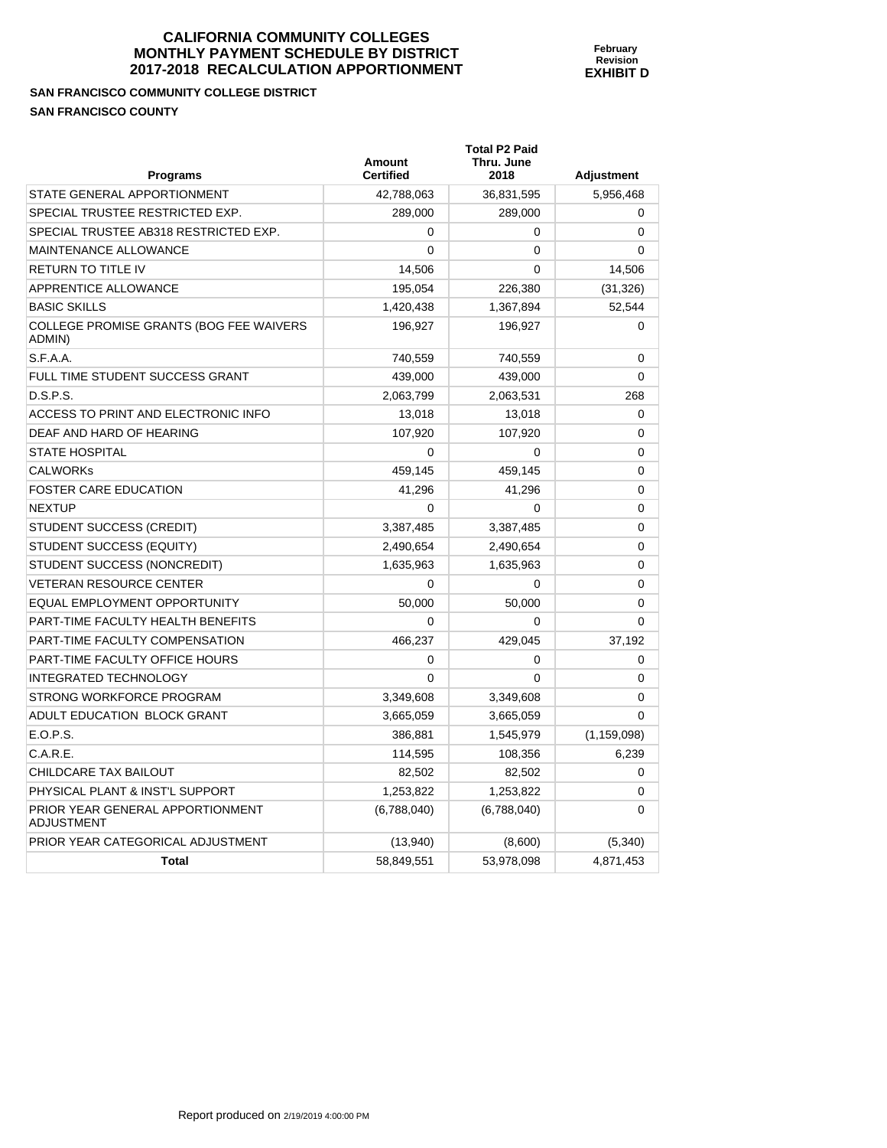**SAN FRANCISCO COMMUNITY COLLEGE DISTRICT SAN FRANCISCO COUNTY** 

| <b>Programs</b>                                       | <b>Amount</b><br><b>Certified</b> | <b>Total P2 Paid</b><br>Thru. June<br>2018 | <b>Adjustment</b> |
|-------------------------------------------------------|-----------------------------------|--------------------------------------------|-------------------|
| STATE GENERAL APPORTIONMENT                           | 42,788,063                        | 36,831,595                                 | 5,956,468         |
| SPECIAL TRUSTEE RESTRICTED EXP.                       | 289,000                           | 289,000                                    | $\mathbf 0$       |
| SPECIAL TRUSTEE AB318 RESTRICTED EXP.                 | 0                                 | 0                                          | $\mathbf 0$       |
| MAINTENANCE ALLOWANCE                                 | 0                                 | 0                                          | $\Omega$          |
| RETURN TO TITLE IV                                    | 14,506                            | 0                                          | 14,506            |
| APPRENTICE ALLOWANCE                                  | 195,054                           | 226,380                                    | (31, 326)         |
| <b>BASIC SKILLS</b>                                   | 1,420,438                         | 1,367,894                                  | 52,544            |
| COLLEGE PROMISE GRANTS (BOG FEE WAIVERS<br>ADMIN)     | 196,927                           | 196,927                                    | 0                 |
| S.F.A.A.                                              | 740,559                           | 740,559                                    | $\mathbf 0$       |
| FULL TIME STUDENT SUCCESS GRANT                       | 439,000                           | 439,000                                    | 0                 |
| D.S.P.S.                                              | 2,063,799                         | 2,063,531                                  | 268               |
| ACCESS TO PRINT AND ELECTRONIC INFO                   | 13,018                            | 13,018                                     | 0                 |
| DEAF AND HARD OF HEARING                              | 107,920                           | 107,920                                    | 0                 |
| STATE HOSPITAL                                        | 0                                 | 0                                          | 0                 |
| <b>CALWORKs</b>                                       | 459,145                           | 459,145                                    | 0                 |
| <b>FOSTER CARE EDUCATION</b>                          | 41,296                            | 41,296                                     | 0                 |
| NEXTUP                                                | 0                                 | 0                                          | 0                 |
| STUDENT SUCCESS (CREDIT)                              | 3,387,485                         | 3,387,485                                  | 0                 |
| STUDENT SUCCESS (EQUITY)                              | 2,490,654                         | 2,490,654                                  | 0                 |
| STUDENT SUCCESS (NONCREDIT)                           | 1,635,963                         | 1,635,963                                  | 0                 |
| <b>VETERAN RESOURCE CENTER</b>                        | 0                                 | 0                                          | $\mathbf 0$       |
| EQUAL EMPLOYMENT OPPORTUNITY                          | 50,000                            | 50,000                                     | $\mathbf 0$       |
| PART-TIME FACULTY HEALTH BENEFITS                     | 0                                 | 0                                          | $\Omega$          |
| PART-TIME FACULTY COMPENSATION                        | 466,237                           | 429,045                                    | 37,192            |
| PART-TIME FACULTY OFFICE HOURS                        | 0                                 | 0                                          | $\mathbf 0$       |
| INTEGRATED TECHNOLOGY                                 | 0                                 | $\Omega$                                   | $\mathbf 0$       |
| STRONG WORKFORCE PROGRAM                              | 3,349,608                         | 3,349,608                                  | 0                 |
| ADULT EDUCATION BLOCK GRANT                           | 3,665,059                         | 3,665,059                                  | 0                 |
| E.O.P.S.                                              | 386,881                           | 1,545,979                                  | (1, 159, 098)     |
| C.A.R.E.                                              | 114,595                           | 108,356                                    | 6,239             |
| CHILDCARE TAX BAILOUT                                 | 82,502                            | 82,502                                     | 0                 |
| PHYSICAL PLANT & INST'L SUPPORT                       | 1,253,822                         | 1,253,822                                  | 0                 |
| PRIOR YEAR GENERAL APPORTIONMENT<br><b>ADJUSTMENT</b> | (6,788,040)                       | (6,788,040)                                | 0                 |
| PRIOR YEAR CATEGORICAL ADJUSTMENT                     | (13,940)                          | (8,600)                                    | (5,340)           |
| <b>Total</b>                                          | 58,849,551                        | 53,978,098                                 | 4,871,453         |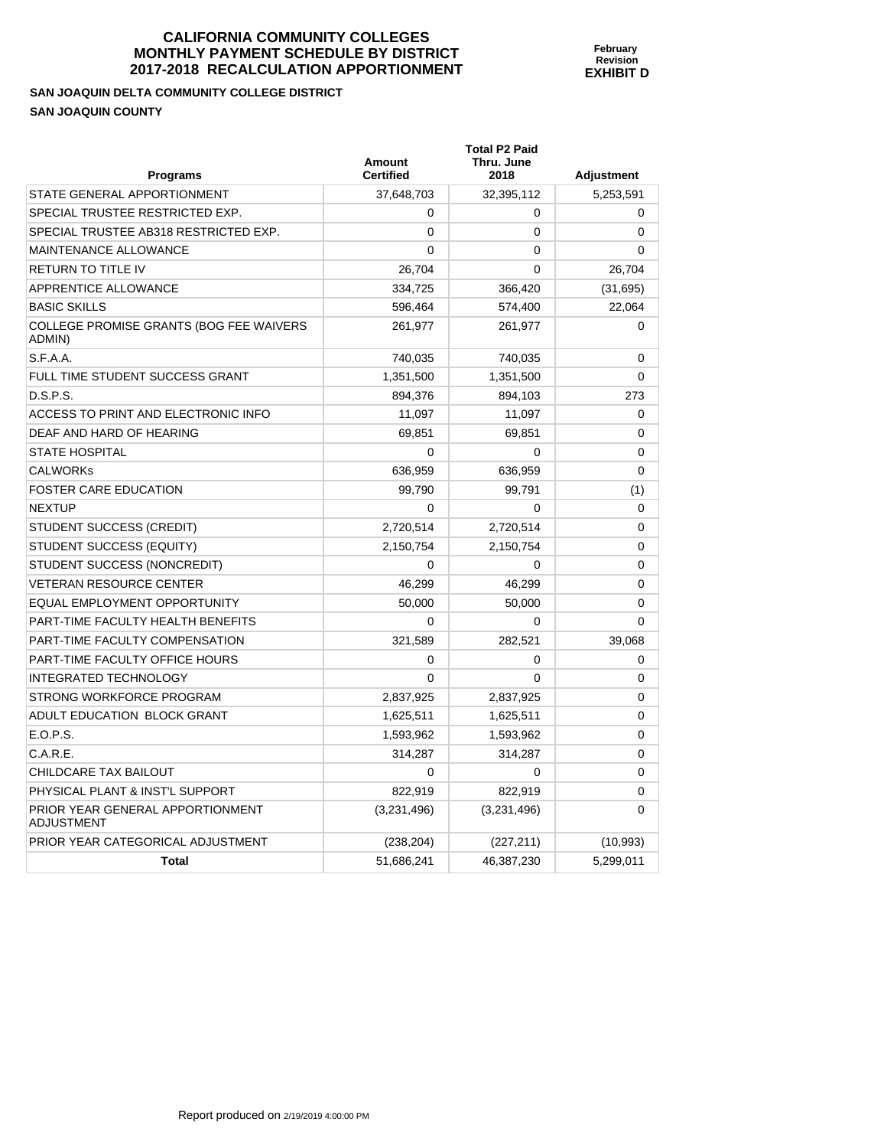| February         |
|------------------|
| <b>Revision</b>  |
| <b>EXHIBIT D</b> |
|                  |
|                  |
|                  |
|                  |

| <b>Programs</b>                                       | Amount<br><b>Certified</b> | <b>Total P2 Paid</b><br>Thru. June<br>2018 | <b>Adjustment</b> |
|-------------------------------------------------------|----------------------------|--------------------------------------------|-------------------|
| STATE GENERAL APPORTIONMENT                           | 37,648,703                 | 32,395,112                                 | 5,253,591         |
| SPECIAL TRUSTEE RESTRICTED EXP.                       | 0                          | 0                                          | $\Omega$          |
| SPECIAL TRUSTEE AB318 RESTRICTED EXP.                 | 0                          | $\mathbf 0$                                | 0                 |
| MAINTENANCE ALLOWANCE                                 | 0                          | $\mathbf 0$                                | 0                 |
| <b>RETURN TO TITLE IV</b>                             | 26,704                     | 0                                          | 26,704            |
| APPRENTICE ALLOWANCE                                  | 334,725                    | 366,420                                    | (31,695)          |
| <b>BASIC SKILLS</b>                                   | 596,464                    | 574,400                                    | 22,064            |
| COLLEGE PROMISE GRANTS (BOG FEE WAIVERS<br>ADMIN)     | 261,977                    | 261,977                                    | 0                 |
| S.F.A.A.                                              | 740,035                    | 740,035                                    | 0                 |
| FULL TIME STUDENT SUCCESS GRANT                       | 1,351,500                  | 1,351,500                                  | 0                 |
| D.S.P.S.                                              | 894,376                    | 894,103                                    | 273               |
| ACCESS TO PRINT AND ELECTRONIC INFO                   | 11,097                     | 11,097                                     | $\Omega$          |
| DEAF AND HARD OF HEARING                              | 69,851                     | 69,851                                     | 0                 |
| <b>STATE HOSPITAL</b>                                 | 0                          | 0                                          | 0                 |
| <b>CALWORKs</b>                                       | 636,959                    | 636,959                                    | 0                 |
| FOSTER CARE EDUCATION                                 | 99,790                     | 99,791                                     | (1)               |
| <b>NEXTUP</b>                                         | 0                          | $\mathbf 0$                                | 0                 |
| STUDENT SUCCESS (CREDIT)                              | 2,720,514                  | 2,720,514                                  | 0                 |
| STUDENT SUCCESS (EQUITY)                              | 2,150,754                  | 2,150,754                                  | 0                 |
| STUDENT SUCCESS (NONCREDIT)                           | 0                          | $\Omega$                                   | 0                 |
| <b>VETERAN RESOURCE CENTER</b>                        | 46,299                     | 46,299                                     | 0                 |
| EQUAL EMPLOYMENT OPPORTUNITY                          | 50,000                     | 50,000                                     | 0                 |
| PART-TIME FACULTY HEALTH BENEFITS                     | 0                          | $\Omega$                                   | $\Omega$          |
| PART-TIME FACULTY COMPENSATION                        | 321,589                    | 282,521                                    | 39,068            |
| PART-TIME FACULTY OFFICE HOURS                        | 0                          | 0                                          | 0                 |
| <b>INTEGRATED TECHNOLOGY</b>                          | 0                          | $\Omega$                                   | 0                 |
| STRONG WORKFORCE PROGRAM                              | 2,837,925                  | 2,837,925                                  | $\Omega$          |
| ADULT EDUCATION BLOCK GRANT                           | 1,625,511                  | 1,625,511                                  | 0                 |
| E.O.P.S.                                              | 1,593,962                  | 1,593,962                                  | 0                 |
| C.A.R.E.                                              | 314,287                    | 314,287                                    | 0                 |
| CHILDCARE TAX BAILOUT                                 | 0                          | 0                                          | 0                 |
| PHYSICAL PLANT & INST'L SUPPORT                       | 822,919                    | 822,919                                    | 0                 |
| PRIOR YEAR GENERAL APPORTIONMENT<br><b>ADJUSTMENT</b> | (3,231,496)                | (3,231,496)                                | $\Omega$          |
| PRIOR YEAR CATEGORICAL ADJUSTMENT                     | (238, 204)                 | (227, 211)                                 | (10, 993)         |
| <b>Total</b>                                          | 51,686,241                 | 46,387,230                                 | 5,299,011         |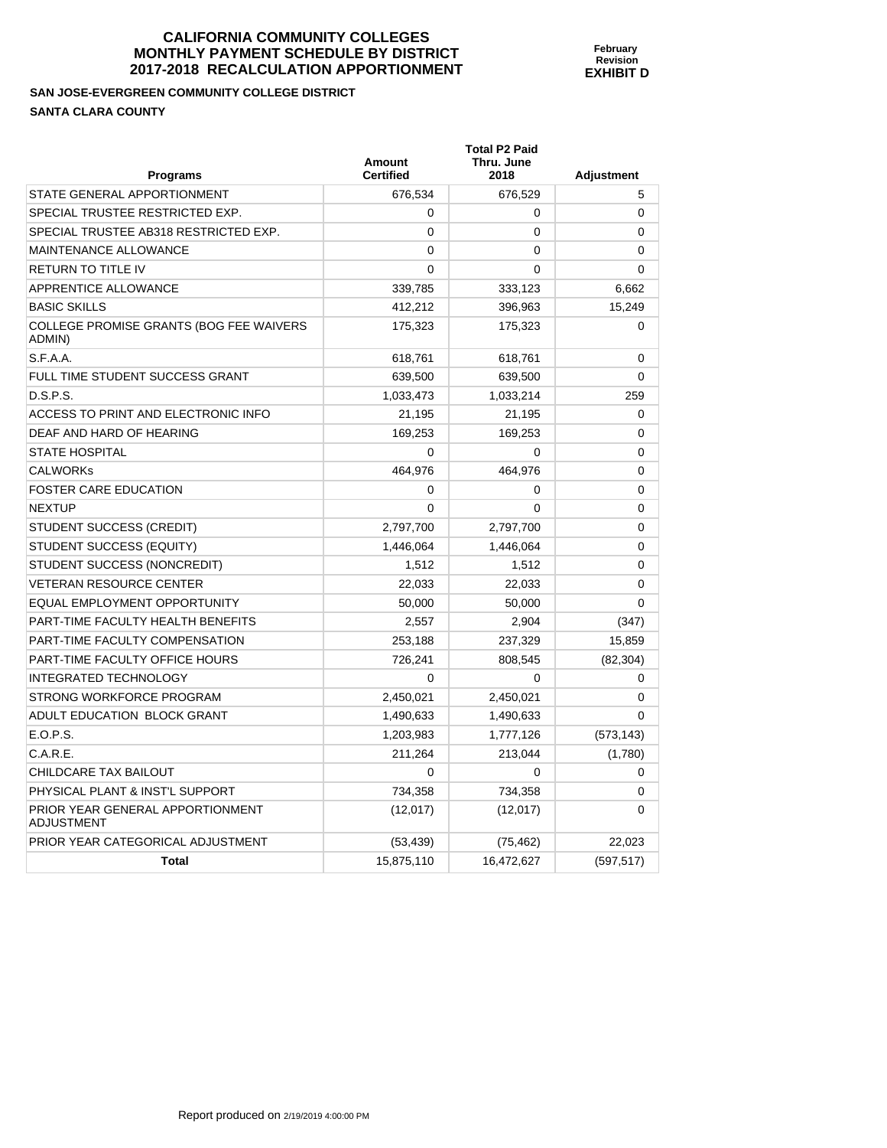#### **SAN JOSE-EVERGREEN COMMUNITY COLLEGE DISTRICT SANTA CLARA COUNTY**

| Programs                                              | <b>Amount</b><br><b>Certified</b> | <b>Total P2 Paid</b><br>Thru. June<br>2018 | <b>Adjustment</b> |
|-------------------------------------------------------|-----------------------------------|--------------------------------------------|-------------------|
| STATE GENERAL APPORTIONMENT                           | 676,534                           | 676,529                                    | 5                 |
| SPECIAL TRUSTEE RESTRICTED EXP.                       | 0                                 | 0                                          | $\Omega$          |
| SPECIAL TRUSTEE AB318 RESTRICTED EXP.                 | $\Omega$                          | 0                                          | $\Omega$          |
| <b>MAINTENANCE ALLOWANCE</b>                          | $\mathbf{0}$                      | 0                                          | $\Omega$          |
| <b>RETURN TO TITLE IV</b>                             | 0                                 | 0                                          | $\Omega$          |
| APPRENTICE ALLOWANCE                                  | 339,785                           | 333,123                                    | 6,662             |
| <b>BASIC SKILLS</b>                                   | 412,212                           | 396,963                                    | 15,249            |
| COLLEGE PROMISE GRANTS (BOG FEE WAIVERS<br>ADMIN)     | 175,323                           | 175,323                                    | $\Omega$          |
| S.F.A.A.                                              | 618,761                           | 618,761                                    | 0                 |
| FULL TIME STUDENT SUCCESS GRANT                       | 639,500                           | 639,500                                    | $\Omega$          |
| D.S.P.S.                                              | 1,033,473                         | 1,033,214                                  | 259               |
| ACCESS TO PRINT AND ELECTRONIC INFO                   | 21,195                            | 21,195                                     | 0                 |
| DEAF AND HARD OF HEARING                              | 169.253                           | 169,253                                    | $\Omega$          |
| <b>STATE HOSPITAL</b>                                 | $\Omega$                          | $\Omega$                                   | 0                 |
| <b>CALWORKS</b>                                       | 464,976                           | 464,976                                    | $\Omega$          |
| <b>FOSTER CARE EDUCATION</b>                          | 0                                 | $\Omega$                                   | $\Omega$          |
| <b>NEXTUP</b>                                         | $\mathbf{0}$                      | $\Omega$                                   | 0                 |
| STUDENT SUCCESS (CREDIT)                              | 2,797,700                         | 2,797,700                                  | $\Omega$          |
| STUDENT SUCCESS (EQUITY)                              | 1,446,064                         | 1,446,064                                  | $\Omega$          |
| STUDENT SUCCESS (NONCREDIT)                           | 1,512                             | 1,512                                      | 0                 |
| <b>VETERAN RESOURCE CENTER</b>                        | 22,033                            | 22,033                                     | 0                 |
| EQUAL EMPLOYMENT OPPORTUNITY                          | 50,000                            | 50,000                                     | $\Omega$          |
| PART-TIME FACULTY HEALTH BENEFITS                     | 2,557                             | 2,904                                      | (347)             |
| PART-TIME FACULTY COMPENSATION                        | 253,188                           | 237,329                                    | 15,859            |
| PART-TIME FACULTY OFFICE HOURS                        | 726,241                           | 808,545                                    | (82, 304)         |
| <b>INTEGRATED TECHNOLOGY</b>                          | $\Omega$                          | $\Omega$                                   | 0                 |
| STRONG WORKFORCE PROGRAM                              | 2,450,021                         | 2,450,021                                  | 0                 |
| ADULT EDUCATION BLOCK GRANT                           | 1,490,633                         | 1,490,633                                  | $\Omega$          |
| E.O.P.S.                                              | 1,203,983                         | 1,777,126                                  | (573, 143)        |
| C.A.R.E.                                              | 211,264                           | 213,044                                    | (1,780)           |
| CHILDCARE TAX BAILOUT                                 | $\mathbf{0}$                      | $\Omega$                                   | 0                 |
| PHYSICAL PLANT & INST'L SUPPORT                       | 734,358                           | 734,358                                    | 0                 |
| PRIOR YEAR GENERAL APPORTIONMENT<br><b>ADJUSTMENT</b> | (12,017)                          | (12,017)                                   | $\Omega$          |
| PRIOR YEAR CATEGORICAL ADJUSTMENT                     | (53, 439)                         | (75, 462)                                  | 22,023            |
| <b>Total</b>                                          | 15,875,110                        | 16,472,627                                 | (597, 517)        |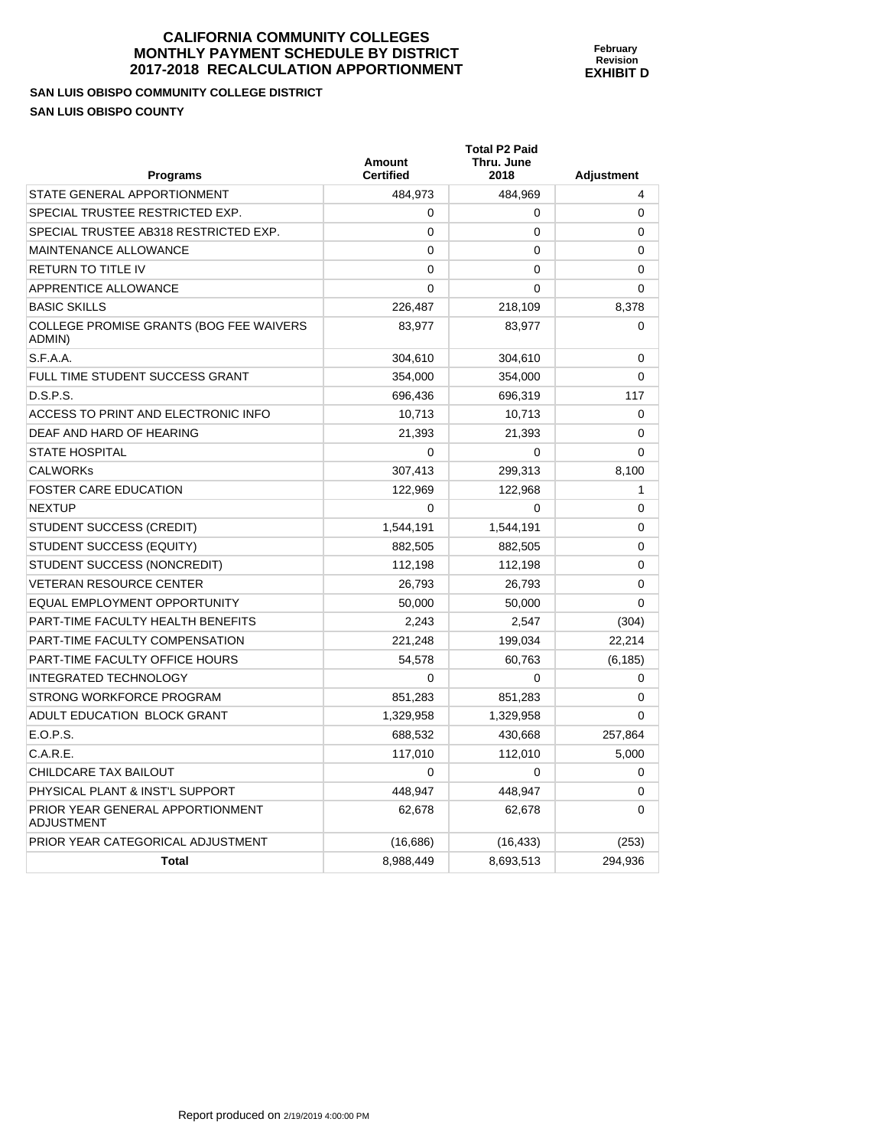**February Revision EXHIBIT D** 

**SAN LUIS OBISPO COMMUNITY COLLEGE DISTRICT SAN LUIS OBISPO COUNTY** 

| <b>Programs</b>                                       | Amount<br><b>Certified</b> | <b>Total P2 Paid</b><br>Thru. June<br>2018 | <b>Adjustment</b> |
|-------------------------------------------------------|----------------------------|--------------------------------------------|-------------------|
| STATE GENERAL APPORTIONMENT                           | 484,973                    | 484,969                                    | 4                 |
| SPECIAL TRUSTEE RESTRICTED EXP.                       | $\Omega$                   | 0                                          | 0                 |
| SPECIAL TRUSTEE AB318 RESTRICTED EXP.                 | $\Omega$                   | 0                                          | 0                 |
| <b>MAINTENANCE ALLOWANCE</b>                          | $\Omega$                   | 0                                          | 0                 |
| <b>RETURN TO TITLE IV</b>                             | $\Omega$                   | 0                                          | $\Omega$          |
| <b>APPRENTICE ALLOWANCE</b>                           | $\Omega$                   | 0                                          | 0                 |
| <b>BASIC SKILLS</b>                                   | 226,487                    | 218,109                                    | 8,378             |
| COLLEGE PROMISE GRANTS (BOG FEE WAIVERS<br>ADMIN)     | 83,977                     | 83,977                                     | 0                 |
| S.F.A.A.                                              | 304,610                    | 304,610                                    | 0                 |
| FULL TIME STUDENT SUCCESS GRANT                       | 354,000                    | 354,000                                    | $\Omega$          |
| D.S.P.S.                                              | 696,436                    | 696,319                                    | 117               |
| ACCESS TO PRINT AND ELECTRONIC INFO                   | 10,713                     | 10,713                                     | 0                 |
| DEAF AND HARD OF HEARING                              | 21,393                     | 21,393                                     | 0                 |
| <b>STATE HOSPITAL</b>                                 | $\Omega$                   | 0                                          | $\Omega$          |
| <b>CALWORKs</b>                                       | 307,413                    | 299,313                                    | 8,100             |
| <b>FOSTER CARE EDUCATION</b>                          | 122,969                    | 122,968                                    | 1                 |
| <b>NEXTUP</b>                                         | $\Omega$                   | 0                                          | 0                 |
| STUDENT SUCCESS (CREDIT)                              | 1,544,191                  | 1,544,191                                  | 0                 |
| STUDENT SUCCESS (EQUITY)                              | 882,505                    | 882,505                                    | 0                 |
| STUDENT SUCCESS (NONCREDIT)                           | 112,198                    | 112,198                                    | 0                 |
| <b>VETERAN RESOURCE CENTER</b>                        | 26,793                     | 26,793                                     | 0                 |
| EQUAL EMPLOYMENT OPPORTUNITY                          | 50,000                     | 50,000                                     | $\Omega$          |
| PART-TIME FACULTY HEALTH BENEFITS                     | 2,243                      | 2,547                                      | (304)             |
| PART-TIME FACULTY COMPENSATION                        | 221,248                    | 199,034                                    | 22,214            |
| PART-TIME FACULTY OFFICE HOURS                        | 54,578                     | 60,763                                     | (6, 185)          |
| <b>INTEGRATED TECHNOLOGY</b>                          | $\Omega$                   | 0                                          | 0                 |
| STRONG WORKFORCE PROGRAM                              | 851,283                    | 851,283                                    | 0                 |
| ADULT EDUCATION BLOCK GRANT                           | 1,329,958                  | 1,329,958                                  | 0                 |
| E.O.P.S.                                              | 688,532                    | 430,668                                    | 257,864           |
| C.A.R.E.                                              | 117,010                    | 112,010                                    | 5,000             |
| <b>CHILDCARE TAX BAILOUT</b>                          | $\Omega$                   | 0                                          | 0                 |
| PHYSICAL PLANT & INST'L SUPPORT                       | 448,947                    | 448,947                                    | 0                 |
| PRIOR YEAR GENERAL APPORTIONMENT<br><b>ADJUSTMENT</b> | 62,678                     | 62,678                                     | 0                 |
| PRIOR YEAR CATEGORICAL ADJUSTMENT                     | (16, 686)                  | (16, 433)                                  | (253)             |
| Total                                                 | 8,988,449                  | 8,693,513                                  | 294,936           |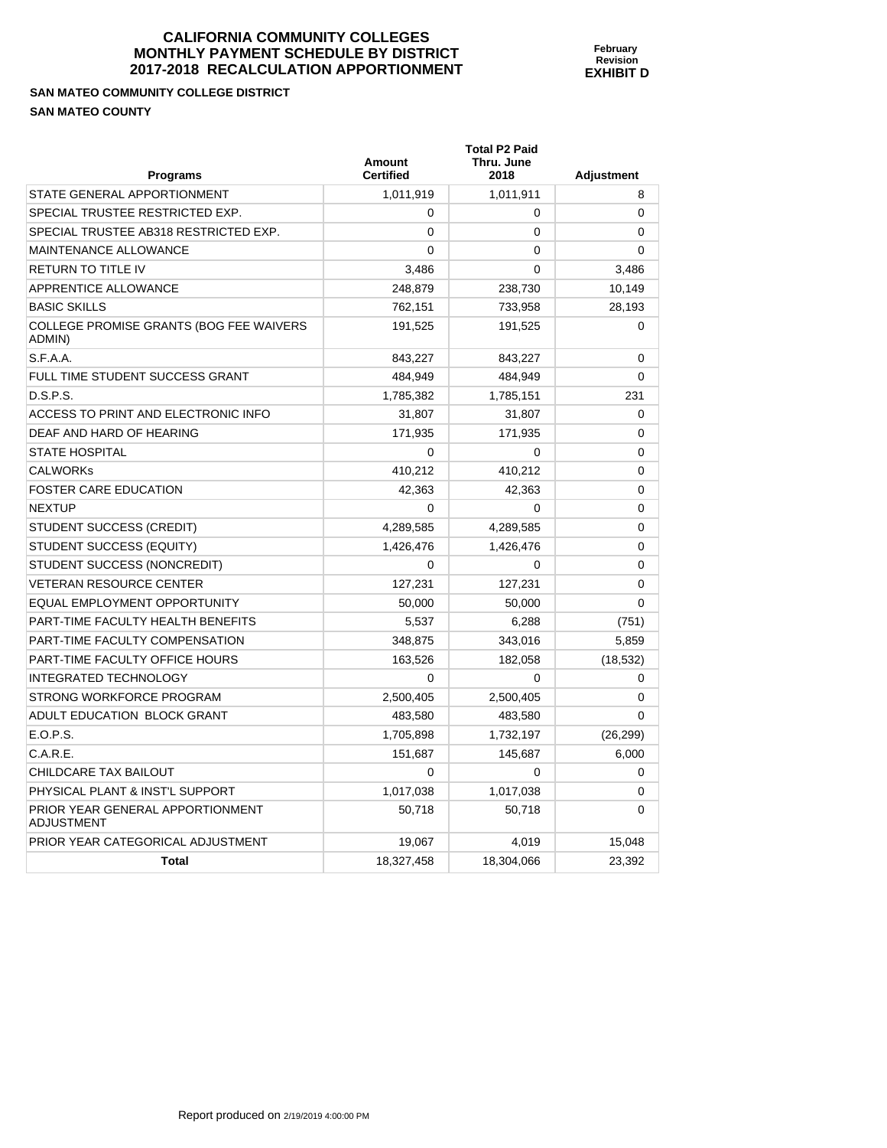**SAN MATEO COMMUNITY COLLEGE DISTRICT SAN MATEO COUNTY** 

PRIOR YEAR GENERAL APPORTIONMENT

ADJUSTMENT

| <b>Programs</b>                                   | Amount<br><b>Certified</b> | <b>Total P2 Paid</b><br>Thru. June<br>2018 | <b>Adjustment</b> |
|---------------------------------------------------|----------------------------|--------------------------------------------|-------------------|
| STATE GENERAL APPORTIONMENT                       | 1,011,919                  | 1,011,911                                  | 8                 |
| SPECIAL TRUSTEE RESTRICTED EXP.                   | 0                          | $\Omega$                                   | $\Omega$          |
| SPECIAL TRUSTEE AB318 RESTRICTED EXP.             | 0                          | 0                                          | 0                 |
| <b>MAINTENANCE ALLOWANCE</b>                      | $\Omega$                   | 0                                          | $\Omega$          |
| <b>RETURN TO TITLE IV</b>                         | 3,486                      | $\Omega$                                   | 3,486             |
| APPRENTICE ALLOWANCE                              | 248,879                    | 238,730                                    | 10,149            |
| <b>BASIC SKILLS</b>                               | 762.151                    | 733,958                                    | 28,193            |
| COLLEGE PROMISE GRANTS (BOG FEE WAIVERS<br>ADMIN) | 191,525                    | 191,525                                    | 0                 |
| S.F.A.A.                                          | 843,227                    | 843,227                                    | $\Omega$          |
| FULL TIME STUDENT SUCCESS GRANT                   | 484,949                    | 484,949                                    | 0                 |
| D.S.P.S.                                          | 1,785,382                  | 1,785,151                                  | 231               |
| ACCESS TO PRINT AND ELECTRONIC INFO               | 31,807                     | 31,807                                     | $\Omega$          |
| DEAF AND HARD OF HEARING                          | 171,935                    | 171,935                                    | 0                 |
| <b>STATE HOSPITAL</b>                             | 0                          | 0                                          | 0                 |
| <b>CALWORKs</b>                                   | 410,212                    | 410,212                                    | $\Omega$          |
| <b>FOSTER CARE EDUCATION</b>                      | 42,363                     | 42,363                                     | 0                 |
| <b>NEXTUP</b>                                     | 0                          | 0                                          | 0                 |
| STUDENT SUCCESS (CREDIT)                          | 4,289,585                  | 4,289,585                                  | $\Omega$          |
| STUDENT SUCCESS (EQUITY)                          | 1,426,476                  | 1,426,476                                  | 0                 |
| STUDENT SUCCESS (NONCREDIT)                       | 0                          | $\Omega$                                   | 0                 |
| <b>VETERAN RESOURCE CENTER</b>                    | 127,231                    | 127,231                                    | 0                 |
| EQUAL EMPLOYMENT OPPORTUNITY                      | 50,000                     | 50,000                                     | 0                 |
| PART-TIME FACULTY HEALTH BENEFITS                 | 5,537                      | 6,288                                      | (751)             |
| PART-TIME FACULTY COMPENSATION                    | 348,875                    | 343,016                                    | 5,859             |
| PART-TIME FACULTY OFFICE HOURS                    | 163,526                    | 182,058                                    | (18, 532)         |
| <b>INTEGRATED TECHNOLOGY</b>                      | $\mathbf 0$                | 0                                          | 0                 |

STRONG WORKFORCE PROGRAM  $2,500,405$   $2,500,405$   $2,500,405$  0 ADULT EDUCATION BLOCK GRANT  $\begin{array}{|c|c|c|c|c|c|c|c|c|} \hline \text{0} & \text{483,580} & \text{483,580} & \text{0} & \text{0} & \text{0} \ \hline \end{array}$ E.O.P.S. 1,705,898 1,732,197 (26,299) C.A.R.E. 6,000 1451,687 145,687 145,687 145,687 145,687 145,687 145,687 151,687 1 CHILDCARE TAX BAILOUT 0 0 0 PHYSICAL PLANT & INST'L SUPPORT  $1,017,038$  1,017,038 0

PRIOR YEAR CATEGORICAL ADJUSTMENT 19,067 19,067 4,019 15,048

**Total 18,327,458 18,304,066 23,392 18,304,066** 

50,718 50,718 0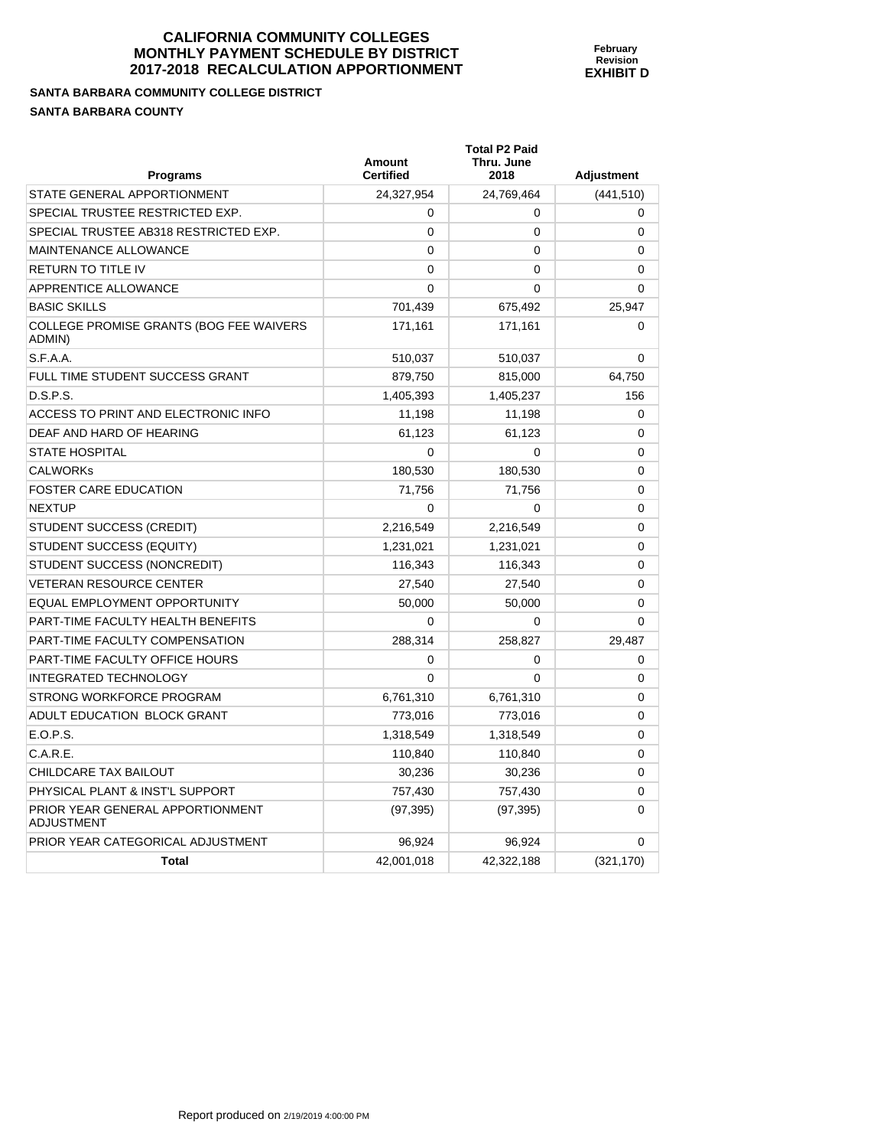**SANTA BARBARA COMMUNITY COLLEGE DISTRICT SANTA BARBARA COUNTY** 

PRIOR YEAR GENERAL APPORTIONMENT

ADJUSTMENT

| <b>Programs</b>                                   | Amount<br><b>Certified</b> | <b>Total P2 Paid</b><br>Thru. June<br>2018 | Adjustment  |
|---------------------------------------------------|----------------------------|--------------------------------------------|-------------|
| STATE GENERAL APPORTIONMENT                       | 24,327,954                 | 24,769,464                                 | (441, 510)  |
| SPECIAL TRUSTEE RESTRICTED EXP.                   | 0                          | 0                                          | 0           |
| SPECIAL TRUSTEE AB318 RESTRICTED EXP.             | 0                          | $\Omega$                                   | 0           |
| MAINTENANCE ALLOWANCE                             | $\mathbf 0$                | $\Omega$                                   | $\mathbf 0$ |
| <b>RETURN TO TITLE IV</b>                         | $\Omega$                   | $\Omega$                                   | 0           |
| APPRENTICE ALLOWANCE                              | 0                          | $\Omega$                                   | 0           |
| <b>BASIC SKILLS</b>                               | 701,439                    | 675,492                                    | 25,947      |
| COLLEGE PROMISE GRANTS (BOG FEE WAIVERS<br>ADMIN) | 171,161                    | 171,161                                    | 0           |
| S.F.A.A.                                          | 510,037                    | 510,037                                    | 0           |
| FULL TIME STUDENT SUCCESS GRANT                   | 879,750                    | 815,000                                    | 64,750      |
| D.S.P.S.                                          | 1,405,393                  | 1,405,237                                  | 156         |
| ACCESS TO PRINT AND ELECTRONIC INFO               | 11,198                     | 11,198                                     | 0           |
| DEAF AND HARD OF HEARING                          | 61,123                     | 61,123                                     | 0           |
| <b>STATE HOSPITAL</b>                             | 0                          | $\Omega$                                   | 0           |
| <b>CALWORKs</b>                                   | 180,530                    | 180,530                                    | 0           |
| <b>FOSTER CARE EDUCATION</b>                      | 71,756                     | 71,756                                     | 0           |
| <b>NEXTUP</b>                                     | 0                          | $\Omega$                                   | $\mathbf 0$ |
| STUDENT SUCCESS (CREDIT)                          | 2,216,549                  | 2,216,549                                  | $\mathbf 0$ |
| STUDENT SUCCESS (EQUITY)                          | 1,231,021                  | 1,231,021                                  | $\mathbf 0$ |
| STUDENT SUCCESS (NONCREDIT)                       | 116,343                    | 116,343                                    | $\mathbf 0$ |
| <b>VETERAN RESOURCE CENTER</b>                    | 27,540                     | 27,540                                     | $\mathbf 0$ |
| EQUAL EMPLOYMENT OPPORTUNITY                      | 50,000                     | 50,000                                     | 0           |
| PART-TIME FACULTY HEALTH BENEFITS                 | 0                          | $\Omega$                                   | 0           |
| PART-TIME FACULTY COMPENSATION                    | 288,314                    | 258,827                                    | 29,487      |
| PART-TIME FACULTY OFFICE HOURS                    | 0                          | $\Omega$                                   | $\mathbf 0$ |
| <b>INTEGRATED TECHNOLOGY</b>                      | 0                          | $\Omega$                                   | $\Omega$    |
| STRONG WORKFORCE PROGRAM                          | 6,761,310                  | 6,761,310                                  | 0           |
| ADULT EDUCATION BLOCK GRANT                       | 773,016                    | 773,016                                    | 0           |

E.O.P.S. 1,318,549 1,318,549 0 C.A.R.E. 110,840 110,840 0 CHILDCARE TAX BAILOUT 0 30,236 30,236 30,236 30,236 30,236 30,236 30,236 30,236 30,236 30,236 30,236 30,236 30,236 30,236 30,236 30,236 30,236 30,236 30,236 30,236 30,236 30,236 30,236 30,236 30,236 30,236 30,236 30,236 30 PHYSICAL PLANT & INST'L SUPPORT  $757,430$  757,430 0

PRIOR YEAR CATEGORICAL ADJUSTMENT  $96.924$  96.924 96.924 0

**Total 42,001,018 42,322,188** (321,170)

(97,395) (97,395) 0

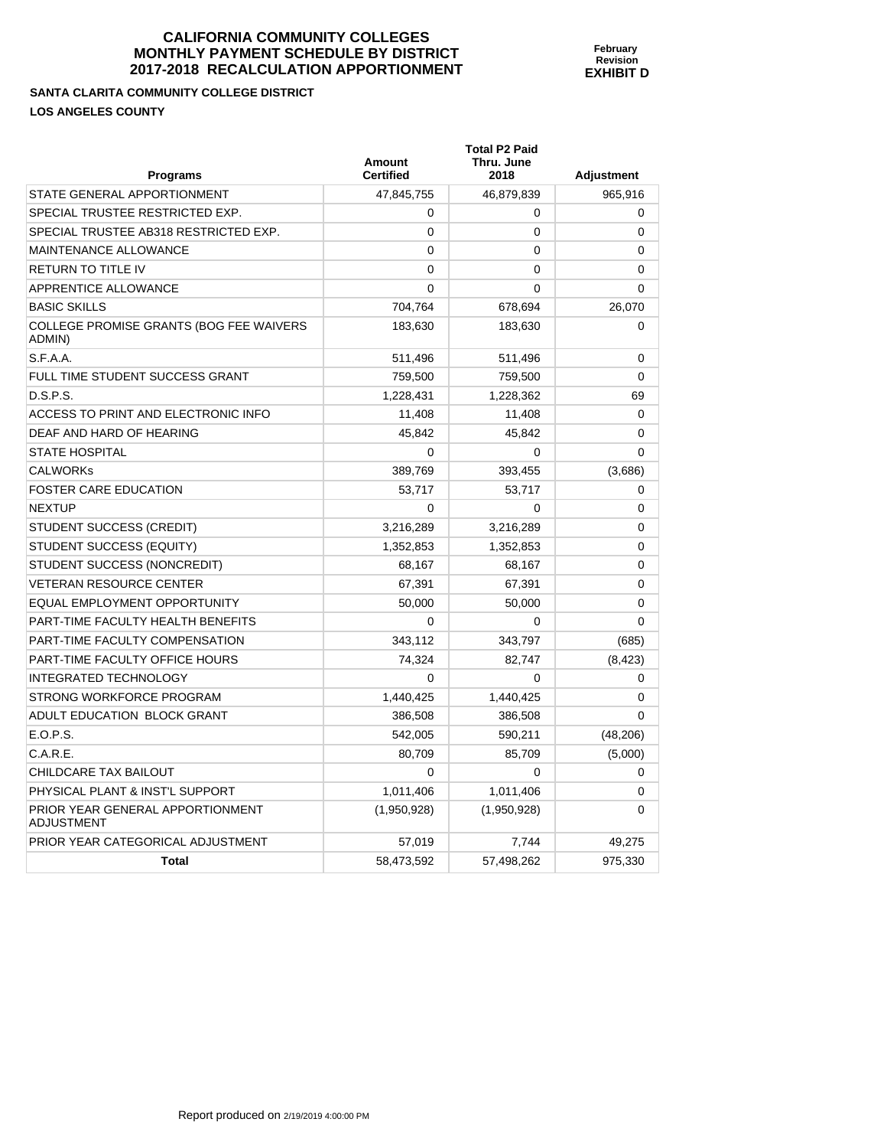**SANTA CLARITA COMMUNITY COLLEGE DISTRICT LOS ANGELES COUNTY** 

| <b>Programs</b>                                   | Amount<br><b>Certified</b> | <b>Total P2 Paid</b><br>Thru. June<br>2018 | <b>Adjustment</b> |
|---------------------------------------------------|----------------------------|--------------------------------------------|-------------------|
| STATE GENERAL APPORTIONMENT                       | 47,845,755                 | 46,879,839                                 | 965,916           |
| SPECIAL TRUSTEE RESTRICTED EXP.                   | $\mathbf 0$                | 0                                          | 0                 |
| SPECIAL TRUSTEE AB318 RESTRICTED EXP.             | $\mathbf 0$                | 0                                          | 0                 |
| <b>MAINTENANCE ALLOWANCE</b>                      | $\Omega$                   | $\mathbf{0}$                               | 0                 |
| RETURN TO TITLE IV                                | $\mathbf 0$                | 0                                          | 0                 |
| APPRENTICE ALLOWANCE                              | $\Omega$                   | 0                                          | 0                 |
| <b>BASIC SKILLS</b>                               | 704,764                    | 678,694                                    | 26,070            |
| COLLEGE PROMISE GRANTS (BOG FEE WAIVERS<br>ADMIN) | 183,630                    | 183,630                                    | $\Omega$          |
| S.F.A.A.                                          | 511,496                    | 511,496                                    | 0                 |
| FULL TIME STUDENT SUCCESS GRANT                   | 759,500                    | 759,500                                    | $\Omega$          |
| D.S.P.S.                                          | 1,228,431                  | 1,228,362                                  | 69                |
| ACCESS TO PRINT AND ELECTRONIC INFO               | 11,408                     | 11,408                                     | 0                 |
| DEAF AND HARD OF HEARING                          | 45,842                     | 45,842                                     | 0                 |
| STATE HOSPITAL                                    | $\mathbf 0$                | $\mathbf 0$                                | $\Omega$          |
| <b>CALWORKs</b>                                   | 389,769                    | 393,455                                    | (3,686)           |
| FOSTER CARE EDUCATION                             | 53,717                     | 53,717                                     | 0                 |
| NEXTUP                                            | $\Omega$                   | 0                                          | 0                 |
| STUDENT SUCCESS (CREDIT)                          | 3,216,289                  | 3,216,289                                  | $\Omega$          |
| STUDENT SUCCESS (EQUITY)                          | 1,352,853                  | 1,352,853                                  | 0                 |
| STUDENT SUCCESS (NONCREDIT)                       | 68,167                     | 68,167                                     | 0                 |
| <b>VETERAN RESOURCE CENTER</b>                    | 67,391                     | 67,391                                     | 0                 |
| EQUAL EMPLOYMENT OPPORTUNITY                      | 50,000                     | 50,000                                     | 0                 |
| PART-TIME FACULTY HEALTH BENEFITS                 | $\Omega$                   | $\mathbf 0$                                | $\Omega$          |
| PART-TIME FACULTY COMPENSATION                    | 343,112                    | 343,797                                    | (685)             |
| PART-TIME FACULTY OFFICE HOURS                    | 74,324                     | 82,747                                     | (8, 423)          |
| <b>INTEGRATED TECHNOLOGY</b>                      | $\Omega$                   | $\Omega$                                   | 0                 |
| STRONG WORKFORCE PROGRAM                          | 1,440,425                  | 1,440,425                                  | 0                 |
| ADULT EDUCATION BLOCK GRANT                       | 386,508                    | 386,508                                    | $\Omega$          |
| E.O.P.S.                                          | 542,005                    | 590,211                                    | (48, 206)         |
| C.A.R.E.                                          | 80,709                     | 85,709                                     | (5,000)           |
| CHILDCARE TAX BAILOUT                             | $\Omega$                   | 0                                          | $\Omega$          |
| PHYSICAL PLANT & INST'L SUPPORT                   | 1,011,406                  | 1,011,406                                  | 0                 |
| PRIOR YEAR GENERAL APPORTIONMENT<br>ADJUSTMENT    | (1,950,928)                | (1,950,928)                                | 0                 |
| PRIOR YEAR CATEGORICAL ADJUSTMENT                 | 57,019                     | 7,744                                      | 49,275            |
| <b>Total</b>                                      | 58,473,592                 | 57,498,262                                 | 975,330           |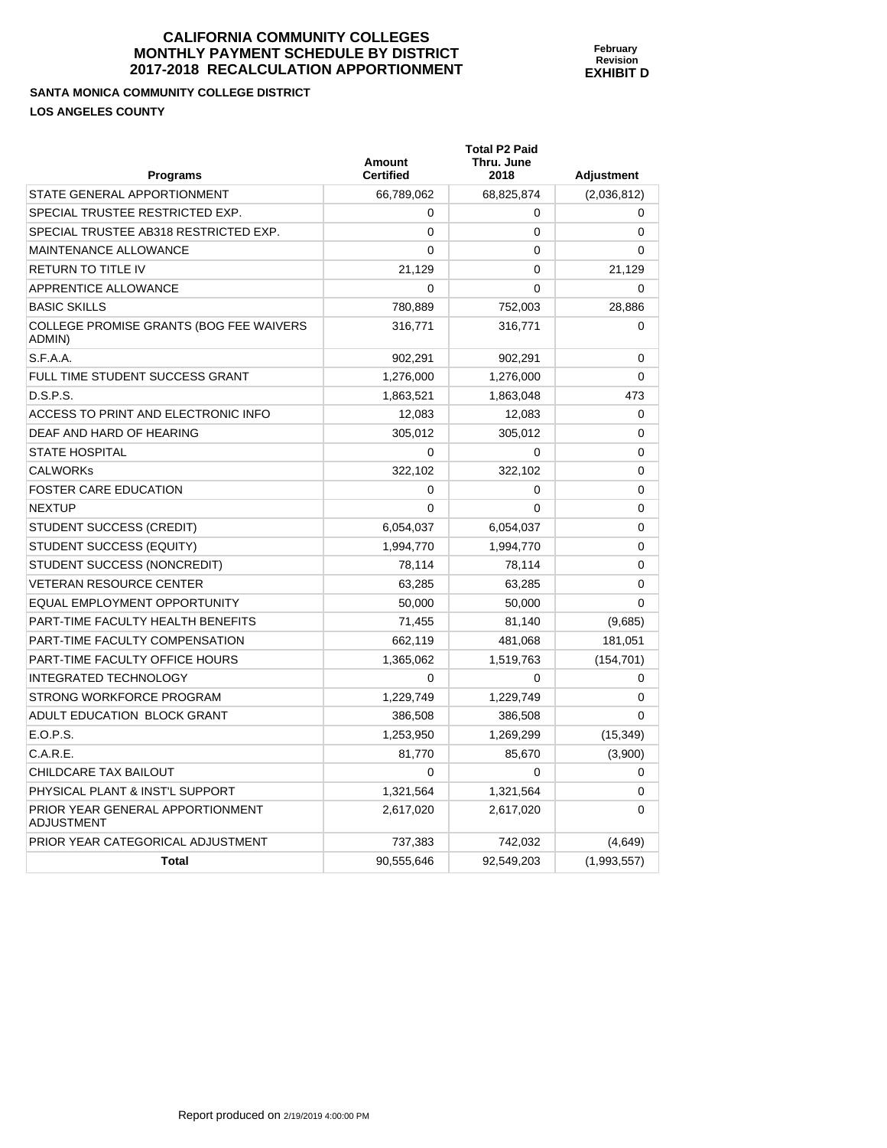**SANTA MONICA COMMUNITY COLLEGE DISTRICT LOS ANGELES COUNTY** 

| <b>Programs</b>                                   | Amount<br><b>Certified</b> | Thru. June<br>2018 | <b>Adjustment</b> |
|---------------------------------------------------|----------------------------|--------------------|-------------------|
| STATE GENERAL APPORTIONMENT                       | 66,789,062                 | 68,825,874         | (2,036,812)       |
| SPECIAL TRUSTEE RESTRICTED EXP.                   | $\Omega$                   | 0                  | $\Omega$          |
| SPECIAL TRUSTEE AB318 RESTRICTED EXP.             | $\mathbf 0$                | 0                  | 0                 |
| MAINTENANCE ALLOWANCE                             | $\mathbf 0$                | 0                  | 0                 |
| RETURN TO TITLE IV                                | 21,129                     | 0                  | 21,129            |
| APPRENTICE ALLOWANCE                              | $\mathbf 0$                | 0                  | $\Omega$          |
| <b>BASIC SKILLS</b>                               | 780,889                    | 752,003            | 28,886            |
| COLLEGE PROMISE GRANTS (BOG FEE WAIVERS<br>ADMIN) | 316,771                    | 316,771            | 0                 |
| S.F.A.A.                                          | 902,291                    | 902,291            | 0                 |
| FULL TIME STUDENT SUCCESS GRANT                   | 1,276,000                  | 1,276,000          | $\Omega$          |
| D.S.P.S.                                          | 1,863,521                  | 1,863,048          | 473               |
| ACCESS TO PRINT AND ELECTRONIC INFO               | 12,083                     | 12,083             | $\Omega$          |
| DEAF AND HARD OF HEARING                          | 305,012                    | 305,012            | 0                 |
| <b>STATE HOSPITAL</b>                             | 0                          | 0                  | 0                 |
| CALWORKs                                          | 322,102                    | 322,102            | 0                 |
| FOSTER CARE EDUCATION                             | 0                          | 0                  | 0                 |
| <b>NEXTUP</b>                                     | $\Omega$                   | 0                  | $\Omega$          |
| STUDENT SUCCESS (CREDIT)                          | 6,054,037                  | 6,054,037          | 0                 |
| STUDENT SUCCESS (EQUITY)                          | 1,994,770                  | 1,994,770          | 0                 |
| STUDENT SUCCESS (NONCREDIT)                       | 78,114                     | 78,114             | 0                 |
| <b>VETERAN RESOURCE CENTER</b>                    | 63,285                     | 63,285             | 0                 |
| EQUAL EMPLOYMENT OPPORTUNITY                      | 50,000                     | 50,000             | $\Omega$          |
| PART-TIME FACULTY HEALTH BENEFITS                 | 71,455                     | 81,140             | (9,685)           |
| PART-TIME FACULTY COMPENSATION                    | 662,119                    | 481,068            | 181,051           |
| PART-TIME FACULTY OFFICE HOURS                    | 1,365,062                  | 1,519,763          | (154, 701)        |
| INTEGRATED TECHNOLOGY                             | $\Omega$                   | 0                  | 0                 |
| STRONG WORKFORCE PROGRAM                          | 1,229,749                  | 1,229,749          | 0                 |
| ADULT EDUCATION BLOCK GRANT                       | 386,508                    | 386,508            | $\Omega$          |
| E.O.P.S.                                          | 1,253,950                  | 1,269,299          | (15, 349)         |
| C.A.R.E.                                          | 81,770                     | 85,670             | (3,900)           |
| CHILDCARE TAX BAILOUT                             | $\mathbf 0$                | 0                  | 0                 |
| PHYSICAL PLANT & INST'L SUPPORT                   | 1,321,564                  | 1,321,564          | 0                 |
| PRIOR YEAR GENERAL APPORTIONMENT<br>ADJUSTMENT    | 2,617,020                  | 2,617,020          | $\Omega$          |
| PRIOR YEAR CATEGORICAL ADJUSTMENT                 | 737,383                    | 742,032            | (4,649)           |
| <b>Total</b>                                      | 90,555,646                 | 92,549,203         | (1,993,557)       |

**Total P2 Paid**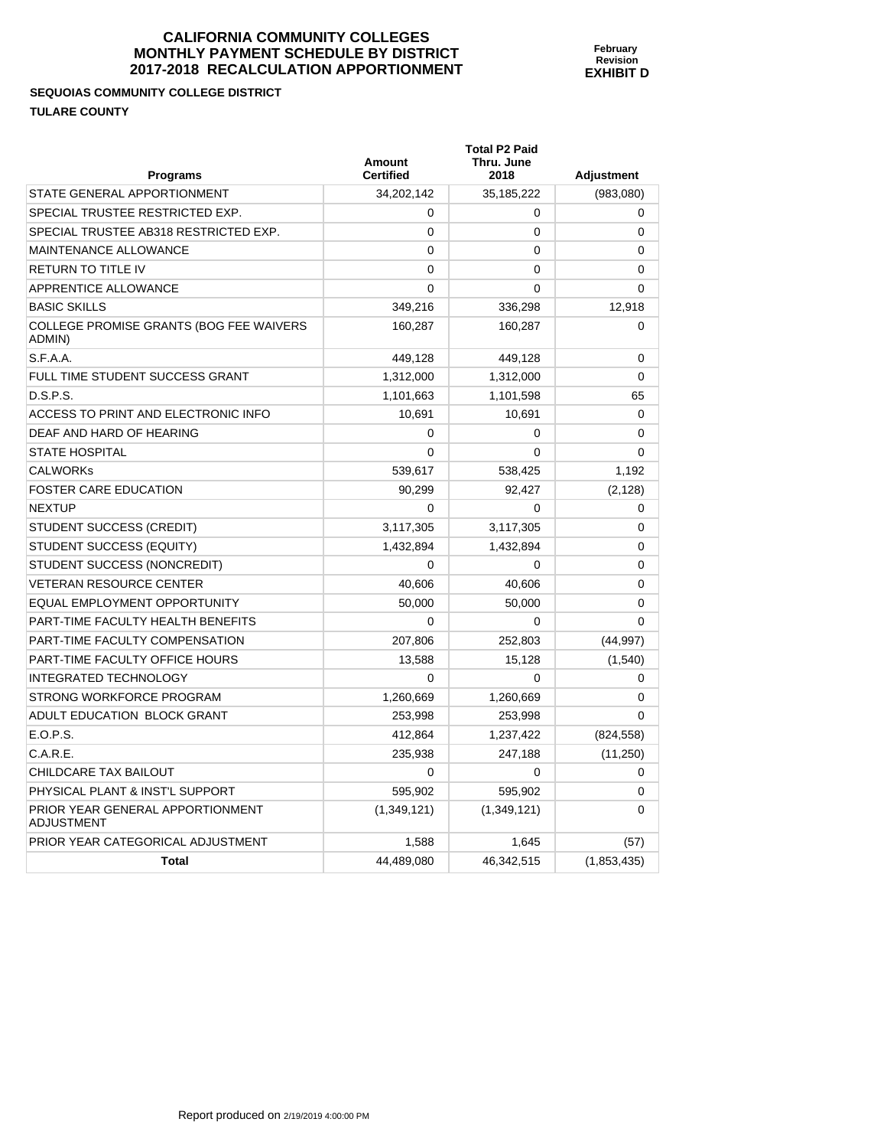# **SEQUOIAS COMMUNITY COLLEGE DISTRICT TULARE COUNTY**

| <b>Programs</b>                                       | <b>Amount</b><br><b>Certified</b> | <b>Total P2 Paid</b><br>Thru. June<br>2018 | <b>Adjustment</b> |
|-------------------------------------------------------|-----------------------------------|--------------------------------------------|-------------------|
| STATE GENERAL APPORTIONMENT                           | 34.202.142                        | 35, 185, 222                               | (983,080)         |
| SPECIAL TRUSTEE RESTRICTED EXP.                       | 0                                 | 0                                          | 0                 |
| SPECIAL TRUSTEE AB318 RESTRICTED EXP.                 | $\Omega$                          | 0                                          | $\mathbf{0}$      |
| MAINTENANCE ALLOWANCE                                 | $\Omega$                          | 0                                          | 0                 |
| <b>RETURN TO TITLE IV</b>                             | $\Omega$                          | 0                                          | 0                 |
| APPRENTICE ALLOWANCE                                  | $\Omega$                          | 0                                          | 0                 |
| <b>BASIC SKILLS</b>                                   | 349,216                           | 336,298                                    | 12,918            |
| COLLEGE PROMISE GRANTS (BOG FEE WAIVERS<br>ADMIN)     | 160.287                           | 160,287                                    | $\mathbf{0}$      |
| S.F.A.A.                                              | 449,128                           | 449,128                                    | 0                 |
| FULL TIME STUDENT SUCCESS GRANT                       | 1,312,000                         | 1,312,000                                  | $\Omega$          |
| D.S.P.S.                                              | 1,101,663                         | 1,101,598                                  | 65                |
| ACCESS TO PRINT AND ELECTRONIC INFO                   | 10,691                            | 10,691                                     | 0                 |
| DEAF AND HARD OF HEARING                              | 0                                 | 0                                          | 0                 |
| <b>STATE HOSPITAL</b>                                 | $\Omega$                          | $\mathbf{0}$                               | $\mathbf{0}$      |
| <b>CALWORKs</b>                                       | 539,617                           | 538,425                                    | 1,192             |
| <b>FOSTER CARE EDUCATION</b>                          | 90.299                            | 92.427                                     | (2, 128)          |
| <b>NEXTUP</b>                                         | $\Omega$                          | $\mathbf{0}$                               | 0                 |
| <b>STUDENT SUCCESS (CREDIT)</b>                       | 3,117,305                         | 3,117,305                                  | 0                 |
| STUDENT SUCCESS (EQUITY)                              | 1,432,894                         | 1,432,894                                  | 0                 |
| STUDENT SUCCESS (NONCREDIT)                           | $\Omega$                          | 0                                          | 0                 |
| <b>VETERAN RESOURCE CENTER</b>                        | 40,606                            | 40,606                                     | 0                 |
| EQUAL EMPLOYMENT OPPORTUNITY                          | 50,000                            | 50,000                                     | 0                 |
| PART-TIME FACULTY HEALTH BENEFITS                     | $\Omega$                          | 0                                          | $\mathbf{0}$      |
| PART-TIME FACULTY COMPENSATION                        | 207,806                           | 252,803                                    | (44, 997)         |
| PART-TIME FACULTY OFFICE HOURS                        | 13.588                            | 15,128                                     | (1, 540)          |
| <b>INTEGRATED TECHNOLOGY</b>                          | $\Omega$                          | $\mathbf{0}$                               | 0                 |
| STRONG WORKFORCE PROGRAM                              | 1,260,669                         | 1,260,669                                  | $\Omega$          |
| ADULT EDUCATION BLOCK GRANT                           | 253,998                           | 253,998                                    | 0                 |
| E.O.P.S.                                              | 412.864                           | 1,237,422                                  | (824, 558)        |
| C.A.R.E.                                              | 235,938                           | 247,188                                    | (11,250)          |
| CHILDCARE TAX BAILOUT                                 | $\Omega$                          | 0                                          | $\Omega$          |
| PHYSICAL PLANT & INST'L SUPPORT                       | 595.902                           | 595.902                                    | $\Omega$          |
| PRIOR YEAR GENERAL APPORTIONMENT<br><b>ADJUSTMENT</b> | (1,349,121)                       | (1,349,121)                                | 0                 |
| PRIOR YEAR CATEGORICAL ADJUSTMENT                     | 1,588                             | 1,645                                      | (57)              |
| <b>Total</b>                                          | 44,489,080                        | 46,342,515                                 | (1,853,435)       |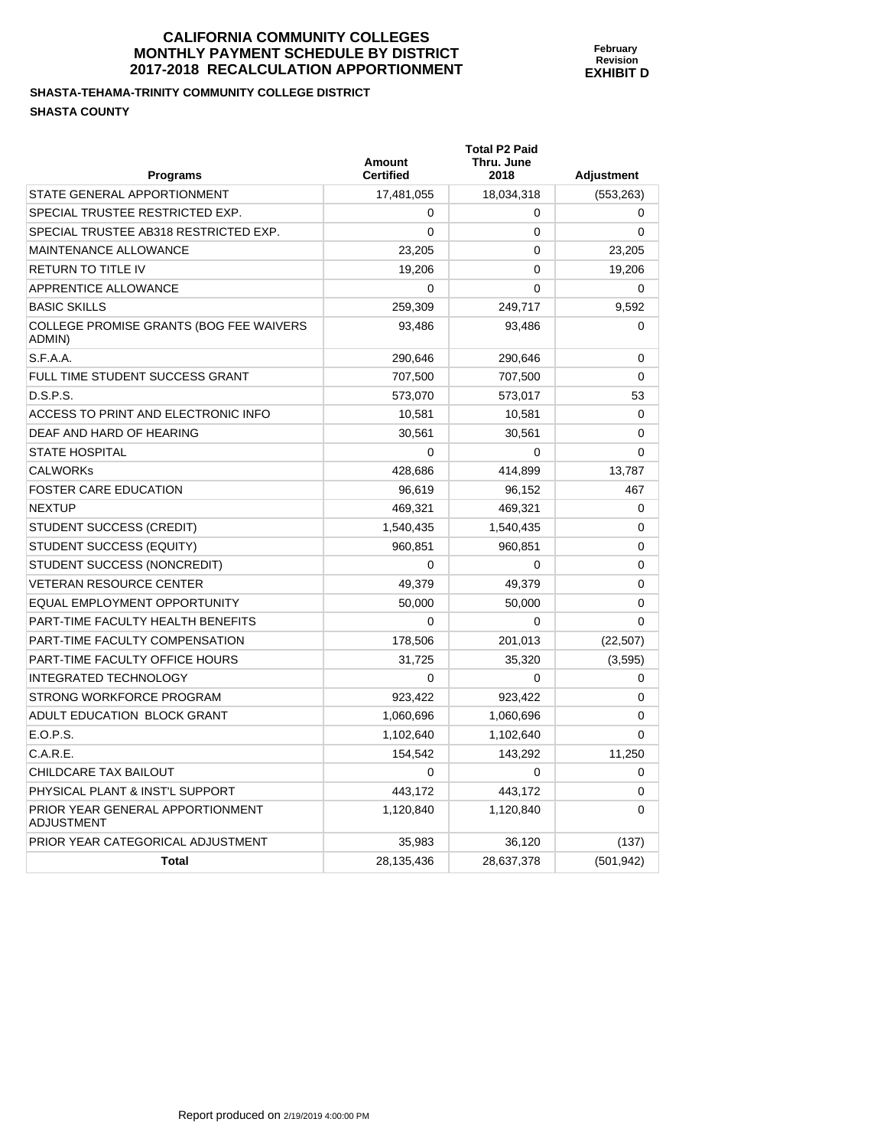#### **SHASTA-TEHAMA-TRINITY COMMUNITY COLLEGE DISTRICT SHASTA COUNTY**

| Programs                                              | Amount<br><b>Certified</b> | <b>Total P2 Paid</b><br>Thru. June<br>2018 | <b>Adjustment</b> |
|-------------------------------------------------------|----------------------------|--------------------------------------------|-------------------|
| STATE GENERAL APPORTIONMENT                           | 17,481,055                 | 18,034,318                                 | (553, 263)        |
| SPECIAL TRUSTEE RESTRICTED EXP.                       | 0                          | 0                                          | 0                 |
| SPECIAL TRUSTEE AB318 RESTRICTED EXP.                 | $\Omega$                   | 0                                          | $\Omega$          |
| <b>MAINTENANCE ALLOWANCE</b>                          | 23,205                     | 0                                          | 23,205            |
| <b>RETURN TO TITLE IV</b>                             | 19,206                     | 0                                          | 19,206            |
| APPRENTICE ALLOWANCE                                  | 0                          | $\Omega$                                   | $\Omega$          |
| <b>BASIC SKILLS</b>                                   | 259.309                    | 249,717                                    | 9.592             |
| COLLEGE PROMISE GRANTS (BOG FEE WAIVERS<br>ADMIN)     | 93,486                     | 93,486                                     | 0                 |
| S.F.A.A.                                              | 290,646                    | 290,646                                    | $\mathbf 0$       |
| FULL TIME STUDENT SUCCESS GRANT                       | 707,500                    | 707,500                                    | $\mathbf 0$       |
| D.S.P.S.                                              | 573,070                    | 573,017                                    | 53                |
| ACCESS TO PRINT AND ELECTRONIC INFO                   | 10,581                     | 10,581                                     | 0                 |
| DEAF AND HARD OF HEARING                              | 30,561                     | 30,561                                     | 0                 |
| <b>STATE HOSPITAL</b>                                 | $\Omega$                   | 0                                          | $\mathbf 0$       |
| <b>CALWORKS</b>                                       | 428.686                    | 414,899                                    | 13,787            |
| <b>FOSTER CARE EDUCATION</b>                          | 96,619                     | 96,152                                     | 467               |
| <b>NEXTUP</b>                                         | 469,321                    | 469,321                                    | 0                 |
| STUDENT SUCCESS (CREDIT)                              | 1,540,435                  | 1,540,435                                  | $\Omega$          |
| STUDENT SUCCESS (EQUITY)                              | 960,851                    | 960,851                                    | 0                 |
| STUDENT SUCCESS (NONCREDIT)                           | $\Omega$                   | $\Omega$                                   | 0                 |
| <b>VETERAN RESOURCE CENTER</b>                        | 49,379                     | 49,379                                     | $\mathbf 0$       |
| <b>EQUAL EMPLOYMENT OPPORTUNITY</b>                   | 50,000                     | 50,000                                     | $\mathbf 0$       |
| PART-TIME FACULTY HEALTH BENEFITS                     | $\Omega$                   | 0                                          | 0                 |
| PART-TIME FACULTY COMPENSATION                        | 178,506                    | 201,013                                    | (22, 507)         |
| PART-TIME FACULTY OFFICE HOURS                        | 31,725                     | 35,320                                     | (3, 595)          |
| <b>INTEGRATED TECHNOLOGY</b>                          | $\Omega$                   | $\Omega$                                   | 0                 |
| <b>STRONG WORKFORCE PROGRAM</b>                       | 923,422                    | 923,422                                    | 0                 |
| ADULT EDUCATION BLOCK GRANT                           | 1,060,696                  | 1,060,696                                  | $\mathbf 0$       |
| E.O.P.S.                                              | 1,102,640                  | 1,102,640                                  | $\Omega$          |
| C.A.R.E.                                              | 154,542                    | 143,292                                    | 11,250            |
| CHILDCARE TAX BAILOUT                                 | $\Omega$                   | $\mathbf 0$                                | 0                 |
| PHYSICAL PLANT & INST'L SUPPORT                       | 443,172                    | 443,172                                    | 0                 |
| PRIOR YEAR GENERAL APPORTIONMENT<br><b>ADJUSTMENT</b> | 1,120,840                  | 1,120,840                                  | $\Omega$          |
| PRIOR YEAR CATEGORICAL ADJUSTMENT                     | 35,983                     | 36,120                                     | (137)             |
| <b>Total</b>                                          | 28,135,436                 | 28,637,378                                 | (501, 942)        |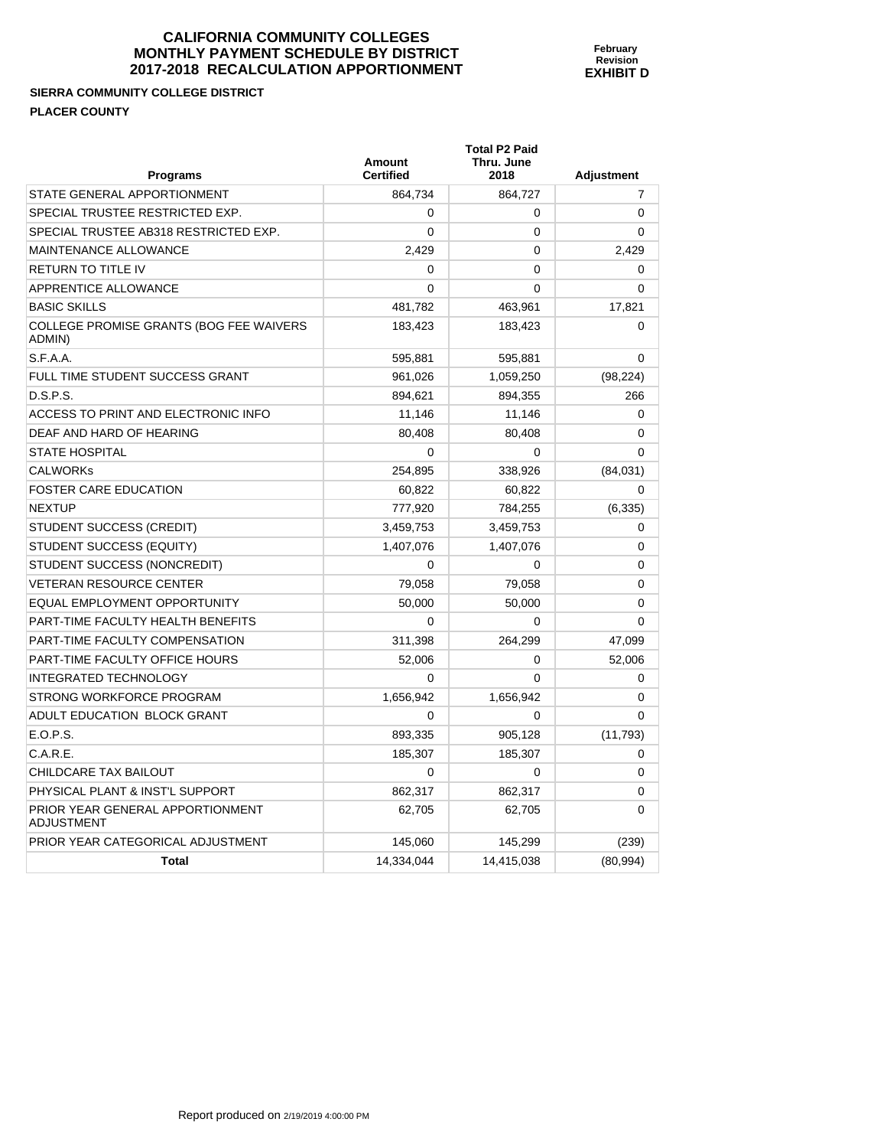## **SIERRA COMMUNITY COLLEGE DISTRICT PLACER COUNTY**

| <b>Programs</b>                                       | <b>Amount</b><br><b>Certified</b> | <b>Total P2 Paid</b><br>Thru. June<br>2018 | <b>Adjustment</b> |
|-------------------------------------------------------|-----------------------------------|--------------------------------------------|-------------------|
| STATE GENERAL APPORTIONMENT                           | 864.734                           | 864,727                                    | 7                 |
| SPECIAL TRUSTEE RESTRICTED EXP.                       | 0                                 | 0                                          | $\mathbf 0$       |
| SPECIAL TRUSTEE AB318 RESTRICTED EXP.                 | $\mathbf{0}$                      | 0                                          | 0                 |
| MAINTENANCE ALLOWANCE                                 | 2.429                             | $\Omega$                                   | 2.429             |
| <b>RETURN TO TITLE IV</b>                             | 0                                 | 0                                          | 0                 |
| APPRENTICE ALLOWANCE                                  | 0                                 | 0                                          | 0                 |
| <b>BASIC SKILLS</b>                                   | 481,782                           | 463,961                                    | 17,821            |
| COLLEGE PROMISE GRANTS (BOG FEE WAIVERS<br>ADMIN)     | 183,423                           | 183,423                                    | 0                 |
| S.F.A.A.                                              | 595,881                           | 595,881                                    | 0                 |
| FULL TIME STUDENT SUCCESS GRANT                       | 961,026                           | 1,059,250                                  | (98, 224)         |
| D.S.P.S.                                              | 894,621                           | 894,355                                    | 266               |
| ACCESS TO PRINT AND ELECTRONIC INFO                   | 11,146                            | 11,146                                     | 0                 |
| DEAF AND HARD OF HEARING                              | 80.408                            | 80,408                                     | 0                 |
| <b>STATE HOSPITAL</b>                                 | 0                                 | $\Omega$                                   | $\Omega$          |
| <b>CALWORKs</b>                                       | 254,895                           | 338,926                                    | (84,031)          |
| <b>FOSTER CARE EDUCATION</b>                          | 60,822                            | 60,822                                     | 0                 |
| <b>NEXTUP</b>                                         | 777,920                           | 784.255                                    | (6, 335)          |
| <b>STUDENT SUCCESS (CREDIT)</b>                       | 3,459,753                         | 3,459,753                                  | 0                 |
| STUDENT SUCCESS (EQUITY)                              | 1,407,076                         | 1,407,076                                  | 0                 |
| STUDENT SUCCESS (NONCREDIT)                           | $\Omega$                          | 0                                          | 0                 |
| <b>VETERAN RESOURCE CENTER</b>                        | 79.058                            | 79,058                                     | 0                 |
| EQUAL EMPLOYMENT OPPORTUNITY                          | 50,000                            | 50,000                                     | 0                 |
| PART-TIME FACULTY HEALTH BENEFITS                     | 0                                 | 0                                          | 0                 |
| PART-TIME FACULTY COMPENSATION                        | 311,398                           | 264.299                                    | 47,099            |
| PART-TIME FACULTY OFFICE HOURS                        | 52.006                            | 0                                          | 52.006            |
| <b>INTEGRATED TECHNOLOGY</b>                          | $\Omega$                          | $\Omega$                                   | 0                 |
| STRONG WORKFORCE PROGRAM                              | 1,656,942                         | 1,656,942                                  | 0                 |
| ADULT EDUCATION BLOCK GRANT                           | $\Omega$                          | 0                                          | $\Omega$          |
| E.O.P.S.                                              | 893.335                           | 905,128                                    | (11, 793)         |
| C.A.R.E.                                              | 185,307                           | 185,307                                    | 0                 |
| CHILDCARE TAX BAILOUT                                 | 0                                 | 0                                          | 0                 |
| PHYSICAL PLANT & INST'L SUPPORT                       | 862,317                           | 862,317                                    | $\Omega$          |
| PRIOR YEAR GENERAL APPORTIONMENT<br><b>ADJUSTMENT</b> | 62,705                            | 62,705                                     | 0                 |
| PRIOR YEAR CATEGORICAL ADJUSTMENT                     | 145,060                           | 145,299                                    | (239)             |
| <b>Total</b>                                          | 14,334,044                        | 14,415,038                                 | (80, 994)         |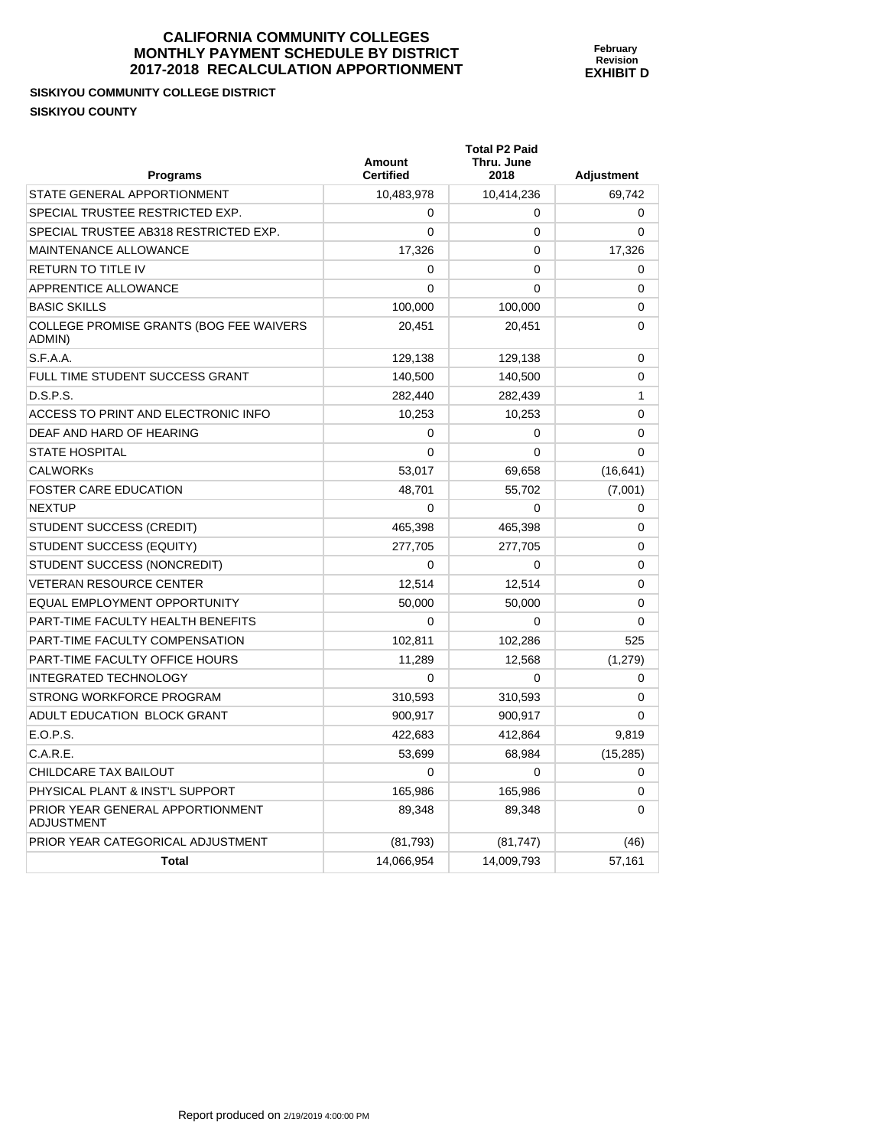# **SISKIYOU COMMUNITY COLLEGE DISTRICT SISKIYOU COUNTY**

| <b>Programs</b>                                          | Amount<br><b>Certified</b> | <b>Total P2 Paid</b><br>Thru. June<br>2018 | <b>Adjustment</b> |
|----------------------------------------------------------|----------------------------|--------------------------------------------|-------------------|
| STATE GENERAL APPORTIONMENT                              | 10,483,978                 | 10,414,236                                 | 69,742            |
| SPECIAL TRUSTEE RESTRICTED EXP.                          | $\Omega$                   | 0                                          | 0                 |
| SPECIAL TRUSTEE AB318 RESTRICTED EXP.                    | $\Omega$                   | 0                                          | $\Omega$          |
| MAINTENANCE ALLOWANCE                                    | 17,326                     | $\mathbf{0}$                               | 17,326            |
| <b>RETURN TO TITLE IV</b>                                | 0                          | $\mathbf{0}$                               | $\Omega$          |
| APPRENTICE ALLOWANCE                                     | 0                          | 0                                          | 0                 |
| <b>BASIC SKILLS</b>                                      | 100,000                    | 100,000                                    | $\Omega$          |
| <b>COLLEGE PROMISE GRANTS (BOG FEE WAIVERS</b><br>ADMIN) | 20,451                     | 20,451                                     | 0                 |
| S.F.A.A.                                                 | 129,138                    | 129,138                                    | 0                 |
| FULL TIME STUDENT SUCCESS GRANT                          | 140,500                    | 140,500                                    | 0                 |
| D.S.P.S.                                                 | 282,440                    | 282,439                                    | 1                 |
| ACCESS TO PRINT AND ELECTRONIC INFO                      | 10,253                     | 10,253                                     | 0                 |
| DEAF AND HARD OF HEARING                                 | 0                          | 0                                          | 0                 |
| <b>STATE HOSPITAL</b>                                    | $\Omega$                   | $\mathbf{0}$                               | 0                 |
| <b>CALWORKs</b>                                          | 53,017                     | 69,658                                     | (16, 641)         |
| <b>FOSTER CARE EDUCATION</b>                             | 48,701                     | 55,702                                     | (7,001)           |
| <b>NEXTUP</b>                                            | 0                          | 0                                          | 0                 |
| STUDENT SUCCESS (CREDIT)                                 | 465,398                    | 465,398                                    | 0                 |
| STUDENT SUCCESS (EQUITY)                                 | 277,705                    | 277,705                                    | 0                 |
| STUDENT SUCCESS (NONCREDIT)                              | 0                          | 0                                          | 0                 |
| <b>VETERAN RESOURCE CENTER</b>                           | 12,514                     | 12,514                                     | 0                 |
| EQUAL EMPLOYMENT OPPORTUNITY                             | 50,000                     | 50,000                                     | 0                 |
| PART-TIME FACULTY HEALTH BENEFITS                        | 0                          | 0                                          | 0                 |
| PART-TIME FACULTY COMPENSATION                           | 102,811                    | 102,286                                    | 525               |
| PART-TIME FACULTY OFFICE HOURS                           | 11,289                     | 12,568                                     | (1,279)           |
| <b>INTEGRATED TECHNOLOGY</b>                             | 0                          | 0                                          | 0                 |
| STRONG WORKFORCE PROGRAM                                 | 310,593                    | 310,593                                    | 0                 |
| ADULT EDUCATION BLOCK GRANT                              | 900,917                    | 900,917                                    | 0                 |
| E.O.P.S.                                                 | 422,683                    | 412,864                                    | 9,819             |
| C.A.R.E.                                                 | 53,699                     | 68,984                                     | (15, 285)         |
| CHILDCARE TAX BAILOUT                                    | 0                          | 0                                          | 0                 |
| PHYSICAL PLANT & INST'L SUPPORT                          | 165,986                    | 165,986                                    | 0                 |
| PRIOR YEAR GENERAL APPORTIONMENT<br><b>ADJUSTMENT</b>    | 89,348                     | 89,348                                     | 0                 |
| PRIOR YEAR CATEGORICAL ADJUSTMENT                        | (81, 793)                  | (81, 747)                                  | (46)              |
| Total                                                    | 14,066,954                 | 14,009,793                                 | 57,161            |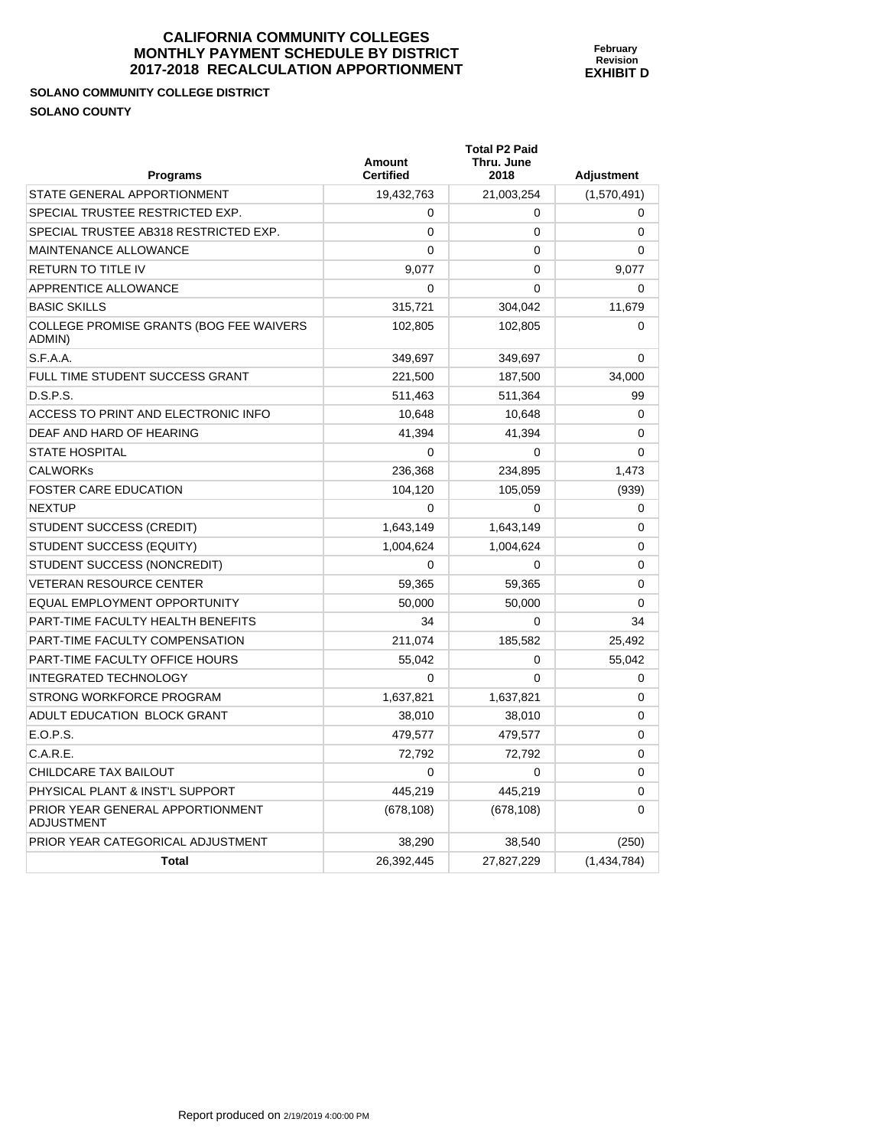**Total P2 Paid** 

# **SOLANO COMMUNITY COLLEGE DISTRICT SOLANO COUNTY**

| <b>Programs</b>                                       | <b>Amount</b><br><b>Certified</b> | Thru. June<br>2018 | <b>Adjustment</b> |
|-------------------------------------------------------|-----------------------------------|--------------------|-------------------|
| STATE GENERAL APPORTIONMENT                           | 19,432,763                        | 21,003,254         | (1,570,491)       |
| SPECIAL TRUSTEE RESTRICTED EXP.                       | $\Omega$                          | $\Omega$           | $\Omega$          |
| SPECIAL TRUSTEE AB318 RESTRICTED EXP.                 | 0                                 | $\mathbf 0$        | 0                 |
| MAINTENANCE ALLOWANCE                                 | $\Omega$                          | 0                  | 0                 |
| <b>RETURN TO TITLE IV</b>                             | 9,077                             | 0                  | 9,077             |
| APPRENTICE ALLOWANCE                                  | 0                                 | $\Omega$           | 0                 |
| <b>BASIC SKILLS</b>                                   | 315,721                           | 304,042            | 11,679            |
| COLLEGE PROMISE GRANTS (BOG FEE WAIVERS<br>ADMIN)     | 102,805                           | 102,805            | 0                 |
| S.F.A.A.                                              | 349,697                           | 349,697            | 0                 |
| FULL TIME STUDENT SUCCESS GRANT                       | 221,500                           | 187,500            | 34,000            |
| D.S.P.S.                                              | 511,463                           | 511,364            | 99                |
| ACCESS TO PRINT AND ELECTRONIC INFO                   | 10,648                            | 10,648             | $\Omega$          |
| DEAF AND HARD OF HEARING                              | 41,394                            | 41,394             | 0                 |
| <b>STATE HOSPITAL</b>                                 | 0                                 | 0                  | 0                 |
| <b>CALWORKs</b>                                       | 236,368                           | 234,895            | 1,473             |
| <b>FOSTER CARE EDUCATION</b>                          | 104,120                           | 105,059            | (939)             |
| <b>NEXTUP</b>                                         | $\Omega$                          | $\Omega$           | 0                 |
| STUDENT SUCCESS (CREDIT)                              | 1,643,149                         | 1,643,149          | 0                 |
| STUDENT SUCCESS (EQUITY)                              | 1,004,624                         | 1,004,624          | $\Omega$          |
| STUDENT SUCCESS (NONCREDIT)                           | $\mathbf 0$                       | $\mathbf 0$        | 0                 |
| <b>VETERAN RESOURCE CENTER</b>                        | 59,365                            | 59,365             | 0                 |
| EQUAL EMPLOYMENT OPPORTUNITY                          | 50,000                            | 50,000             | $\mathbf 0$       |
| PART-TIME FACULTY HEALTH BENEFITS                     | 34                                | $\Omega$           | 34                |
| PART-TIME FACULTY COMPENSATION                        | 211,074                           | 185,582            | 25,492            |
| PART-TIME FACULTY OFFICE HOURS                        | 55,042                            | $\mathbf 0$        | 55,042            |
| <b>INTEGRATED TECHNOLOGY</b>                          | $\Omega$                          | $\Omega$           | 0                 |
| STRONG WORKFORCE PROGRAM                              | 1,637,821                         | 1,637,821          | 0                 |
| ADULT EDUCATION BLOCK GRANT                           | 38,010                            | 38,010             | 0                 |
| E.O.P.S.                                              | 479,577                           | 479,577            | 0                 |
| C.A.R.E.                                              | 72,792                            | 72,792             | 0                 |
| CHILDCARE TAX BAILOUT                                 | 0                                 | $\mathbf 0$        | 0                 |
| PHYSICAL PLANT & INST'L SUPPORT                       | 445,219                           | 445,219            | 0                 |
| PRIOR YEAR GENERAL APPORTIONMENT<br><b>ADJUSTMENT</b> | (678, 108)                        | (678, 108)         | 0                 |
| PRIOR YEAR CATEGORICAL ADJUSTMENT                     | 38,290                            | 38,540             | (250)             |
| <b>Total</b>                                          | 26,392,445                        | 27,827,229         | (1,434,784)       |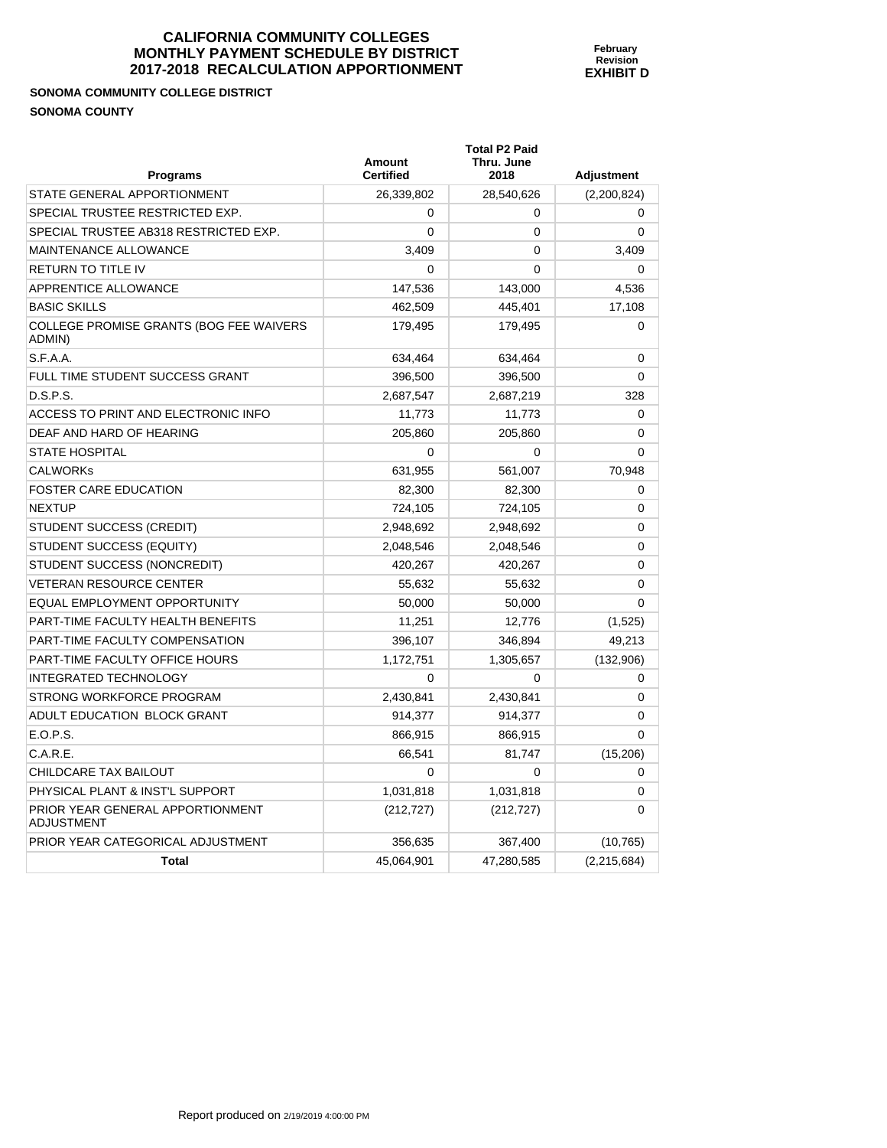# **SONOMA COMMUNITY COLLEGE DISTRICT SONOMA COUNTY**

| <b>Programs</b>                                       | <b>Amount</b><br><b>Certified</b> | <b>Total P2 Paid</b><br>Thru. June<br>2018 | <b>Adjustment</b> |
|-------------------------------------------------------|-----------------------------------|--------------------------------------------|-------------------|
| STATE GENERAL APPORTIONMENT                           | 26,339,802                        | 28,540,626                                 | (2,200,824)       |
| SPECIAL TRUSTEE RESTRICTED EXP.                       | $\Omega$                          | 0                                          | $\Omega$          |
| SPECIAL TRUSTEE AB318 RESTRICTED EXP.                 | $\Omega$                          | 0                                          | $\Omega$          |
| <b>MAINTENANCE ALLOWANCE</b>                          | 3,409                             | 0                                          | 3,409             |
| <b>RETURN TO TITLE IV</b>                             | 0                                 | $\Omega$                                   | 0                 |
| APPRENTICE ALLOWANCE                                  | 147,536                           | 143,000                                    | 4,536             |
| <b>BASIC SKILLS</b>                                   | 462,509                           | 445,401                                    | 17,108            |
| COLLEGE PROMISE GRANTS (BOG FEE WAIVERS<br>ADMIN)     | 179,495                           | 179,495                                    | $\Omega$          |
| S.F.A.A.                                              | 634,464                           | 634,464                                    | 0                 |
| FULL TIME STUDENT SUCCESS GRANT                       | 396,500                           | 396,500                                    | $\Omega$          |
| D.S.P.S.                                              | 2,687,547                         | 2,687,219                                  | 328               |
| ACCESS TO PRINT AND ELECTRONIC INFO                   | 11,773                            | 11,773                                     | 0                 |
| DEAF AND HARD OF HEARING                              | 205,860                           | 205,860                                    | 0                 |
| <b>STATE HOSPITAL</b>                                 | $\Omega$                          | $\Omega$                                   | 0                 |
| <b>CALWORKS</b>                                       | 631,955                           | 561,007                                    | 70,948            |
| <b>FOSTER CARE EDUCATION</b>                          | 82.300                            | 82,300                                     | 0                 |
| <b>NEXTUP</b>                                         | 724,105                           | 724,105                                    | 0                 |
| STUDENT SUCCESS (CREDIT)                              | 2,948,692                         | 2,948,692                                  | $\Omega$          |
| STUDENT SUCCESS (EQUITY)                              | 2,048,546                         | 2,048,546                                  | 0                 |
| STUDENT SUCCESS (NONCREDIT)                           | 420,267                           | 420,267                                    | 0                 |
| <b>VETERAN RESOURCE CENTER</b>                        | 55,632                            | 55,632                                     | 0                 |
| EQUAL EMPLOYMENT OPPORTUNITY                          | 50,000                            | 50,000                                     | $\Omega$          |
| PART-TIME FACULTY HEALTH BENEFITS                     | 11,251                            | 12,776                                     | (1,525)           |
| PART-TIME FACULTY COMPENSATION                        | 396,107                           | 346,894                                    | 49,213            |
| PART-TIME FACULTY OFFICE HOURS                        | 1,172,751                         | 1,305,657                                  | (132,906)         |
| <b>INTEGRATED TECHNOLOGY</b>                          | $\Omega$                          | $\Omega$                                   | 0                 |
| STRONG WORKFORCE PROGRAM                              | 2,430,841                         | 2,430,841                                  | 0                 |
| ADULT EDUCATION BLOCK GRANT                           | 914,377                           | 914,377                                    | 0                 |
| E.O.P.S.                                              | 866,915                           | 866,915                                    | $\Omega$          |
| C.A.R.E.                                              | 66,541                            | 81,747                                     | (15,206)          |
| CHILDCARE TAX BAILOUT                                 | $\mathbf{0}$                      | $\Omega$                                   | 0                 |
| PHYSICAL PLANT & INST'L SUPPORT                       | 1,031,818                         | 1,031,818                                  | 0                 |
| PRIOR YEAR GENERAL APPORTIONMENT<br><b>ADJUSTMENT</b> | (212, 727)                        | (212, 727)                                 | $\Omega$          |
| PRIOR YEAR CATEGORICAL ADJUSTMENT                     | 356,635                           | 367,400                                    | (10, 765)         |
| <b>Total</b>                                          | 45,064,901                        | 47,280,585                                 | (2,215,684)       |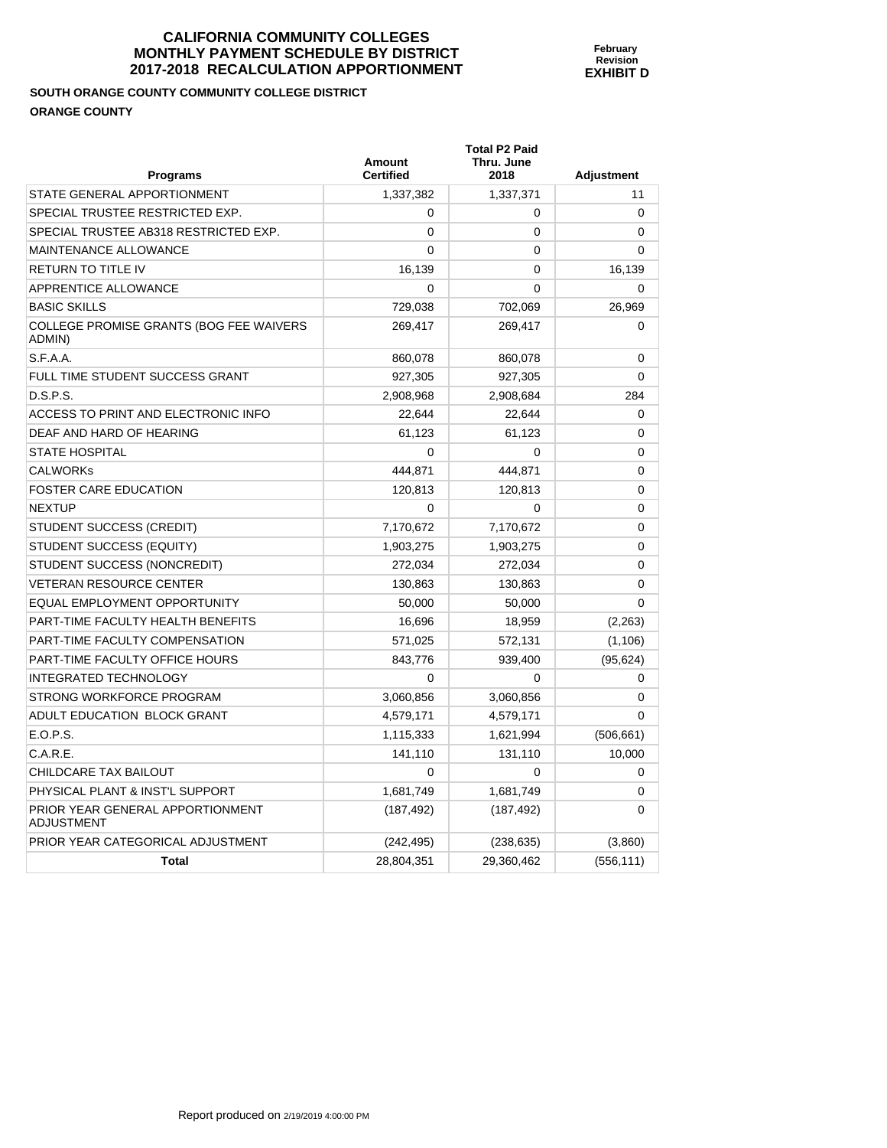# **SOUTH ORANGE COUNTY COMMUNITY COLLEGE DISTRICT ORANGE COUNTY**

| <b>Programs</b>                                       | Amount<br><b>Certified</b> | <b>Total P2 Paid</b><br>Thru. June<br>2018 | Adjustment   |
|-------------------------------------------------------|----------------------------|--------------------------------------------|--------------|
| STATE GENERAL APPORTIONMENT                           | 1,337,382                  | 1,337,371                                  | 11           |
| SPECIAL TRUSTEE RESTRICTED EXP.                       | 0                          | 0                                          | 0            |
| SPECIAL TRUSTEE AB318 RESTRICTED EXP.                 | $\Omega$                   | 0                                          | $\Omega$     |
| <b>MAINTENANCE ALLOWANCE</b>                          | 0                          | $\mathbf{0}$                               | $\Omega$     |
| <b>RETURN TO TITLE IV</b>                             | 16,139                     | 0                                          | 16,139       |
| APPRENTICE ALLOWANCE                                  | 0                          | 0                                          | $\Omega$     |
| <b>BASIC SKILLS</b>                                   | 729,038                    | 702,069                                    | 26,969       |
| COLLEGE PROMISE GRANTS (BOG FEE WAIVERS<br>ADMIN)     | 269,417                    | 269,417                                    | $\Omega$     |
| S.F.A.A.                                              | 860,078                    | 860,078                                    | 0            |
| FULL TIME STUDENT SUCCESS GRANT                       | 927,305                    | 927,305                                    | 0            |
| D.S.P.S.                                              | 2,908,968                  | 2,908,684                                  | 284          |
| ACCESS TO PRINT AND ELECTRONIC INFO                   | 22,644                     | 22,644                                     | 0            |
| DEAF AND HARD OF HEARING                              | 61,123                     | 61,123                                     | 0            |
| <b>STATE HOSPITAL</b>                                 | 0                          | 0                                          | $\Omega$     |
| <b>CALWORKS</b>                                       | 444,871                    | 444,871                                    | $\Omega$     |
| <b>FOSTER CARE EDUCATION</b>                          | 120,813                    | 120,813                                    | 0            |
| <b>NEXTUP</b>                                         | 0                          | $\Omega$                                   | $\mathbf{0}$ |
| STUDENT SUCCESS (CREDIT)                              | 7,170,672                  | 7,170,672                                  | $\Omega$     |
| STUDENT SUCCESS (EQUITY)                              | 1,903,275                  | 1,903,275                                  | 0            |
| STUDENT SUCCESS (NONCREDIT)                           | 272,034                    | 272,034                                    | $\Omega$     |
| <b>VETERAN RESOURCE CENTER</b>                        | 130.863                    | 130,863                                    | $\mathbf{0}$ |
| <b>EQUAL EMPLOYMENT OPPORTUNITY</b>                   | 50,000                     | 50,000                                     | 0            |
| PART-TIME FACULTY HEALTH BENEFITS                     | 16,696                     | 18,959                                     | (2,263)      |
| PART-TIME FACULTY COMPENSATION                        | 571,025                    | 572,131                                    | (1, 106)     |
| PART-TIME FACULTY OFFICE HOURS                        | 843,776                    | 939,400                                    | (95, 624)    |
| <b>INTEGRATED TECHNOLOGY</b>                          | 0                          | $\Omega$                                   | 0            |
| STRONG WORKFORCE PROGRAM                              | 3,060,856                  | 3,060,856                                  | 0            |
| ADULT EDUCATION BLOCK GRANT                           | 4,579,171                  | 4,579,171                                  | $\mathbf{0}$ |
| E.O.P.S.                                              | 1,115,333                  | 1,621,994                                  | (506, 661)   |
| C.A.R.E.                                              | 141,110                    | 131,110                                    | 10,000       |
| <b>CHILDCARE TAX BAILOUT</b>                          | $\Omega$                   | $\Omega$                                   | 0            |
| PHYSICAL PLANT & INST'L SUPPORT                       | 1,681,749                  | 1,681,749                                  | 0            |
| PRIOR YEAR GENERAL APPORTIONMENT<br><b>ADJUSTMENT</b> | (187, 492)                 | (187, 492)                                 | 0            |
| PRIOR YEAR CATEGORICAL ADJUSTMENT                     | (242, 495)                 | (238, 635)                                 | (3,860)      |
| <b>Total</b>                                          | 28,804,351                 | 29,360,462                                 | (556, 111)   |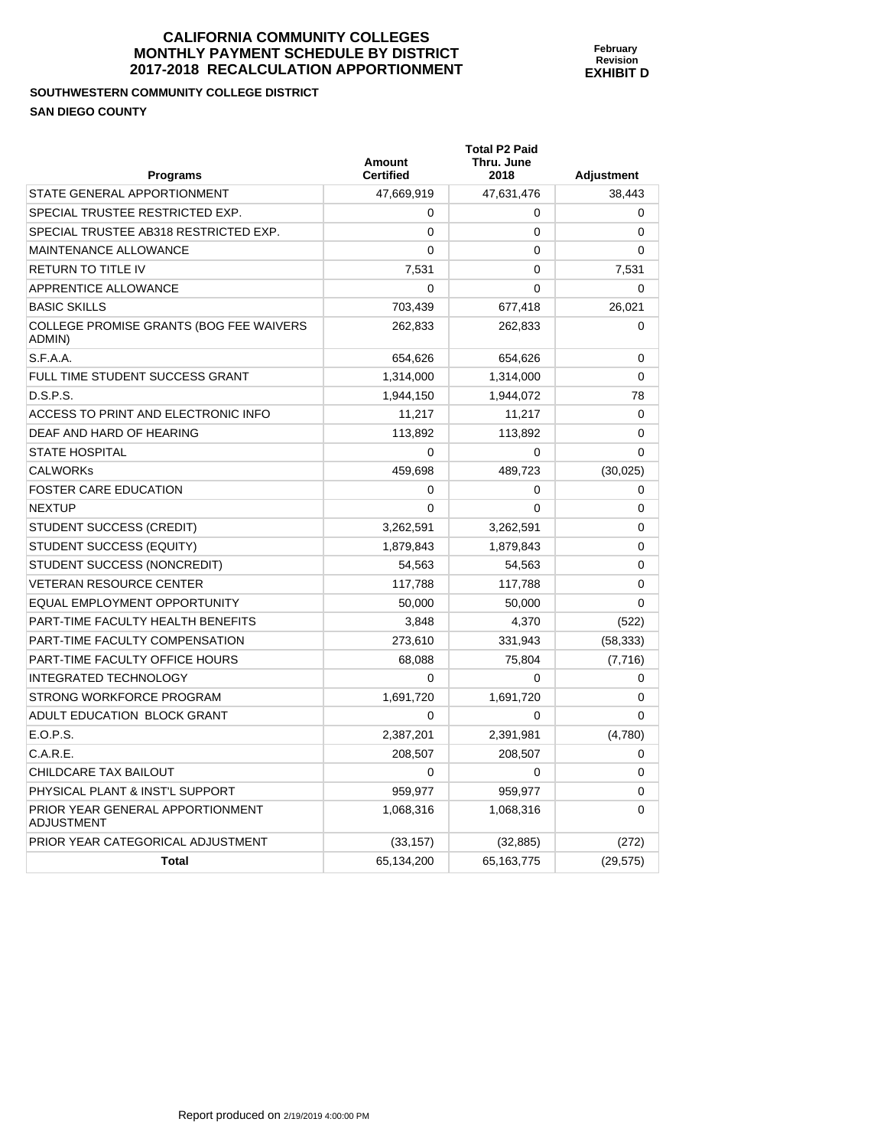**SOUTHWESTERN COMMUNITY COLLEGE DISTRICT SAN DIEGO COUNTY** 

PRIOR YEAR GENERAL APPORTIONMENT

ADJUSTMENT

| Programs                                          | <b>Amount</b><br><b>Certified</b> | Thru. June<br>2018 | <b>Adjustment</b> |
|---------------------------------------------------|-----------------------------------|--------------------|-------------------|
| STATE GENERAL APPORTIONMENT                       | 47,669,919                        | 47,631,476         | 38,443            |
| SPECIAL TRUSTEE RESTRICTED EXP.                   | 0                                 | 0                  | 0                 |
| SPECIAL TRUSTEE AB318 RESTRICTED EXP.             | 0                                 | 0                  | $\Omega$          |
| <b>MAINTENANCE ALLOWANCE</b>                      | 0                                 | 0                  | 0                 |
| RETURN TO TITLE IV                                | 7,531                             | 0                  | 7,531             |
| <b>APPRENTICE ALLOWANCE</b>                       | 0                                 | 0                  | $\Omega$          |
| <b>BASIC SKILLS</b>                               | 703,439                           | 677,418            | 26,021            |
| COLLEGE PROMISE GRANTS (BOG FEE WAIVERS<br>ADMIN) | 262,833                           | 262,833            | 0                 |
| S.F.A.A.                                          | 654,626                           | 654,626            | $\Omega$          |
| FULL TIME STUDENT SUCCESS GRANT                   | 1,314,000                         | 1,314,000          | $\Omega$          |
| D.S.P.S.                                          | 1,944,150                         | 1,944,072          | 78                |
| ACCESS TO PRINT AND ELECTRONIC INFO               | 11,217                            | 11,217             | $\Omega$          |
| DEAF AND HARD OF HEARING                          | 113,892                           | 113,892            | 0                 |
| <b>STATE HOSPITAL</b>                             | 0                                 | 0                  | $\Omega$          |
| <b>CALWORKs</b>                                   | 459,698                           | 489,723            | (30, 025)         |
| <b>FOSTER CARE EDUCATION</b>                      | 0                                 | 0                  | $\Omega$          |
| <b>NEXTUP</b>                                     | 0                                 | 0                  | $\Omega$          |
| STUDENT SUCCESS (CREDIT)                          | 3,262,591                         | 3,262,591          | 0                 |
| STUDENT SUCCESS (EQUITY)                          | 1,879,843                         | 1,879,843          | $\Omega$          |
| STUDENT SUCCESS (NONCREDIT)                       | 54,563                            | 54,563             | $\Omega$          |
| <b>VETERAN RESOURCE CENTER</b>                    | 117,788                           | 117,788            | $\Omega$          |
| EQUAL EMPLOYMENT OPPORTUNITY                      | 50,000                            | 50,000             | $\Omega$          |
| PART-TIME FACULTY HEALTH BENEFITS                 | 3,848                             | 4,370              | (522)             |
| <b>PART-TIME FACULTY COMPENSATION</b>             | 273,610                           | 331,943            | (58, 333)         |
| PART-TIME FACULTY OFFICE HOURS                    | 68,088                            | 75,804             | (7, 716)          |
| <b>INTEGRATED TECHNOLOGY</b>                      | 0                                 | 0                  | 0                 |
| STRONG WORKFORCE PROGRAM                          | 1,691,720                         | 1,691,720          | 0                 |
| ADULT EDUCATION BLOCK GRANT                       | 0                                 | 0                  | $\Omega$          |
| E.O.P.S.                                          | 2,387,201                         | 2,391,981          | (4,780)           |
| C.A.R.E.                                          | 208,507                           | 208,507            | 0                 |
| CHILDCARE TAX BAILOUT                             | 0                                 | 0                  | 0                 |

PHYSICAL PLANT & INST'L SUPPORT  $959,977$  959,977 0

PRIOR YEAR CATEGORICAL ADJUSTMENT (33,157) (32,885) (32,885) (272)

**Total 65,134,200 65,163,775** (29,575)

**February Revision EXHIBIT D** 

**Total P2 Paid** 

1,068,316 1,068,316 0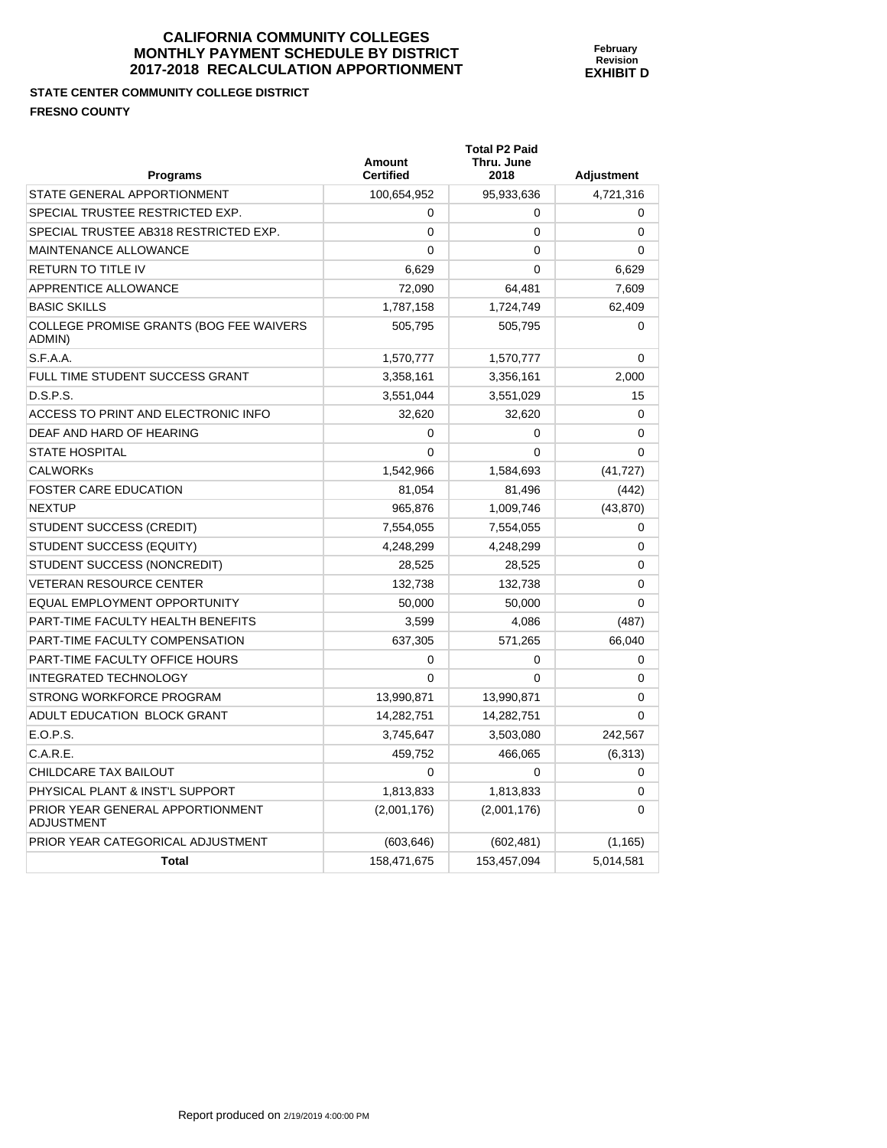**STATE CENTER COMMUNITY COLLEGE DISTRICT FRESNO COUNTY** 

| <b>Programs</b>                                       | <b>Amount</b><br><b>Certified</b> | Thru. June<br>2018 | <b>Adjustment</b> |
|-------------------------------------------------------|-----------------------------------|--------------------|-------------------|
| STATE GENERAL APPORTIONMENT                           | 100,654,952                       | 95,933,636         | 4,721,316         |
| SPECIAL TRUSTEE RESTRICTED EXP.                       | 0                                 | 0                  | 0                 |
| SPECIAL TRUSTEE AB318 RESTRICTED EXP.                 | 0                                 | 0                  | 0                 |
| MAINTENANCE ALLOWANCE                                 | 0                                 | 0                  | 0                 |
| <b>RETURN TO TITLE IV</b>                             | 6,629                             | $\mathbf 0$        | 6,629             |
| APPRENTICE ALLOWANCE                                  | 72,090                            | 64,481             | 7,609             |
| <b>BASIC SKILLS</b>                                   | 1,787,158                         | 1,724,749          | 62,409            |
| COLLEGE PROMISE GRANTS (BOG FEE WAIVERS<br>ADMIN)     | 505,795                           | 505,795            | 0                 |
| S.F.A.A.                                              | 1,570,777                         | 1,570,777          | 0                 |
| FULL TIME STUDENT SUCCESS GRANT                       | 3,358,161                         | 3,356,161          | 2,000             |
| D.S.P.S.                                              | 3,551,044                         | 3,551,029          | 15                |
| ACCESS TO PRINT AND ELECTRONIC INFO                   | 32,620                            | 32,620             | 0                 |
| DEAF AND HARD OF HEARING                              | 0                                 | 0                  | 0                 |
| <b>STATE HOSPITAL</b>                                 | 0                                 | 0                  | 0                 |
| <b>CALWORKs</b>                                       | 1,542,966                         | 1,584,693          | (41, 727)         |
| <b>FOSTER CARE EDUCATION</b>                          | 81,054                            | 81,496             | (442)             |
| <b>NEXTUP</b>                                         | 965,876                           | 1,009,746          | (43, 870)         |
| STUDENT SUCCESS (CREDIT)                              | 7,554,055                         | 7,554,055          | 0                 |
| STUDENT SUCCESS (EQUITY)                              | 4,248,299                         | 4,248,299          | $\mathbf 0$       |
| STUDENT SUCCESS (NONCREDIT)                           | 28,525                            | 28,525             | $\Omega$          |
| <b>VETERAN RESOURCE CENTER</b>                        | 132,738                           | 132,738            | $\Omega$          |
| EQUAL EMPLOYMENT OPPORTUNITY                          | 50,000                            | 50,000             | 0                 |
| PART-TIME FACULTY HEALTH BENEFITS                     | 3,599                             | 4,086              | (487)             |
| PART-TIME FACULTY COMPENSATION                        | 637,305                           | 571,265            | 66,040            |
| PART-TIME FACULTY OFFICE HOURS                        | 0                                 | 0                  | 0                 |
| <b>INTEGRATED TECHNOLOGY</b>                          | 0                                 | 0                  | 0                 |
| STRONG WORKFORCE PROGRAM                              | 13,990,871                        | 13,990,871         | 0                 |
| ADULT EDUCATION BLOCK GRANT                           | 14,282,751                        | 14,282,751         | $\Omega$          |
| E.O.P.S.                                              | 3,745,647                         | 3,503,080          | 242,567           |
| C.A.R.E.                                              | 459,752                           | 466,065            | (6,313)           |
| CHILDCARE TAX BAILOUT                                 | 0                                 | $\mathbf 0$        | 0                 |
| PHYSICAL PLANT & INST'L SUPPORT                       | 1,813,833                         | 1,813,833          | 0                 |
| PRIOR YEAR GENERAL APPORTIONMENT<br><b>ADJUSTMENT</b> | (2,001,176)                       | (2,001,176)        | 0                 |
| PRIOR YEAR CATEGORICAL ADJUSTMENT                     | (603,646)                         | (602, 481)         | (1, 165)          |

**Total** 158,471,675 153,457,094 5,014,581

**Total P2 Paid**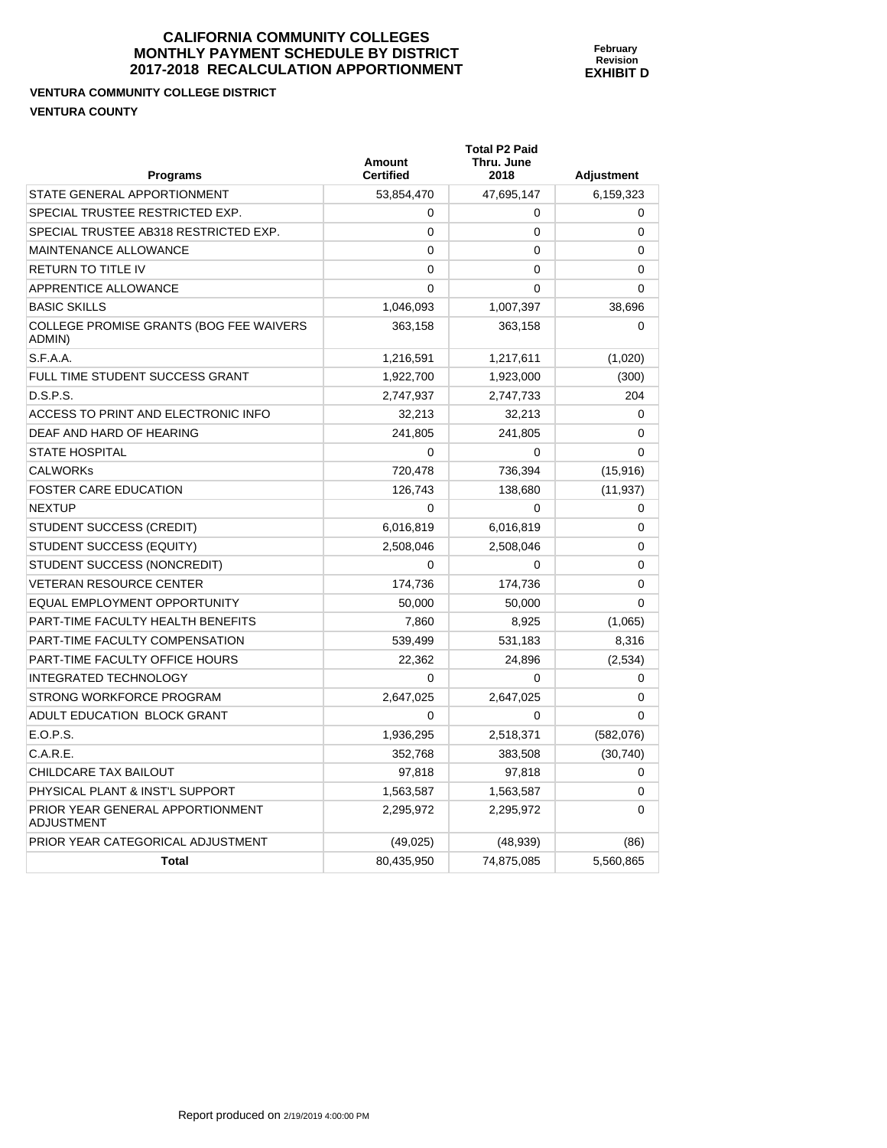**Total P2 Paid** 

**VENTURA COMMUNITY COLLEGE DISTRICT VENTURA COUNTY** 

| <b>Programs</b>                                       | Amount<br><b>Certified</b> | Thru. June<br>2018 | <b>Adjustment</b> |
|-------------------------------------------------------|----------------------------|--------------------|-------------------|
| STATE GENERAL APPORTIONMENT                           | 53,854,470                 | 47,695,147         | 6,159,323         |
| SPECIAL TRUSTEE RESTRICTED EXP.                       | $\mathbf 0$                | 0                  | 0                 |
| SPECIAL TRUSTEE AB318 RESTRICTED EXP.                 | 0                          | 0                  | 0                 |
| MAINTENANCE ALLOWANCE                                 | 0                          | 0                  | 0                 |
| <b>RETURN TO TITLE IV</b>                             | $\mathbf{0}$               | 0                  | 0                 |
| APPRENTICE ALLOWANCE                                  | $\mathbf{0}$               | 0                  | $\Omega$          |
| <b>BASIC SKILLS</b>                                   | 1,046,093                  | 1,007,397          | 38,696            |
| COLLEGE PROMISE GRANTS (BOG FEE WAIVERS<br>ADMIN)     | 363,158                    | 363,158            | 0                 |
| S.F.A.A.                                              | 1,216,591                  | 1,217,611          | (1,020)           |
| FULL TIME STUDENT SUCCESS GRANT                       | 1,922,700                  | 1,923,000          | (300)             |
| D.S.P.S.                                              | 2,747,937                  | 2,747,733          | 204               |
| ACCESS TO PRINT AND ELECTRONIC INFO                   | 32,213                     | 32,213             | $\mathbf 0$       |
| DEAF AND HARD OF HEARING                              | 241,805                    | 241,805            | 0                 |
| <b>STATE HOSPITAL</b>                                 | 0                          | 0                  | 0                 |
| <b>CALWORKs</b>                                       | 720,478                    | 736,394            | (15, 916)         |
| <b>FOSTER CARE EDUCATION</b>                          | 126,743                    | 138,680            | (11, 937)         |
| <b>NEXTUP</b>                                         | $\Omega$                   | 0                  | 0                 |
| STUDENT SUCCESS (CREDIT)                              | 6,016,819                  | 6,016,819          | $\Omega$          |
| STUDENT SUCCESS (EQUITY)                              | 2,508,046                  | 2,508,046          | 0                 |
| STUDENT SUCCESS (NONCREDIT)                           | $\Omega$                   | 0                  | 0                 |
| <b>VETERAN RESOURCE CENTER</b>                        | 174,736                    | 174,736            | $\mathbf 0$       |
| EQUAL EMPLOYMENT OPPORTUNITY                          | 50,000                     | 50,000             | $\Omega$          |
| PART-TIME FACULTY HEALTH BENEFITS                     | 7,860                      | 8,925              | (1,065)           |
| PART-TIME FACULTY COMPENSATION                        | 539,499                    | 531,183            | 8,316             |
| PART-TIME FACULTY OFFICE HOURS                        | 22,362                     | 24,896             | (2,534)           |
| <b>INTEGRATED TECHNOLOGY</b>                          | $\Omega$                   | 0                  | 0                 |
| STRONG WORKFORCE PROGRAM                              | 2,647,025                  | 2,647,025          | $\Omega$          |
| ADULT EDUCATION BLOCK GRANT                           | $\Omega$                   | 0                  | $\Omega$          |
| E.O.P.S.                                              | 1,936,295                  | 2,518,371          | (582,076)         |
| C.A.R.E.                                              | 352,768                    | 383,508            | (30, 740)         |
| CHILDCARE TAX BAILOUT                                 | 97,818                     | 97,818             | 0                 |
| PHYSICAL PLANT & INST'L SUPPORT                       | 1,563,587                  | 1,563,587          | $\mathbf 0$       |
| PRIOR YEAR GENERAL APPORTIONMENT<br><b>ADJUSTMENT</b> | 2,295,972                  | 2,295,972          | 0                 |
| PRIOR YEAR CATEGORICAL ADJUSTMENT                     | (49, 025)                  | (48, 939)          | (86)              |
| <b>Total</b>                                          | 80,435,950                 | 74,875,085         | 5,560,865         |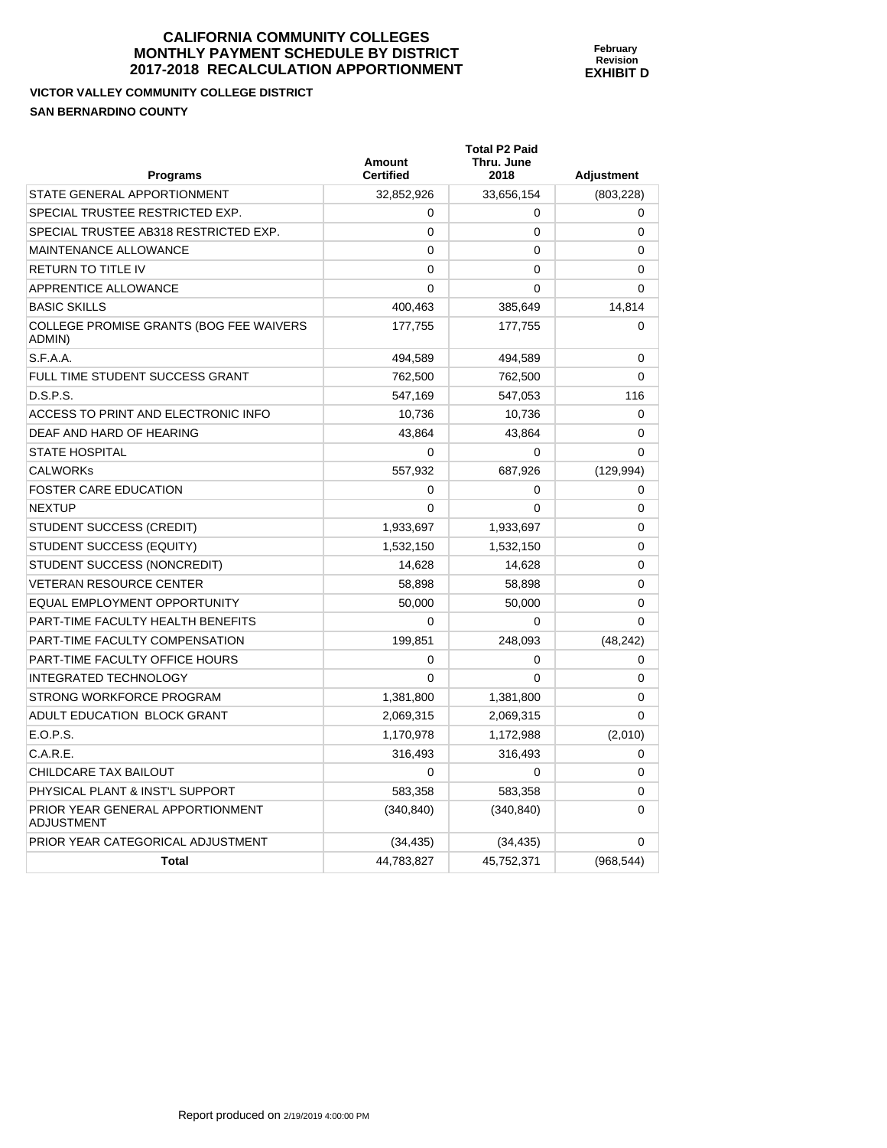**February Revision EXHIBIT D** 

**VICTOR VALLEY COMMUNITY COLLEGE DISTRICT SAN BERNARDINO COUNTY** 

| Programs                                                 | Amount<br><b>Certified</b> | <b>Total P2 Paid</b><br>Thru. June<br>2018 | <b>Adjustment</b> |
|----------------------------------------------------------|----------------------------|--------------------------------------------|-------------------|
| STATE GENERAL APPORTIONMENT                              | 32,852,926                 | 33,656,154                                 | (803, 228)        |
| SPECIAL TRUSTEE RESTRICTED EXP.                          | 0                          | 0                                          | $\mathbf 0$       |
| SPECIAL TRUSTEE AB318 RESTRICTED EXP.                    | 0                          | 0                                          | 0                 |
| <b>MAINTENANCE ALLOWANCE</b>                             | $\mathbf{0}$               | 0                                          | $\Omega$          |
| <b>RETURN TO TITLE IV</b>                                | 0                          | 0                                          | 0                 |
| APPRENTICE ALLOWANCE                                     | $\Omega$                   | $\Omega$                                   | 0                 |
| <b>BASIC SKILLS</b>                                      | 400.463                    | 385,649                                    | 14,814            |
| <b>COLLEGE PROMISE GRANTS (BOG FEE WAIVERS</b><br>ADMIN) | 177,755                    | 177,755                                    | 0                 |
| S.F.A.A.                                                 | 494,589                    | 494,589                                    | 0                 |
| FULL TIME STUDENT SUCCESS GRANT                          | 762,500                    | 762,500                                    | 0                 |
| D.S.P.S.                                                 | 547,169                    | 547,053                                    | 116               |
| ACCESS TO PRINT AND ELECTRONIC INFO                      | 10,736                     | 10,736                                     | 0                 |
| DEAF AND HARD OF HEARING                                 | 43,864                     | 43,864                                     | 0                 |
| <b>STATE HOSPITAL</b>                                    | 0                          | $\Omega$                                   | $\Omega$          |
| <b>CALWORKs</b>                                          | 557,932                    | 687,926                                    | (129, 994)        |
| <b>FOSTER CARE EDUCATION</b>                             | $\Omega$                   | $\Omega$                                   | 0                 |
| <b>NEXTUP</b>                                            | $\mathbf{0}$               | 0                                          | $\Omega$          |
| STUDENT SUCCESS (CREDIT)                                 | 1,933,697                  | 1,933,697                                  | $\mathbf{0}$      |
| STUDENT SUCCESS (EQUITY)                                 | 1,532,150                  | 1,532,150                                  | 0                 |
| STUDENT SUCCESS (NONCREDIT)                              | 14,628                     | 14,628                                     | 0                 |
| <b>VETERAN RESOURCE CENTER</b>                           | 58,898                     | 58,898                                     | 0                 |
| <b>EQUAL EMPLOYMENT OPPORTUNITY</b>                      | 50,000                     | 50,000                                     | 0                 |
| PART-TIME FACULTY HEALTH BENEFITS                        | $\Omega$                   | $\Omega$                                   | $\Omega$          |
| PART-TIME FACULTY COMPENSATION                           | 199.851                    | 248,093                                    | (48, 242)         |
| PART-TIME FACULTY OFFICE HOURS                           | 0                          | 0                                          | 0                 |
| <b>INTEGRATED TECHNOLOGY</b>                             | $\Omega$                   | 0                                          | 0                 |
| STRONG WORKFORCE PROGRAM                                 | 1,381,800                  | 1,381,800                                  | 0                 |
| ADULT EDUCATION BLOCK GRANT                              | 2,069,315                  | 2,069,315                                  | 0                 |
| E.O.P.S.                                                 | 1,170,978                  | 1,172,988                                  | (2,010)           |
| C.A.R.E.                                                 | 316,493                    | 316,493                                    | $\mathbf 0$       |
| CHILDCARE TAX BAILOUT                                    | $\mathbf{0}$               | $\mathbf{0}$                               | 0                 |
| PHYSICAL PLANT & INST'L SUPPORT                          | 583,358                    | 583,358                                    | 0                 |
| PRIOR YEAR GENERAL APPORTIONMENT<br>ADJUSTMENT           | (340, 840)                 | (340, 840)                                 | 0                 |
| PRIOR YEAR CATEGORICAL ADJUSTMENT                        | (34, 435)                  | (34, 435)                                  | 0                 |
| <b>Total</b>                                             | 44,783,827                 | 45,752,371                                 | (968, 544)        |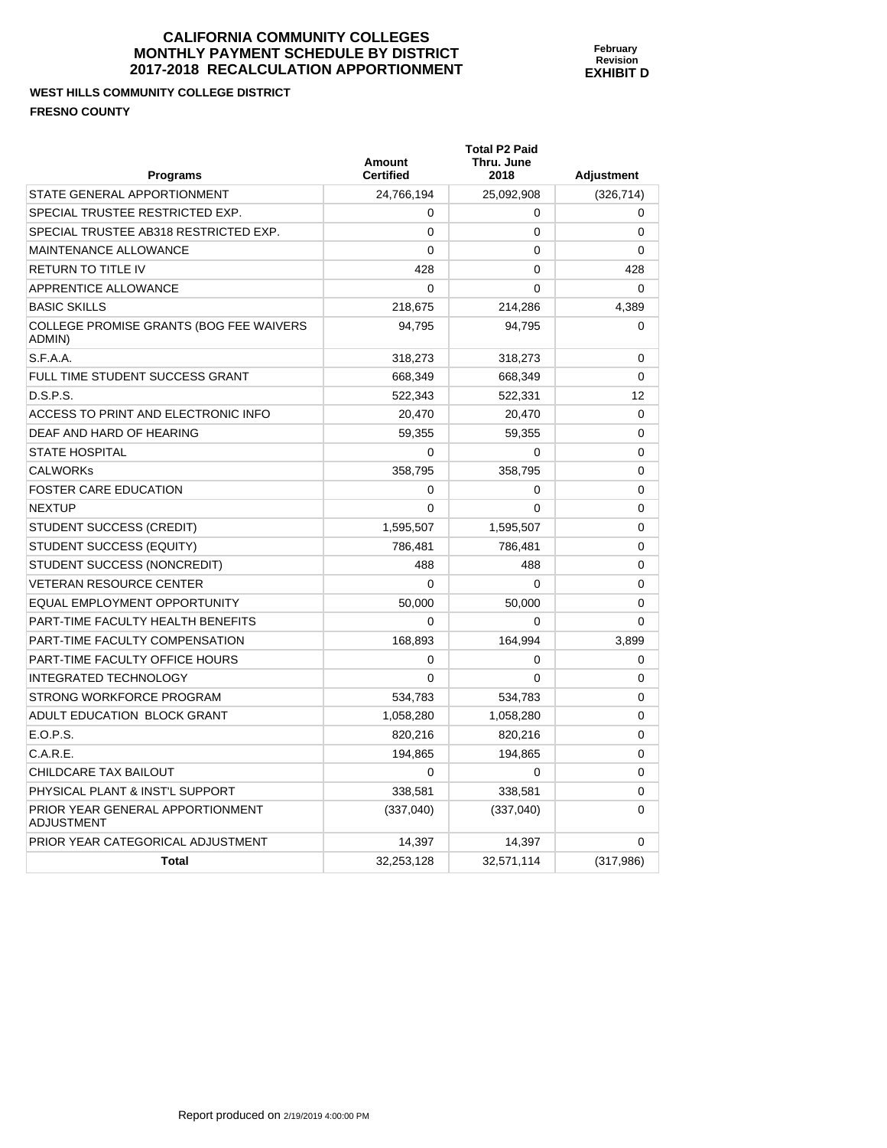# **WEST HILLS COMMUNITY COLLEGE DISTRICT FRESNO COUNTY**

| <b>Programs</b>                                       | Amount<br><b>Certified</b> | <b>Total P2 Paid</b><br>Thru. June<br>2018 | <b>Adjustment</b> |
|-------------------------------------------------------|----------------------------|--------------------------------------------|-------------------|
| STATE GENERAL APPORTIONMENT                           | 24.766.194                 | 25,092,908                                 | (326, 714)        |
| SPECIAL TRUSTEE RESTRICTED EXP.                       | 0                          | 0                                          | 0                 |
| SPECIAL TRUSTEE AB318 RESTRICTED EXP.                 | $\Omega$                   | 0                                          | 0                 |
| MAINTENANCE ALLOWANCE                                 | $\Omega$                   | 0                                          | 0                 |
| <b>RETURN TO TITLE IV</b>                             | 428                        | $\mathbf{0}$                               | 428               |
| APPRENTICE ALLOWANCE                                  | $\Omega$                   | 0                                          | 0                 |
| <b>BASIC SKILLS</b>                                   | 218,675                    | 214,286                                    | 4,389             |
| COLLEGE PROMISE GRANTS (BOG FEE WAIVERS<br>ADMIN)     | 94.795                     | 94.795                                     | 0                 |
| S.F.A.A.                                              | 318,273                    | 318,273                                    | 0                 |
| FULL TIME STUDENT SUCCESS GRANT                       | 668,349                    | 668,349                                    | 0                 |
| D.S.P.S.                                              | 522,343                    | 522,331                                    | 12                |
| ACCESS TO PRINT AND ELECTRONIC INFO                   | 20,470                     | 20,470                                     | 0                 |
| DEAF AND HARD OF HEARING                              | 59.355                     | 59,355                                     | 0                 |
| <b>STATE HOSPITAL</b>                                 | $\Omega$                   | $\mathbf{0}$                               | 0                 |
| <b>CALWORKS</b>                                       | 358,795                    | 358,795                                    | 0                 |
| <b>FOSTER CARE EDUCATION</b>                          | 0                          | 0                                          | 0                 |
| <b>NEXTUP</b>                                         | $\Omega$                   | $\mathbf{0}$                               | 0                 |
| <b>STUDENT SUCCESS (CREDIT)</b>                       | 1,595,507                  | 1,595,507                                  | 0                 |
| STUDENT SUCCESS (EQUITY)                              | 786,481                    | 786,481                                    | 0                 |
| STUDENT SUCCESS (NONCREDIT)                           | 488                        | 488                                        | 0                 |
| <b>VETERAN RESOURCE CENTER</b>                        | $\Omega$                   | 0                                          | 0                 |
| EQUAL EMPLOYMENT OPPORTUNITY                          | 50.000                     | 50,000                                     | 0                 |
| PART-TIME FACULTY HEALTH BENEFITS                     | $\Omega$                   | 0                                          | 0                 |
| PART-TIME FACULTY COMPENSATION                        | 168.893                    | 164,994                                    | 3.899             |
| PART-TIME FACULTY OFFICE HOURS                        | 0                          | 0                                          | 0                 |
| <b>INTEGRATED TECHNOLOGY</b>                          | $\Omega$                   | $\Omega$                                   | 0                 |
| STRONG WORKFORCE PROGRAM                              | 534,783                    | 534,783                                    | 0                 |
| ADULT EDUCATION BLOCK GRANT                           | 1,058,280                  | 1,058,280                                  | 0                 |
| E.O.P.S.                                              | 820,216                    | 820,216                                    | 0                 |
| C.A.R.E.                                              | 194,865                    | 194,865                                    | 0                 |
| CHILDCARE TAX BAILOUT                                 | $\Omega$                   | 0                                          | 0                 |
| PHYSICAL PLANT & INST'L SUPPORT                       | 338.581                    | 338.581                                    | 0                 |
| PRIOR YEAR GENERAL APPORTIONMENT<br><b>ADJUSTMENT</b> | (337,040)                  | (337,040)                                  | 0                 |
| PRIOR YEAR CATEGORICAL ADJUSTMENT                     | 14,397                     | 14,397                                     | 0                 |
| <b>Total</b>                                          | 32,253,128                 | 32,571,114                                 | (317, 986)        |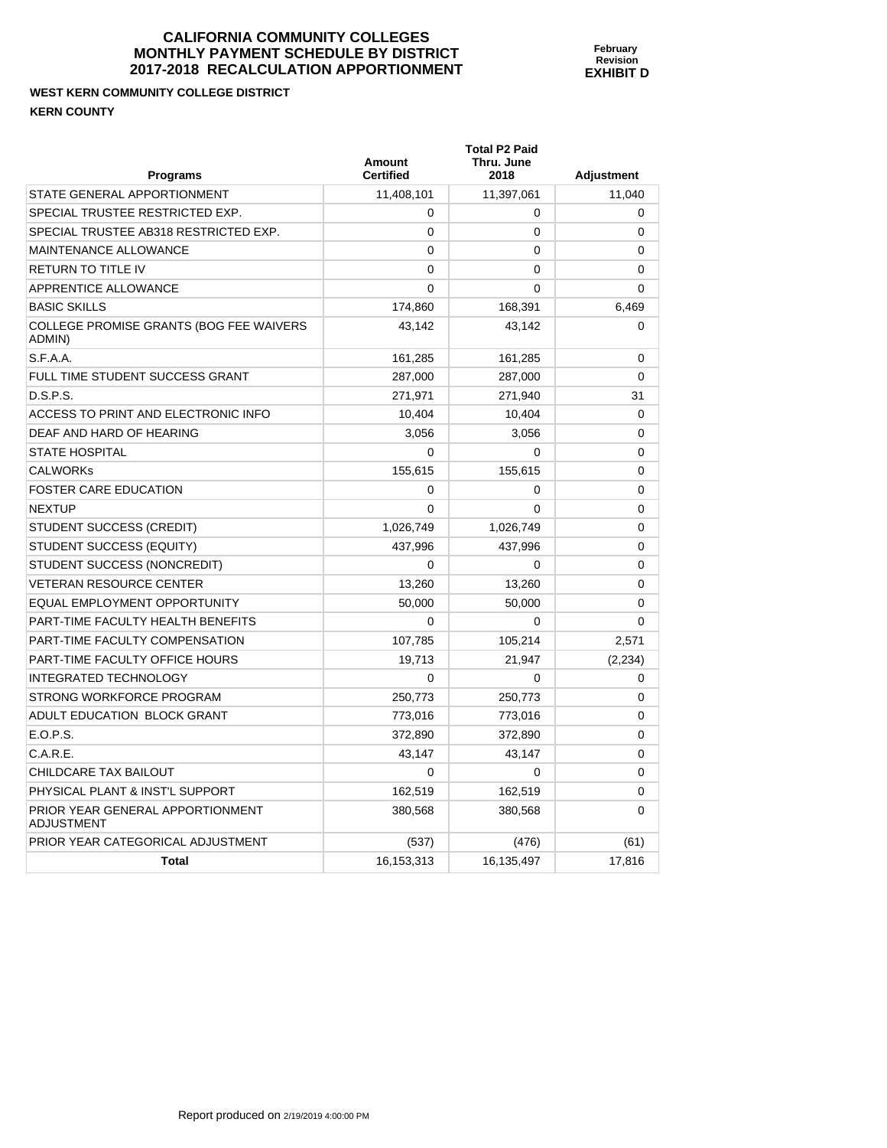**Total P2 Paid** 

# **WEST KERN COMMUNITY COLLEGE DISTRICT KERN COUNTY**

| <b>Programs</b>                                       | Amount<br><b>Certified</b> | Thru. June<br>2018 | <b>Adjustment</b> |
|-------------------------------------------------------|----------------------------|--------------------|-------------------|
| STATE GENERAL APPORTIONMENT                           | 11,408,101                 | 11,397,061         | 11,040            |
| SPECIAL TRUSTEE RESTRICTED EXP.                       | 0                          | 0                  | 0                 |
| SPECIAL TRUSTEE AB318 RESTRICTED EXP.                 | 0                          | $\mathbf 0$        | 0                 |
| MAINTENANCE ALLOWANCE                                 | 0                          | 0                  | 0                 |
| <b>RETURN TO TITLE IV</b>                             | $\Omega$                   | $\Omega$           | $\Omega$          |
| APPRENTICE ALLOWANCE                                  | $\Omega$                   | $\mathbf 0$        | 0                 |
| <b>BASIC SKILLS</b>                                   | 174,860                    | 168,391            | 6.469             |
| COLLEGE PROMISE GRANTS (BOG FEE WAIVERS<br>ADMIN)     | 43,142                     | 43,142             | 0                 |
| S.F.A.A.                                              | 161,285                    | 161,285            | $\Omega$          |
| FULL TIME STUDENT SUCCESS GRANT                       | 287,000                    | 287,000            | 0                 |
| D.S.P.S.                                              | 271,971                    | 271,940            | 31                |
| ACCESS TO PRINT AND ELECTRONIC INFO                   | 10,404                     | 10,404             | 0                 |
| DEAF AND HARD OF HEARING                              | 3,056                      | 3,056              | 0                 |
| <b>STATE HOSPITAL</b>                                 | $\Omega$                   | $\Omega$           | 0                 |
| <b>CALWORKs</b>                                       | 155,615                    | 155,615            | 0                 |
| <b>FOSTER CARE EDUCATION</b>                          | 0                          | 0                  | 0                 |
| <b>NEXTUP</b>                                         | $\Omega$                   | $\mathbf 0$        | 0                 |
| STUDENT SUCCESS (CREDIT)                              | 1,026,749                  | 1,026,749          | 0                 |
| <b>STUDENT SUCCESS (EQUITY)</b>                       | 437,996                    | 437,996            | 0                 |
| STUDENT SUCCESS (NONCREDIT)                           | 0                          | $\mathbf 0$        | 0                 |
| <b>VETERAN RESOURCE CENTER</b>                        | 13,260                     | 13,260             | 0                 |
| EQUAL EMPLOYMENT OPPORTUNITY                          | 50,000                     | 50,000             | 0                 |
| PART-TIME FACULTY HEALTH BENEFITS                     | 0                          | 0                  | $\mathbf 0$       |
| PART-TIME FACULTY COMPENSATION                        | 107,785                    | 105,214            | 2,571             |
| PART-TIME FACULTY OFFICE HOURS                        | 19,713                     | 21,947             | (2, 234)          |
| <b>INTEGRATED TECHNOLOGY</b>                          | $\Omega$                   | $\mathbf 0$        | 0                 |
| STRONG WORKFORCE PROGRAM                              | 250,773                    | 250,773            | 0                 |
| ADULT EDUCATION BLOCK GRANT                           | 773,016                    | 773,016            | 0                 |
| E.O.P.S.                                              | 372,890                    | 372,890            | 0                 |
| C.A.R.E.                                              | 43,147                     | 43,147             | $\Omega$          |
| CHILDCARE TAX BAILOUT                                 | $\Omega$                   | $\Omega$           | 0                 |
| PHYSICAL PLANT & INST'L SUPPORT                       | 162,519                    | 162,519            | 0                 |
| PRIOR YEAR GENERAL APPORTIONMENT<br><b>ADJUSTMENT</b> | 380,568                    | 380,568            | 0                 |
| PRIOR YEAR CATEGORICAL ADJUSTMENT                     | (537)                      | (476)              | (61)              |
| <b>Total</b>                                          | 16,153,313                 | 16,135,497         | 17,816            |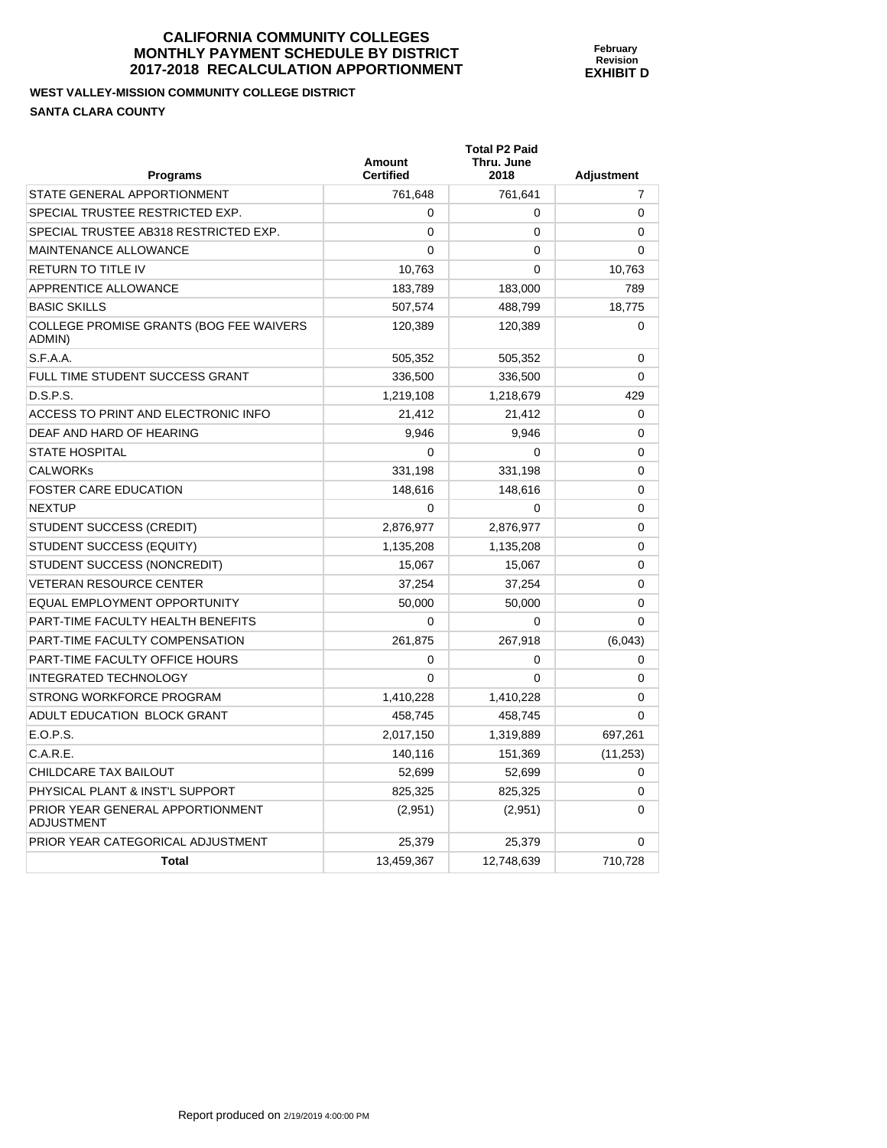#### **WEST VALLEY-MISSION COMMUNITY COLLEGE DISTRICT SANTA CLARA COUNTY**

| <b>Programs</b>                                   | Amount<br><b>Certified</b> | <b>Total P2 Paid</b><br>Thru. June<br>2018 | <b>Adjustment</b> |
|---------------------------------------------------|----------------------------|--------------------------------------------|-------------------|
| STATE GENERAL APPORTIONMENT                       | 761,648                    | 761,641                                    | 7                 |
| SPECIAL TRUSTEE RESTRICTED EXP.                   | $\mathbf 0$                | $\mathbf 0$                                | $\mathbf 0$       |
| SPECIAL TRUSTEE AB318 RESTRICTED EXP.             | $\Omega$                   | $\mathbf 0$                                | 0                 |
| <b>MAINTENANCE ALLOWANCE</b>                      | $\Omega$                   | $\Omega$                                   | $\Omega$          |
| <b>RETURN TO TITLE IV</b>                         | 10,763                     | 0                                          | 10,763            |
| APPRENTICE ALLOWANCE                              | 183,789                    | 183,000                                    | 789               |
| <b>BASIC SKILLS</b>                               | 507,574                    | 488,799                                    | 18,775            |
| COLLEGE PROMISE GRANTS (BOG FEE WAIVERS<br>ADMIN) | 120,389                    | 120,389                                    | 0                 |
| S.F.A.A.                                          | 505,352                    | 505,352                                    | $\mathbf 0$       |
| FULL TIME STUDENT SUCCESS GRANT                   | 336,500                    | 336,500                                    | 0                 |
| D.S.P.S.                                          | 1,219,108                  | 1,218,679                                  | 429               |
| ACCESS TO PRINT AND ELECTRONIC INFO               | 21,412                     | 21,412                                     | 0                 |
| DEAF AND HARD OF HEARING                          | 9,946                      | 9,946                                      | 0                 |
| <b>STATE HOSPITAL</b>                             | $\Omega$                   | $\Omega$                                   | 0                 |
| <b>CALWORKs</b>                                   | 331,198                    | 331,198                                    | 0                 |
| FOSTER CARE EDUCATION                             | 148,616                    | 148,616                                    | 0                 |
| <b>NEXTUP</b>                                     | $\Omega$                   | $\Omega$                                   | 0                 |
| STUDENT SUCCESS (CREDIT)                          | 2,876,977                  | 2,876,977                                  | $\Omega$          |
| STUDENT SUCCESS (EQUITY)                          | 1,135,208                  | 1,135,208                                  | 0                 |
| STUDENT SUCCESS (NONCREDIT)                       | 15,067                     | 15,067                                     | $\Omega$          |
| <b>VETERAN RESOURCE CENTER</b>                    | 37,254                     | 37,254                                     | $\Omega$          |
| <b>EQUAL EMPLOYMENT OPPORTUNITY</b>               | 50,000                     | 50,000                                     | 0                 |
| PART-TIME FACULTY HEALTH BENEFITS                 | $\Omega$                   | $\Omega$                                   | 0                 |
| <b>PART-TIME FACULTY COMPENSATION</b>             | 261,875                    | 267,918                                    | (6,043)           |
| PART-TIME FACULTY OFFICE HOURS                    | $\Omega$                   | 0                                          | 0                 |
| <b>INTEGRATED TECHNOLOGY</b>                      | $\Omega$                   | 0                                          | 0                 |
| STRONG WORKFORCE PROGRAM                          | 1,410,228                  | 1,410,228                                  | 0                 |
| ADULT EDUCATION BLOCK GRANT                       | 458,745                    | 458,745                                    | 0                 |
| E.O.P.S.                                          | 2,017,150                  | 1,319,889                                  | 697,261           |
| C.A.R.E.                                          | 140,116                    | 151,369                                    | (11, 253)         |
| CHILDCARE TAX BAILOUT                             | 52.699                     | 52.699                                     | $\Omega$          |
| PHYSICAL PLANT & INST'L SUPPORT                   | 825,325                    | 825,325                                    | 0                 |
| PRIOR YEAR GENERAL APPORTIONMENT<br>ADJUSTMENT    | (2,951)                    | (2,951)                                    | $\Omega$          |
| PRIOR YEAR CATEGORICAL ADJUSTMENT                 | 25,379                     | 25,379                                     | $\mathbf 0$       |
| Total                                             | 13,459,367                 | 12,748,639                                 | 710,728           |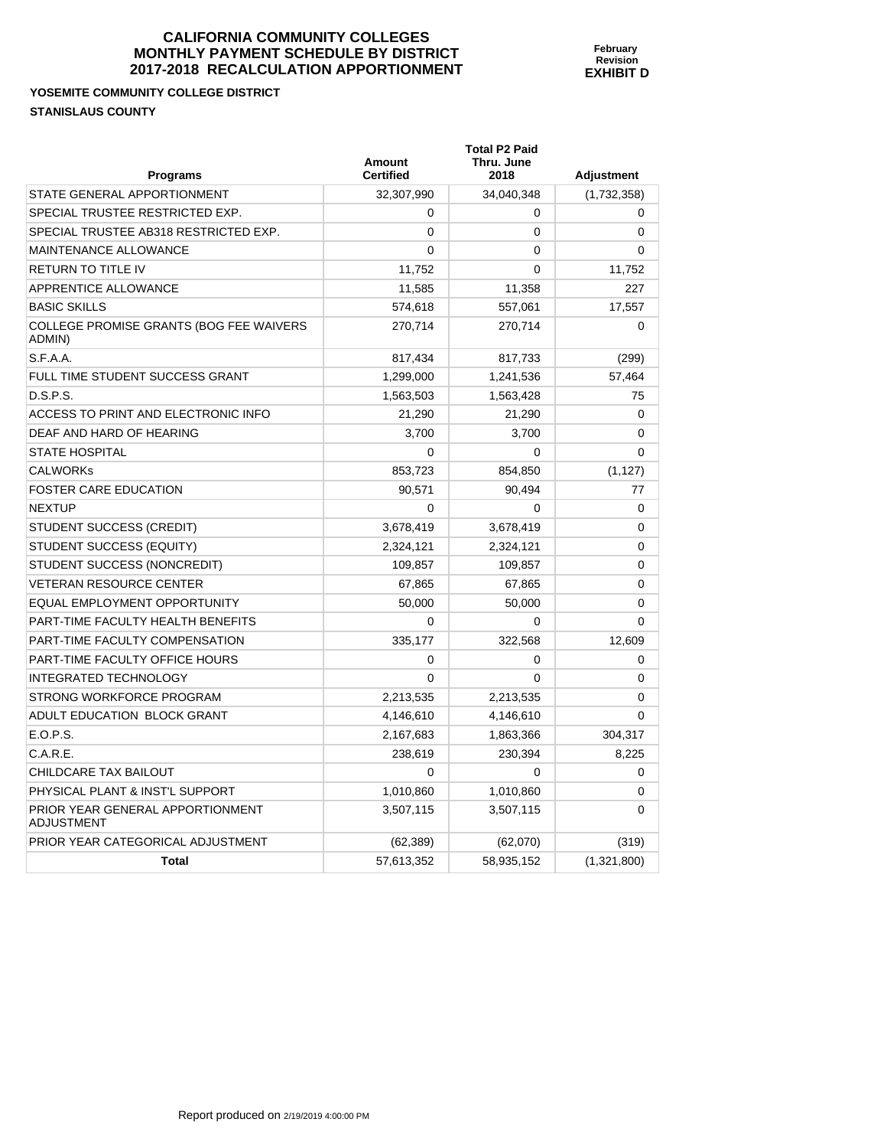#### **YOSEMITE COMMUNITY COLLEGE DISTRICT STANISLAUS COUNTY**

| <b>Programs</b>                                       | Amount<br><b>Certified</b> | <b>Total P2 Paid</b><br>Thru. June<br>2018 | <b>Adjustment</b> |
|-------------------------------------------------------|----------------------------|--------------------------------------------|-------------------|
| STATE GENERAL APPORTIONMENT                           | 32,307,990                 | 34.040.348                                 | (1,732,358)       |
| SPECIAL TRUSTEE RESTRICTED EXP.                       | 0                          | 0                                          | 0                 |
| SPECIAL TRUSTEE AB318 RESTRICTED EXP.                 | $\Omega$                   | 0                                          | $\Omega$          |
| <b>MAINTENANCE ALLOWANCE</b>                          | $\Omega$                   | 0                                          | $\Omega$          |
| <b>RETURN TO TITLE IV</b>                             | 11,752                     | $\mathbf{0}$                               | 11,752            |
| APPRENTICE ALLOWANCE                                  | 11,585                     | 11,358                                     | 227               |
| <b>BASIC SKILLS</b>                                   | 574,618                    | 557,061                                    | 17,557            |
| COLLEGE PROMISE GRANTS (BOG FEE WAIVERS<br>ADMIN)     | 270,714                    | 270.714                                    | $\Omega$          |
| S.F.A.A.                                              | 817,434                    | 817,733                                    | (299)             |
| FULL TIME STUDENT SUCCESS GRANT                       | 1,299,000                  | 1,241,536                                  | 57,464            |
| D.S.P.S.                                              | 1,563,503                  | 1,563,428                                  | 75                |
| ACCESS TO PRINT AND ELECTRONIC INFO                   | 21,290                     | 21,290                                     | 0                 |
| DEAF AND HARD OF HEARING                              | 3.700                      | 3.700                                      | 0                 |
| <b>STATE HOSPITAL</b>                                 | $\Omega$                   | 0                                          | $\mathbf{0}$      |
| <b>CALWORKs</b>                                       | 853,723                    | 854,850                                    | (1, 127)          |
| <b>FOSTER CARE EDUCATION</b>                          | 90.571                     | 90,494                                     | 77                |
| <b>NEXTUP</b>                                         | $\Omega$                   | $\mathbf{0}$                               | $\mathbf 0$       |
| <b>STUDENT SUCCESS (CREDIT)</b>                       | 3,678,419                  | 3,678,419                                  | 0                 |
| STUDENT SUCCESS (EQUITY)                              | 2,324,121                  | 2,324,121                                  | $\Omega$          |
| STUDENT SUCCESS (NONCREDIT)                           | 109.857                    | 109.857                                    | $\Omega$          |
| <b>VETERAN RESOURCE CENTER</b>                        | 67,865                     | 67,865                                     | $\mathbf{0}$      |
| EQUAL EMPLOYMENT OPPORTUNITY                          | 50,000                     | 50,000                                     | 0                 |
| PART-TIME FACULTY HEALTH BENEFITS                     | 0                          | 0                                          | $\Omega$          |
| PART-TIME FACULTY COMPENSATION                        | 335,177                    | 322,568                                    | 12,609            |
| <b>PART-TIME FACULTY OFFICE HOURS</b>                 | 0                          | 0                                          | 0                 |
| <b>INTEGRATED TECHNOLOGY</b>                          | $\Omega$                   | $\Omega$                                   | $\Omega$          |
| STRONG WORKFORCE PROGRAM                              | 2,213,535                  | 2,213,535                                  | $\Omega$          |
| ADULT EDUCATION BLOCK GRANT                           | 4,146,610                  | 4,146,610                                  | $\Omega$          |
| E.O.P.S.                                              | 2,167,683                  | 1,863,366                                  | 304,317           |
| C.A.R.E.                                              | 238,619                    | 230,394                                    | 8,225             |
| CHILDCARE TAX BAILOUT                                 | $\Omega$                   | 0                                          | 0                 |
| PHYSICAL PLANT & INST'L SUPPORT                       | 1,010,860                  | 1,010,860                                  | $\Omega$          |
| PRIOR YEAR GENERAL APPORTIONMENT<br><b>ADJUSTMENT</b> | 3,507,115                  | 3,507,115                                  | 0                 |
| PRIOR YEAR CATEGORICAL ADJUSTMENT                     | (62, 389)                  | (62,070)                                   | (319)             |
| <b>Total</b>                                          | 57,613,352                 | 58,935,152                                 | (1,321,800)       |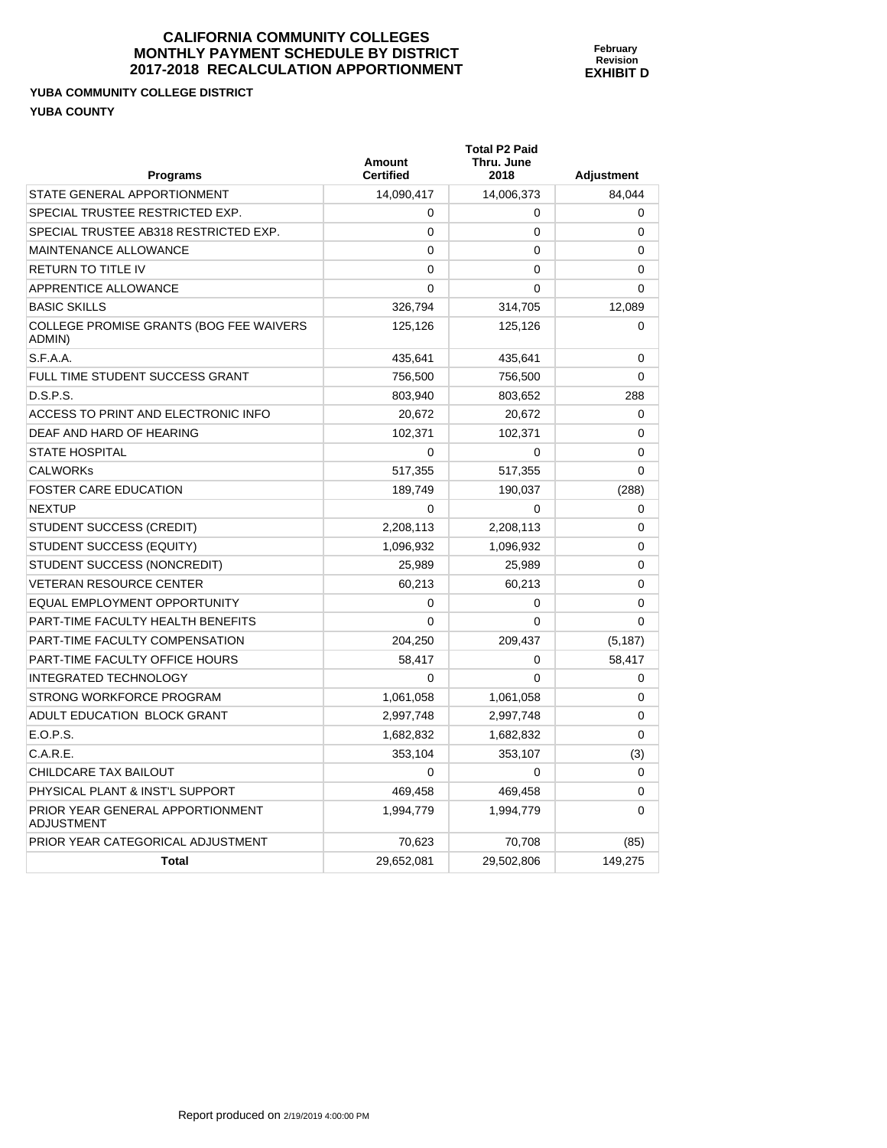# **YUBA COMMUNITY COLLEGE DISTRICT YUBA COUNTY**

| Programs                                              | Amount<br><b>Certified</b> | <b>Total P2 Paid</b><br>Thru. June<br>2018 | <b>Adjustment</b> |
|-------------------------------------------------------|----------------------------|--------------------------------------------|-------------------|
| STATE GENERAL APPORTIONMENT                           | 14,090,417                 | 14,006,373                                 | 84,044            |
| SPECIAL TRUSTEE RESTRICTED EXP.                       | 0                          | 0                                          | 0                 |
| SPECIAL TRUSTEE AB318 RESTRICTED EXP.                 | 0                          | 0                                          | 0                 |
| <b>MAINTENANCE ALLOWANCE</b>                          | $\mathbf 0$                | $\mathbf{0}$                               | 0                 |
| <b>RETURN TO TITLE IV</b>                             | $\mathbf 0$                | 0                                          | 0                 |
| APPRENTICE ALLOWANCE                                  | $\mathbf 0$                | $\Omega$                                   | 0                 |
| <b>BASIC SKILLS</b>                                   | 326,794                    | 314,705                                    | 12,089            |
| COLLEGE PROMISE GRANTS (BOG FEE WAIVERS<br>ADMIN)     | 125,126                    | 125,126                                    | 0                 |
| S.F.A.A.                                              | 435,641                    | 435,641                                    | 0                 |
| FULL TIME STUDENT SUCCESS GRANT                       | 756,500                    | 756,500                                    | 0                 |
| D.S.P.S.                                              | 803,940                    | 803,652                                    | 288               |
| ACCESS TO PRINT AND ELECTRONIC INFO                   | 20,672                     | 20,672                                     | 0                 |
| DEAF AND HARD OF HEARING                              | 102,371                    | 102,371                                    | 0                 |
| <b>STATE HOSPITAL</b>                                 | $\mathbf 0$                | 0                                          | 0                 |
| <b>CALWORKS</b>                                       | 517,355                    | 517,355                                    | 0                 |
| <b>FOSTER CARE EDUCATION</b>                          | 189,749                    | 190,037                                    | (288)             |
| <b>NEXTUP</b>                                         | $\mathbf 0$                | 0                                          | 0                 |
| STUDENT SUCCESS (CREDIT)                              | 2,208,113                  | 2,208,113                                  | $\Omega$          |
| STUDENT SUCCESS (EQUITY)                              | 1,096,932                  | 1,096,932                                  | 0                 |
| STUDENT SUCCESS (NONCREDIT)                           | 25,989                     | 25,989                                     | 0                 |
| <b>VETERAN RESOURCE CENTER</b>                        | 60,213                     | 60,213                                     | $\Omega$          |
| EQUAL EMPLOYMENT OPPORTUNITY                          | $\Omega$                   | 0                                          | 0                 |
| PART-TIME FACULTY HEALTH BENEFITS                     | $\Omega$                   | $\Omega$                                   | $\Omega$          |
| <b>PART-TIME FACULTY COMPENSATION</b>                 | 204,250                    | 209,437                                    | (5, 187)          |
| PART-TIME FACULTY OFFICE HOURS                        | 58,417                     | 0                                          | 58,417            |
| <b>INTEGRATED TECHNOLOGY</b>                          | $\Omega$                   | 0                                          | 0                 |
| STRONG WORKFORCE PROGRAM                              | 1,061,058                  | 1,061,058                                  | 0                 |
| ADULT EDUCATION BLOCK GRANT                           | 2,997,748                  | 2,997,748                                  | 0                 |
| E.O.P.S.                                              | 1,682,832                  | 1,682,832                                  | 0                 |
| C.A.R.E.                                              | 353,104                    | 353,107                                    | (3)               |
| CHILDCARE TAX BAILOUT                                 | 0                          | 0                                          | $\Omega$          |
| PHYSICAL PLANT & INST'L SUPPORT                       | 469,458                    | 469,458                                    | 0                 |
| PRIOR YEAR GENERAL APPORTIONMENT<br><b>ADJUSTMENT</b> | 1,994,779                  | 1,994,779                                  | $\Omega$          |
| PRIOR YEAR CATEGORICAL ADJUSTMENT                     | 70,623                     | 70,708                                     | (85)              |
| <b>Total</b>                                          | 29,652,081                 | 29,502,806                                 | 149,275           |